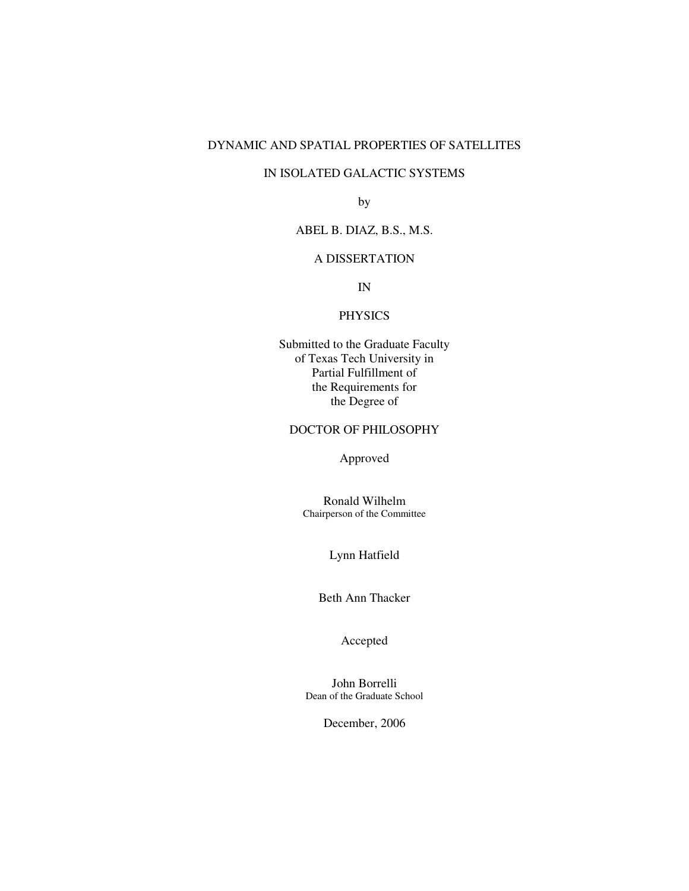# DYNAMIC AND SPATIAL PROPERTIES OF SATELLITES

# IN ISOLATED GALACTIC SYSTEMS

by

# ABEL B. DIAZ, B.S., M.S.

# A DISSERTATION

IN

# PHYSICS

Submitted to the Graduate Faculty of Texas Tech University in Partial Fulfillment of the Requirements for the Degree of

# DOCTOR OF PHILOSOPHY

Approved

Ronald Wilhelm Chairperson of the Committee

Lynn Hatfield

Beth Ann Thacker

Accepted

John Borrelli Dean of the Graduate School

December, 2006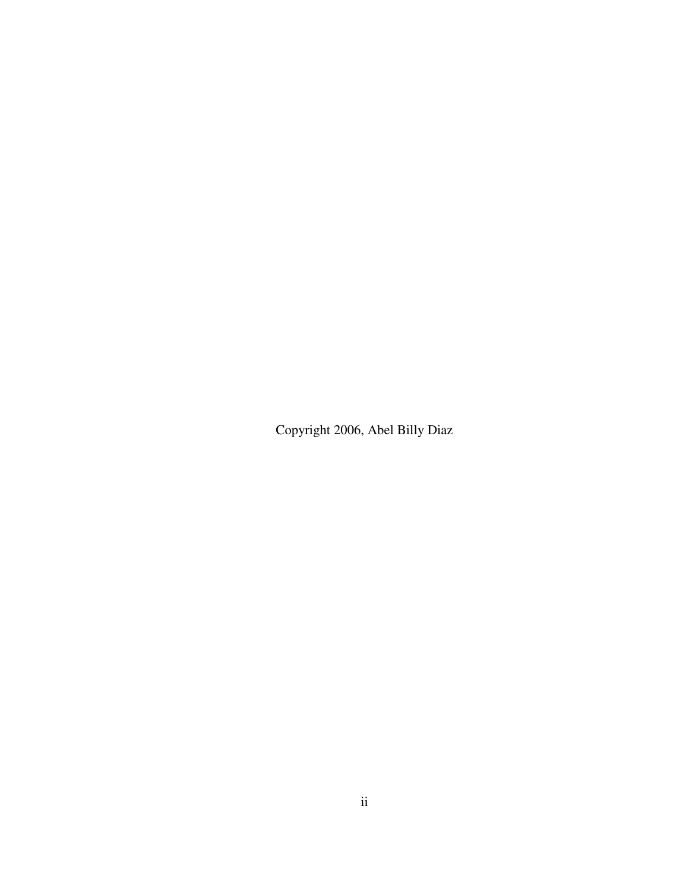Copyright 2006, Abel Billy Diaz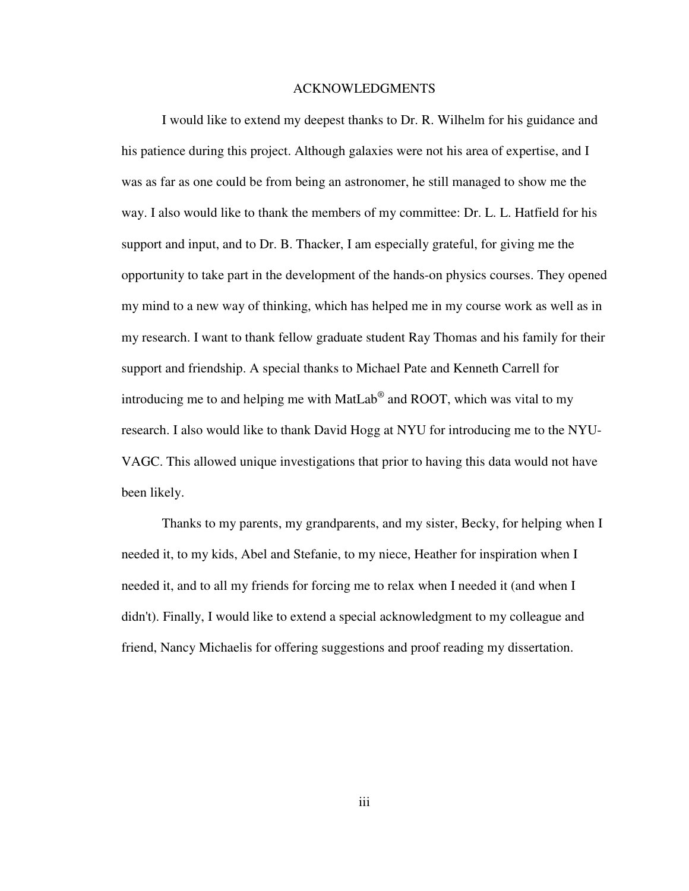#### ACKNOWLEDGMENTS

 I would like to extend my deepest thanks to Dr. R. Wilhelm for his guidance and his patience during this project. Although galaxies were not his area of expertise, and I was as far as one could be from being an astronomer, he still managed to show me the way. I also would like to thank the members of my committee: Dr. L. L. Hatfield for his support and input, and to Dr. B. Thacker, I am especially grateful, for giving me the opportunity to take part in the development of the hands-on physics courses. They opened my mind to a new way of thinking, which has helped me in my course work as well as in my research. I want to thank fellow graduate student Ray Thomas and his family for their support and friendship. A special thanks to Michael Pate and Kenneth Carrell for introducing me to and helping me with MatLab $^{\circledR}$  and ROOT, which was vital to my research. I also would like to thank David Hogg at NYU for introducing me to the NYU-VAGC. This allowed unique investigations that prior to having this data would not have been likely.

 Thanks to my parents, my grandparents, and my sister, Becky, for helping when I needed it, to my kids, Abel and Stefanie, to my niece, Heather for inspiration when I needed it, and to all my friends for forcing me to relax when I needed it (and when I didn't). Finally, I would like to extend a special acknowledgment to my colleague and friend, Nancy Michaelis for offering suggestions and proof reading my dissertation.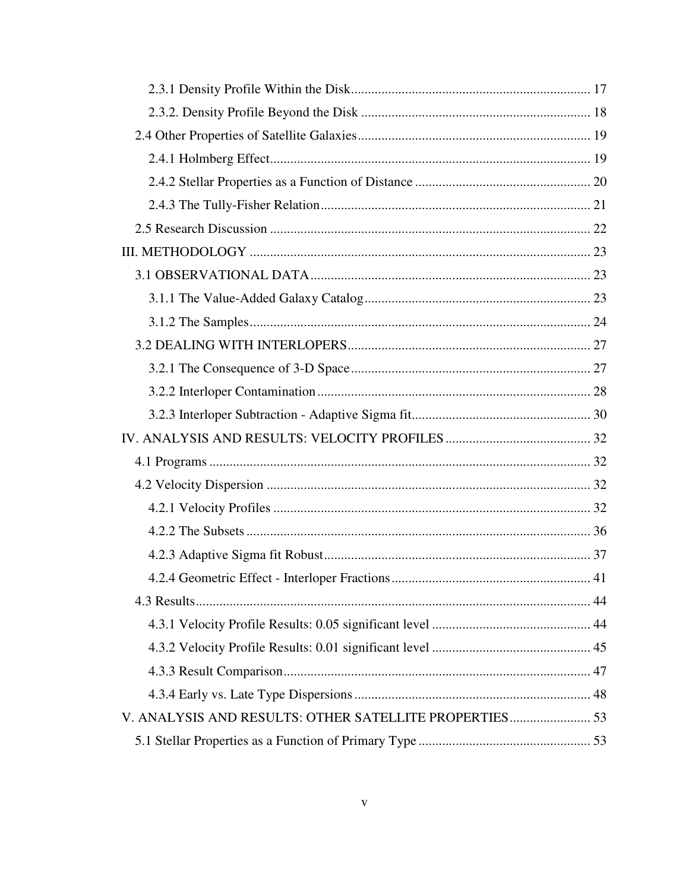| V. ANALYSIS AND RESULTS: OTHER SATELLITE PROPERTIES 53 |  |
|--------------------------------------------------------|--|
|                                                        |  |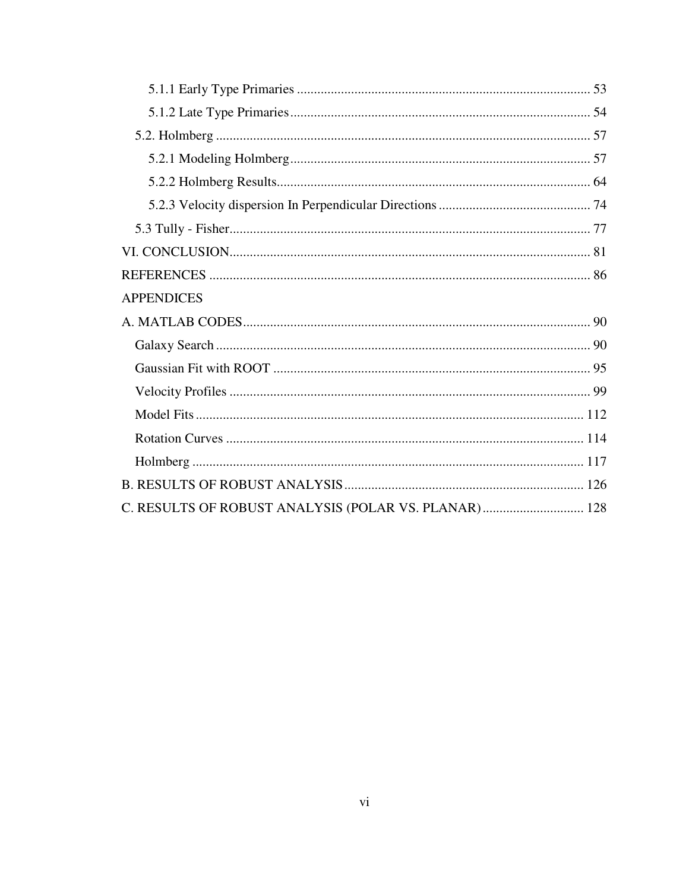| <b>APPENDICES</b>                                    |  |
|------------------------------------------------------|--|
|                                                      |  |
|                                                      |  |
|                                                      |  |
|                                                      |  |
|                                                      |  |
|                                                      |  |
|                                                      |  |
|                                                      |  |
| C. RESULTS OF ROBUST ANALYSIS (POLAR VS. PLANAR) 128 |  |
|                                                      |  |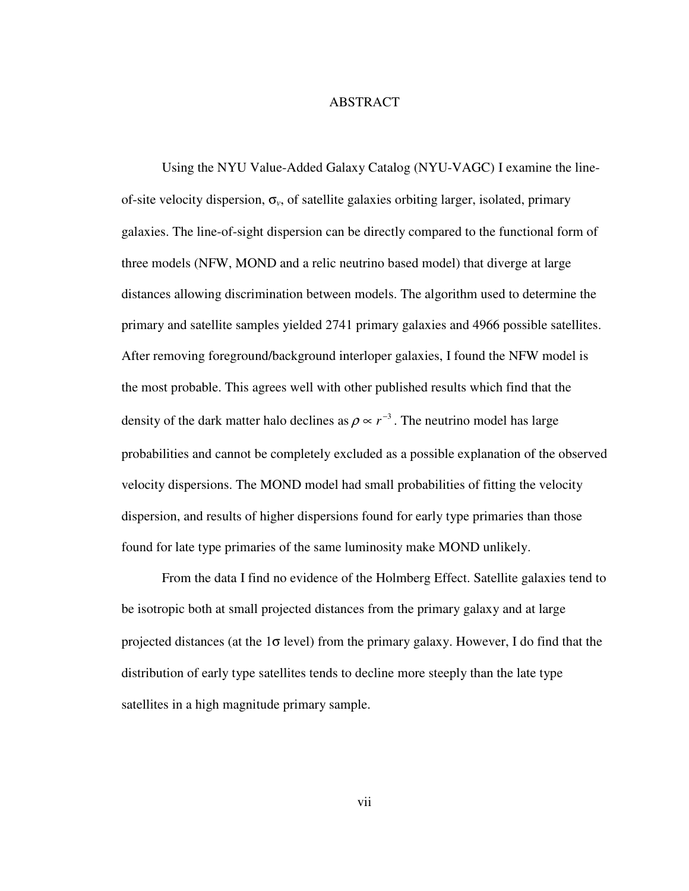# **ABSTRACT**

 Using the NYU Value-Added Galaxy Catalog (NYU-VAGC) I examine the lineof-site velocity dispersion, σ*v*, of satellite galaxies orbiting larger, isolated, primary galaxies. The line-of-sight dispersion can be directly compared to the functional form of three models (NFW, MOND and a relic neutrino based model) that diverge at large distances allowing discrimination between models. The algorithm used to determine the primary and satellite samples yielded 2741 primary galaxies and 4966 possible satellites. After removing foreground/background interloper galaxies, I found the NFW model is the most probable. This agrees well with other published results which find that the density of the dark matter halo declines as  $\rho \propto r^{-3}$ . The neutrino model has large probabilities and cannot be completely excluded as a possible explanation of the observed velocity dispersions. The MOND model had small probabilities of fitting the velocity dispersion, and results of higher dispersions found for early type primaries than those found for late type primaries of the same luminosity make MOND unlikely.

 From the data I find no evidence of the Holmberg Effect. Satellite galaxies tend to be isotropic both at small projected distances from the primary galaxy and at large projected distances (at the  $1\sigma$  level) from the primary galaxy. However, I do find that the distribution of early type satellites tends to decline more steeply than the late type satellites in a high magnitude primary sample.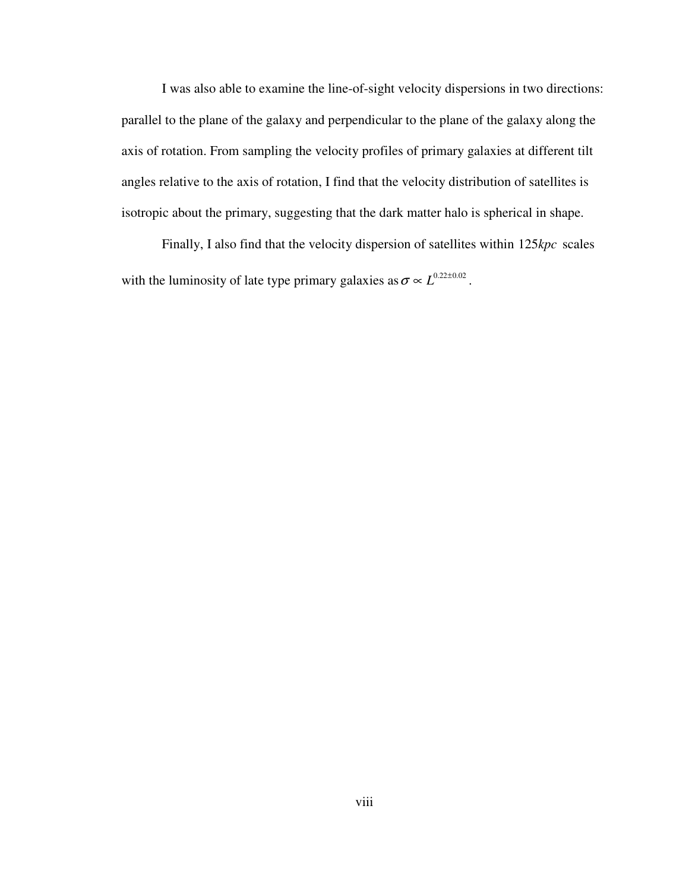I was also able to examine the line-of-sight velocity dispersions in two directions: parallel to the plane of the galaxy and perpendicular to the plane of the galaxy along the axis of rotation. From sampling the velocity profiles of primary galaxies at different tilt angles relative to the axis of rotation, I find that the velocity distribution of satellites is isotropic about the primary, suggesting that the dark matter halo is spherical in shape.

Finally, I also find that the velocity dispersion of satellites within 125kpc scales with the luminosity of late type primary galaxies as  $\sigma \propto L^{0.22 \pm 0.02}$ .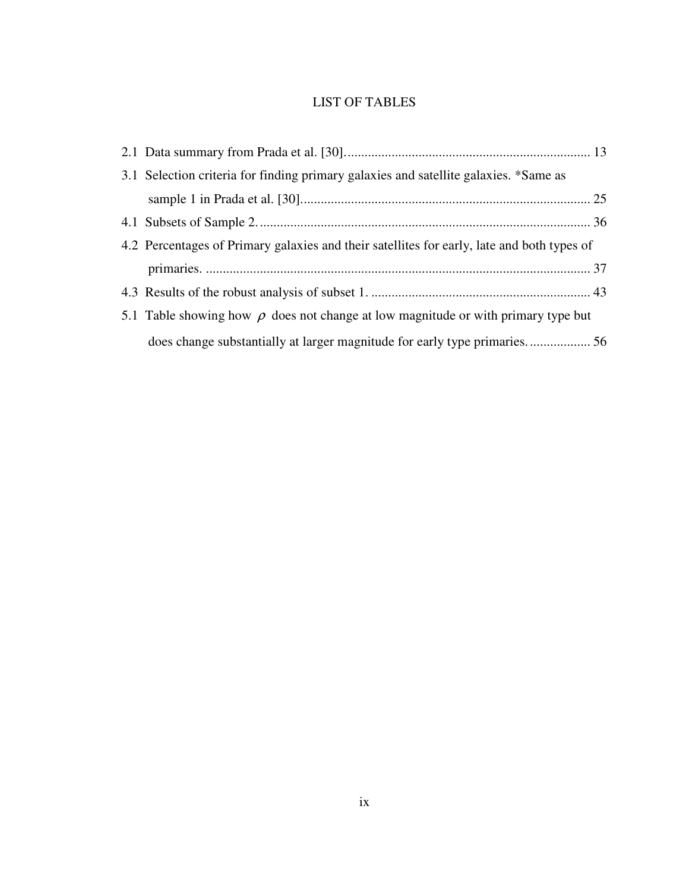# LIST OF TABLES

| 3.1 Selection criteria for finding primary galaxies and satellite galaxies. *Same as       |  |  |  |
|--------------------------------------------------------------------------------------------|--|--|--|
|                                                                                            |  |  |  |
|                                                                                            |  |  |  |
| 4.2 Percentages of Primary galaxies and their satellites for early, late and both types of |  |  |  |
|                                                                                            |  |  |  |
|                                                                                            |  |  |  |
| 5.1 Table showing how $\rho$ does not change at low magnitude or with primary type but     |  |  |  |
|                                                                                            |  |  |  |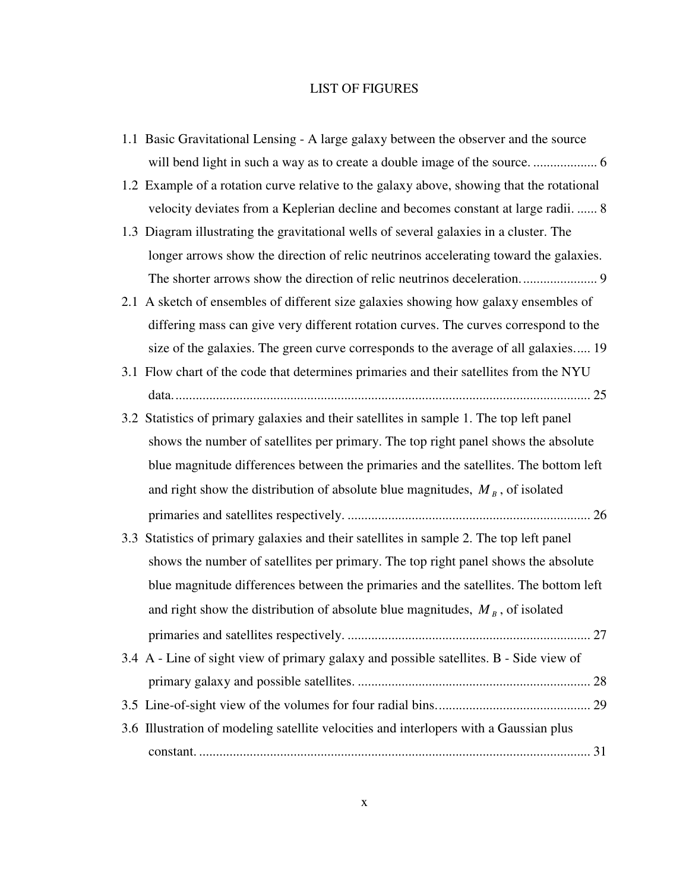#### LIST OF FIGURES

- 1.1 Basic Gravitational Lensing A large galaxy between the observer and the source will bend light in such a way as to create a double image of the source. ................... 6
- 1.2 Example of a rotation curve relative to the galaxy above, showing that the rotational velocity deviates from a Keplerian decline and becomes constant at large radii. ...... 8
- 1.3 Diagram illustrating the gravitational wells of several galaxies in a cluster. The longer arrows show the direction of relic neutrinos accelerating toward the galaxies. The shorter arrows show the direction of relic neutrinos deceleration....................... 9
- 2.1 A sketch of ensembles of different size galaxies showing how galaxy ensembles of differing mass can give very different rotation curves. The curves correspond to the size of the galaxies. The green curve corresponds to the average of all galaxies..... 19
- 3.1 Flow chart of the code that determines primaries and their satellites from the NYU data............................................................................................................................ 25
- 3.2 Statistics of primary galaxies and their satellites in sample 1. The top left panel shows the number of satellites per primary. The top right panel shows the absolute blue magnitude differences between the primaries and the satellites. The bottom left and right show the distribution of absolute blue magnitudes,  $M_B$ , of isolated primaries and satellites respectively. ........................................................................ 26
- 3.3 Statistics of primary galaxies and their satellites in sample 2. The top left panel shows the number of satellites per primary. The top right panel shows the absolute blue magnitude differences between the primaries and the satellites. The bottom left and right show the distribution of absolute blue magnitudes,  $M_B$ , of isolated primaries and satellites respectively. ........................................................................ 27 3.4 A - Line of sight view of primary galaxy and possible satellites. B - Side view of primary galaxy and possible satellites. ..................................................................... 28
- 3.5 Line-of-sight view of the volumes for four radial bins.............................................. 29 3.6 Illustration of modeling satellite velocities and interlopers with a Gaussian plus constant. .................................................................................................................... 31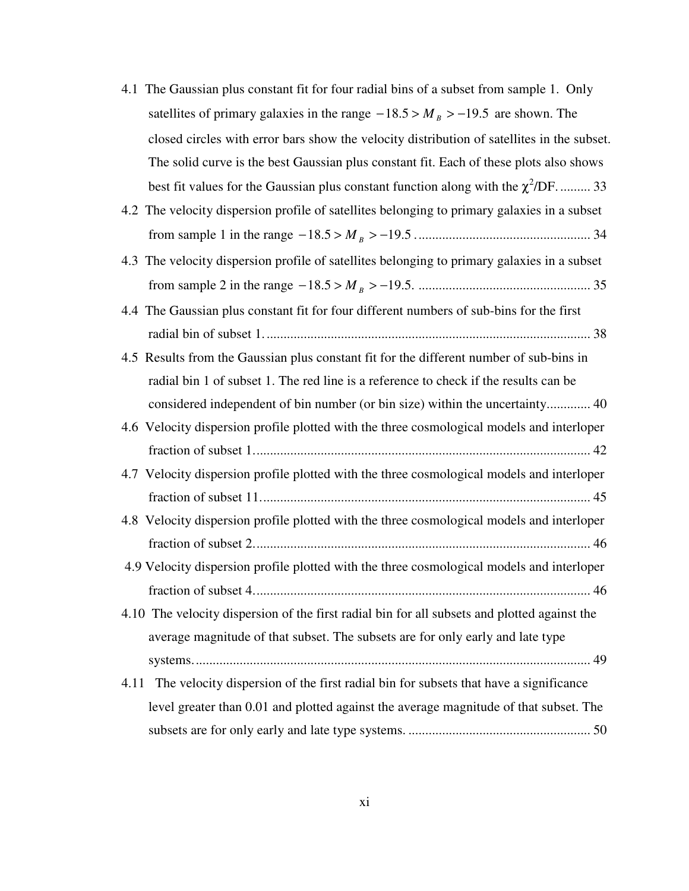| 4.1 The Gaussian plus constant fit for four radial bins of a subset from sample 1. Only      |
|----------------------------------------------------------------------------------------------|
| satellites of primary galaxies in the range $-18.5 > M_B > -19.5$ are shown. The             |
| closed circles with error bars show the velocity distribution of satellites in the subset.   |
| The solid curve is the best Gaussian plus constant fit. Each of these plots also shows       |
| best fit values for the Gaussian plus constant function along with the $\chi^2$ /DF 33       |
| 4.2 The velocity dispersion profile of satellites belonging to primary galaxies in a subset  |
|                                                                                              |
| 4.3 The velocity dispersion profile of satellites belonging to primary galaxies in a subset  |
|                                                                                              |
| 4.4 The Gaussian plus constant fit for four different numbers of sub-bins for the first      |
|                                                                                              |
| 4.5 Results from the Gaussian plus constant fit for the different number of sub-bins in      |
| radial bin 1 of subset 1. The red line is a reference to check if the results can be         |
| considered independent of bin number (or bin size) within the uncertainty 40                 |
| 4.6 Velocity dispersion profile plotted with the three cosmological models and interloper    |
|                                                                                              |
| 4.7 Velocity dispersion profile plotted with the three cosmological models and interloper    |
|                                                                                              |
| 4.8 Velocity dispersion profile plotted with the three cosmological models and interloper    |
|                                                                                              |
| 4.9 Velocity dispersion profile plotted with the three cosmological models and interloper    |
|                                                                                              |
| 4.10 The velocity dispersion of the first radial bin for all subsets and plotted against the |
| average magnitude of that subset. The subsets are for only early and late type               |
|                                                                                              |
| 4.11 The velocity dispersion of the first radial bin for subsets that have a significance    |
| level greater than 0.01 and plotted against the average magnitude of that subset. The        |
|                                                                                              |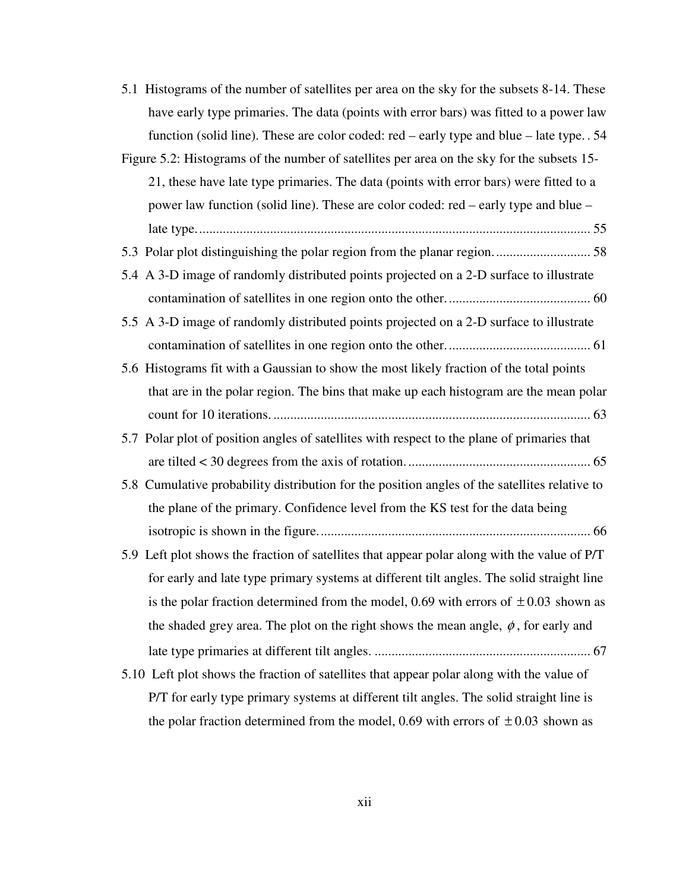5.1 Histograms of the number of satellites per area on the sky for the subsets 8-14. These have early type primaries. The data (points with error bars) was fitted to a power law function (solid line). These are color coded: red – early type and blue – late type. . 54

Figure 5.2: Histograms of the number of satellites per area on the sky for the subsets 15- 21, these have late type primaries. The data (points with error bars) were fitted to a power law function (solid line). These are color coded: red – early type and blue – late type..................................................................................................................... 55

- 5.3 Polar plot distinguishing the polar region from the planar region............................. 58
- 5.4 A 3-D image of randomly distributed points projected on a 2-D surface to illustrate contamination of satellites in one region onto the other........................................... 60

5.5 A 3-D image of randomly distributed points projected on a 2-D surface to illustrate contamination of satellites in one region onto the other........................................... 61

- 5.6 Histograms fit with a Gaussian to show the most likely fraction of the total points that are in the polar region. The bins that make up each histogram are the mean polar count for 10 iterations. .............................................................................................. 63
- 5.7 Polar plot of position angles of satellites with respect to the plane of primaries that are tilted < 30 degrees from the axis of rotation. ...................................................... 65
- 5.8 Cumulative probability distribution for the position angles of the satellites relative to the plane of the primary. Confidence level from the KS test for the data being isotropic is shown in the figure................................................................................. 66
- 5.9 Left plot shows the fraction of satellites that appear polar along with the value of P/T for early and late type primary systems at different tilt angles. The solid straight line is the polar fraction determined from the model, 0.69 with errors of  $\pm$  0.03 shown as the shaded grey area. The plot on the right shows the mean angle,  $\phi$ , for early and late type primaries at different tilt angles. ................................................................ 67
- 5.10 Left plot shows the fraction of satellites that appear polar along with the value of P/T for early type primary systems at different tilt angles. The solid straight line is the polar fraction determined from the model, 0.69 with errors of  $\pm$  0.03 shown as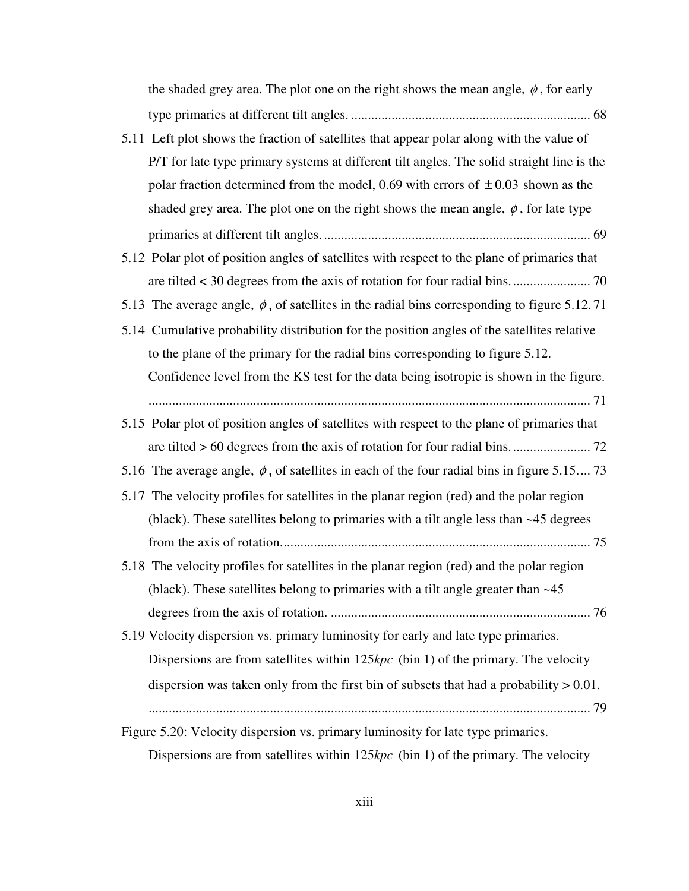| the shaded grey area. The plot one on the right shows the mean angle, $\phi$ , for early          |
|---------------------------------------------------------------------------------------------------|
|                                                                                                   |
| 5.11 Left plot shows the fraction of satellites that appear polar along with the value of         |
| P/T for late type primary systems at different tilt angles. The solid straight line is the        |
| polar fraction determined from the model, 0.69 with errors of $\pm$ 0.03 shown as the             |
| shaded grey area. The plot one on the right shows the mean angle, $\phi$ , for late type          |
|                                                                                                   |
| 5.12 Polar plot of position angles of satellites with respect to the plane of primaries that      |
|                                                                                                   |
| 5.13 The average angle, $\phi$ , of satellites in the radial bins corresponding to figure 5.12.71 |
| 5.14 Cumulative probability distribution for the position angles of the satellites relative       |
| to the plane of the primary for the radial bins corresponding to figure 5.12.                     |
| Confidence level from the KS test for the data being isotropic is shown in the figure.            |
|                                                                                                   |
| 5.15 Polar plot of position angles of satellites with respect to the plane of primaries that      |
|                                                                                                   |
| 5.16 The average angle, $\phi$ , of satellites in each of the four radial bins in figure 5.15 73  |
| 5.17 The velocity profiles for satellites in the planar region (red) and the polar region         |
|                                                                                                   |
| (black). These satellites belong to primaries with a tilt angle less than $~45$ degrees           |
|                                                                                                   |
| 5.18 The velocity profiles for satellites in the planar region (red) and the polar region         |
| (black). These satellites belong to primaries with a tilt angle greater than $~45$                |
|                                                                                                   |
| 5.19 Velocity dispersion vs. primary luminosity for early and late type primaries.                |
| Dispersions are from satellites within $125kpc$ (bin 1) of the primary. The velocity              |
| dispersion was taken only from the first bin of subsets that had a probability $> 0.01$ .         |
|                                                                                                   |

Dispersions are from satellites within 125kpc (bin 1) of the primary. The velocity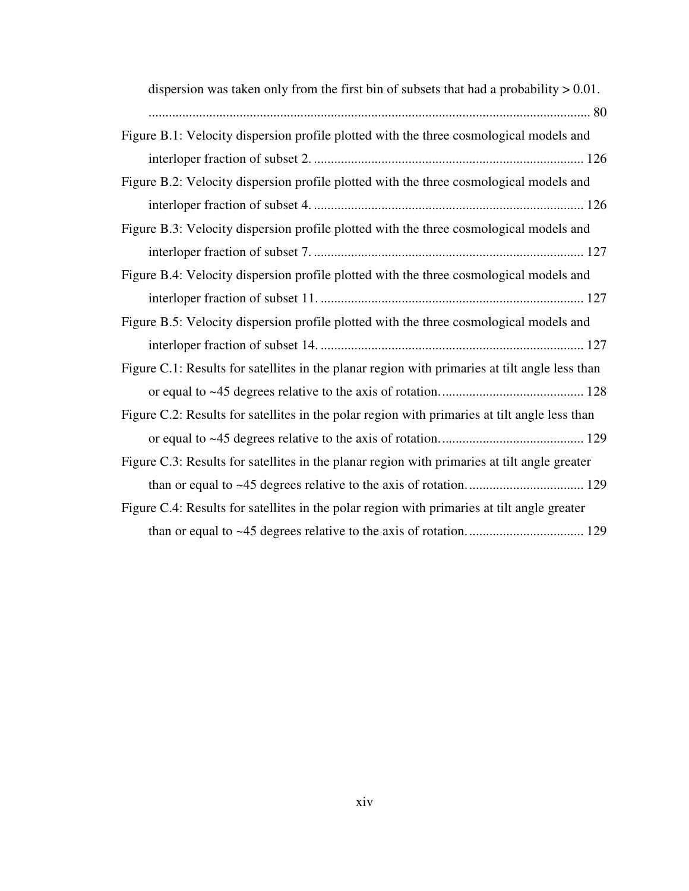| dispersion was taken only from the first bin of subsets that had a probability $> 0.01$ .      |
|------------------------------------------------------------------------------------------------|
|                                                                                                |
| Figure B.1: Velocity dispersion profile plotted with the three cosmological models and         |
|                                                                                                |
| Figure B.2: Velocity dispersion profile plotted with the three cosmological models and         |
|                                                                                                |
| Figure B.3: Velocity dispersion profile plotted with the three cosmological models and         |
|                                                                                                |
| Figure B.4: Velocity dispersion profile plotted with the three cosmological models and         |
|                                                                                                |
| Figure B.5: Velocity dispersion profile plotted with the three cosmological models and         |
|                                                                                                |
| Figure C.1: Results for satellites in the planar region with primaries at tilt angle less than |
|                                                                                                |
| Figure C.2: Results for satellites in the polar region with primaries at tilt angle less than  |
|                                                                                                |
| Figure C.3: Results for satellites in the planar region with primaries at tilt angle greater   |
|                                                                                                |
| Figure C.4: Results for satellites in the polar region with primaries at tilt angle greater    |
|                                                                                                |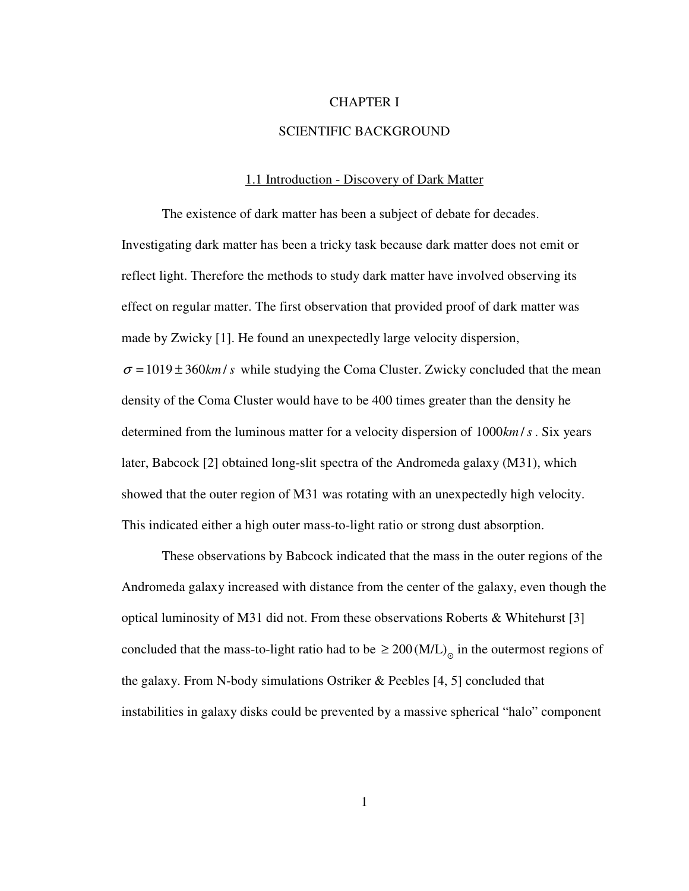# CHAPTER I

# SCIENTIFIC BACKGROUND

#### 1.1 Introduction - Discovery of Dark Matter

 The existence of dark matter has been a subject of debate for decades. Investigating dark matter has been a tricky task because dark matter does not emit or reflect light. Therefore the methods to study dark matter have involved observing its effect on regular matter. The first observation that provided proof of dark matter was made by Zwicky [1]. He found an unexpectedly large velocity dispersion,  $\sigma = 1019 \pm 360$ *km* / *s* while studying the Coma Cluster. Zwicky concluded that the mean density of the Coma Cluster would have to be 400 times greater than the density he determined from the luminous matter for a velocity dispersion of 1000 km/s. Six years later, Babcock [2] obtained long-slit spectra of the Andromeda galaxy (M31), which showed that the outer region of M31 was rotating with an unexpectedly high velocity. This indicated either a high outer mass-to-light ratio or strong dust absorption.

 These observations by Babcock indicated that the mass in the outer regions of the Andromeda galaxy increased with distance from the center of the galaxy, even though the optical luminosity of M31 did not. From these observations Roberts & Whitehurst [3] concluded that the mass-to-light ratio had to be  $\geq 200$  (M/L)<sub>o</sub> in the outermost regions of the galaxy. From N-body simulations Ostriker & Peebles [4, 5] concluded that instabilities in galaxy disks could be prevented by a massive spherical "halo" component

1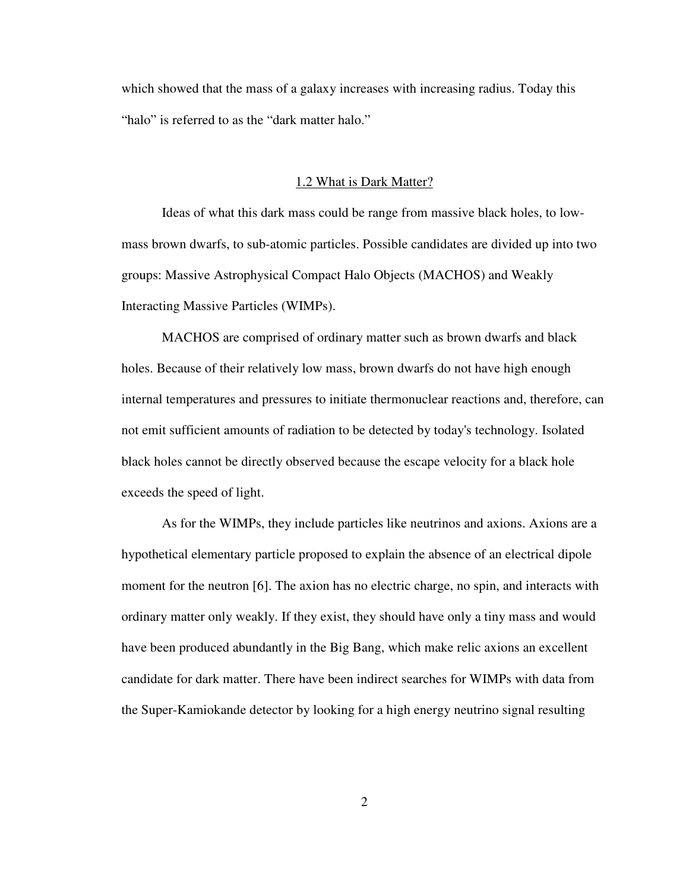which showed that the mass of a galaxy increases with increasing radius. Today this "halo" is referred to as the "dark matter halo."

#### 1.2 What is Dark Matter?

 Ideas of what this dark mass could be range from massive black holes, to lowmass brown dwarfs, to sub-atomic particles. Possible candidates are divided up into two groups: Massive Astrophysical Compact Halo Objects (MACHOS) and Weakly Interacting Massive Particles (WIMPs).

 MACHOS are comprised of ordinary matter such as brown dwarfs and black holes. Because of their relatively low mass, brown dwarfs do not have high enough internal temperatures and pressures to initiate thermonuclear reactions and, therefore, can not emit sufficient amounts of radiation to be detected by today's technology. Isolated black holes cannot be directly observed because the escape velocity for a black hole exceeds the speed of light.

 As for the WIMPs, they include particles like neutrinos and axions. Axions are a hypothetical elementary particle proposed to explain the absence of an electrical dipole moment for the neutron [6]. The axion has no electric charge, no spin, and interacts with ordinary matter only weakly. If they exist, they should have only a tiny mass and would have been produced abundantly in the Big Bang, which make relic axions an excellent candidate for dark matter. There have been indirect searches for WIMPs with data from the Super-Kamiokande detector by looking for a high energy neutrino signal resulting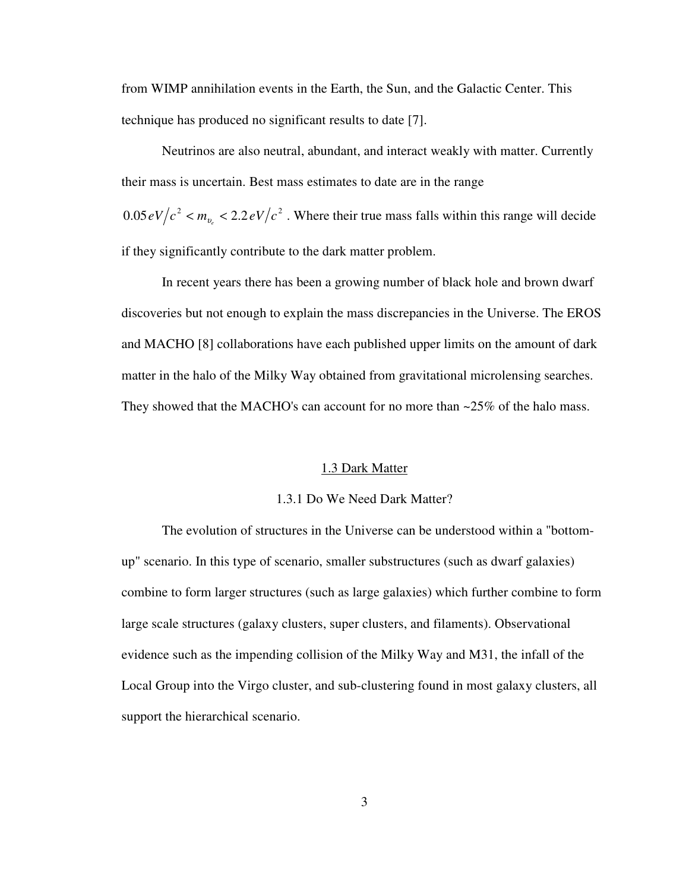from WIMP annihilation events in the Earth, the Sun, and the Galactic Center. This technique has produced no significant results to date [7].

 Neutrinos are also neutral, abundant, and interact weakly with matter. Currently their mass is uncertain. Best mass estimates to date are in the range  $2.05 \, eV/c^2 < m_{v_e} < 2.2 \, eV/c^2$ . Where their true mass falls within this range will decide if they significantly contribute to the dark matter problem.

 In recent years there has been a growing number of black hole and brown dwarf discoveries but not enough to explain the mass discrepancies in the Universe. The EROS and MACHO [8] collaborations have each published upper limits on the amount of dark matter in the halo of the Milky Way obtained from gravitational microlensing searches. They showed that the MACHO's can account for no more than ~25% of the halo mass.

#### 1.3 Dark Matter

#### 1.3.1 Do We Need Dark Matter?

 The evolution of structures in the Universe can be understood within a "bottomup" scenario. In this type of scenario, smaller substructures (such as dwarf galaxies) combine to form larger structures (such as large galaxies) which further combine to form large scale structures (galaxy clusters, super clusters, and filaments). Observational evidence such as the impending collision of the Milky Way and M31, the infall of the Local Group into the Virgo cluster, and sub-clustering found in most galaxy clusters, all support the hierarchical scenario.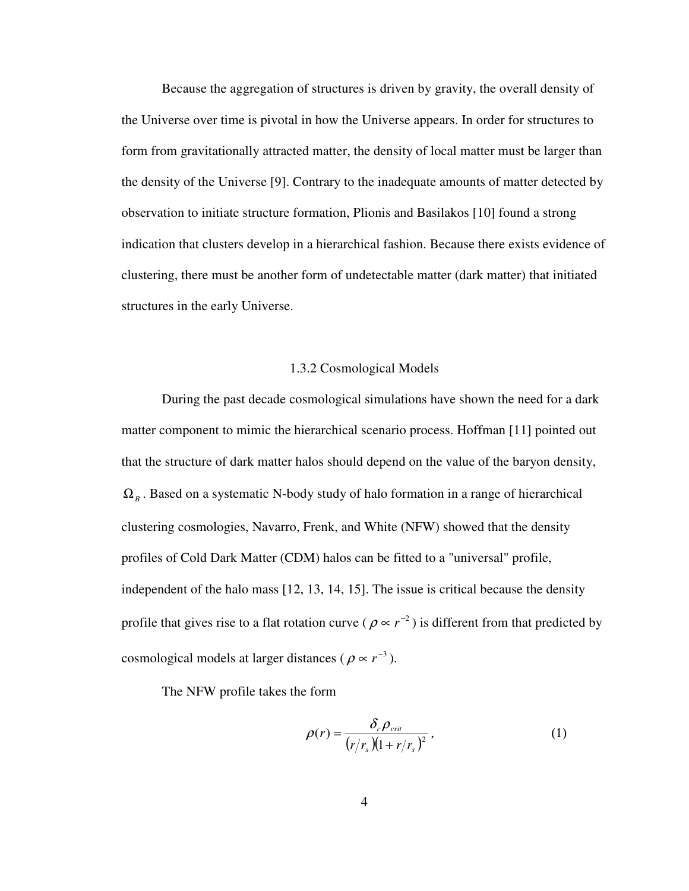Because the aggregation of structures is driven by gravity, the overall density of the Universe over time is pivotal in how the Universe appears. In order for structures to form from gravitationally attracted matter, the density of local matter must be larger than the density of the Universe [9]. Contrary to the inadequate amounts of matter detected by observation to initiate structure formation, Plionis and Basilakos [10] found a strong indication that clusters develop in a hierarchical fashion. Because there exists evidence of clustering, there must be another form of undetectable matter (dark matter) that initiated structures in the early Universe.

# 1.3.2 Cosmological Models

 During the past decade cosmological simulations have shown the need for a dark matter component to mimic the hierarchical scenario process. Hoffman [11] pointed out that the structure of dark matter halos should depend on the value of the baryon density,  $\Omega_B$ . Based on a systematic N-body study of halo formation in a range of hierarchical clustering cosmologies, Navarro, Frenk, and White (NFW) showed that the density profiles of Cold Dark Matter (CDM) halos can be fitted to a "universal" profile, independent of the halo mass [12, 13, 14, 15]. The issue is critical because the density profile that gives rise to a flat rotation curve ( $\rho \propto r^{-2}$ ) is different from that predicted by cosmological models at larger distances ( $\rho \propto r^{-3}$ ).

The NFW profile takes the form

$$
\rho(r) = \frac{\delta_c \rho_{\text{crit}}}{\left(r/r_s\right)\left(1 + r/r_s\right)^2},\tag{1}
$$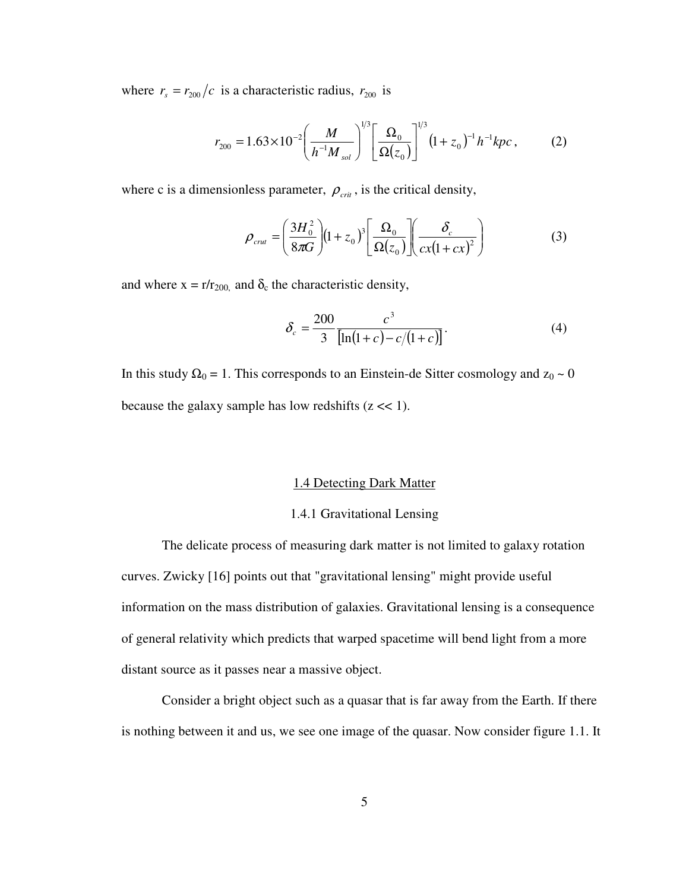where  $r_s = r_{200}/c$  is a characteristic radius,  $r_{200}$  is

$$
r_{200} = 1.63 \times 10^{-2} \left(\frac{M}{h^{-1} M_{sol}}\right)^{1/3} \left[\frac{\Omega_0}{\Omega(z_0)}\right]^{1/3} \left(1 + z_0\right)^{-1} h^{-1} kpc ,\tag{2}
$$

where c is a dimensionless parameter,  $\rho_{\text{crit}}$ , is the critical density,

$$
\rho_{\text{crut}} = \left(\frac{3H_0^2}{8\pi G}\right) \left(1 + z_0\right)^3 \left[\frac{\Omega_0}{\Omega(z_0)}\right] \left(\frac{\delta_c}{c x \left(1 + cx\right)^2}\right) \tag{3}
$$

and where  $x = r/r_{200}$  and  $\delta_c$  the characteristic density,

$$
\delta_c = \frac{200}{3} \frac{c^3}{\left[\ln(1+c) - c/(1+c)\right]}.
$$
\n(4)

In this study  $\Omega_0 = 1$ . This corresponds to an Einstein-de Sitter cosmology and  $z_0 \sim 0$ because the galaxy sample has low redshifts  $(z \ll 1)$ .

# 1.4 Detecting Dark Matter

# 1.4.1 Gravitational Lensing

 The delicate process of measuring dark matter is not limited to galaxy rotation curves. Zwicky [16] points out that "gravitational lensing" might provide useful information on the mass distribution of galaxies. Gravitational lensing is a consequence of general relativity which predicts that warped spacetime will bend light from a more distant source as it passes near a massive object.

 Consider a bright object such as a quasar that is far away from the Earth. If there is nothing between it and us, we see one image of the quasar. Now consider figure 1.1. It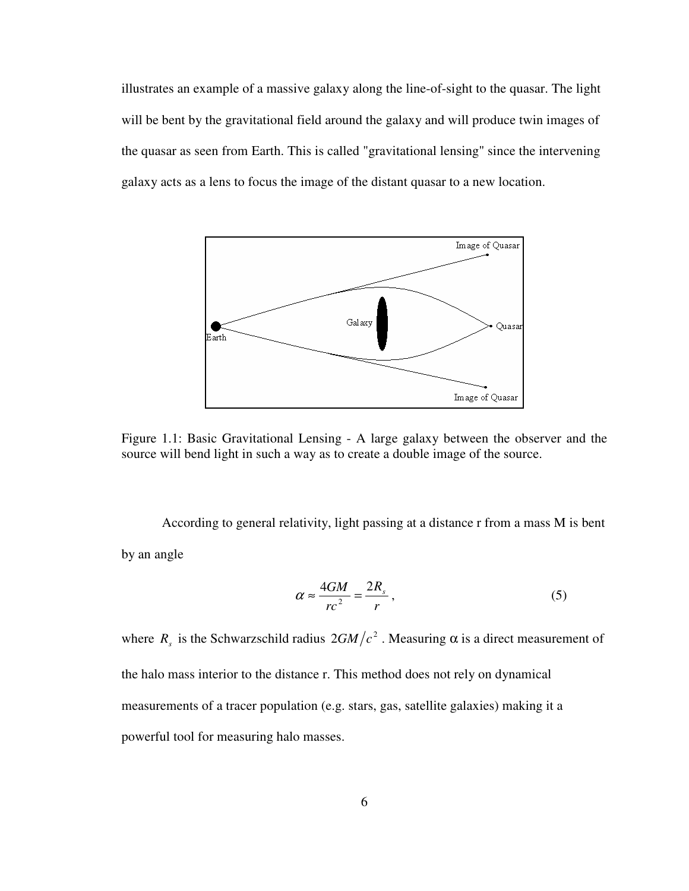illustrates an example of a massive galaxy along the line-of-sight to the quasar. The light will be bent by the gravitational field around the galaxy and will produce twin images of the quasar as seen from Earth. This is called "gravitational lensing" since the intervening galaxy acts as a lens to focus the image of the distant quasar to a new location.



Figure 1.1: Basic Gravitational Lensing - A large galaxy between the observer and the source will bend light in such a way as to create a double image of the source.

 According to general relativity, light passing at a distance r from a mass M is bent by an angle

$$
\alpha \approx \frac{4GM}{rc^2} = \frac{2R_s}{r},\qquad(5)
$$

where  $R_s$  is the Schwarzschild radius  $2GM/c^2$ . Measuring  $\alpha$  is a direct measurement of the halo mass interior to the distance r. This method does not rely on dynamical measurements of a tracer population (e.g. stars, gas, satellite galaxies) making it a powerful tool for measuring halo masses.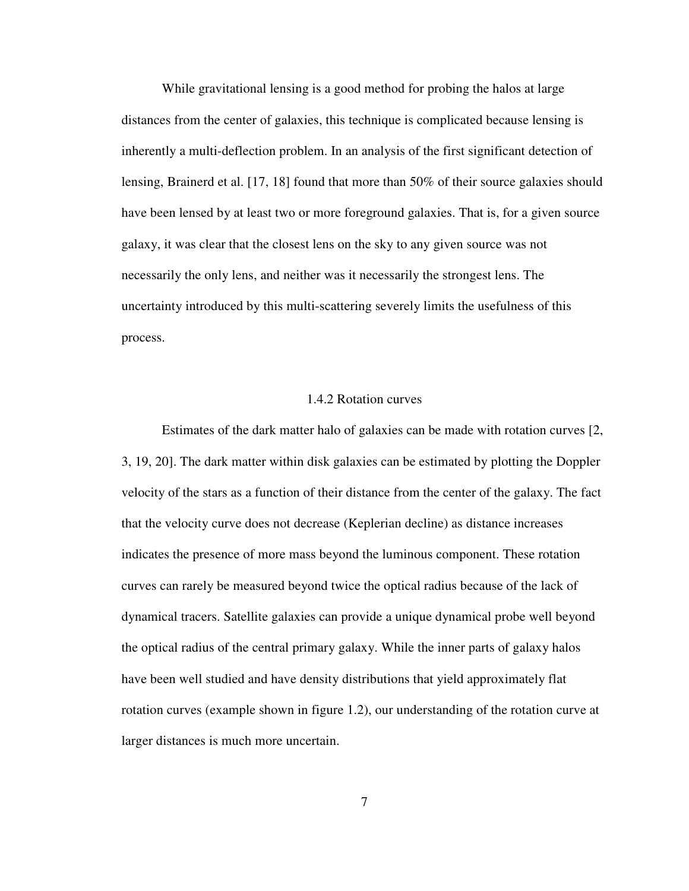While gravitational lensing is a good method for probing the halos at large distances from the center of galaxies, this technique is complicated because lensing is inherently a multi-deflection problem. In an analysis of the first significant detection of lensing, Brainerd et al. [17, 18] found that more than 50% of their source galaxies should have been lensed by at least two or more foreground galaxies. That is, for a given source galaxy, it was clear that the closest lens on the sky to any given source was not necessarily the only lens, and neither was it necessarily the strongest lens. The uncertainty introduced by this multi-scattering severely limits the usefulness of this process.

# 1.4.2 Rotation curves

 Estimates of the dark matter halo of galaxies can be made with rotation curves [2, 3, 19, 20]. The dark matter within disk galaxies can be estimated by plotting the Doppler velocity of the stars as a function of their distance from the center of the galaxy. The fact that the velocity curve does not decrease (Keplerian decline) as distance increases indicates the presence of more mass beyond the luminous component. These rotation curves can rarely be measured beyond twice the optical radius because of the lack of dynamical tracers. Satellite galaxies can provide a unique dynamical probe well beyond the optical radius of the central primary galaxy. While the inner parts of galaxy halos have been well studied and have density distributions that yield approximately flat rotation curves (example shown in figure 1.2), our understanding of the rotation curve at larger distances is much more uncertain.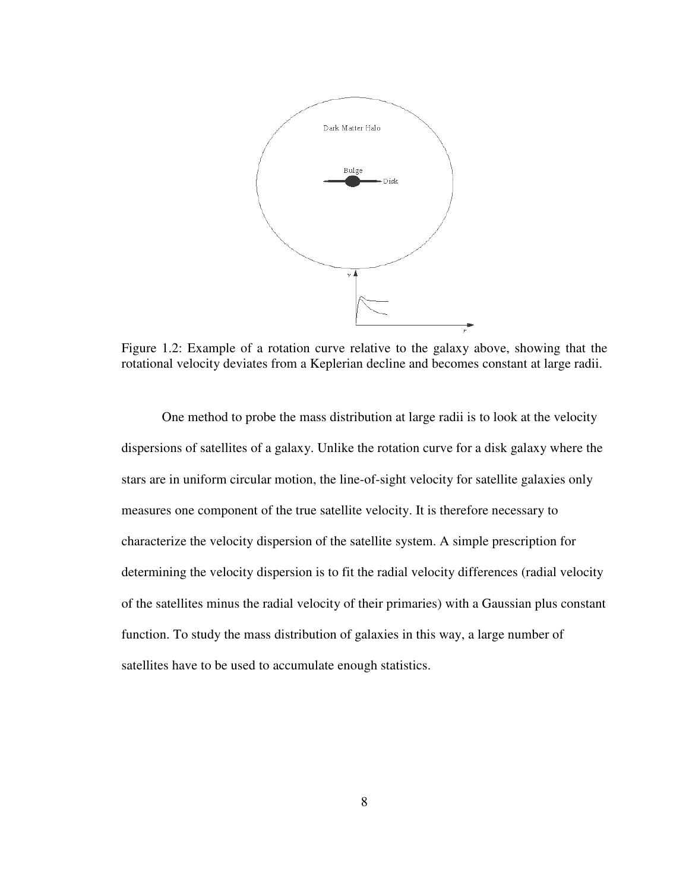

Figure 1.2: Example of a rotation curve relative to the galaxy above, showing that the rotational velocity deviates from a Keplerian decline and becomes constant at large radii.

 One method to probe the mass distribution at large radii is to look at the velocity dispersions of satellites of a galaxy. Unlike the rotation curve for a disk galaxy where the stars are in uniform circular motion, the line-of-sight velocity for satellite galaxies only measures one component of the true satellite velocity. It is therefore necessary to characterize the velocity dispersion of the satellite system. A simple prescription for determining the velocity dispersion is to fit the radial velocity differences (radial velocity of the satellites minus the radial velocity of their primaries) with a Gaussian plus constant function. To study the mass distribution of galaxies in this way, a large number of satellites have to be used to accumulate enough statistics.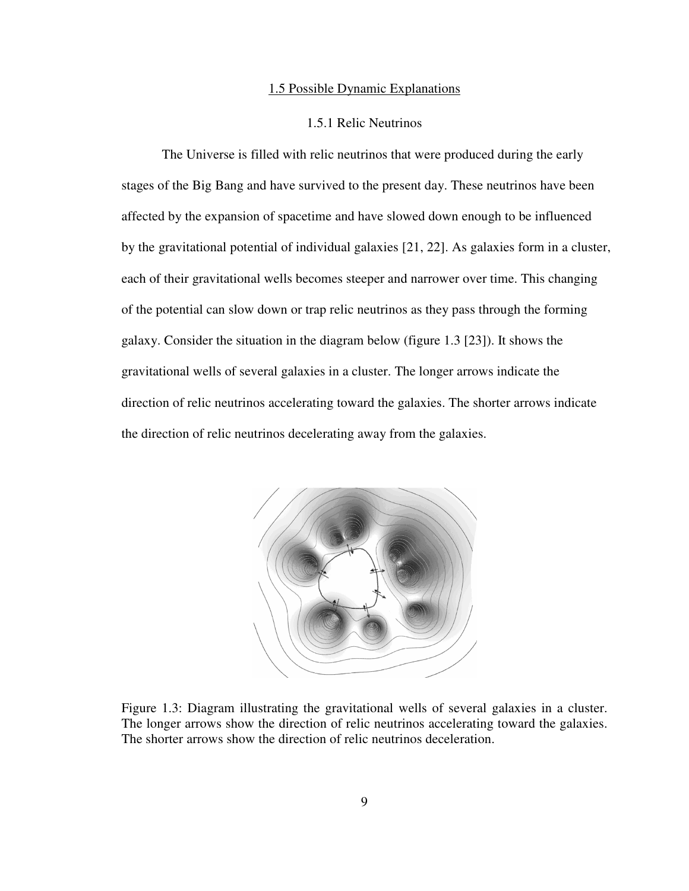#### 1.5 Possible Dynamic Explanations

# 1.5.1 Relic Neutrinos

 The Universe is filled with relic neutrinos that were produced during the early stages of the Big Bang and have survived to the present day. These neutrinos have been affected by the expansion of spacetime and have slowed down enough to be influenced by the gravitational potential of individual galaxies [21, 22]. As galaxies form in a cluster, each of their gravitational wells becomes steeper and narrower over time. This changing of the potential can slow down or trap relic neutrinos as they pass through the forming galaxy. Consider the situation in the diagram below (figure 1.3 [23]). It shows the gravitational wells of several galaxies in a cluster. The longer arrows indicate the direction of relic neutrinos accelerating toward the galaxies. The shorter arrows indicate the direction of relic neutrinos decelerating away from the galaxies.



Figure 1.3: Diagram illustrating the gravitational wells of several galaxies in a cluster. The longer arrows show the direction of relic neutrinos accelerating toward the galaxies. The shorter arrows show the direction of relic neutrinos deceleration.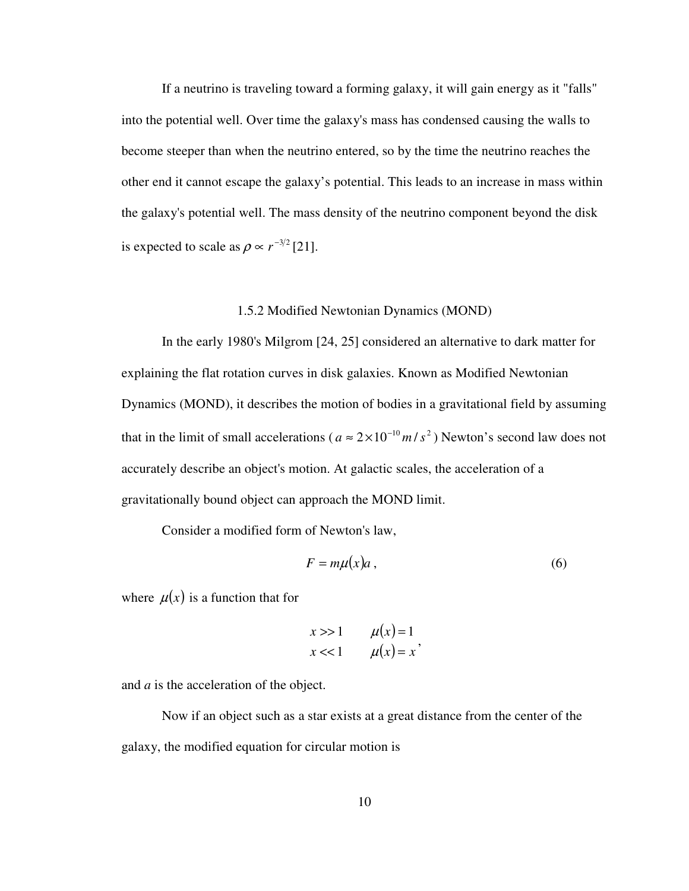If a neutrino is traveling toward a forming galaxy, it will gain energy as it "falls" into the potential well. Over time the galaxy's mass has condensed causing the walls to become steeper than when the neutrino entered, so by the time the neutrino reaches the other end it cannot escape the galaxy's potential. This leads to an increase in mass within the galaxy's potential well. The mass density of the neutrino component beyond the disk is expected to scale as  $\rho \propto r^{-3/2}$  [21].

# 1.5.2 Modified Newtonian Dynamics (MOND)

 In the early 1980's Milgrom [24, 25] considered an alternative to dark matter for explaining the flat rotation curves in disk galaxies. Known as Modified Newtonian Dynamics (MOND), it describes the motion of bodies in a gravitational field by assuming that in the limit of small accelerations ( $a \approx 2 \times 10^{-10} m/s^2$ ) Newton's second law does not accurately describe an object's motion. At galactic scales, the acceleration of a gravitationally bound object can approach the MOND limit.

Consider a modified form of Newton's law,

$$
F = m\mu(x)a \,,\tag{6}
$$

where  $\mu(x)$  is a function that for

$$
x \gg 1 \qquad \mu(x) = 1
$$
  

$$
x \ll 1 \qquad \mu(x) = x'
$$

and *a* is the acceleration of the object.

 Now if an object such as a star exists at a great distance from the center of the galaxy, the modified equation for circular motion is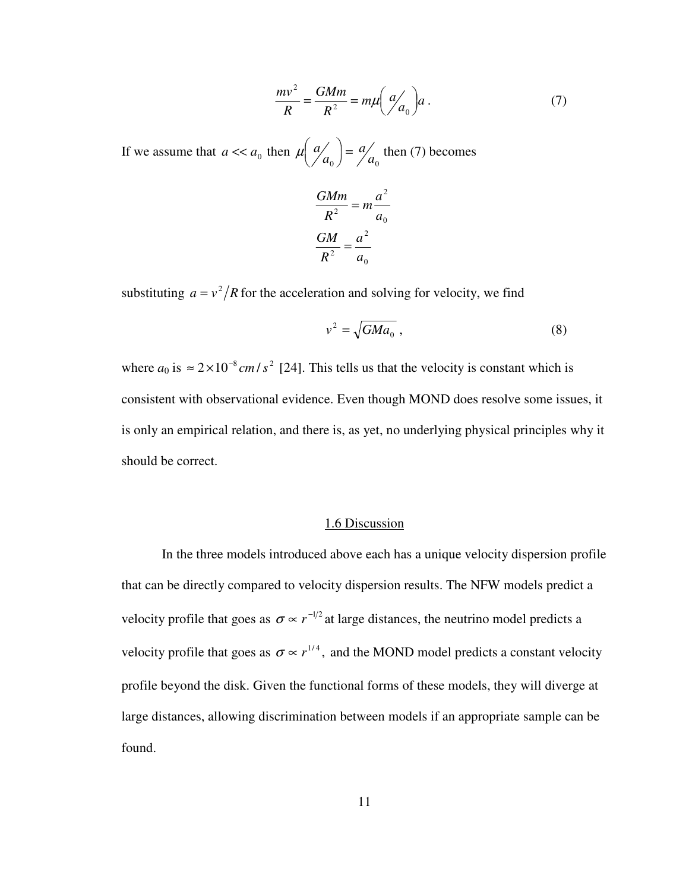$$
\frac{mv^2}{R} = \frac{GMm}{R^2} = m\mu \left(\frac{a}{a_0}\right) a\,. \tag{7}
$$

If we assume that  $a \ll a_0$  then  $\mu \begin{pmatrix} a \\ a_0 \end{pmatrix} = \begin{pmatrix} a \\ a_0 \end{pmatrix}$ *a a*  $a'_{a_0}$  =  $\mu\left(\frac{a}{a_0}\right) = \frac{a}{a_0}$  then (7) becomes

$$
\frac{GMm}{R^2} = m\frac{a^2}{a_0}
$$

$$
\frac{GM}{R^2} = \frac{a^2}{a_0}
$$

substituting  $a = v^2/R$  for the acceleration and solving for velocity, we find

$$
v^2 = \sqrt{GMa_0} \tag{8}
$$

where  $a_0$  is  $\approx 2 \times 10^{-8}$  *cm* /  $s^2$  [24]. This tells us that the velocity is constant which is consistent with observational evidence. Even though MOND does resolve some issues, it is only an empirical relation, and there is, as yet, no underlying physical principles why it should be correct.

# 1.6 Discussion

 In the three models introduced above each has a unique velocity dispersion profile that can be directly compared to velocity dispersion results. The NFW models predict a velocity profile that goes as  $\sigma \propto r^{-1/2}$  at large distances, the neutrino model predicts a velocity profile that goes as  $\sigma \propto r^{1/4}$ , and the MOND model predicts a constant velocity profile beyond the disk. Given the functional forms of these models, they will diverge at large distances, allowing discrimination between models if an appropriate sample can be found.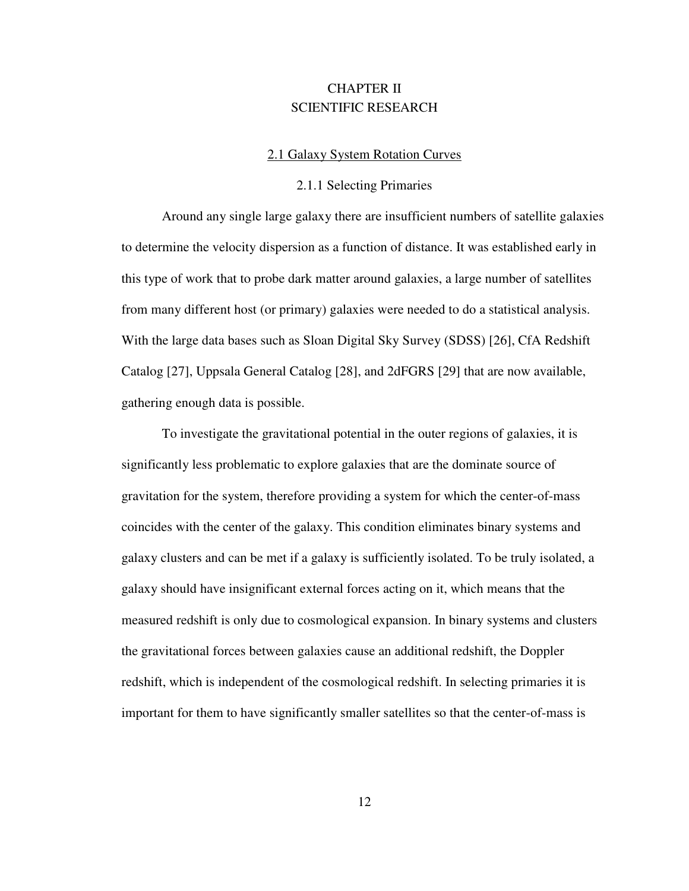# CHAPTER II SCIENTIFIC RESEARCH

### 2.1 Galaxy System Rotation Curves

# 2.1.1 Selecting Primaries

 Around any single large galaxy there are insufficient numbers of satellite galaxies to determine the velocity dispersion as a function of distance. It was established early in this type of work that to probe dark matter around galaxies, a large number of satellites from many different host (or primary) galaxies were needed to do a statistical analysis. With the large data bases such as Sloan Digital Sky Survey (SDSS) [26], CfA Redshift Catalog [27], Uppsala General Catalog [28], and 2dFGRS [29] that are now available, gathering enough data is possible.

 To investigate the gravitational potential in the outer regions of galaxies, it is significantly less problematic to explore galaxies that are the dominate source of gravitation for the system, therefore providing a system for which the center-of-mass coincides with the center of the galaxy. This condition eliminates binary systems and galaxy clusters and can be met if a galaxy is sufficiently isolated. To be truly isolated, a galaxy should have insignificant external forces acting on it, which means that the measured redshift is only due to cosmological expansion. In binary systems and clusters the gravitational forces between galaxies cause an additional redshift, the Doppler redshift, which is independent of the cosmological redshift. In selecting primaries it is important for them to have significantly smaller satellites so that the center-of-mass is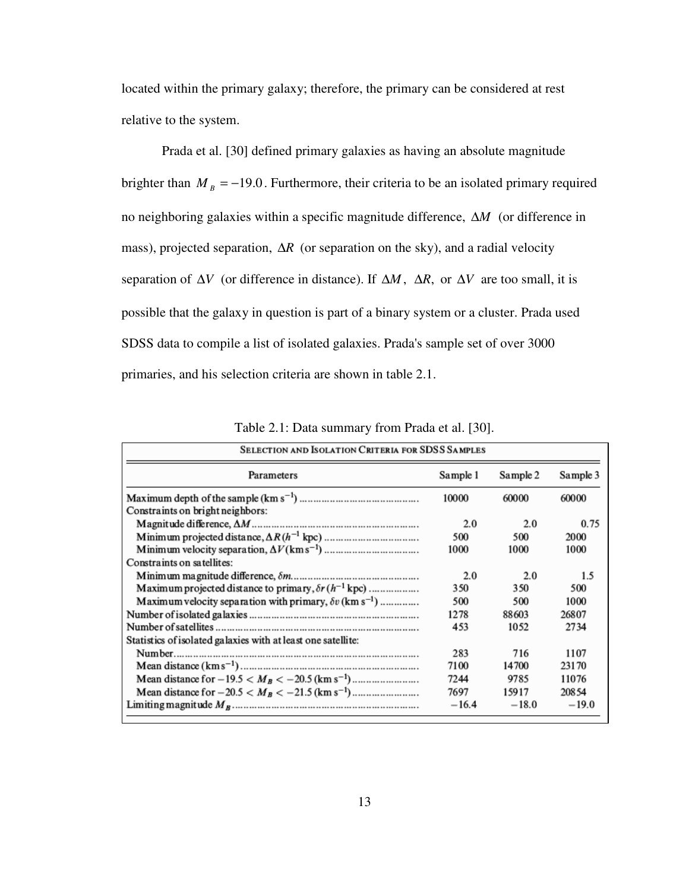located within the primary galaxy; therefore, the primary can be considered at rest relative to the system.

 Prada et al. [30] defined primary galaxies as having an absolute magnitude brighter than  $M_B = -19.0$ . Furthermore, their criteria to be an isolated primary required no neighboring galaxies within a specific magnitude difference, ∆*M* (or difference in mass), projected separation, ∆*R* (or separation on the sky), and a radial velocity separation of  $\Delta V$  (or difference in distance). If  $\Delta M$ ,  $\Delta R$ , or  $\Delta V$  are too small, it is possible that the galaxy in question is part of a binary system or a cluster. Prada used SDSS data to compile a list of isolated galaxies. Prada's sample set of over 3000 primaries, and his selection criteria are shown in table 2.1.

| SELECTION AND ISOLATION CRITERIA FOR SDSS SAMPLES                          |          |          |          |  |
|----------------------------------------------------------------------------|----------|----------|----------|--|
| Parameters                                                                 | Sample 1 | Sample 2 | Sample 3 |  |
|                                                                            | 10000    | 60000    | 60000    |  |
| Constraints on bright neighbors:                                           |          |          |          |  |
|                                                                            | 2.0      | 2.0      | 0.75     |  |
|                                                                            | 500      | 500      | 2000     |  |
|                                                                            | 1000     | 1000     | 1000     |  |
| Constraints on satellites:                                                 |          |          |          |  |
|                                                                            | 2.0      | 2.0      | 1.5      |  |
| Maximum projected distance to primary, $\delta r(h^{-1}$ kpc)              | 350      | 350      | 500      |  |
| Maximum velocity separation with primary, $\delta v$ (km s <sup>-1</sup> ) | 500      | 500      | 1000     |  |
|                                                                            | 1278     | 88603    | 26807    |  |
|                                                                            | 453      | 1052     | 2734     |  |
| Statistics of isolated galaxies with at least one satellite:               |          |          |          |  |
|                                                                            | 283      | 716      | 1107     |  |
|                                                                            | 7100     | 14700    | 23170    |  |
|                                                                            | 7244     | 9785     | 11076    |  |
|                                                                            | 7697     | 15917    | 20854    |  |
|                                                                            | $-16.4$  | $-18.0$  | $-19.0$  |  |
|                                                                            |          |          |          |  |

Table 2.1: Data summary from Prada et al. [30].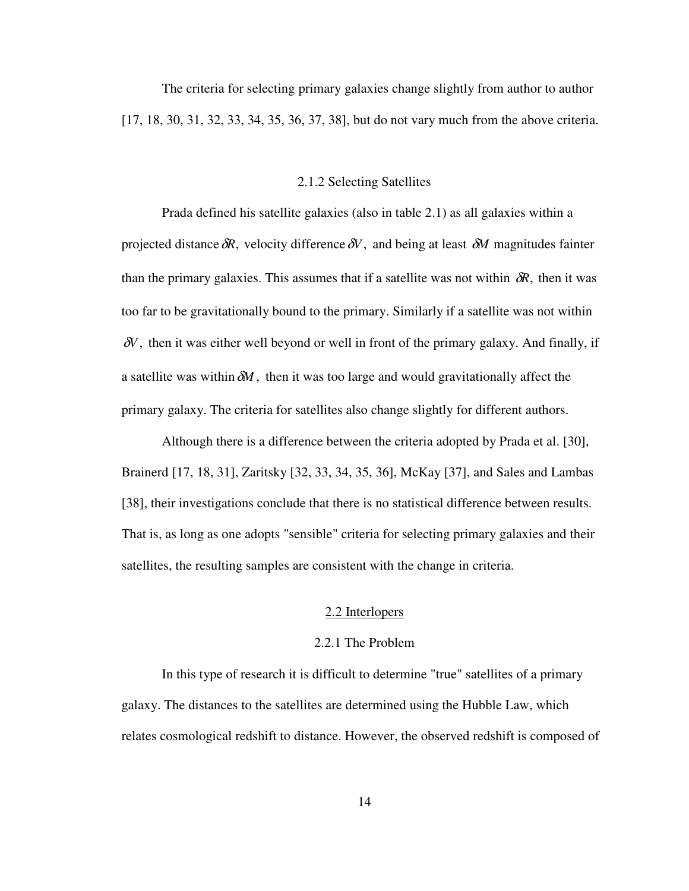The criteria for selecting primary galaxies change slightly from author to author [17, 18, 30, 31, 32, 33, 34, 35, 36, 37, 38], but do not vary much from the above criteria.

# 2.1.2 Selecting Satellites

 Prada defined his satellite galaxies (also in table 2.1) as all galaxies within a projected distance  $\delta R$ , velocity difference  $\delta V$ , and being at least  $\delta M$  magnitudes fainter than the primary galaxies. This assumes that if a satellite was not within  $\delta R$ , then it was too far to be gravitationally bound to the primary. Similarly if a satellite was not within δ*V*, then it was either well beyond or well in front of the primary galaxy. And finally, if a satellite was within  $\delta M$ , then it was too large and would gravitationally affect the primary galaxy. The criteria for satellites also change slightly for different authors.

 Although there is a difference between the criteria adopted by Prada et al. [30], Brainerd [17, 18, 31], Zaritsky [32, 33, 34, 35, 36], McKay [37], and Sales and Lambas [38], their investigations conclude that there is no statistical difference between results. That is, as long as one adopts "sensible" criteria for selecting primary galaxies and their satellites, the resulting samples are consistent with the change in criteria.

# 2.2 Interlopers

# 2.2.1 The Problem

 In this type of research it is difficult to determine "true" satellites of a primary galaxy. The distances to the satellites are determined using the Hubble Law, which relates cosmological redshift to distance. However, the observed redshift is composed of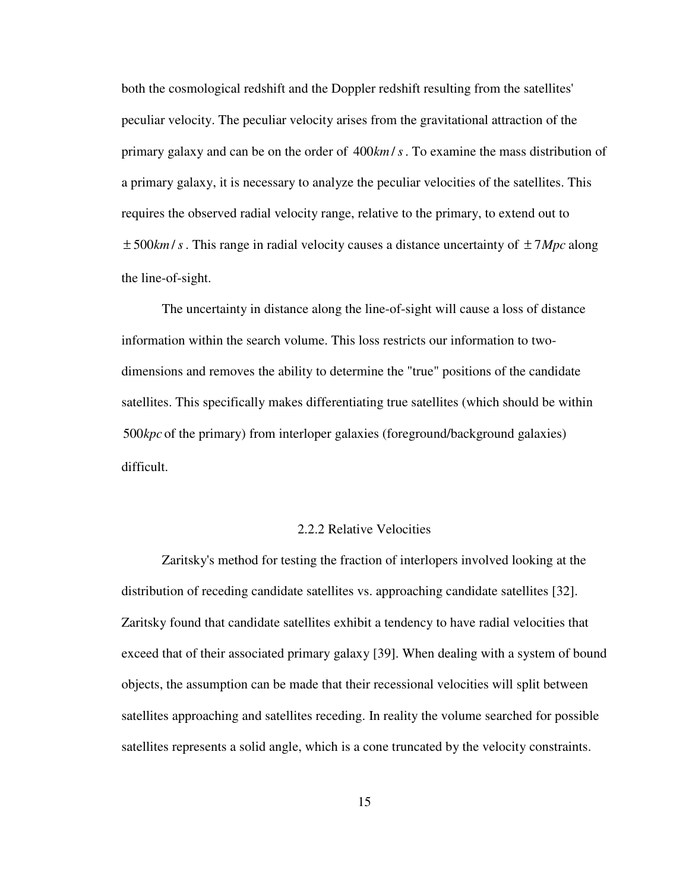both the cosmological redshift and the Doppler redshift resulting from the satellites' peculiar velocity. The peculiar velocity arises from the gravitational attraction of the primary galaxy and can be on the order of 400km/s. To examine the mass distribution of a primary galaxy, it is necessary to analyze the peculiar velocities of the satellites. This requires the observed radial velocity range, relative to the primary, to extend out to  $\pm$  500*km*/*s*. This range in radial velocity causes a distance uncertainty of  $\pm$  7*Mpc* along the line-of-sight.

 The uncertainty in distance along the line-of-sight will cause a loss of distance information within the search volume. This loss restricts our information to twodimensions and removes the ability to determine the "true" positions of the candidate satellites. This specifically makes differentiating true satellites (which should be within 500 kpc of the primary) from interloper galaxies (foreground/background galaxies) difficult.

# 2.2.2 Relative Velocities

 Zaritsky's method for testing the fraction of interlopers involved looking at the distribution of receding candidate satellites vs. approaching candidate satellites [32]. Zaritsky found that candidate satellites exhibit a tendency to have radial velocities that exceed that of their associated primary galaxy [39]. When dealing with a system of bound objects, the assumption can be made that their recessional velocities will split between satellites approaching and satellites receding. In reality the volume searched for possible satellites represents a solid angle, which is a cone truncated by the velocity constraints.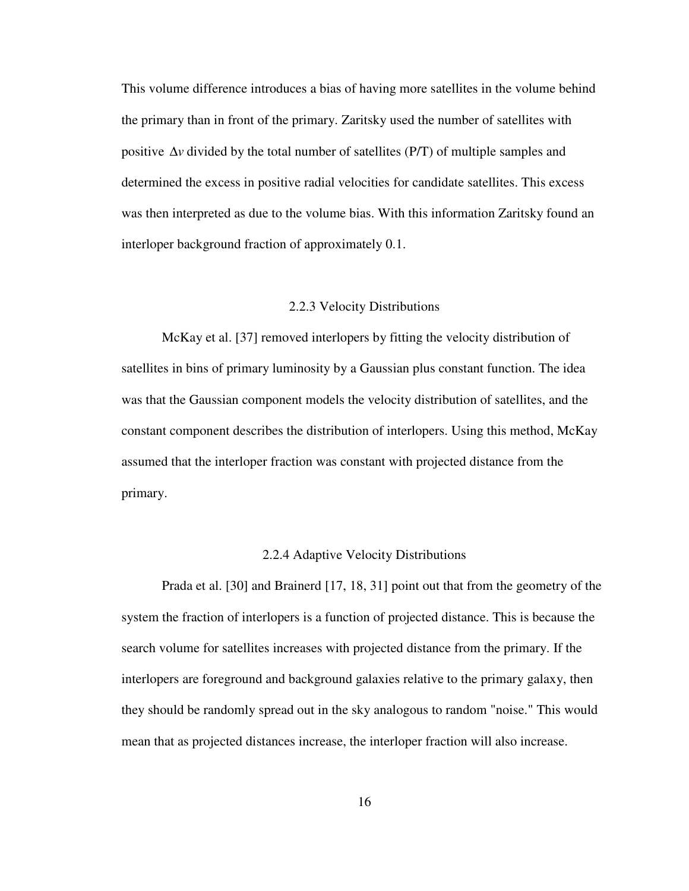This volume difference introduces a bias of having more satellites in the volume behind the primary than in front of the primary. Zaritsky used the number of satellites with positive ∆*v* divided by the total number of satellites (P/T) of multiple samples and determined the excess in positive radial velocities for candidate satellites. This excess was then interpreted as due to the volume bias. With this information Zaritsky found an interloper background fraction of approximately 0.1.

#### 2.2.3 Velocity Distributions

 McKay et al. [37] removed interlopers by fitting the velocity distribution of satellites in bins of primary luminosity by a Gaussian plus constant function. The idea was that the Gaussian component models the velocity distribution of satellites, and the constant component describes the distribution of interlopers. Using this method, McKay assumed that the interloper fraction was constant with projected distance from the primary.

#### 2.2.4 Adaptive Velocity Distributions

 Prada et al. [30] and Brainerd [17, 18, 31] point out that from the geometry of the system the fraction of interlopers is a function of projected distance. This is because the search volume for satellites increases with projected distance from the primary. If the interlopers are foreground and background galaxies relative to the primary galaxy, then they should be randomly spread out in the sky analogous to random "noise." This would mean that as projected distances increase, the interloper fraction will also increase.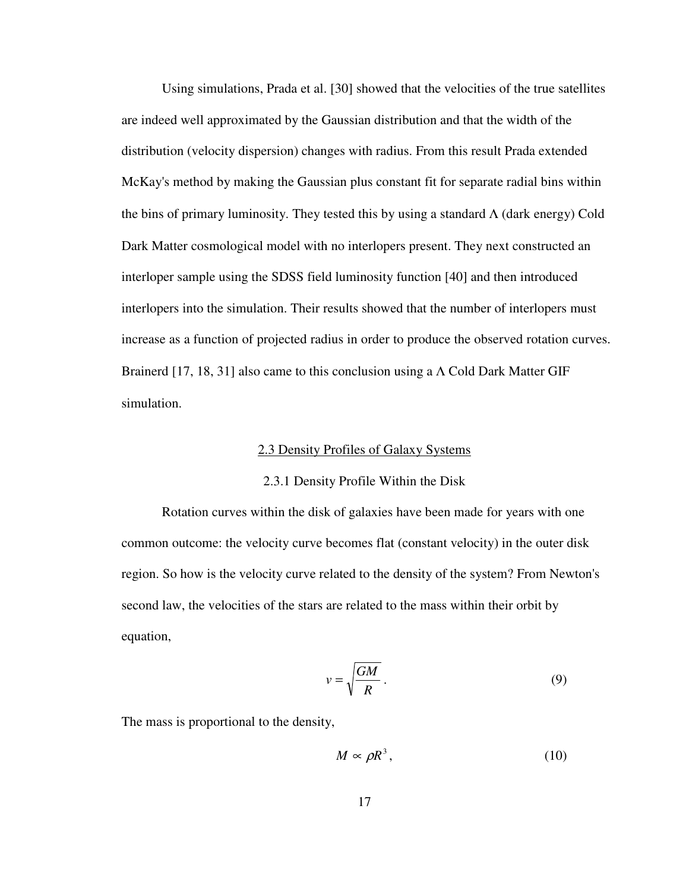Using simulations, Prada et al. [30] showed that the velocities of the true satellites are indeed well approximated by the Gaussian distribution and that the width of the distribution (velocity dispersion) changes with radius. From this result Prada extended McKay's method by making the Gaussian plus constant fit for separate radial bins within the bins of primary luminosity. They tested this by using a standard  $\Lambda$  (dark energy) Cold Dark Matter cosmological model with no interlopers present. They next constructed an interloper sample using the SDSS field luminosity function [40] and then introduced interlopers into the simulation. Their results showed that the number of interlopers must increase as a function of projected radius in order to produce the observed rotation curves. Brainerd [17, 18, 31] also came to this conclusion using a  $\Lambda$  Cold Dark Matter GIF simulation.

## 2.3 Density Profiles of Galaxy Systems

#### 2.3.1 Density Profile Within the Disk

 Rotation curves within the disk of galaxies have been made for years with one common outcome: the velocity curve becomes flat (constant velocity) in the outer disk region. So how is the velocity curve related to the density of the system? From Newton's second law, the velocities of the stars are related to the mass within their orbit by equation,

$$
v = \sqrt{\frac{GM}{R}}.
$$
\n(9)

The mass is proportional to the density,

$$
M \propto \rho R^3, \tag{10}
$$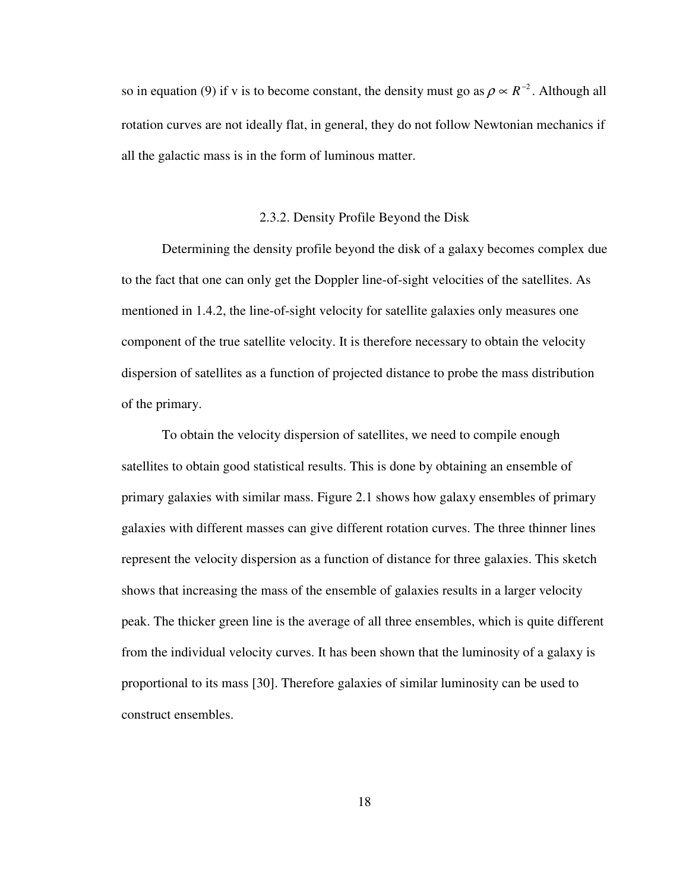so in equation (9) if v is to become constant, the density must go as  $\rho \propto R^{-2}$ . Although all rotation curves are not ideally flat, in general, they do not follow Newtonian mechanics if all the galactic mass is in the form of luminous matter.

# 2.3.2. Density Profile Beyond the Disk

 Determining the density profile beyond the disk of a galaxy becomes complex due to the fact that one can only get the Doppler line-of-sight velocities of the satellites. As mentioned in 1.4.2, the line-of-sight velocity for satellite galaxies only measures one component of the true satellite velocity. It is therefore necessary to obtain the velocity dispersion of satellites as a function of projected distance to probe the mass distribution of the primary.

 To obtain the velocity dispersion of satellites, we need to compile enough satellites to obtain good statistical results. This is done by obtaining an ensemble of primary galaxies with similar mass. Figure 2.1 shows how galaxy ensembles of primary galaxies with different masses can give different rotation curves. The three thinner lines represent the velocity dispersion as a function of distance for three galaxies. This sketch shows that increasing the mass of the ensemble of galaxies results in a larger velocity peak. The thicker green line is the average of all three ensembles, which is quite different from the individual velocity curves. It has been shown that the luminosity of a galaxy is proportional to its mass [30]. Therefore galaxies of similar luminosity can be used to construct ensembles.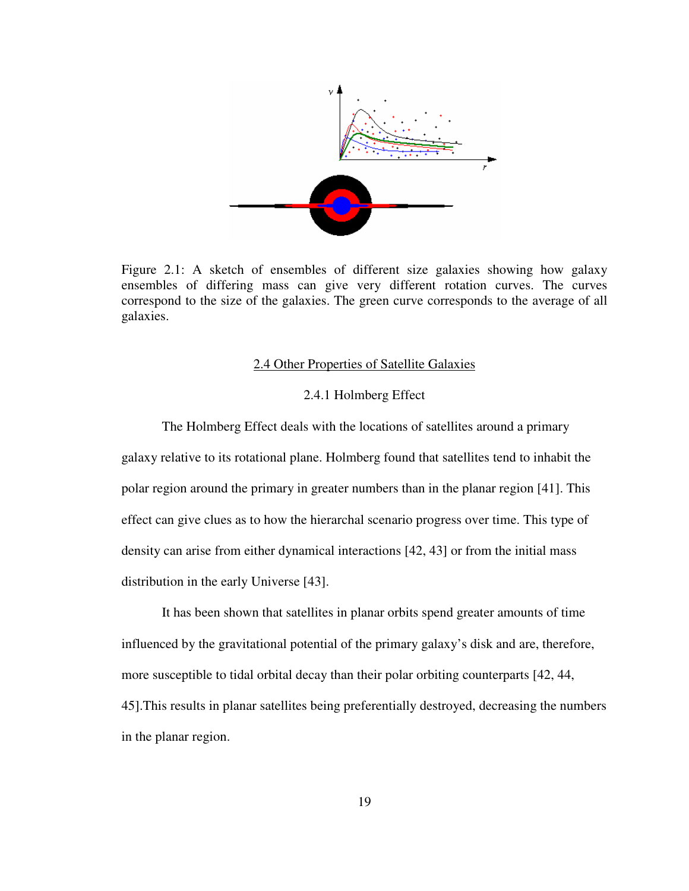

Figure 2.1: A sketch of ensembles of different size galaxies showing how galaxy ensembles of differing mass can give very different rotation curves. The curves correspond to the size of the galaxies. The green curve corresponds to the average of all galaxies.

# 2.4 Other Properties of Satellite Galaxies

# 2.4.1 Holmberg Effect

 The Holmberg Effect deals with the locations of satellites around a primary galaxy relative to its rotational plane. Holmberg found that satellites tend to inhabit the polar region around the primary in greater numbers than in the planar region [41]. This effect can give clues as to how the hierarchal scenario progress over time. This type of density can arise from either dynamical interactions [42, 43] or from the initial mass distribution in the early Universe [43].

 It has been shown that satellites in planar orbits spend greater amounts of time influenced by the gravitational potential of the primary galaxy's disk and are, therefore, more susceptible to tidal orbital decay than their polar orbiting counterparts [42, 44, 45].This results in planar satellites being preferentially destroyed, decreasing the numbers in the planar region.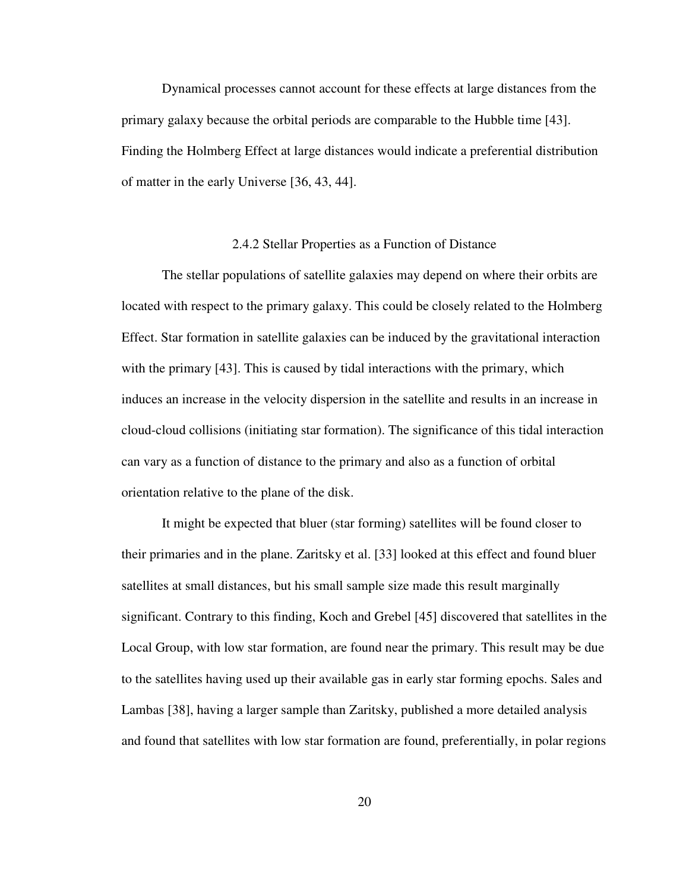Dynamical processes cannot account for these effects at large distances from the primary galaxy because the orbital periods are comparable to the Hubble time [43]. Finding the Holmberg Effect at large distances would indicate a preferential distribution of matter in the early Universe [36, 43, 44].

#### 2.4.2 Stellar Properties as a Function of Distance

 The stellar populations of satellite galaxies may depend on where their orbits are located with respect to the primary galaxy. This could be closely related to the Holmberg Effect. Star formation in satellite galaxies can be induced by the gravitational interaction with the primary [43]. This is caused by tidal interactions with the primary, which induces an increase in the velocity dispersion in the satellite and results in an increase in cloud-cloud collisions (initiating star formation). The significance of this tidal interaction can vary as a function of distance to the primary and also as a function of orbital orientation relative to the plane of the disk.

 It might be expected that bluer (star forming) satellites will be found closer to their primaries and in the plane. Zaritsky et al. [33] looked at this effect and found bluer satellites at small distances, but his small sample size made this result marginally significant. Contrary to this finding, Koch and Grebel [45] discovered that satellites in the Local Group, with low star formation, are found near the primary. This result may be due to the satellites having used up their available gas in early star forming epochs. Sales and Lambas [38], having a larger sample than Zaritsky, published a more detailed analysis and found that satellites with low star formation are found, preferentially, in polar regions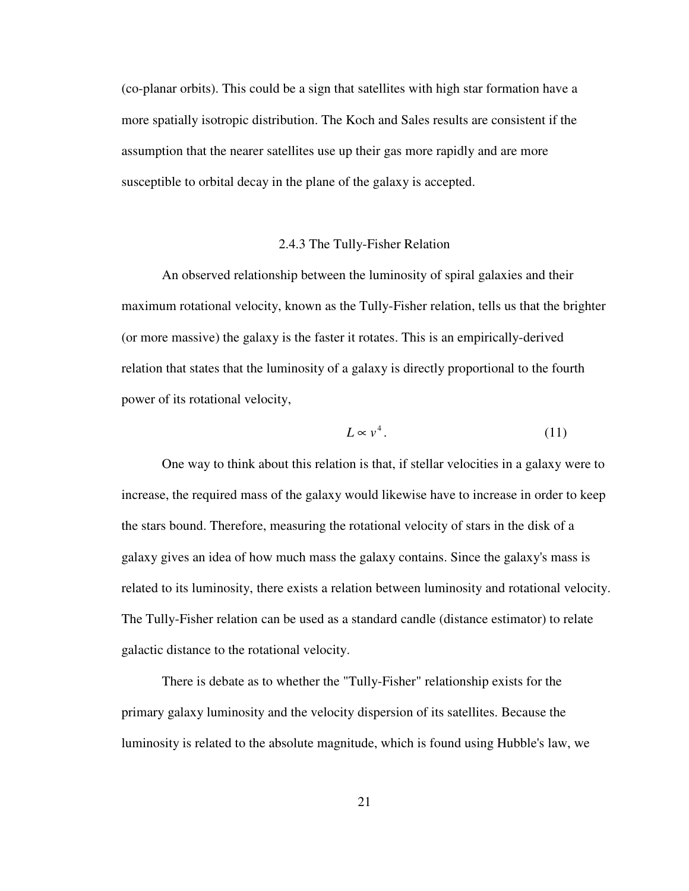(co-planar orbits). This could be a sign that satellites with high star formation have a more spatially isotropic distribution. The Koch and Sales results are consistent if the assumption that the nearer satellites use up their gas more rapidly and are more susceptible to orbital decay in the plane of the galaxy is accepted.

# 2.4.3 The Tully-Fisher Relation

 An observed relationship between the luminosity of spiral galaxies and their maximum rotational velocity, known as the Tully-Fisher relation, tells us that the brighter (or more massive) the galaxy is the faster it rotates. This is an empirically-derived relation that states that the luminosity of a galaxy is directly proportional to the fourth power of its rotational velocity,

$$
L \propto v^4. \tag{11}
$$

 One way to think about this relation is that, if stellar velocities in a galaxy were to increase, the required mass of the galaxy would likewise have to increase in order to keep the stars bound. Therefore, measuring the rotational velocity of stars in the disk of a galaxy gives an idea of how much mass the galaxy contains. Since the galaxy's mass is related to its luminosity, there exists a relation between luminosity and rotational velocity. The Tully-Fisher relation can be used as a standard candle (distance estimator) to relate galactic distance to the rotational velocity.

 There is debate as to whether the "Tully-Fisher" relationship exists for the primary galaxy luminosity and the velocity dispersion of its satellites. Because the luminosity is related to the absolute magnitude, which is found using Hubble's law, we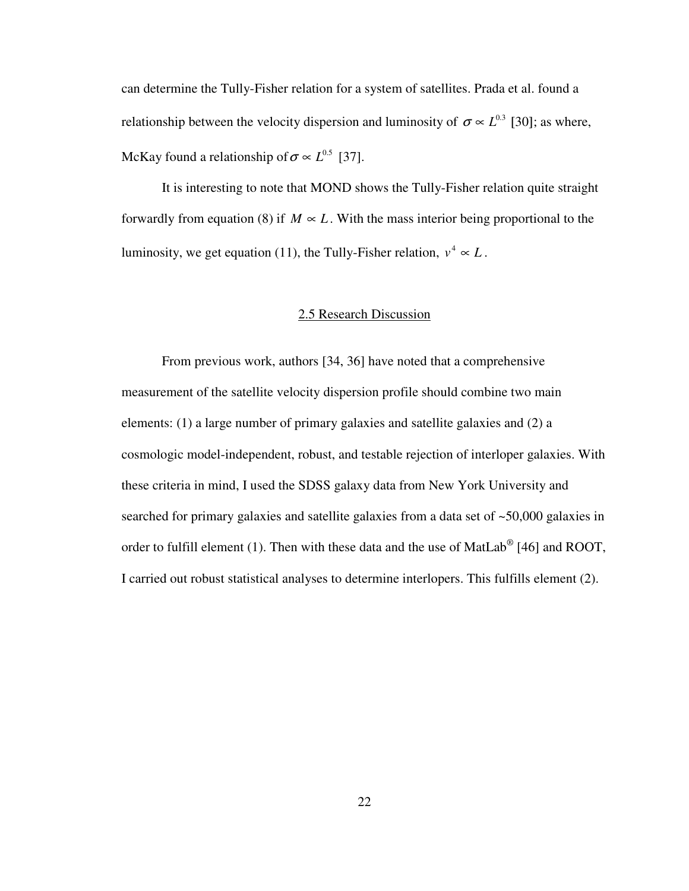can determine the Tully-Fisher relation for a system of satellites. Prada et al. found a relationship between the velocity dispersion and luminosity of  $\sigma \propto L^{0.3}$  [30]; as where, McKay found a relationship of  $\sigma \propto L^{0.5}$  [37].

 It is interesting to note that MOND shows the Tully-Fisher relation quite straight forwardly from equation (8) if  $M \propto L$ . With the mass interior being proportional to the luminosity, we get equation (11), the Tully-Fisher relation,  $v^4 \propto L$ .

# 2.5 Research Discussion

 From previous work, authors [34, 36] have noted that a comprehensive measurement of the satellite velocity dispersion profile should combine two main elements: (1) a large number of primary galaxies and satellite galaxies and (2) a cosmologic model-independent, robust, and testable rejection of interloper galaxies. With these criteria in mind, I used the SDSS galaxy data from New York University and searched for primary galaxies and satellite galaxies from a data set of ~50,000 galaxies in order to fulfill element (1). Then with these data and the use of MatLab<sup>®</sup> [46] and ROOT, I carried out robust statistical analyses to determine interlopers. This fulfills element (2).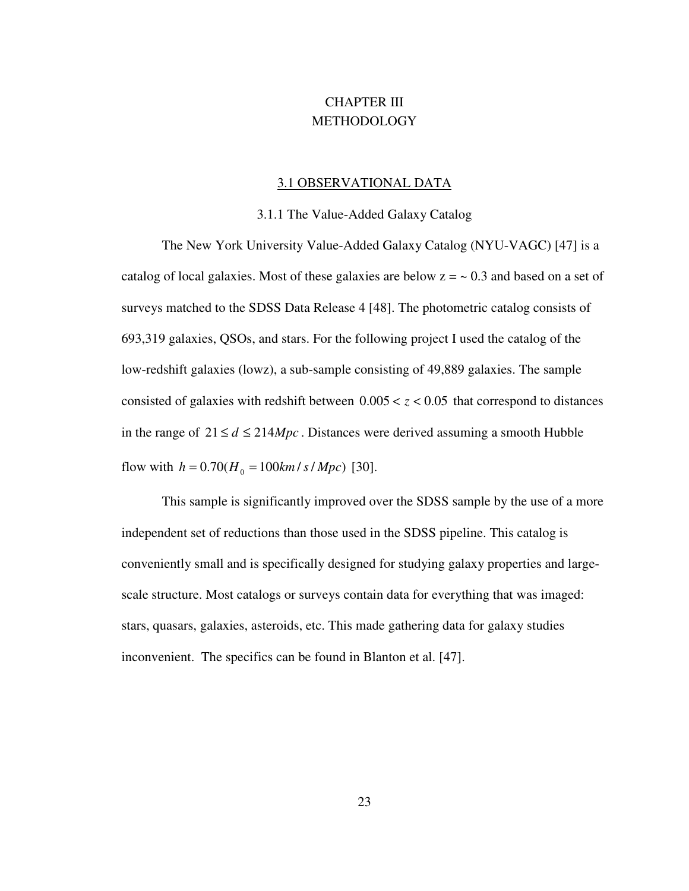# CHAPTER III **METHODOLOGY**

#### 3.1 OBSERVATIONAL DATA

#### 3.1.1 The Value-Added Galaxy Catalog

 The New York University Value-Added Galaxy Catalog (NYU-VAGC) [47] is a catalog of local galaxies. Most of these galaxies are below  $z = \sim 0.3$  and based on a set of surveys matched to the SDSS Data Release 4 [48]. The photometric catalog consists of 693,319 galaxies, QSOs, and stars. For the following project I used the catalog of the low-redshift galaxies (lowz), a sub-sample consisting of 49,889 galaxies. The sample consisted of galaxies with redshift between  $0.005 < z < 0.05$  that correspond to distances in the range of  $21 \le d \le 214 Mpc$ . Distances were derived assuming a smooth Hubble flow with  $h = 0.70 (H_0 = 100 km / s / Mpc)$  [30].

 This sample is significantly improved over the SDSS sample by the use of a more independent set of reductions than those used in the SDSS pipeline. This catalog is conveniently small and is specifically designed for studying galaxy properties and largescale structure. Most catalogs or surveys contain data for everything that was imaged: stars, quasars, galaxies, asteroids, etc. This made gathering data for galaxy studies inconvenient. The specifics can be found in Blanton et al. [47].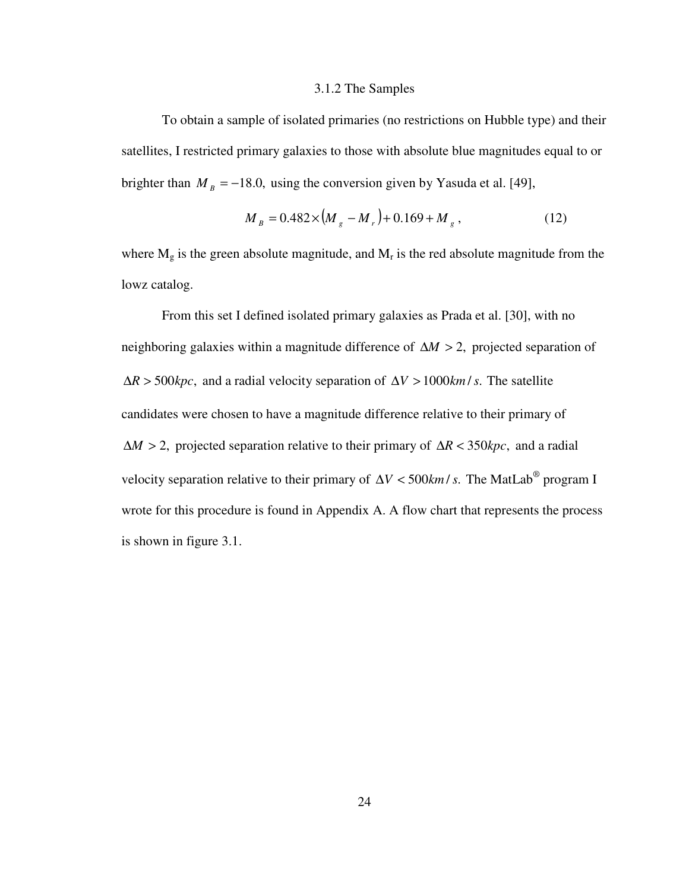#### 3.1.2 The Samples

 To obtain a sample of isolated primaries (no restrictions on Hubble type) and their satellites, I restricted primary galaxies to those with absolute blue magnitudes equal to or brighter than  $M_B = -18.0$ , using the conversion given by Yasuda et al. [49],

$$
M_{B} = 0.482 \times (M_{g} - M_{r}) + 0.169 + M_{g}, \qquad (12)
$$

where  $M_g$  is the green absolute magnitude, and  $M_r$  is the red absolute magnitude from the lowz catalog.

 From this set I defined isolated primary galaxies as Prada et al. [30], with no neighboring galaxies within a magnitude difference of  $\Delta M > 2$ , projected separation of  $\Delta R > 500 kpc$ , and a radial velocity separation of  $\Delta V > 1000 km/s$ . The satellite candidates were chosen to have a magnitude difference relative to their primary of  $\Delta M > 2$ , projected separation relative to their primary of  $\Delta R < 350 kpc$ , and a radial velocity separation relative to their primary of  $\Delta V < 500$ *km* / *s*. The MatLab<sup>®</sup> program I wrote for this procedure is found in Appendix A. A flow chart that represents the process is shown in figure 3.1.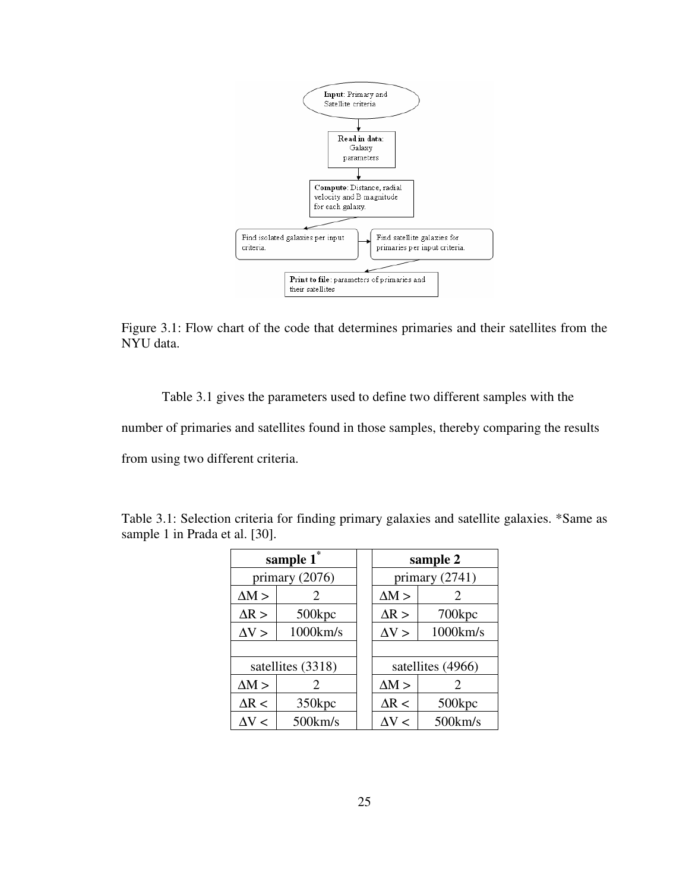

Figure 3.1: Flow chart of the code that determines primaries and their satellites from the NYU data.

Table 3.1 gives the parameters used to define two different samples with the

number of primaries and satellites found in those samples, thereby comparing the results

from using two different criteria.

| sample 1 <sup>*</sup>    |                       |  | sample 2         |                   |  |
|--------------------------|-----------------------|--|------------------|-------------------|--|
| primary $(2076)$         |                       |  | primary $(2741)$ |                   |  |
| $\Delta M >$             | $\mathcal{D}_{\cdot}$ |  | $\Delta M >$     | 2                 |  |
| $\Delta R$ >             | 500kpc                |  | $\Delta R$ >     | 700kpc            |  |
| 1000km/s<br>$\Delta V >$ |                       |  | $\Delta V$ >     | 1000km/s          |  |
|                          |                       |  |                  |                   |  |
| satellites (3318)        |                       |  |                  | satellites (4966) |  |
| $\Delta M >$             | $\mathcal{D}_{\cdot}$ |  | $\Delta M >$     | 2                 |  |
| $\Delta R <$             | 350kpc                |  | $\Delta R <$     | 500kpc            |  |
| $\Delta \rm V <$         | $500 \text{km/s}$     |  | $\Delta \rm V <$ | $500$ km/s        |  |

Table 3.1: Selection criteria for finding primary galaxies and satellite galaxies. \*Same as sample 1 in Prada et al. [30].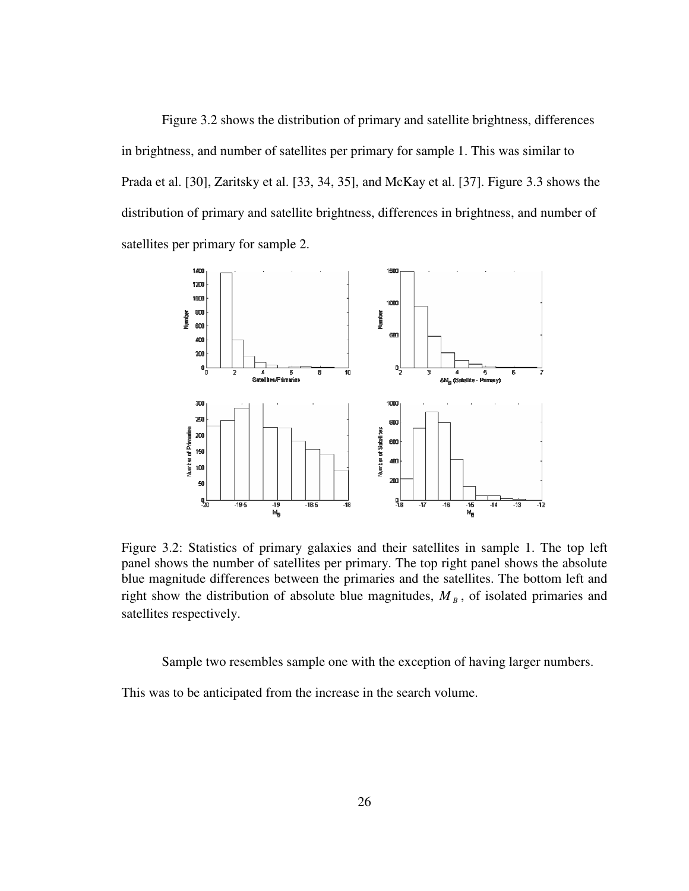Figure 3.2 shows the distribution of primary and satellite brightness, differences in brightness, and number of satellites per primary for sample 1. This was similar to Prada et al. [30], Zaritsky et al. [33, 34, 35], and McKay et al. [37]. Figure 3.3 shows the distribution of primary and satellite brightness, differences in brightness, and number of satellites per primary for sample 2.



Figure 3.2: Statistics of primary galaxies and their satellites in sample 1. The top left panel shows the number of satellites per primary. The top right panel shows the absolute blue magnitude differences between the primaries and the satellites. The bottom left and right show the distribution of absolute blue magnitudes,  $M_B$ , of isolated primaries and satellites respectively.

Sample two resembles sample one with the exception of having larger numbers.

This was to be anticipated from the increase in the search volume.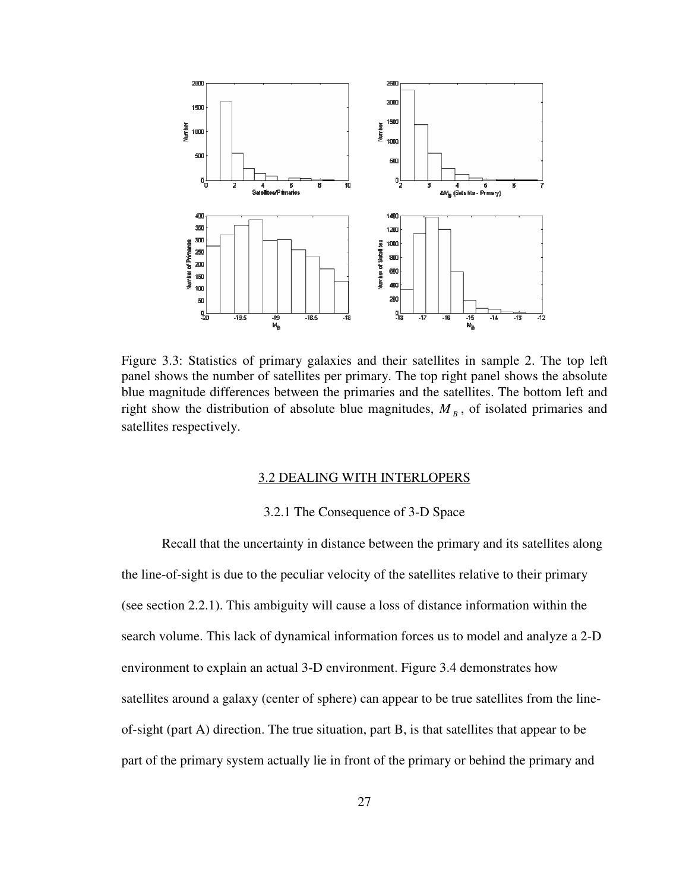

Figure 3.3: Statistics of primary galaxies and their satellites in sample 2. The top left panel shows the number of satellites per primary. The top right panel shows the absolute blue magnitude differences between the primaries and the satellites. The bottom left and right show the distribution of absolute blue magnitudes,  $M_B$ , of isolated primaries and satellites respectively.

### 3.2 DEALING WITH INTERLOPERS

#### 3.2.1 The Consequence of 3-D Space

 Recall that the uncertainty in distance between the primary and its satellites along the line-of-sight is due to the peculiar velocity of the satellites relative to their primary (see section 2.2.1). This ambiguity will cause a loss of distance information within the search volume. This lack of dynamical information forces us to model and analyze a 2-D environment to explain an actual 3-D environment. Figure 3.4 demonstrates how satellites around a galaxy (center of sphere) can appear to be true satellites from the lineof-sight (part A) direction. The true situation, part B, is that satellites that appear to be part of the primary system actually lie in front of the primary or behind the primary and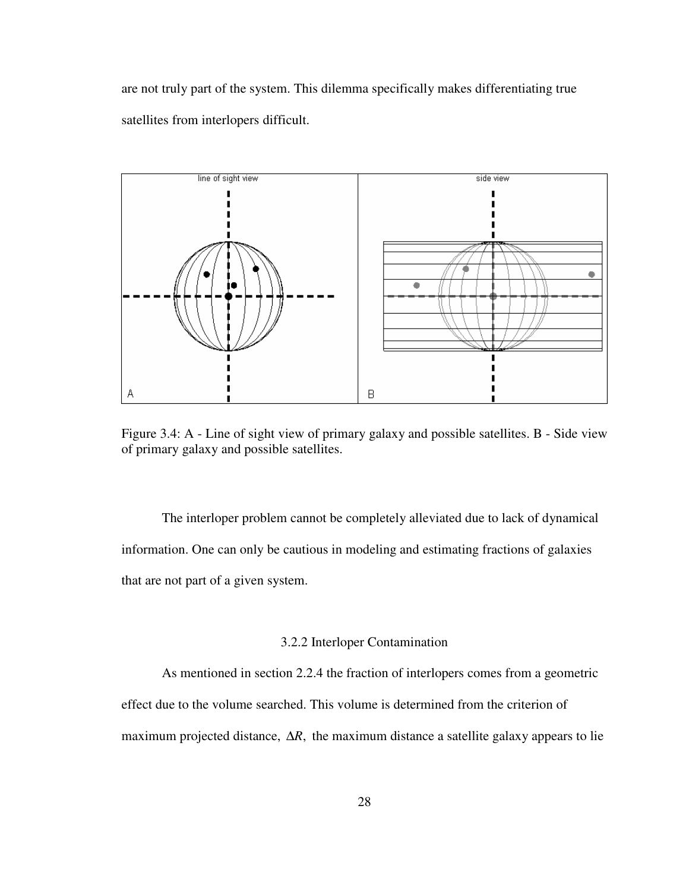are not truly part of the system. This dilemma specifically makes differentiating true satellites from interlopers difficult.



Figure 3.4: A - Line of sight view of primary galaxy and possible satellites. B - Side view of primary galaxy and possible satellites.

 The interloper problem cannot be completely alleviated due to lack of dynamical information. One can only be cautious in modeling and estimating fractions of galaxies that are not part of a given system.

# 3.2.2 Interloper Contamination

As mentioned in section 2.2.4 the fraction of interlopers comes from a geometric

effect due to the volume searched. This volume is determined from the criterion of

maximum projected distance,  $\Delta R$ , the maximum distance a satellite galaxy appears to lie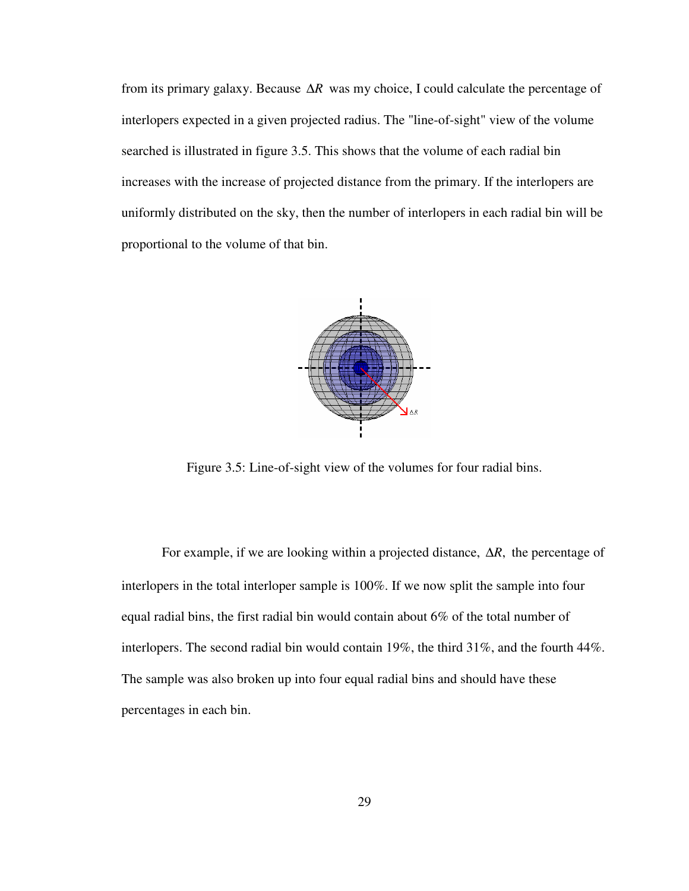from its primary galaxy. Because ∆*R* was my choice, I could calculate the percentage of interlopers expected in a given projected radius. The "line-of-sight" view of the volume searched is illustrated in figure 3.5. This shows that the volume of each radial bin increases with the increase of projected distance from the primary. If the interlopers are uniformly distributed on the sky, then the number of interlopers in each radial bin will be proportional to the volume of that bin.



Figure 3.5: Line-of-sight view of the volumes for four radial bins.

For example, if we are looking within a projected distance,  $\Delta R$ , the percentage of interlopers in the total interloper sample is 100%. If we now split the sample into four equal radial bins, the first radial bin would contain about 6% of the total number of interlopers. The second radial bin would contain 19%, the third 31%, and the fourth 44%. The sample was also broken up into four equal radial bins and should have these percentages in each bin.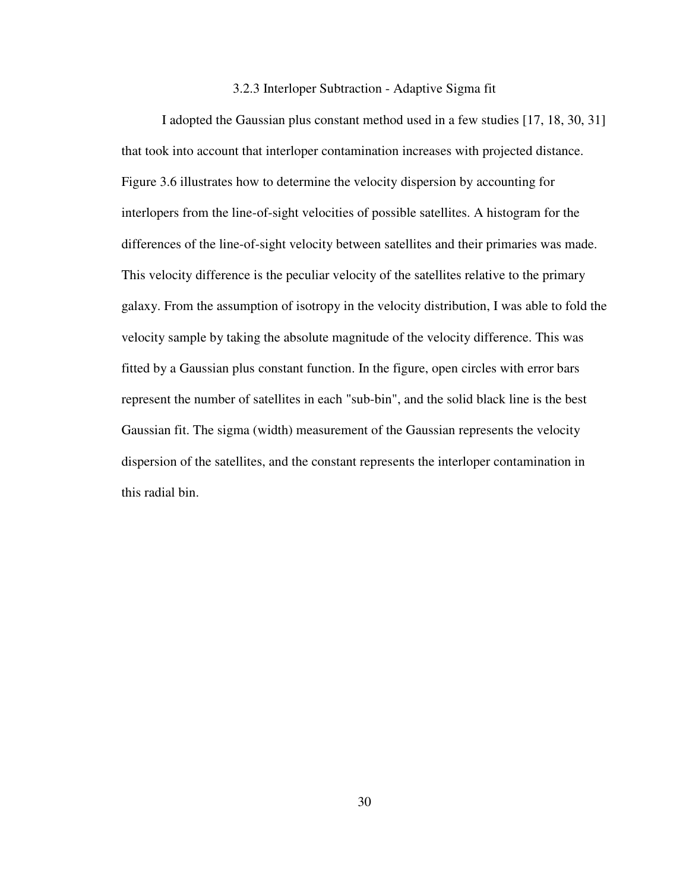### 3.2.3 Interloper Subtraction - Adaptive Sigma fit

 I adopted the Gaussian plus constant method used in a few studies [17, 18, 30, 31] that took into account that interloper contamination increases with projected distance. Figure 3.6 illustrates how to determine the velocity dispersion by accounting for interlopers from the line-of-sight velocities of possible satellites. A histogram for the differences of the line-of-sight velocity between satellites and their primaries was made. This velocity difference is the peculiar velocity of the satellites relative to the primary galaxy. From the assumption of isotropy in the velocity distribution, I was able to fold the velocity sample by taking the absolute magnitude of the velocity difference. This was fitted by a Gaussian plus constant function. In the figure, open circles with error bars represent the number of satellites in each "sub-bin", and the solid black line is the best Gaussian fit. The sigma (width) measurement of the Gaussian represents the velocity dispersion of the satellites, and the constant represents the interloper contamination in this radial bin.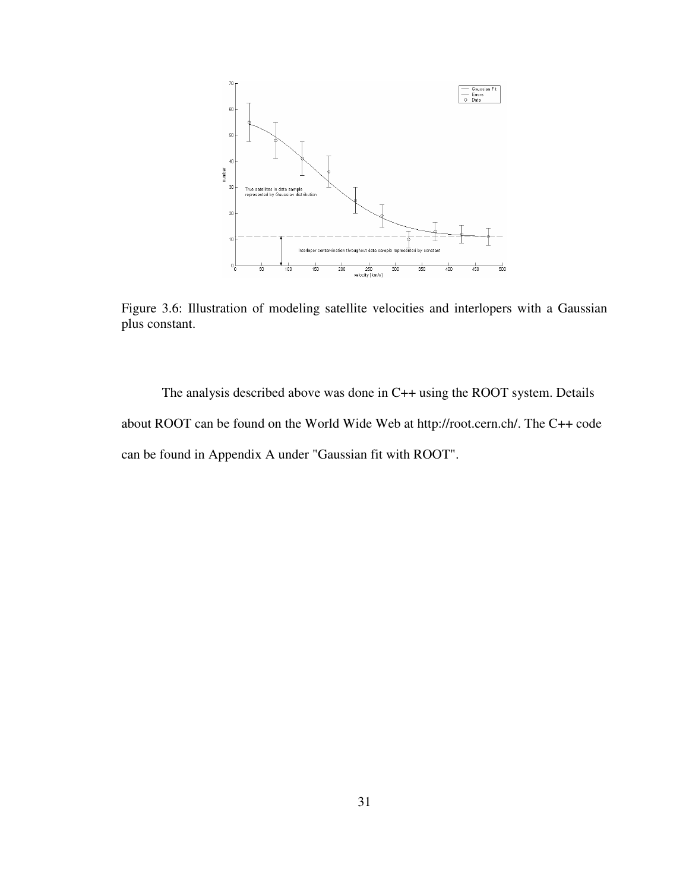

Figure 3.6: Illustration of modeling satellite velocities and interlopers with a Gaussian plus constant.

 The analysis described above was done in C++ using the ROOT system. Details about ROOT can be found on the World Wide Web at http://root.cern.ch/. The C++ code can be found in Appendix A under "Gaussian fit with ROOT".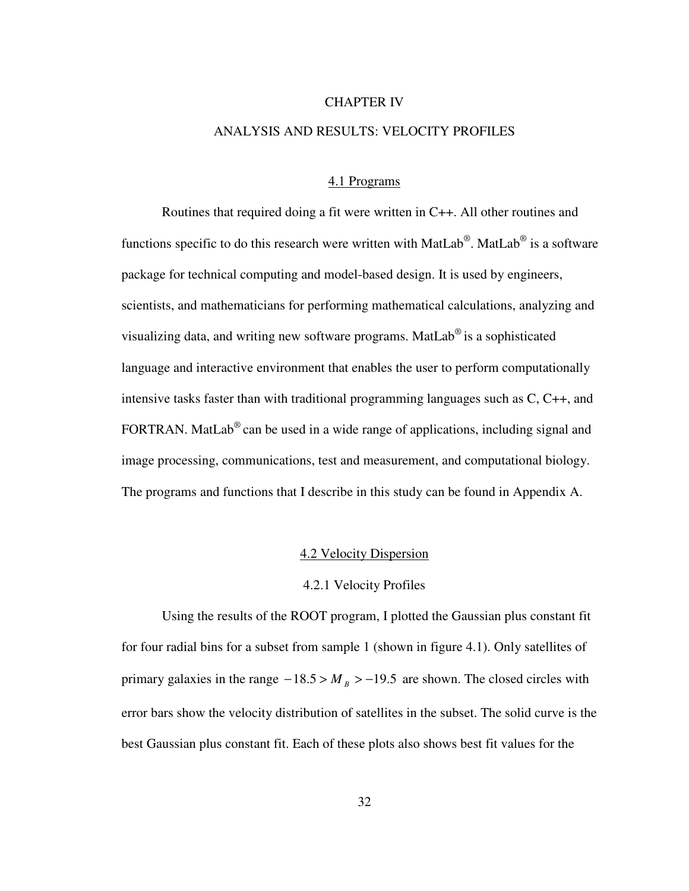#### CHAPTER IV

# ANALYSIS AND RESULTS: VELOCITY PROFILES

# 4.1 Programs

 Routines that required doing a fit were written in C++. All other routines and functions specific to do this research were written with MatLab®. MatLab® is a software package for technical computing and model-based design. It is used by engineers, scientists, and mathematicians for performing mathematical calculations, analyzing and visualizing data, and writing new software programs. MatLab<sup>®</sup> is a sophisticated language and interactive environment that enables the user to perform computationally intensive tasks faster than with traditional programming languages such as C, C++, and FORTRAN. MatLab<sup>®</sup> can be used in a wide range of applications, including signal and image processing, communications, test and measurement, and computational biology. The programs and functions that I describe in this study can be found in Appendix A.

# 4.2 Velocity Dispersion

## 4.2.1 Velocity Profiles

 Using the results of the ROOT program, I plotted the Gaussian plus constant fit for four radial bins for a subset from sample 1 (shown in figure 4.1). Only satellites of primary galaxies in the range  $-18.5 > M_B > -19.5$  are shown. The closed circles with error bars show the velocity distribution of satellites in the subset. The solid curve is the best Gaussian plus constant fit. Each of these plots also shows best fit values for the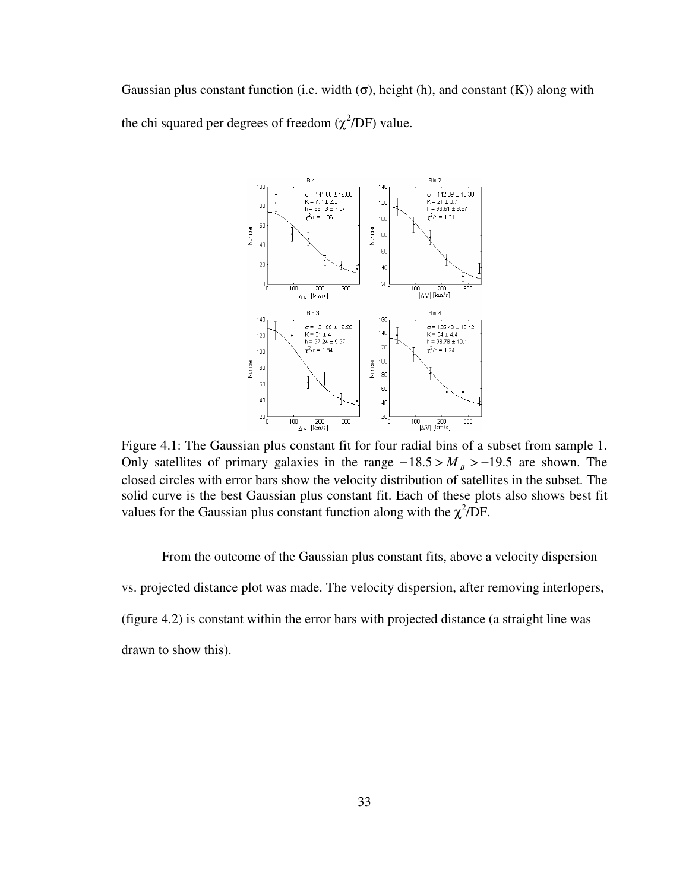Gaussian plus constant function (i.e. width  $(\sigma)$ , height (h), and constant (K)) along with the chi squared per degrees of freedom  $(\chi^2/DF)$  value.



Figure 4.1: The Gaussian plus constant fit for four radial bins of a subset from sample 1. Only satellites of primary galaxies in the range  $-18.5 > M_B > -19.5$  are shown. The closed circles with error bars show the velocity distribution of satellites in the subset. The solid curve is the best Gaussian plus constant fit. Each of these plots also shows best fit values for the Gaussian plus constant function along with the  $\chi^2$ /DF.

 From the outcome of the Gaussian plus constant fits, above a velocity dispersion vs. projected distance plot was made. The velocity dispersion, after removing interlopers, (figure 4.2) is constant within the error bars with projected distance (a straight line was drawn to show this).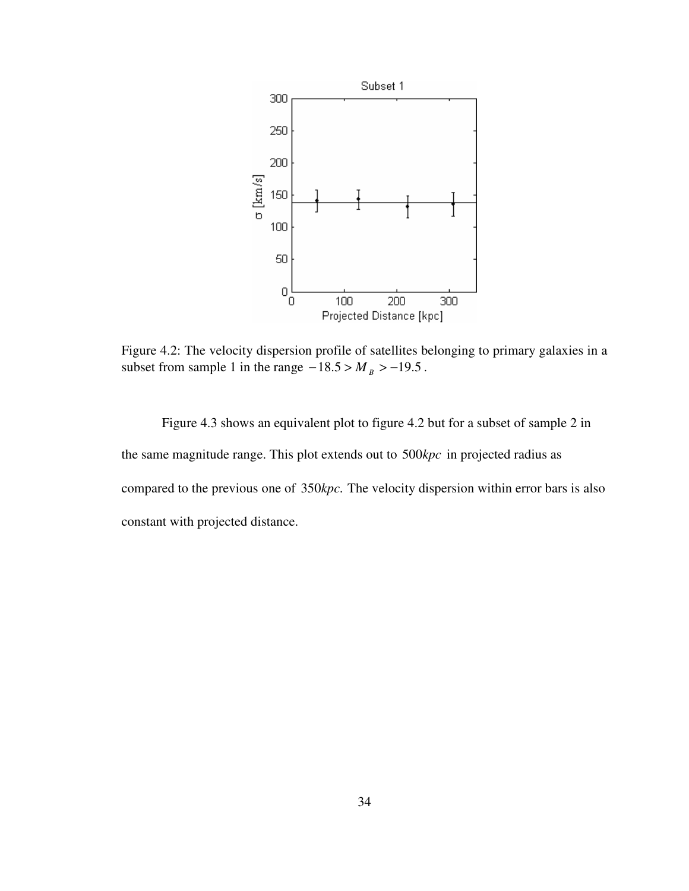

Figure 4.2: The velocity dispersion profile of satellites belonging to primary galaxies in a subset from sample 1 in the range  $-18.5 > M_B > -19.5$ .

 Figure 4.3 shows an equivalent plot to figure 4.2 but for a subset of sample 2 in the same magnitude range. This plot extends out to 500kpc in projected radius as compared to the previous one of 350kpc. The velocity dispersion within error bars is also constant with projected distance.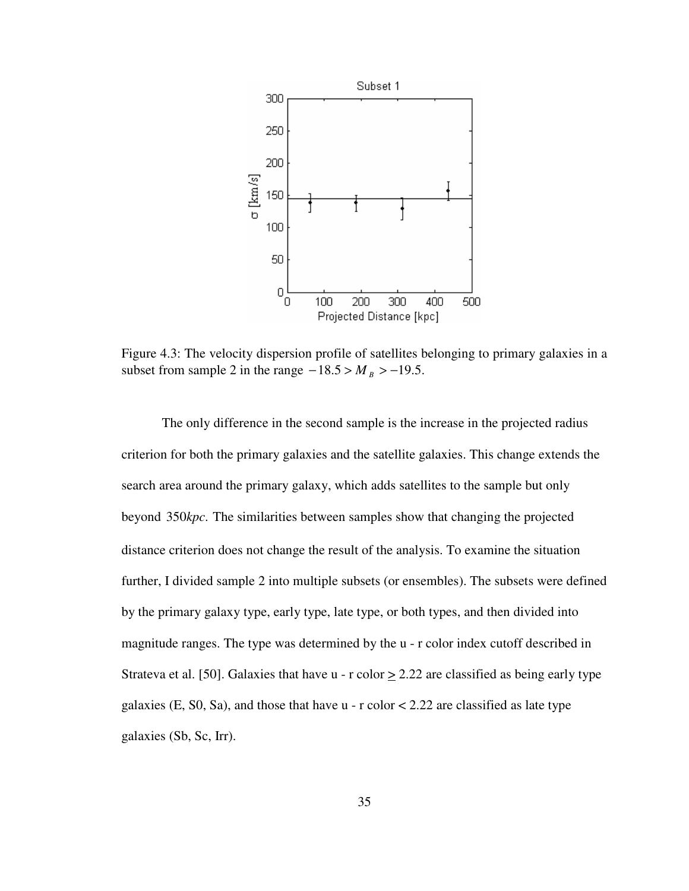

Figure 4.3: The velocity dispersion profile of satellites belonging to primary galaxies in a subset from sample 2 in the range  $-18.5 > M_B > -19.5$ .

The only difference in the second sample is the increase in the projected radius criterion for both the primary galaxies and the satellite galaxies. This change extends the search area around the primary galaxy, which adds satellites to the sample but only beyond 350*kpc*. The similarities between samples show that changing the projected distance criterion does not change the result of the analysis. To examine the situation further, I divided sample 2 into multiple subsets (or ensembles). The subsets were defined by the primary galaxy type, early type, late type, or both types, and then divided into magnitude ranges. The type was determined by the u - r color index cutoff described in Strateva et al. [50]. Galaxies that have  $u - r$  color  $> 2.22$  are classified as being early type galaxies (E, S0, Sa), and those that have  $u - r$  color  $\lt 2.22$  are classified as late type galaxies (Sb, Sc, Irr).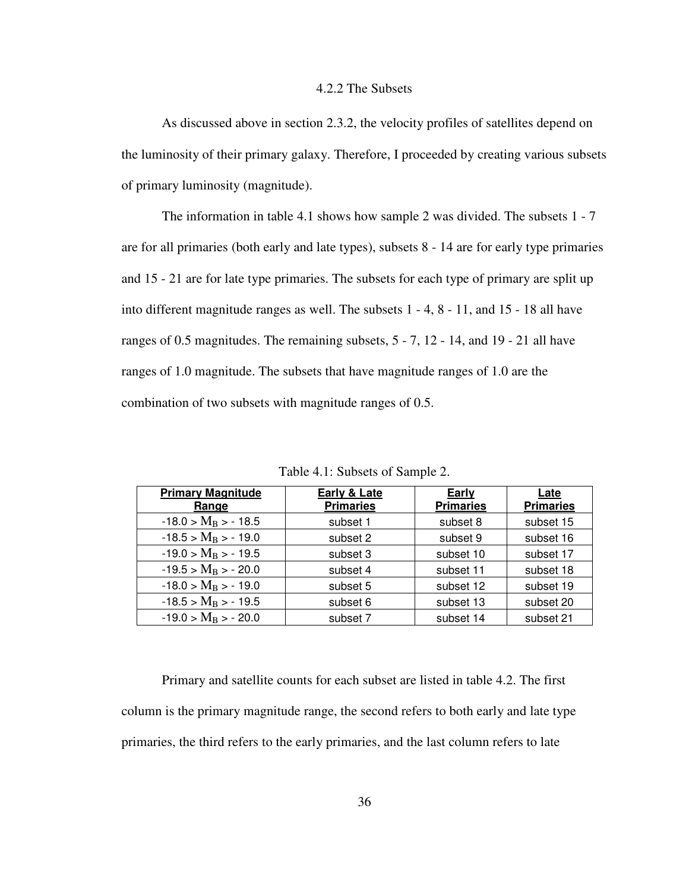# 4.2.2 The Subsets

As discussed above in section 2.3.2, the velocity profiles of satellites depend on the luminosity of their primary galaxy. Therefore, I proceeded by creating various subsets of primary luminosity (magnitude).

The information in table 4.1 shows how sample 2 was divided. The subsets 1 - 7 are for all primaries (both early and late types), subsets 8 - 14 are for early type primaries and 15 - 21 are for late type primaries. The subsets for each type of primary are split up into different magnitude ranges as well. The subsets 1 - 4, 8 - 11, and 15 - 18 all have ranges of 0.5 magnitudes. The remaining subsets, 5 - 7, 12 - 14, and 19 - 21 all have ranges of 1.0 magnitude. The subsets that have magnitude ranges of 1.0 are the combination of two subsets with magnitude ranges of 0.5.

| <b>Primary Magnitude</b><br>Range | Early & Late<br><b>Primaries</b> | Early<br><b>Primaries</b> | Late<br><b>Primaries</b> |
|-----------------------------------|----------------------------------|---------------------------|--------------------------|
| $-18.0 > M_B > -18.5$             | subset 1                         | subset 8                  | subset 15                |
| $-18.5 > M_B > -19.0$             | subset 2                         | subset 9                  | subset 16                |
| $-19.0 > M_B > -19.5$             | subset 3                         | subset 10                 | subset 17                |
| $-19.5 > M_B > -20.0$             | subset 4                         | subset 11                 | subset 18                |
| $-18.0 > M_B > -19.0$             | subset 5                         | subset 12                 | subset 19                |
| $-18.5 > M_B > -19.5$             | subset 6                         | subset 13                 | subset 20                |
| $-19.0 > M_B > -20.0$             | subset 7                         | subset 14                 | subset 21                |

Table 4.1: Subsets of Sample 2.

 Primary and satellite counts for each subset are listed in table 4.2. The first column is the primary magnitude range, the second refers to both early and late type primaries, the third refers to the early primaries, and the last column refers to late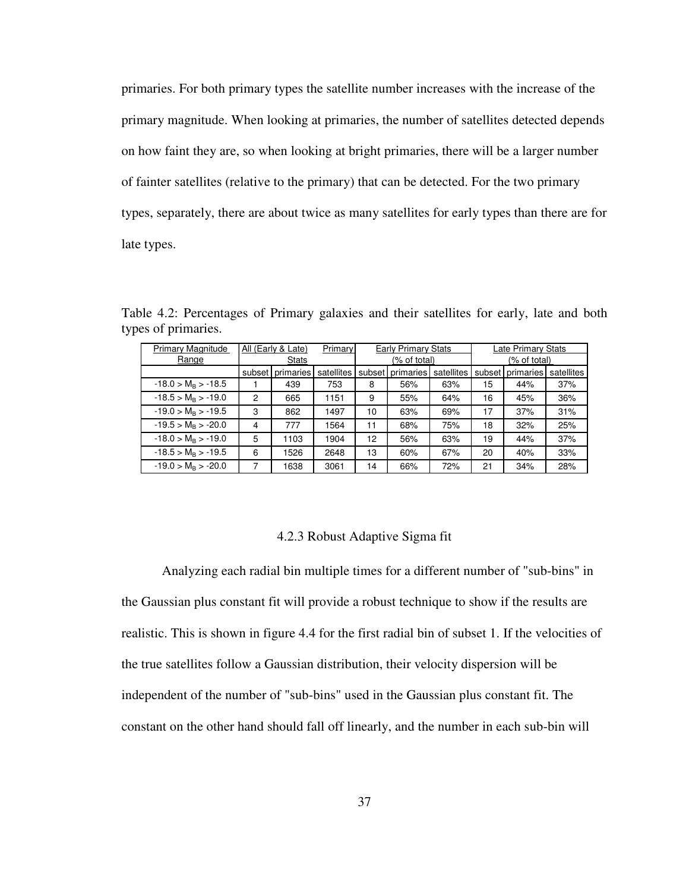primaries. For both primary types the satellite number increases with the increase of the primary magnitude. When looking at primaries, the number of satellites detected depends on how faint they are, so when looking at bright primaries, there will be a larger number of fainter satellites (relative to the primary) that can be detected. For the two primary types, separately, there are about twice as many satellites for early types than there are for late types.

| Primary Magnitude     |        | All (Early & Late) | Primary    | <b>Early Primary Stats</b> |                  |            | Late Primary Stats |                  |            |
|-----------------------|--------|--------------------|------------|----------------------------|------------------|------------|--------------------|------------------|------------|
| Range                 | Stats  |                    |            | (% of total)               |                  |            | (% of total)       |                  |            |
|                       | subset | primaries          | satellites |                            | subset primaries | satellites |                    | subset primaries | satellites |
| $-18.0 > M_B > -18.5$ |        | 439                | 753        | 8                          | 56%              | 63%        | 15                 | 44%              | 37%        |
| $-18.5 > M_B > -19.0$ | 2      | 665                | 1151       | 9                          | 55%              | 64%        | 16                 | 45%              | 36%        |
| $-19.0 > M_B > -19.5$ | 3      | 862                | 1497       | 10                         | 63%              | 69%        | 17                 | 37%              | 31%        |
| $-19.5 > M_B > -20.0$ | 4      | 777                | 1564       | 11                         | 68%              | 75%        | 18                 | 32%              | 25%        |
| $-18.0 > M_B > -19.0$ | 5      | 1103               | 1904       | 12                         | 56%              | 63%        | 19                 | 44%              | 37%        |
| $-18.5 > M_B > -19.5$ | 6      | 1526               | 2648       | 13                         | 60%              | 67%        | 20                 | 40%              | 33%        |
| $-19.0 > M_B > -20.0$ |        | 1638               | 3061       | 14                         | 66%              | 72%        | 21                 | 34%              | 28%        |

Table 4.2: Percentages of Primary galaxies and their satellites for early, late and both types of primaries.

#### 4.2.3 Robust Adaptive Sigma fit

 Analyzing each radial bin multiple times for a different number of "sub-bins" in the Gaussian plus constant fit will provide a robust technique to show if the results are realistic. This is shown in figure 4.4 for the first radial bin of subset 1. If the velocities of the true satellites follow a Gaussian distribution, their velocity dispersion will be independent of the number of "sub-bins" used in the Gaussian plus constant fit. The constant on the other hand should fall off linearly, and the number in each sub-bin will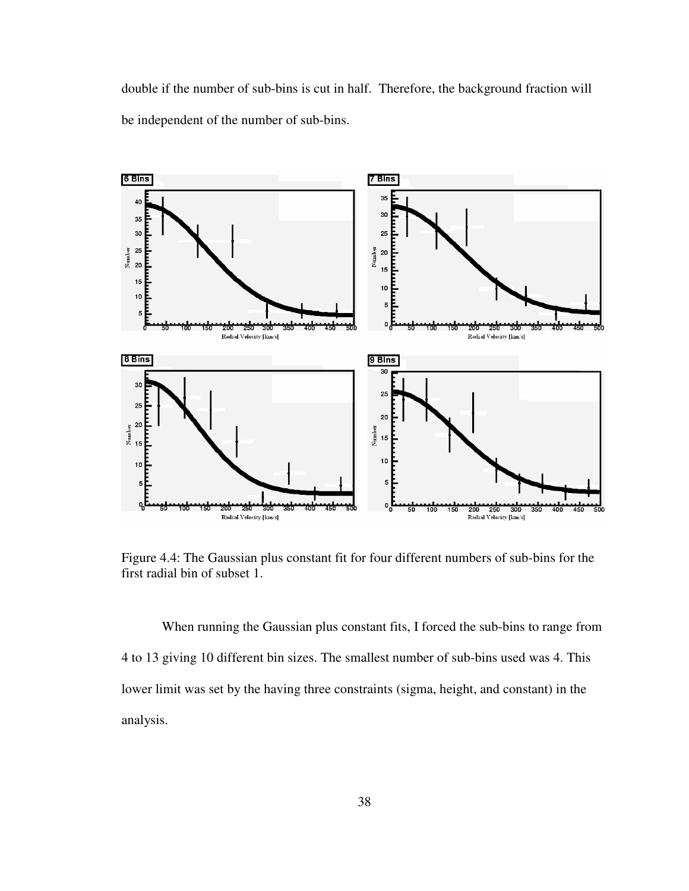double if the number of sub-bins is cut in half. Therefore, the background fraction will be independent of the number of sub-bins.



Figure 4.4: The Gaussian plus constant fit for four different numbers of sub-bins for the first radial bin of subset 1.

 When running the Gaussian plus constant fits, I forced the sub-bins to range from 4 to 13 giving 10 different bin sizes. The smallest number of sub-bins used was 4. This lower limit was set by the having three constraints (sigma, height, and constant) in the analysis.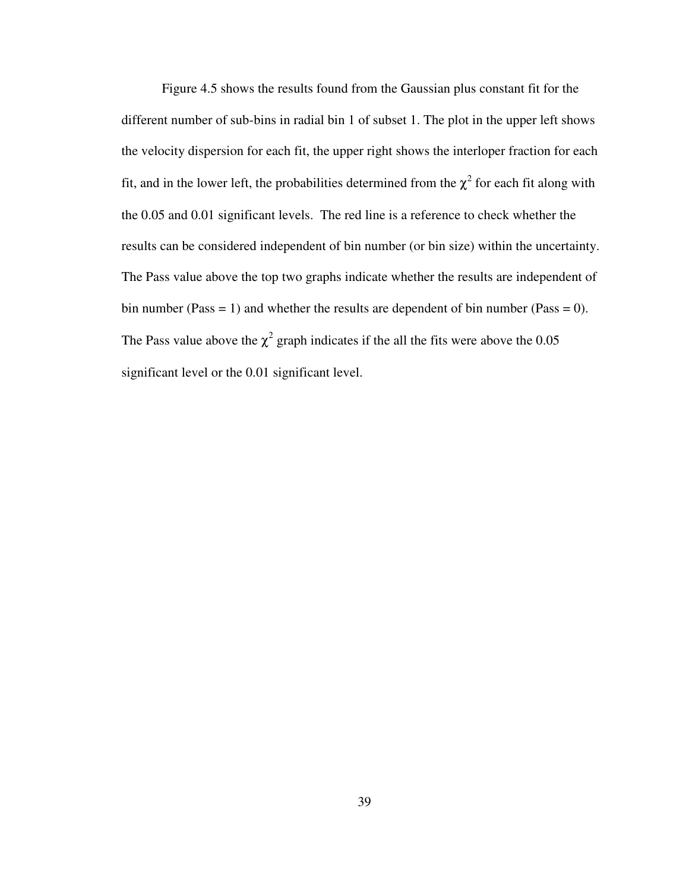Figure 4.5 shows the results found from the Gaussian plus constant fit for the different number of sub-bins in radial bin 1 of subset 1. The plot in the upper left shows the velocity dispersion for each fit, the upper right shows the interloper fraction for each fit, and in the lower left, the probabilities determined from the  $\chi^2$  for each fit along with the 0.05 and 0.01 significant levels. The red line is a reference to check whether the results can be considered independent of bin number (or bin size) within the uncertainty. The Pass value above the top two graphs indicate whether the results are independent of bin number (Pass = 1) and whether the results are dependent of bin number (Pass = 0). The Pass value above the  $\chi^2$  graph indicates if the all the fits were above the 0.05 significant level or the 0.01 significant level.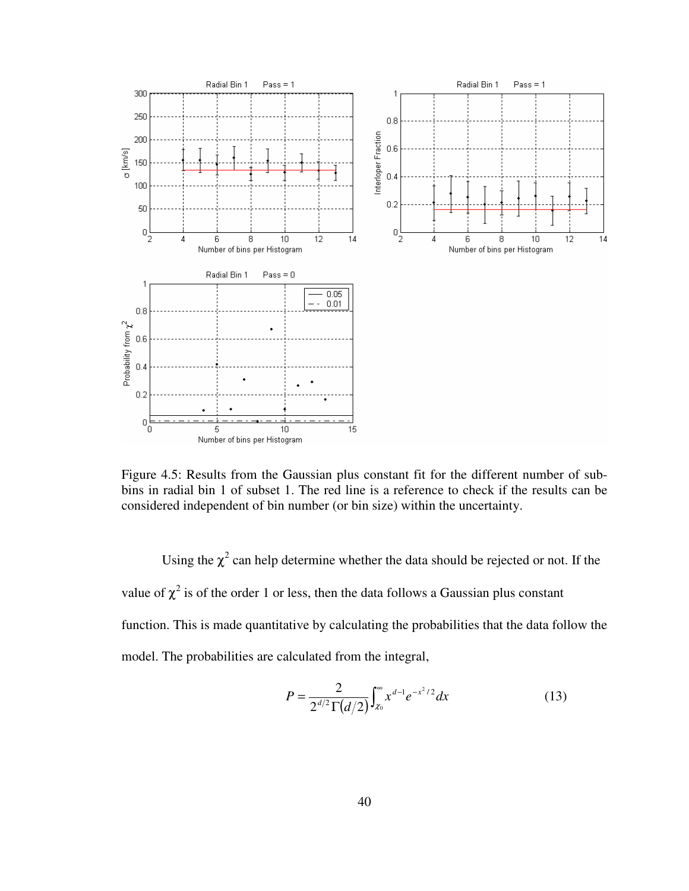

Figure 4.5: Results from the Gaussian plus constant fit for the different number of subbins in radial bin 1 of subset 1. The red line is a reference to check if the results can be considered independent of bin number (or bin size) within the uncertainty.

Using the  $\chi^2$  can help determine whether the data should be rejected or not. If the value of  $\chi^2$  is of the order 1 or less, then the data follows a Gaussian plus constant function. This is made quantitative by calculating the probabilities that the data follow the model. The probabilities are calculated from the integral,

$$
P = \frac{2}{2^{d/2} \Gamma(d/2)} \int_{x_0}^{\infty} x^{d-1} e^{-x^2/2} dx
$$
 (13)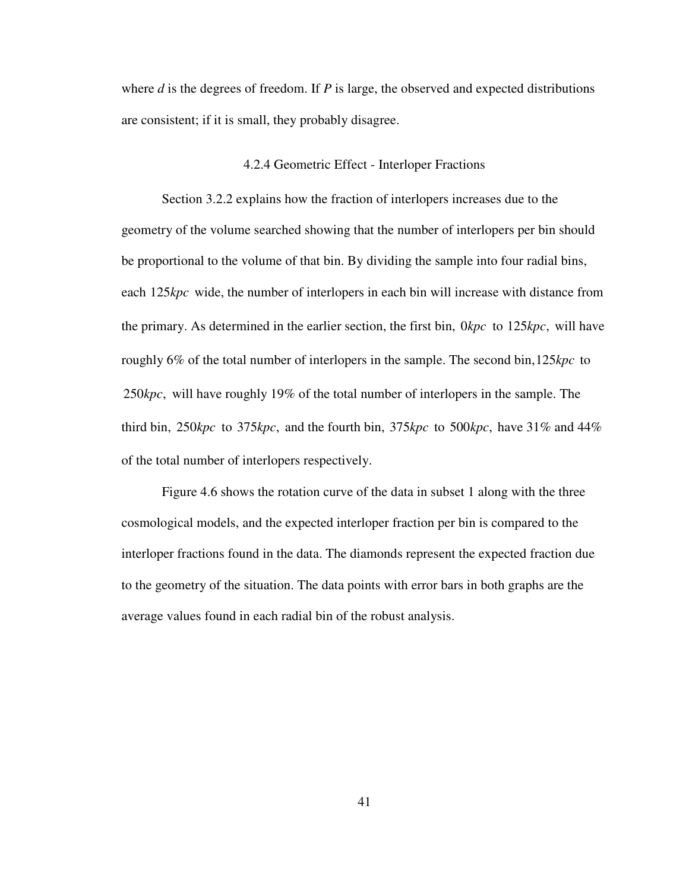where *d* is the degrees of freedom. If *P* is large, the observed and expected distributions are consistent; if it is small, they probably disagree.

### 4.2.4 Geometric Effect - Interloper Fractions

 Section 3.2.2 explains how the fraction of interlopers increases due to the geometry of the volume searched showing that the number of interlopers per bin should be proportional to the volume of that bin. By dividing the sample into four radial bins, each 125kpc wide, the number of interlopers in each bin will increase with distance from the primary. As determined in the earlier section, the first bin,  $0 kpc$  to  $125 kpc$ , will have roughly  $6\%$  of the total number of interlopers in the sample. The second bin,  $125 kpc$  to 250*kpc*, will have roughly 19% of the total number of interlopers in the sample. The third bin,  $250 kpc$  to  $375 kpc$ , and the fourth bin,  $375 kpc$  to  $500 kpc$ , have  $31\%$  and  $44\%$ of the total number of interlopers respectively.

 Figure 4.6 shows the rotation curve of the data in subset 1 along with the three cosmological models, and the expected interloper fraction per bin is compared to the interloper fractions found in the data. The diamonds represent the expected fraction due to the geometry of the situation. The data points with error bars in both graphs are the average values found in each radial bin of the robust analysis.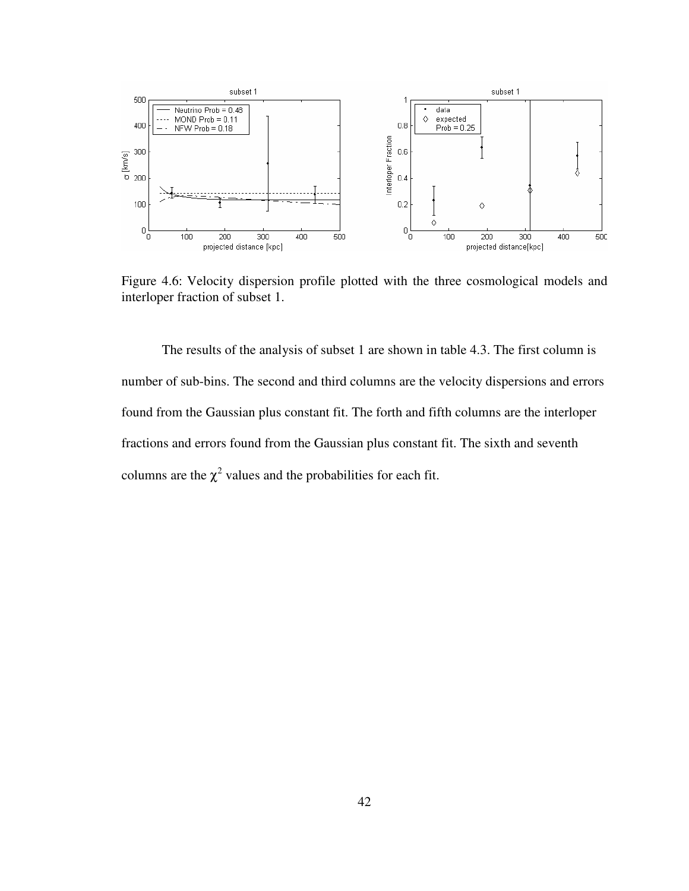

Figure 4.6: Velocity dispersion profile plotted with the three cosmological models and interloper fraction of subset 1.

 The results of the analysis of subset 1 are shown in table 4.3. The first column is number of sub-bins. The second and third columns are the velocity dispersions and errors found from the Gaussian plus constant fit. The forth and fifth columns are the interloper fractions and errors found from the Gaussian plus constant fit. The sixth and seventh columns are the  $\chi^2$  values and the probabilities for each fit.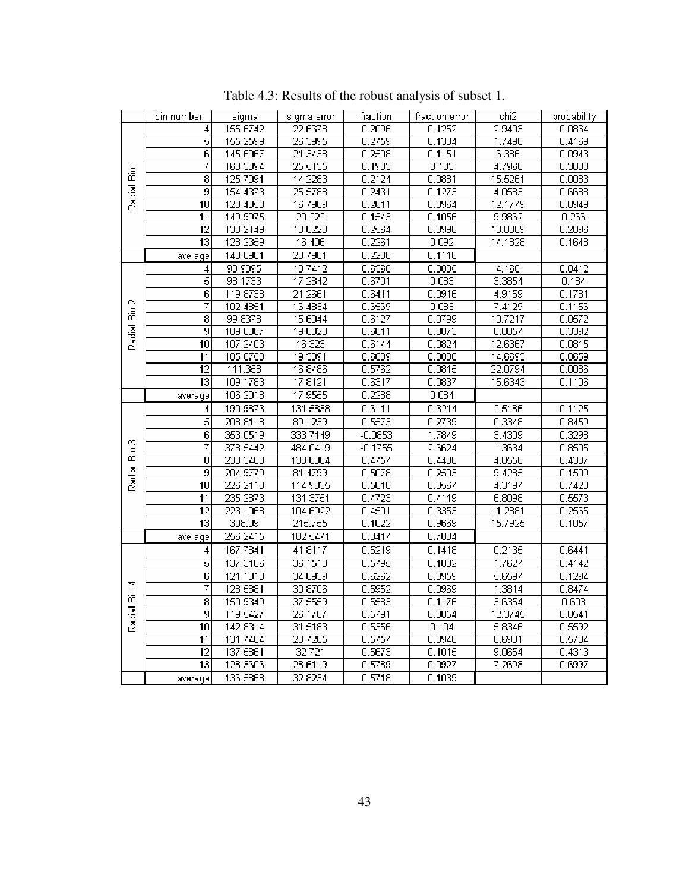|          | bin number      | sigma    | sigma error | fraction  | fraction error | chi2    | probability |
|----------|-----------------|----------|-------------|-----------|----------------|---------|-------------|
|          | 4               | 155.6742 | 22.6678     | 0.2096    | 0.1252         | 2.9403  | 0.0864      |
|          | 5               | 155.2599 | 26.3995     | 0.2759    | 0.1334         | 1.7498  | 0.4169      |
|          | $\overline{6}$  | 145.6067 | 21.3438     | 0.2508    | 0.1151         | 6.386   | 0.0943      |
| Bin 1    | 7               | 160.3394 | 25.5135     | 0.1983    | 0.133          | 4.7966  | 0.3088      |
|          | $\overline{8}$  | 125.7091 | 14.2283     | 0.2124    | 0.0881         | 15.5261 | 0.0083      |
| Radial   | 9               | 154.4373 | 25.5788     | 0.2431    | 0.1273         | 4.0583  | 0.6688      |
|          | 10              | 128.4858 | 16.7989     | 0.2611    | 0.0964         | 12.1779 | 0.0949      |
|          | 11              | 149.9975 | 20.222      | 0.1543    | 0.1056         | 9.9862  | 0.266       |
|          | $\overline{12}$ | 133.2149 | 18.8223     | 0.2564    | 0.0996         | 10.8009 | 0.2896      |
|          | $\overline{13}$ | 128.2359 | 16.406      | 0.2261    | 0.092          | 14.1828 | 0.1648      |
|          | average         | 143.6961 | 20.7981     | 0.2288    | 0.1116         |         |             |
|          | 4               | 98.9095  | 18.7412     | 0.6368    | 0.0835         | 4.166   | 0.0412      |
|          | $\overline{5}$  | 98.1733  | 17.2842     | 0.6701    | 0.083          | 3.3854  | 0.184       |
|          | $\overline{6}$  | 119.8738 | 21.2661     | 0.6411    | 0.0916         | 4.9159  | 0.1781      |
| N        | 7               | 102.4851 | 16.4834     | 0.6569    | 0.083          | 7.4129  | 0.1156      |
| å        | $\overline{8}$  | 99.8378  | 15.6044     | 0.6127    | 0.0799         | 10.7217 | 0.0572      |
| Radial I | 9               | 109.8867 | 19.8828     | 0.6611    | 0.0873         | 6.8057  | 0.3392      |
|          | $\overline{10}$ | 107.2403 | 16.323      | 0.6144    | 0.0824         | 12.6367 | 0.0815      |
|          | 11              | 105.0753 | 19.3091     | 0.6609    | 0.0838         | 14.6693 | 0.0659      |
|          | $\overline{12}$ | 111.358  | 16.8486     | 0.5762    | 0.0815         | 22.0794 | 0.0086      |
|          | $\overline{13}$ | 109.1783 | 17.8121     | 0.6317    | 0.0837         | 15.6343 | 0.1106      |
|          | average         | 106.2018 | 17.9555     | 0.2288    | 0.084          |         |             |
|          | 4               | 190.9873 | 131.5838    | 0.6111    | 0.3214         | 2.5186  | 0.1125      |
|          | $\overline{5}$  | 208.8118 | 89.1239     | 0.5573    | 0.2739         | 0.3348  | 0.8459      |
|          | $\overline{6}$  | 353.0519 | 333.7149    | $-0.0853$ | 1.7849         | 3.4309  | 0.3298      |
| 6        | 7               | 378.5442 | 484.0419    | $-0.1755$ | 2.6624         | 1.3634  | 0.8505      |
| á        | $\overline{8}$  | 233.3468 | 138.8004    | 0.4757    | 0.4408         | 4.8558  | 0.4337      |
| Radial I | 9               | 204.9779 | 81.4799     | 0.5078    | 0.2503         | 9.4285  | 0.1509      |
|          | 10              | 226.2113 | 114.9035    | 0.5018    | 0.3567         | 4.3197  | 0.7423      |
|          | 11              | 235.2873 | 131.3751    | 0.4723    | 0.4119         | 6.8098  | 0.5573      |
|          | 12              | 223.1068 | 104.6922    | 0.4501    | 0.3353         | 11.2881 | 0.2565      |
|          | $\overline{13}$ | 308.09   | 215.755     | 0.1022    | 0.9669         | 15.7925 | 0.1057      |
|          | average         | 256.2415 | 182.5471    | 0.3417    | 0.7804         |         |             |
|          | 4               | 167.7841 | 41.8117     | 0.5219    | 0.1418         | 0.2135  | 0.6441      |
|          | 5               | 137.3106 | 36.1513     | 0.5795    | 0.1082         | 1.7627  | 0.4142      |
| Bin 4    | $\overline{6}$  | 121.1813 | 34.0939     | 0.6262    | 0.0959         | 5.6597  | 0.1294      |
|          | 7               | 128.5881 | 30.8706     | 0.5952    | 0.0969         | 1.3814  | 0.8474      |
|          | $\overline{8}$  | 150.9349 | 37.5559     | 0.5583    | 0.1176         | 3.6354  | 0.603       |
| Radial I | 9               | 119.5427 | 26.1707     | 0.5791    | 0.0854         | 12.3745 | 0.0541      |
|          | 10              | 142.8314 | 31.5183     | 0.5356    | 0.104          | 5.8346  | 0.5592      |
|          | 11              | 131.7484 | 28.7285     | 0.5757    | 0.0946         | 6.6901  | 0.5704      |
|          | $\overline{12}$ | 137.5861 | 32.721      | 0.5673    | 0.1015         | 9.0654  | 0.4313      |
|          | $\overline{13}$ | 128.3606 | 28.6119     | 0.5789    | 0.0927         | 7.2698  | 0.6997      |
|          | average         | 136.5868 | 32.8234     | 0.5718    | 0.1039         |         |             |

Table 4.3: Results of the robust analysis of subset 1.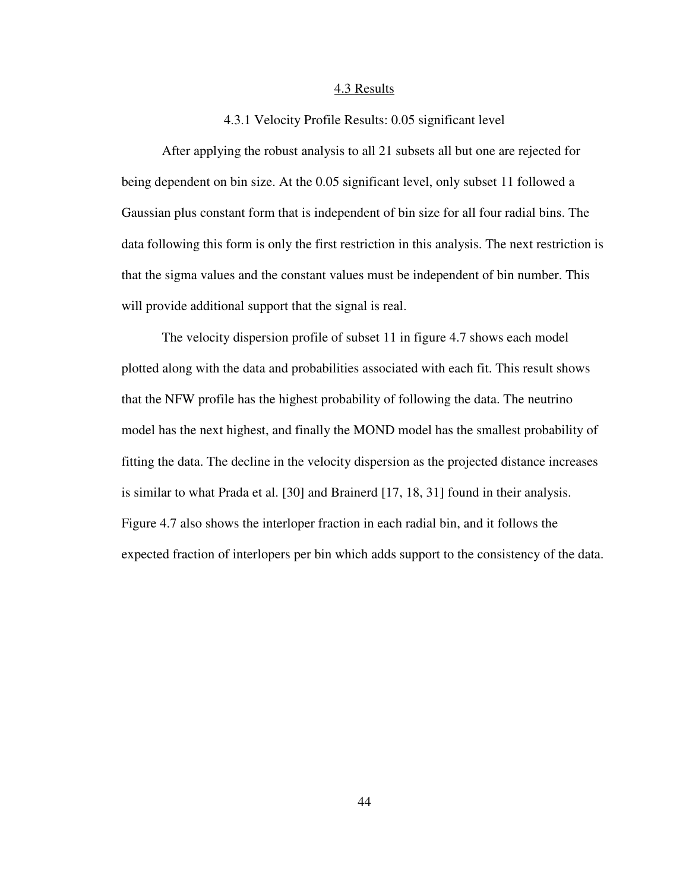#### 4.3 Results

# 4.3.1 Velocity Profile Results: 0.05 significant level

 After applying the robust analysis to all 21 subsets all but one are rejected for being dependent on bin size. At the 0.05 significant level, only subset 11 followed a Gaussian plus constant form that is independent of bin size for all four radial bins. The data following this form is only the first restriction in this analysis. The next restriction is that the sigma values and the constant values must be independent of bin number. This will provide additional support that the signal is real.

 The velocity dispersion profile of subset 11 in figure 4.7 shows each model plotted along with the data and probabilities associated with each fit. This result shows that the NFW profile has the highest probability of following the data. The neutrino model has the next highest, and finally the MOND model has the smallest probability of fitting the data. The decline in the velocity dispersion as the projected distance increases is similar to what Prada et al. [30] and Brainerd [17, 18, 31] found in their analysis. Figure 4.7 also shows the interloper fraction in each radial bin, and it follows the expected fraction of interlopers per bin which adds support to the consistency of the data.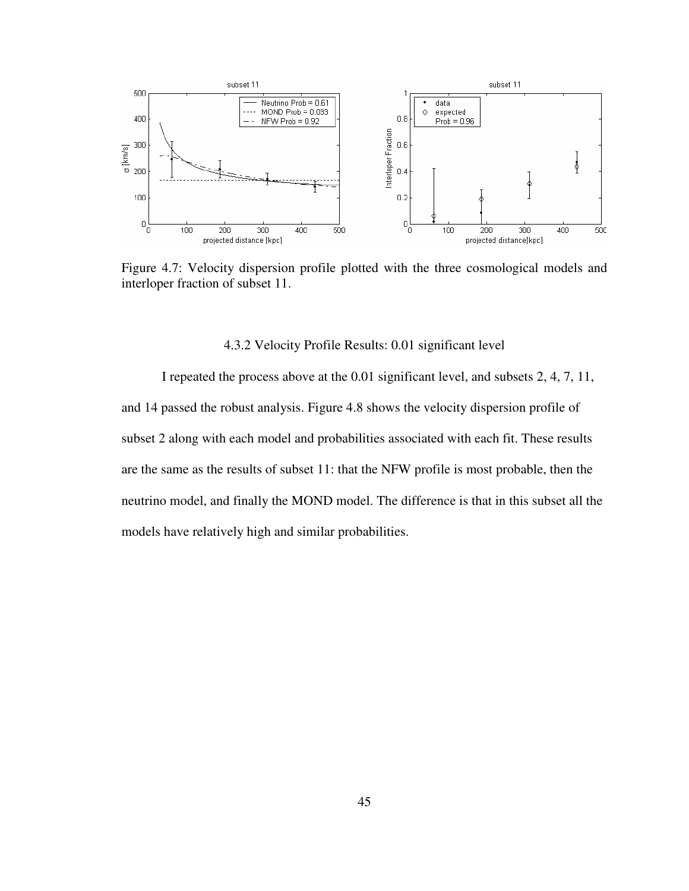

Figure 4.7: Velocity dispersion profile plotted with the three cosmological models and interloper fraction of subset 11.

# 4.3.2 Velocity Profile Results: 0.01 significant level

 I repeated the process above at the 0.01 significant level, and subsets 2, 4, 7, 11, and 14 passed the robust analysis. Figure 4.8 shows the velocity dispersion profile of subset 2 along with each model and probabilities associated with each fit. These results are the same as the results of subset 11: that the NFW profile is most probable, then the neutrino model, and finally the MOND model. The difference is that in this subset all the models have relatively high and similar probabilities.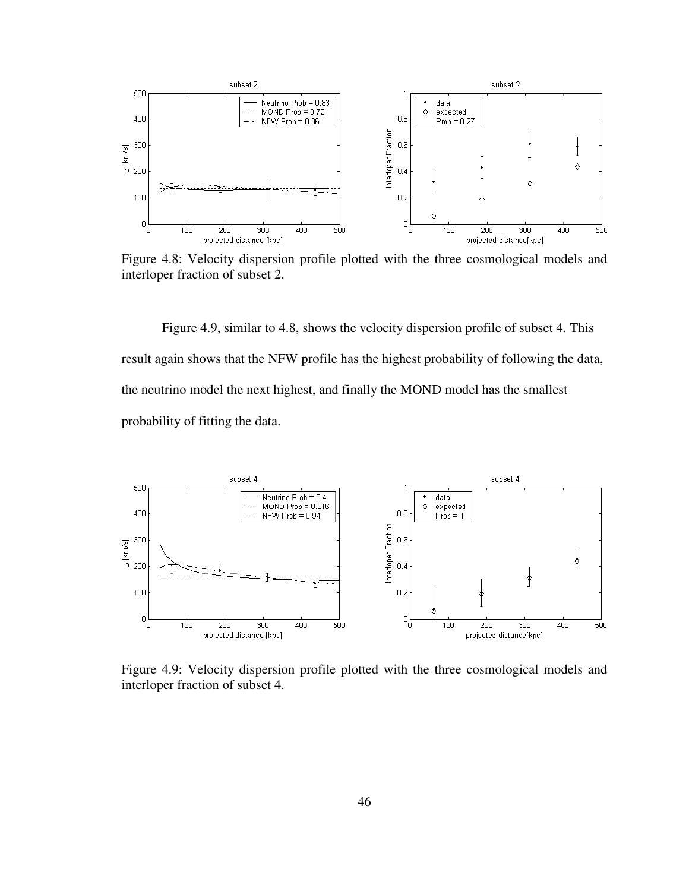

Figure 4.8: Velocity dispersion profile plotted with the three cosmological models and interloper fraction of subset 2.

 Figure 4.9, similar to 4.8, shows the velocity dispersion profile of subset 4. This result again shows that the NFW profile has the highest probability of following the data, the neutrino model the next highest, and finally the MOND model has the smallest probability of fitting the data.



Figure 4.9: Velocity dispersion profile plotted with the three cosmological models and interloper fraction of subset 4.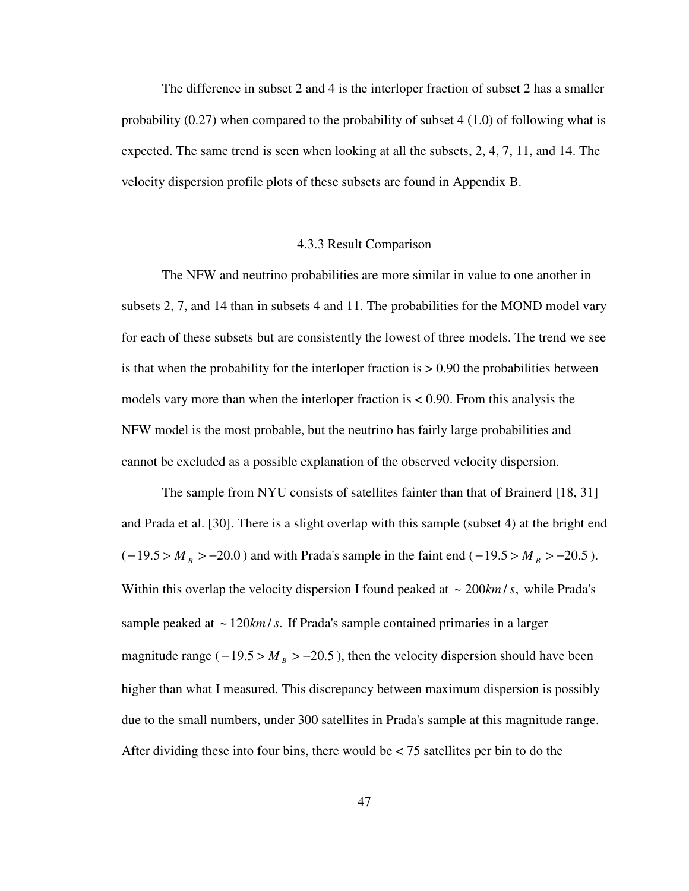The difference in subset 2 and 4 is the interloper fraction of subset 2 has a smaller probability (0.27) when compared to the probability of subset 4 (1.0) of following what is expected. The same trend is seen when looking at all the subsets, 2, 4, 7, 11, and 14. The velocity dispersion profile plots of these subsets are found in Appendix B.

# 4.3.3 Result Comparison

 The NFW and neutrino probabilities are more similar in value to one another in subsets 2, 7, and 14 than in subsets 4 and 11. The probabilities for the MOND model vary for each of these subsets but are consistently the lowest of three models. The trend we see is that when the probability for the interloper fraction is  $> 0.90$  the probabilities between models vary more than when the interloper fraction is < 0.90. From this analysis the NFW model is the most probable, but the neutrino has fairly large probabilities and cannot be excluded as a possible explanation of the observed velocity dispersion.

 The sample from NYU consists of satellites fainter than that of Brainerd [18, 31] and Prada et al. [30]. There is a slight overlap with this sample (subset 4) at the bright end  $(-19.5 > M_B > -20.0)$  and with Prada's sample in the faint end  $(-19.5 > M_B > -20.5)$ . Within this overlap the velocity dispersion I found peaked at  $\sim 200$ *km* /*s*, while Prada's sample peaked at  $\sim$  120 $km/s$ . If Prada's sample contained primaries in a larger magnitude range ( $-19.5 > M_B > -20.5$ ), then the velocity dispersion should have been higher than what I measured. This discrepancy between maximum dispersion is possibly due to the small numbers, under 300 satellites in Prada's sample at this magnitude range. After dividing these into four bins, there would be  $\lt 75$  satellites per bin to do the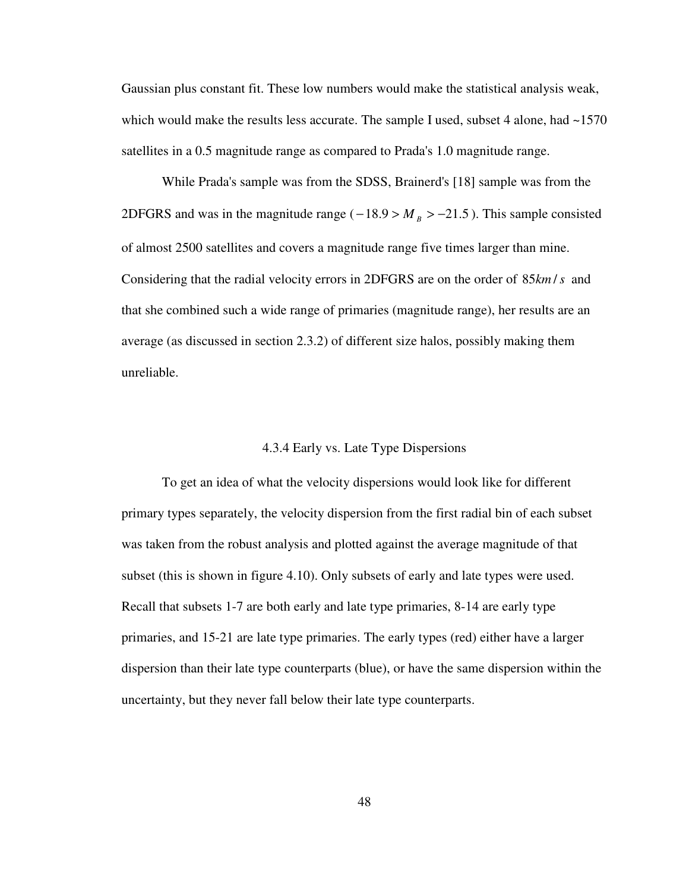Gaussian plus constant fit. These low numbers would make the statistical analysis weak, which would make the results less accurate. The sample I used, subset 4 alone, had ~1570 satellites in a 0.5 magnitude range as compared to Prada's 1.0 magnitude range.

 While Prada's sample was from the SDSS, Brainerd's [18] sample was from the 2DFGRS and was in the magnitude range ( $-18.9 > M_B > -21.5$ ). This sample consisted of almost 2500 satellites and covers a magnitude range five times larger than mine. Considering that the radial velocity errors in 2DFGRS are on the order of  $85 km/s$  and that she combined such a wide range of primaries (magnitude range), her results are an average (as discussed in section 2.3.2) of different size halos, possibly making them unreliable.

# 4.3.4 Early vs. Late Type Dispersions

 To get an idea of what the velocity dispersions would look like for different primary types separately, the velocity dispersion from the first radial bin of each subset was taken from the robust analysis and plotted against the average magnitude of that subset (this is shown in figure 4.10). Only subsets of early and late types were used. Recall that subsets 1-7 are both early and late type primaries, 8-14 are early type primaries, and 15-21 are late type primaries. The early types (red) either have a larger dispersion than their late type counterparts (blue), or have the same dispersion within the uncertainty, but they never fall below their late type counterparts.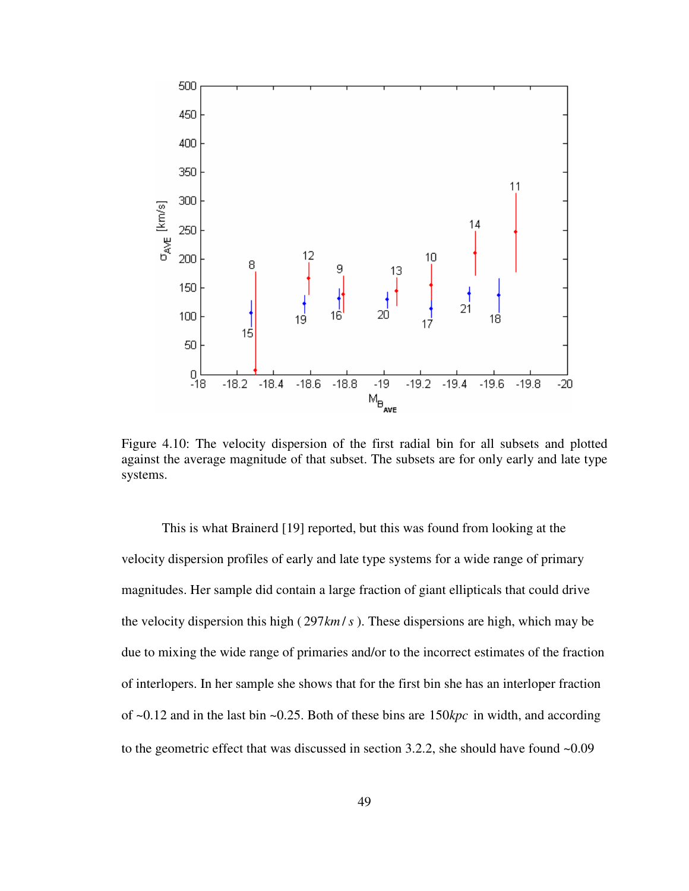

Figure 4.10: The velocity dispersion of the first radial bin for all subsets and plotted against the average magnitude of that subset. The subsets are for only early and late type systems.

 This is what Brainerd [19] reported, but this was found from looking at the velocity dispersion profiles of early and late type systems for a wide range of primary magnitudes. Her sample did contain a large fraction of giant ellipticals that could drive the velocity dispersion this high ( $297 \text{km/s}$ ). These dispersions are high, which may be due to mixing the wide range of primaries and/or to the incorrect estimates of the fraction of interlopers. In her sample she shows that for the first bin she has an interloper fraction of  $\sim 0.12$  and in the last bin  $\sim 0.25$ . Both of these bins are 150 kpc in width, and according to the geometric effect that was discussed in section 3.2.2, she should have found ~0.09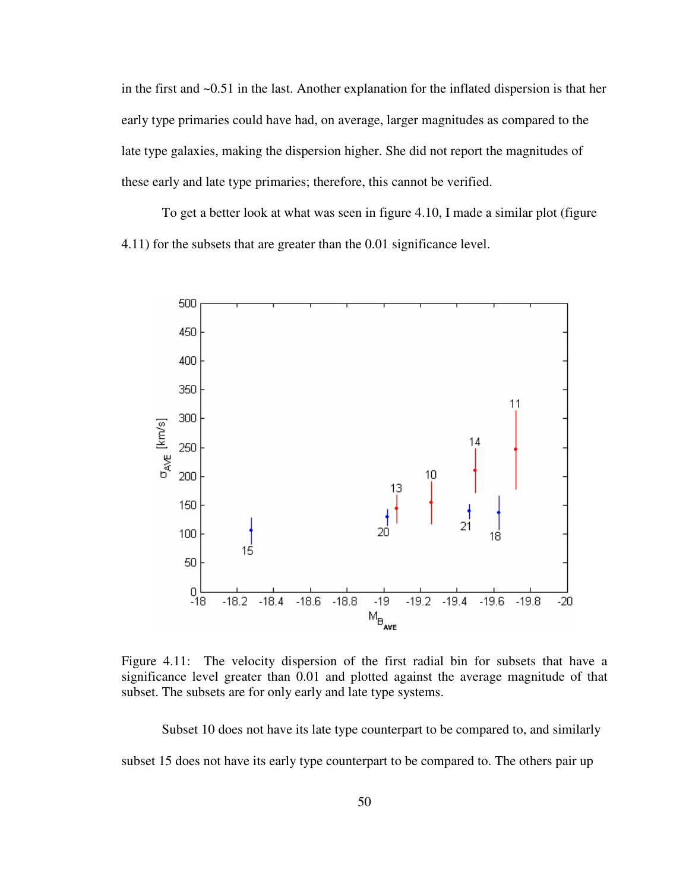in the first and ~0.51 in the last. Another explanation for the inflated dispersion is that her early type primaries could have had, on average, larger magnitudes as compared to the late type galaxies, making the dispersion higher. She did not report the magnitudes of these early and late type primaries; therefore, this cannot be verified.

 To get a better look at what was seen in figure 4.10, I made a similar plot (figure 4.11) for the subsets that are greater than the 0.01 significance level.



Figure 4.11: The velocity dispersion of the first radial bin for subsets that have a significance level greater than 0.01 and plotted against the average magnitude of that subset. The subsets are for only early and late type systems.

 Subset 10 does not have its late type counterpart to be compared to, and similarly subset 15 does not have its early type counterpart to be compared to. The others pair up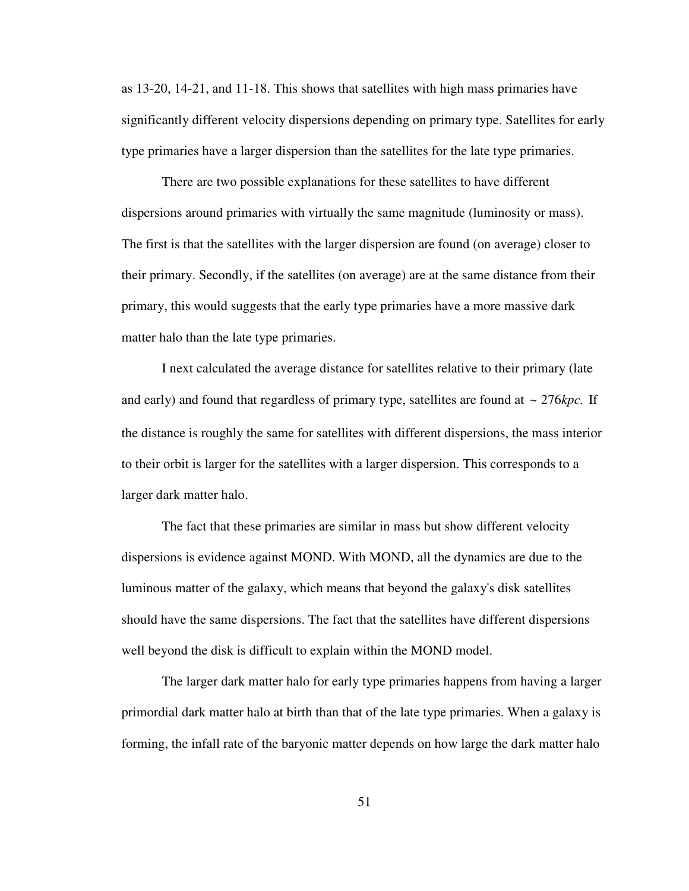as 13-20, 14-21, and 11-18. This shows that satellites with high mass primaries have significantly different velocity dispersions depending on primary type. Satellites for early type primaries have a larger dispersion than the satellites for the late type primaries.

 There are two possible explanations for these satellites to have different dispersions around primaries with virtually the same magnitude (luminosity or mass). The first is that the satellites with the larger dispersion are found (on average) closer to their primary. Secondly, if the satellites (on average) are at the same distance from their primary, this would suggests that the early type primaries have a more massive dark matter halo than the late type primaries.

 I next calculated the average distance for satellites relative to their primary (late and early) and found that regardless of primary type, satellites are found at  $\sim 276 kpc$ . If the distance is roughly the same for satellites with different dispersions, the mass interior to their orbit is larger for the satellites with a larger dispersion. This corresponds to a larger dark matter halo.

 The fact that these primaries are similar in mass but show different velocity dispersions is evidence against MOND. With MOND, all the dynamics are due to the luminous matter of the galaxy, which means that beyond the galaxy's disk satellites should have the same dispersions. The fact that the satellites have different dispersions well beyond the disk is difficult to explain within the MOND model.

 The larger dark matter halo for early type primaries happens from having a larger primordial dark matter halo at birth than that of the late type primaries. When a galaxy is forming, the infall rate of the baryonic matter depends on how large the dark matter halo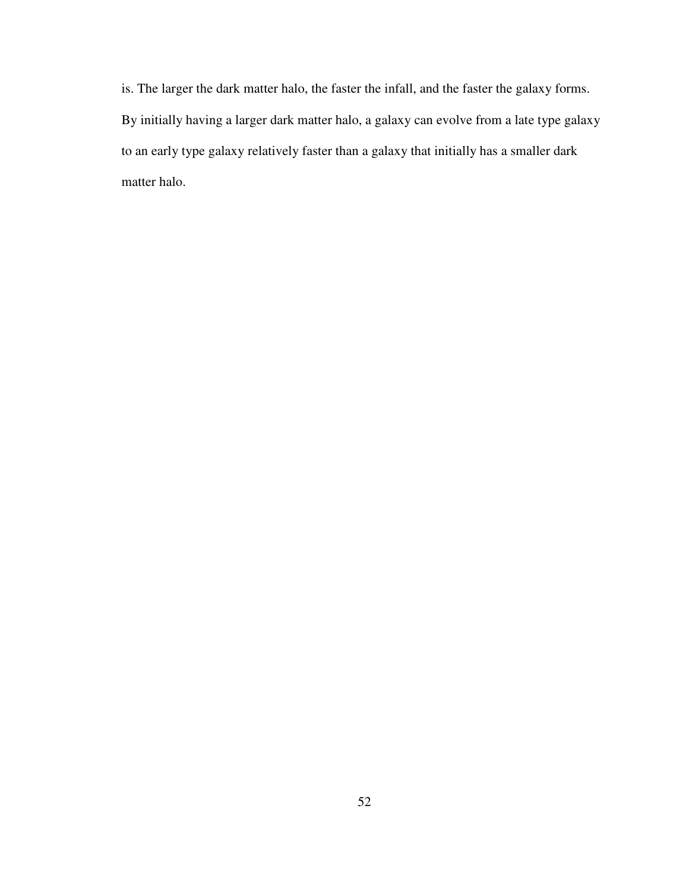is. The larger the dark matter halo, the faster the infall, and the faster the galaxy forms. By initially having a larger dark matter halo, a galaxy can evolve from a late type galaxy to an early type galaxy relatively faster than a galaxy that initially has a smaller dark matter halo.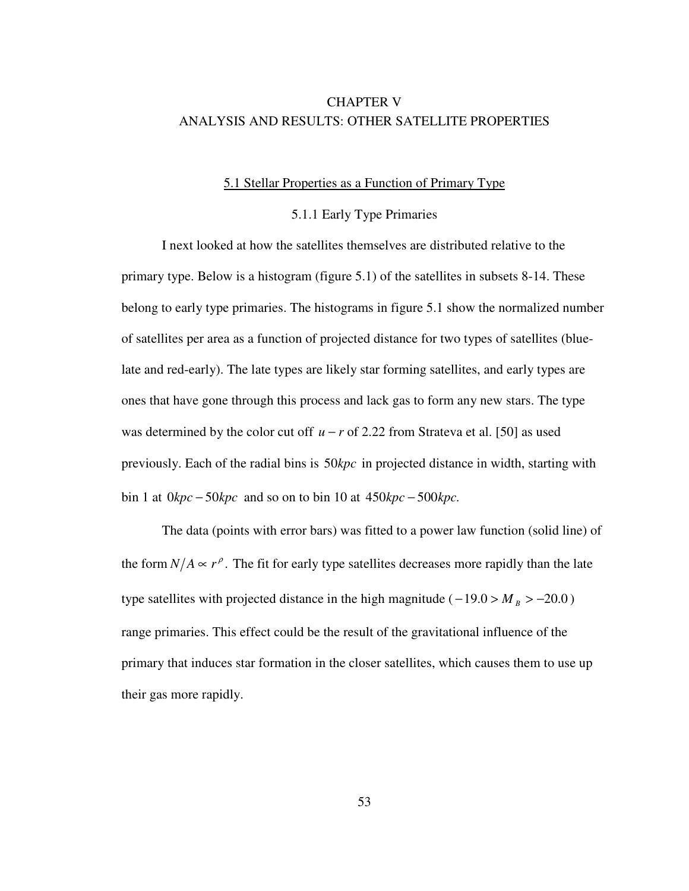# CHAPTER V ANALYSIS AND RESULTS: OTHER SATELLITE PROPERTIES

### 5.1 Stellar Properties as a Function of Primary Type

# 5.1.1 Early Type Primaries

 I next looked at how the satellites themselves are distributed relative to the primary type. Below is a histogram (figure 5.1) of the satellites in subsets 8-14. These belong to early type primaries. The histograms in figure 5.1 show the normalized number of satellites per area as a function of projected distance for two types of satellites (bluelate and red-early). The late types are likely star forming satellites, and early types are ones that have gone through this process and lack gas to form any new stars. The type was determined by the color cut off *u* − *r* of 2.22 from Strateva et al. [50] as used previously. Each of the radial bins is 50kpc in projected distance in width, starting with bin 1 at  $0kpc - 50kpc$  and so on to bin 10 at  $450kpc - 500kpc$ .

 The data (points with error bars) was fitted to a power law function (solid line) of the form  $N/A \propto r^{\rho}$ . The fit for early type satellites decreases more rapidly than the late type satellites with projected distance in the high magnitude ( $-19.0 > M_B > -20.0$ ) range primaries. This effect could be the result of the gravitational influence of the primary that induces star formation in the closer satellites, which causes them to use up their gas more rapidly.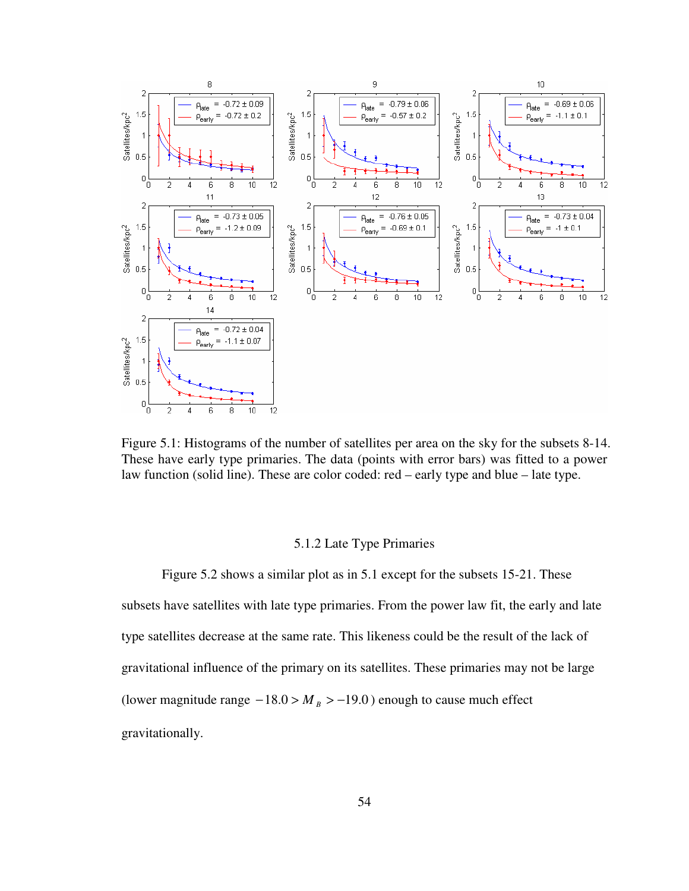

Figure 5.1: Histograms of the number of satellites per area on the sky for the subsets 8-14. These have early type primaries. The data (points with error bars) was fitted to a power law function (solid line). These are color coded: red – early type and blue – late type.

## 5.1.2 Late Type Primaries

 Figure 5.2 shows a similar plot as in 5.1 except for the subsets 15-21. These subsets have satellites with late type primaries. From the power law fit, the early and late type satellites decrease at the same rate. This likeness could be the result of the lack of gravitational influence of the primary on its satellites. These primaries may not be large (lower magnitude range  $-18.0 > M_B > -19.0$ ) enough to cause much effect gravitationally.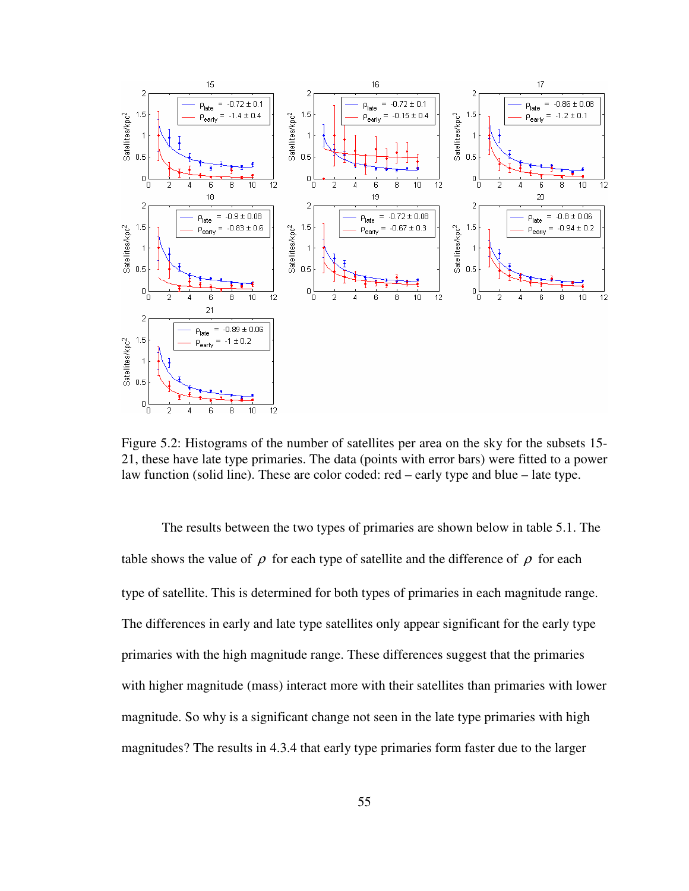

Figure 5.2: Histograms of the number of satellites per area on the sky for the subsets 15- 21, these have late type primaries. The data (points with error bars) were fitted to a power law function (solid line). These are color coded: red – early type and blue – late type.

 The results between the two types of primaries are shown below in table 5.1. The table shows the value of  $\rho$  for each type of satellite and the difference of  $\rho$  for each type of satellite. This is determined for both types of primaries in each magnitude range. The differences in early and late type satellites only appear significant for the early type primaries with the high magnitude range. These differences suggest that the primaries with higher magnitude (mass) interact more with their satellites than primaries with lower magnitude. So why is a significant change not seen in the late type primaries with high magnitudes? The results in 4.3.4 that early type primaries form faster due to the larger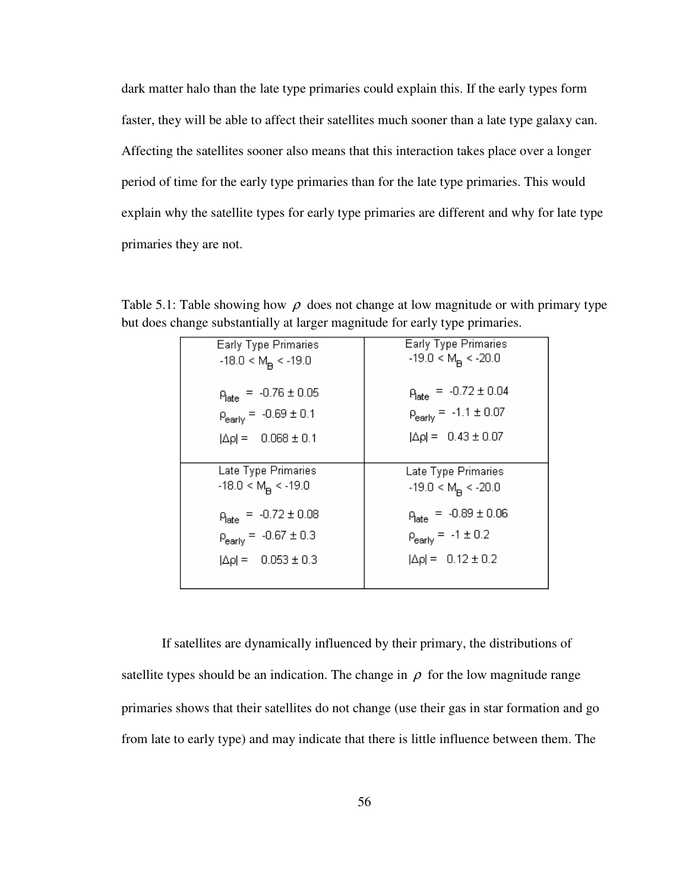dark matter halo than the late type primaries could explain this. If the early types form faster, they will be able to affect their satellites much sooner than a late type galaxy can. Affecting the satellites sooner also means that this interaction takes place over a longer period of time for the early type primaries than for the late type primaries. This would explain why the satellite types for early type primaries are different and why for late type primaries they are not.

| <b>Early Type Primaries</b><br>$-18.0 < M$ <sub>n</sub> < $-19.0$ | <b>Early Type Primaries</b><br>$-19.0 < MB < -20.0$ |
|-------------------------------------------------------------------|-----------------------------------------------------|
| $p_{\text{late}} = -0.76 \pm 0.05$                                | $P_{\text{late}} = -0.72 \pm 0.04$                  |
| $p_{\text{early}} = -0.69 \pm 0.1$                                | $p_{\text{early}} = -1.1 \pm 0.07$                  |
| $ \Delta \rho  = 0.068 \pm 0.1$                                   | $ \Delta \rho  = 0.43 \pm 0.07$                     |
|                                                                   |                                                     |
| Late Type Primaries<br>$-18.0 < M$ <sub>R</sub> < $-19.0$         | Late Type Primaries<br>$-19.0 < M_p < -20.0$        |
| $p_{\text{late}} = -0.72 \pm 0.08$                                | $p_{\text{late}} = -0.89 \pm 0.06$                  |
| $p_{\text{early}} = -0.67 \pm 0.3$                                | $p_{\text{early}} = -1 \pm 0.2$                     |
| $ \Delta \rho  = 0.053 \pm 0.3$                                   | $ \Delta \rho  = 0.12 \pm 0.2$                      |
|                                                                   |                                                     |

Table 5.1: Table showing how  $\rho$  does not change at low magnitude or with primary type but does change substantially at larger magnitude for early type primaries.

 If satellites are dynamically influenced by their primary, the distributions of satellite types should be an indication. The change in  $\rho$  for the low magnitude range primaries shows that their satellites do not change (use their gas in star formation and go from late to early type) and may indicate that there is little influence between them. The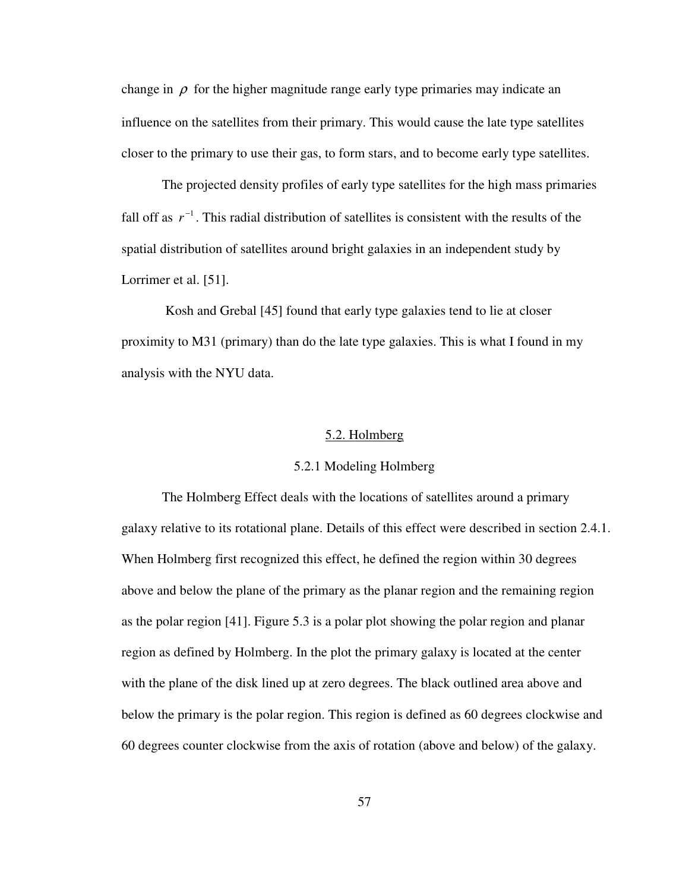change in  $\rho$  for the higher magnitude range early type primaries may indicate an influence on the satellites from their primary. This would cause the late type satellites closer to the primary to use their gas, to form stars, and to become early type satellites.

 The projected density profiles of early type satellites for the high mass primaries fall off as  $r^{-1}$ . This radial distribution of satellites is consistent with the results of the spatial distribution of satellites around bright galaxies in an independent study by Lorrimer et al. [51].

 Kosh and Grebal [45] found that early type galaxies tend to lie at closer proximity to M31 (primary) than do the late type galaxies. This is what I found in my analysis with the NYU data.

# 5.2. Holmberg

# 5.2.1 Modeling Holmberg

 The Holmberg Effect deals with the locations of satellites around a primary galaxy relative to its rotational plane. Details of this effect were described in section 2.4.1. When Holmberg first recognized this effect, he defined the region within 30 degrees above and below the plane of the primary as the planar region and the remaining region as the polar region [41]. Figure 5.3 is a polar plot showing the polar region and planar region as defined by Holmberg. In the plot the primary galaxy is located at the center with the plane of the disk lined up at zero degrees. The black outlined area above and below the primary is the polar region. This region is defined as 60 degrees clockwise and 60 degrees counter clockwise from the axis of rotation (above and below) of the galaxy.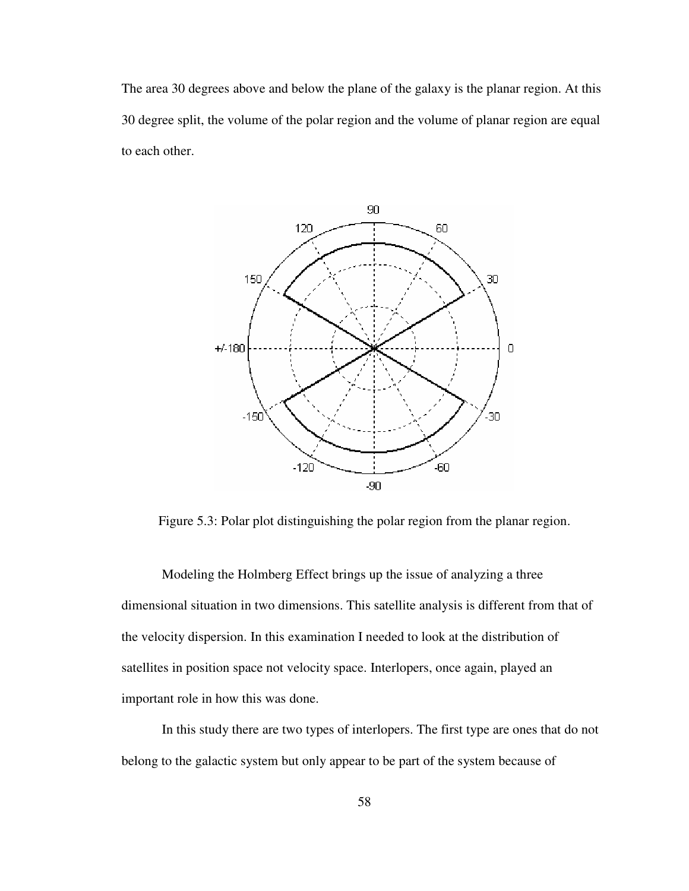The area 30 degrees above and below the plane of the galaxy is the planar region. At this 30 degree split, the volume of the polar region and the volume of planar region are equal to each other.



Figure 5.3: Polar plot distinguishing the polar region from the planar region.

 Modeling the Holmberg Effect brings up the issue of analyzing a three dimensional situation in two dimensions. This satellite analysis is different from that of the velocity dispersion. In this examination I needed to look at the distribution of satellites in position space not velocity space. Interlopers, once again, played an important role in how this was done.

 In this study there are two types of interlopers. The first type are ones that do not belong to the galactic system but only appear to be part of the system because of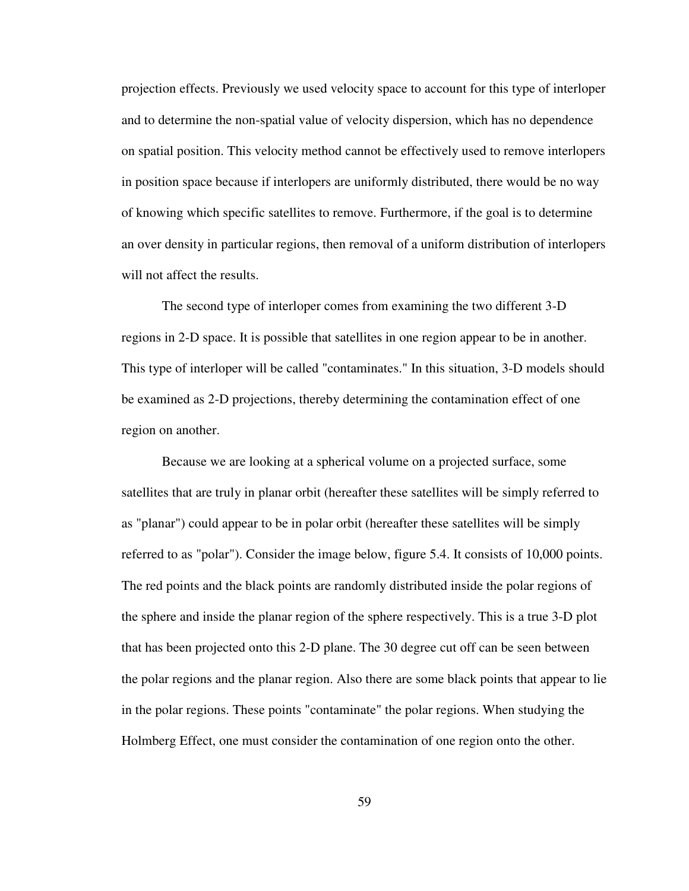projection effects. Previously we used velocity space to account for this type of interloper and to determine the non-spatial value of velocity dispersion, which has no dependence on spatial position. This velocity method cannot be effectively used to remove interlopers in position space because if interlopers are uniformly distributed, there would be no way of knowing which specific satellites to remove. Furthermore, if the goal is to determine an over density in particular regions, then removal of a uniform distribution of interlopers will not affect the results.

 The second type of interloper comes from examining the two different 3-D regions in 2-D space. It is possible that satellites in one region appear to be in another. This type of interloper will be called "contaminates." In this situation, 3-D models should be examined as 2-D projections, thereby determining the contamination effect of one region on another.

 Because we are looking at a spherical volume on a projected surface, some satellites that are truly in planar orbit (hereafter these satellites will be simply referred to as "planar") could appear to be in polar orbit (hereafter these satellites will be simply referred to as "polar"). Consider the image below, figure 5.4. It consists of 10,000 points. The red points and the black points are randomly distributed inside the polar regions of the sphere and inside the planar region of the sphere respectively. This is a true 3-D plot that has been projected onto this 2-D plane. The 30 degree cut off can be seen between the polar regions and the planar region. Also there are some black points that appear to lie in the polar regions. These points "contaminate" the polar regions. When studying the Holmberg Effect, one must consider the contamination of one region onto the other.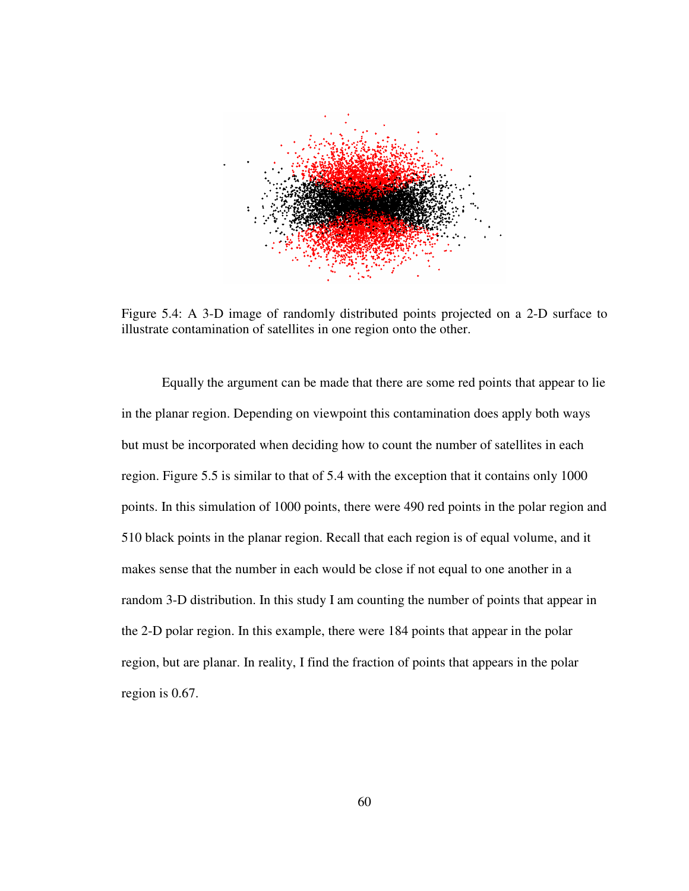

Figure 5.4: A 3-D image of randomly distributed points projected on a 2-D surface to illustrate contamination of satellites in one region onto the other.

 Equally the argument can be made that there are some red points that appear to lie in the planar region. Depending on viewpoint this contamination does apply both ways but must be incorporated when deciding how to count the number of satellites in each region. Figure 5.5 is similar to that of 5.4 with the exception that it contains only 1000 points. In this simulation of 1000 points, there were 490 red points in the polar region and 510 black points in the planar region. Recall that each region is of equal volume, and it makes sense that the number in each would be close if not equal to one another in a random 3-D distribution. In this study I am counting the number of points that appear in the 2-D polar region. In this example, there were 184 points that appear in the polar region, but are planar. In reality, I find the fraction of points that appears in the polar region is 0.67.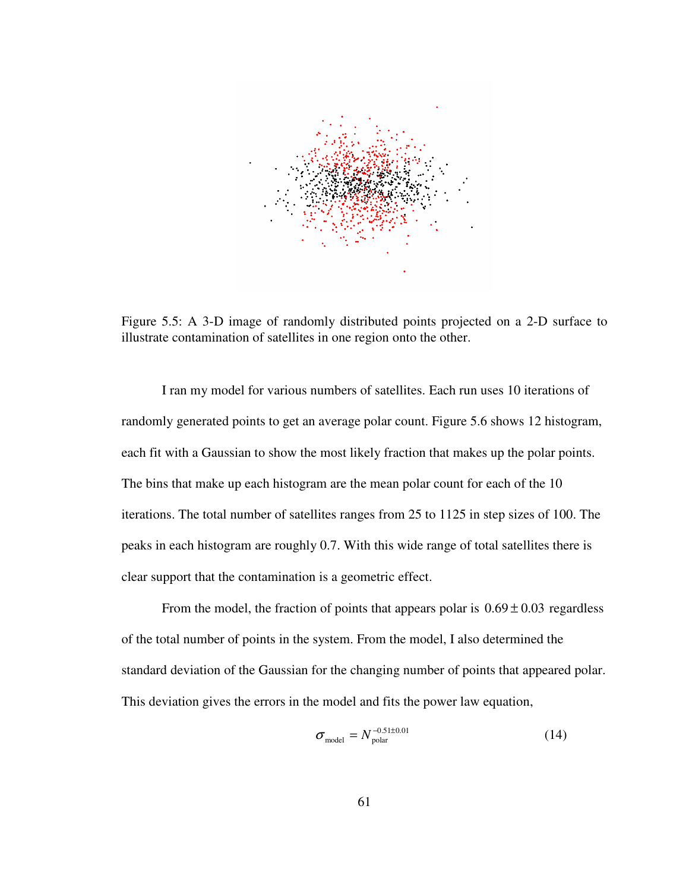

Figure 5.5: A 3-D image of randomly distributed points projected on a 2-D surface to illustrate contamination of satellites in one region onto the other.

 I ran my model for various numbers of satellites. Each run uses 10 iterations of randomly generated points to get an average polar count. Figure 5.6 shows 12 histogram, each fit with a Gaussian to show the most likely fraction that makes up the polar points. The bins that make up each histogram are the mean polar count for each of the 10 iterations. The total number of satellites ranges from 25 to 1125 in step sizes of 100. The peaks in each histogram are roughly 0.7. With this wide range of total satellites there is clear support that the contamination is a geometric effect.

From the model, the fraction of points that appears polar is  $0.69 \pm 0.03$  regardless of the total number of points in the system. From the model, I also determined the standard deviation of the Gaussian for the changing number of points that appeared polar. This deviation gives the errors in the model and fits the power law equation,

$$
\sigma_{\text{model}} = N_{\text{polar}}^{-0.51 \pm 0.01} \tag{14}
$$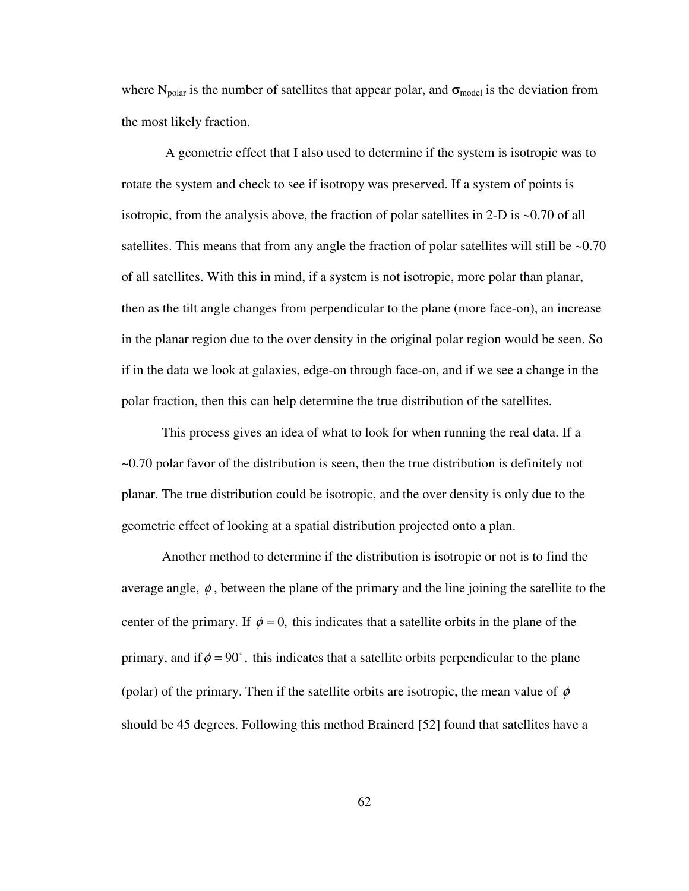where  $N_{polar}$  is the number of satellites that appear polar, and  $\sigma_{model}$  is the deviation from the most likely fraction.

 A geometric effect that I also used to determine if the system is isotropic was to rotate the system and check to see if isotropy was preserved. If a system of points is isotropic, from the analysis above, the fraction of polar satellites in 2-D is  $\sim 0.70$  of all satellites. This means that from any angle the fraction of polar satellites will still be  $\sim 0.70$ of all satellites. With this in mind, if a system is not isotropic, more polar than planar, then as the tilt angle changes from perpendicular to the plane (more face-on), an increase in the planar region due to the over density in the original polar region would be seen. So if in the data we look at galaxies, edge-on through face-on, and if we see a change in the polar fraction, then this can help determine the true distribution of the satellites.

 This process gives an idea of what to look for when running the real data. If a ~0.70 polar favor of the distribution is seen, then the true distribution is definitely not planar. The true distribution could be isotropic, and the over density is only due to the geometric effect of looking at a spatial distribution projected onto a plan.

 Another method to determine if the distribution is isotropic or not is to find the average angle,  $\phi$ , between the plane of the primary and the line joining the satellite to the center of the primary. If  $\phi = 0$ , this indicates that a satellite orbits in the plane of the primary, and if  $\phi = 90^{\circ}$ , this indicates that a satellite orbits perpendicular to the plane (polar) of the primary. Then if the satellite orbits are isotropic, the mean value of  $\phi$ should be 45 degrees. Following this method Brainerd [52] found that satellites have a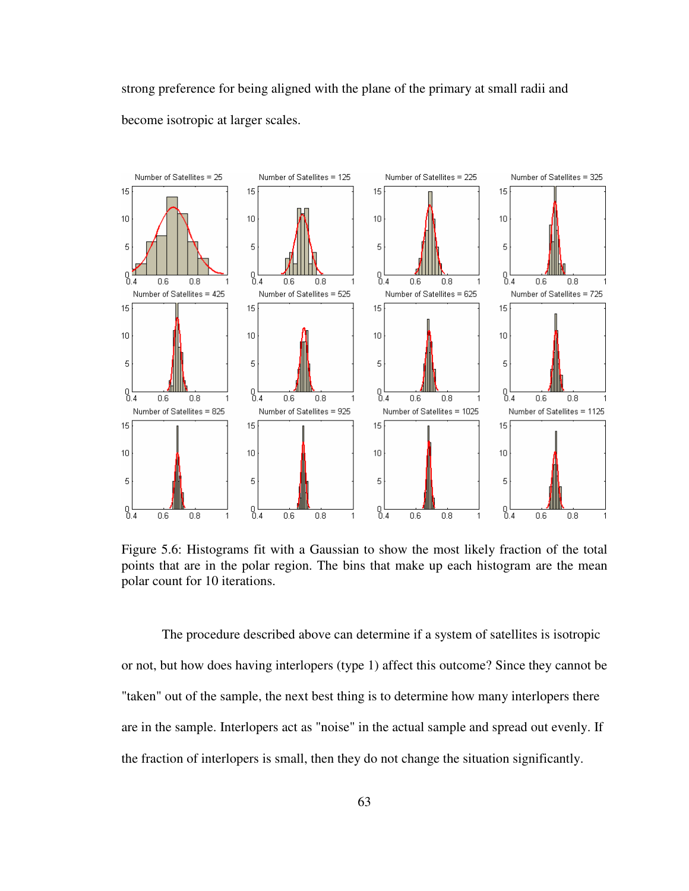strong preference for being aligned with the plane of the primary at small radii and become isotropic at larger scales.



Figure 5.6: Histograms fit with a Gaussian to show the most likely fraction of the total points that are in the polar region. The bins that make up each histogram are the mean polar count for 10 iterations.

 The procedure described above can determine if a system of satellites is isotropic or not, but how does having interlopers (type 1) affect this outcome? Since they cannot be "taken" out of the sample, the next best thing is to determine how many interlopers there are in the sample. Interlopers act as "noise" in the actual sample and spread out evenly. If the fraction of interlopers is small, then they do not change the situation significantly.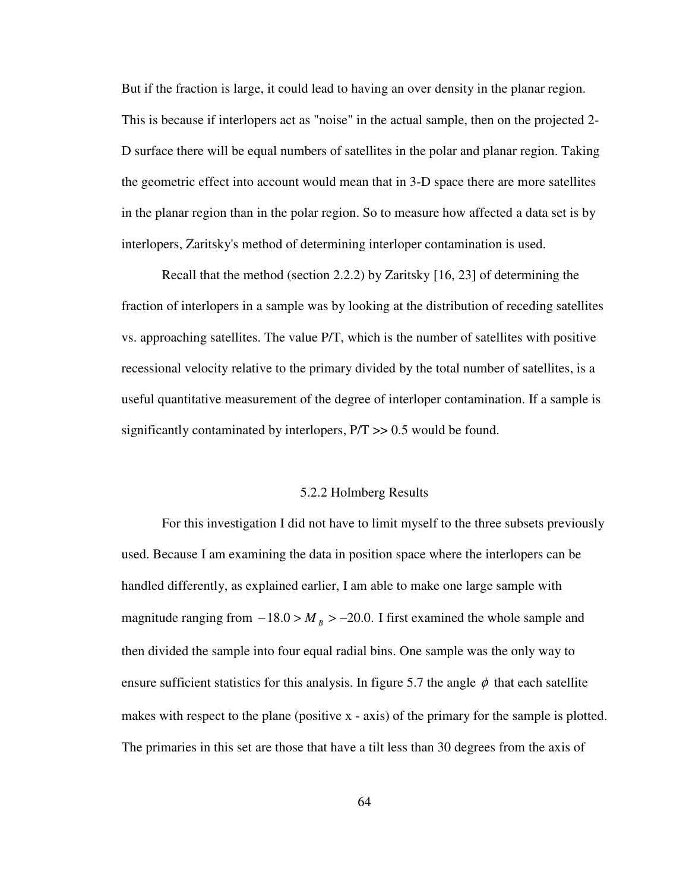But if the fraction is large, it could lead to having an over density in the planar region. This is because if interlopers act as "noise" in the actual sample, then on the projected 2- D surface there will be equal numbers of satellites in the polar and planar region. Taking the geometric effect into account would mean that in 3-D space there are more satellites in the planar region than in the polar region. So to measure how affected a data set is by interlopers, Zaritsky's method of determining interloper contamination is used.

 Recall that the method (section 2.2.2) by Zaritsky [16, 23] of determining the fraction of interlopers in a sample was by looking at the distribution of receding satellites vs. approaching satellites. The value P/T, which is the number of satellites with positive recessional velocity relative to the primary divided by the total number of satellites, is a useful quantitative measurement of the degree of interloper contamination. If a sample is significantly contaminated by interlopers, P/T >> 0.5 would be found.

#### 5.2.2 Holmberg Results

 For this investigation I did not have to limit myself to the three subsets previously used. Because I am examining the data in position space where the interlopers can be handled differently, as explained earlier, I am able to make one large sample with magnitude ranging from  $-18.0 > M_B > -20.0$ . I first examined the whole sample and then divided the sample into four equal radial bins. One sample was the only way to ensure sufficient statistics for this analysis. In figure 5.7 the angle  $\phi$  that each satellite makes with respect to the plane (positive x - axis) of the primary for the sample is plotted. The primaries in this set are those that have a tilt less than 30 degrees from the axis of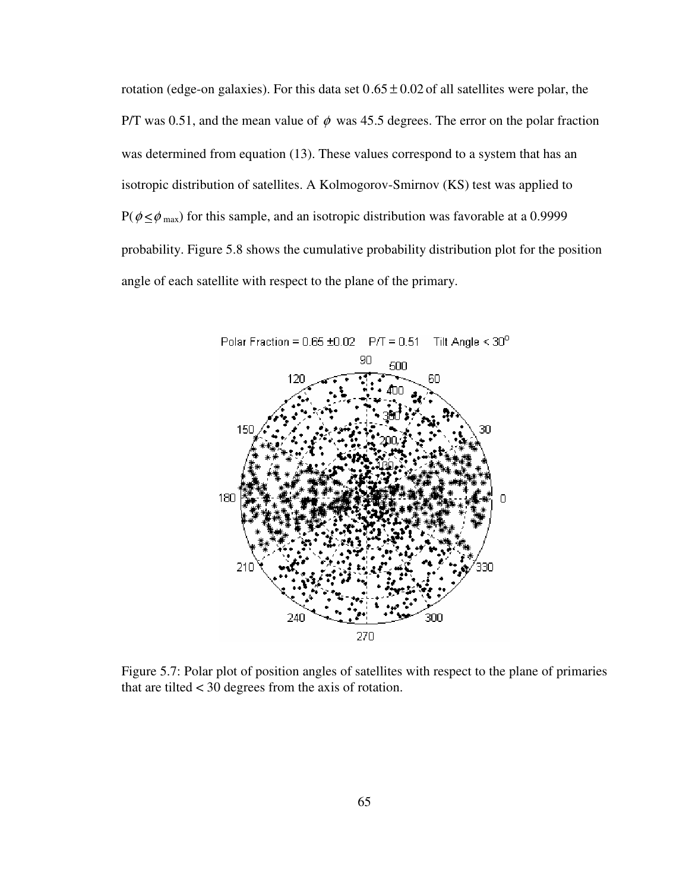rotation (edge-on galaxies). For this data set  $0.65 \pm 0.02$  of all satellites were polar, the P/T was 0.51, and the mean value of  $\phi$  was 45.5 degrees. The error on the polar fraction was determined from equation (13). These values correspond to a system that has an isotropic distribution of satellites. A Kolmogorov-Smirnov (KS) test was applied to  $P(\phi \leq \phi_{\text{max}})$  for this sample, and an isotropic distribution was favorable at a 0.9999 probability. Figure 5.8 shows the cumulative probability distribution plot for the position angle of each satellite with respect to the plane of the primary.



Figure 5.7: Polar plot of position angles of satellites with respect to the plane of primaries that are tilted < 30 degrees from the axis of rotation.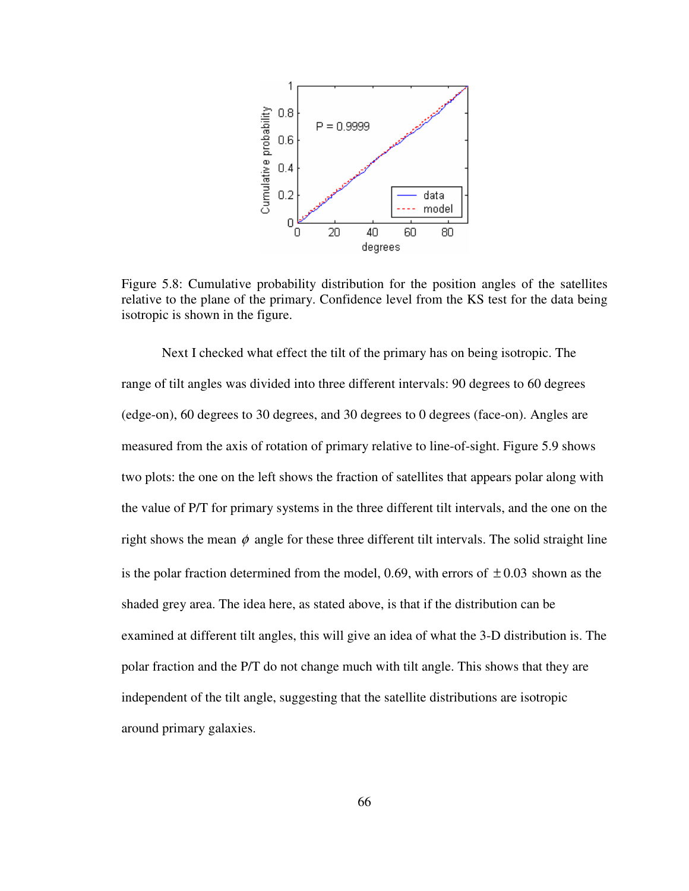

Figure 5.8: Cumulative probability distribution for the position angles of the satellites relative to the plane of the primary. Confidence level from the KS test for the data being isotropic is shown in the figure.

 Next I checked what effect the tilt of the primary has on being isotropic. The range of tilt angles was divided into three different intervals: 90 degrees to 60 degrees (edge-on), 60 degrees to 30 degrees, and 30 degrees to 0 degrees (face-on). Angles are measured from the axis of rotation of primary relative to line-of-sight. Figure 5.9 shows two plots: the one on the left shows the fraction of satellites that appears polar along with the value of P/T for primary systems in the three different tilt intervals, and the one on the right shows the mean  $\phi$  angle for these three different tilt intervals. The solid straight line is the polar fraction determined from the model, 0.69, with errors of  $\pm$  0.03 shown as the shaded grey area. The idea here, as stated above, is that if the distribution can be examined at different tilt angles, this will give an idea of what the 3-D distribution is. The polar fraction and the P/T do not change much with tilt angle. This shows that they are independent of the tilt angle, suggesting that the satellite distributions are isotropic around primary galaxies.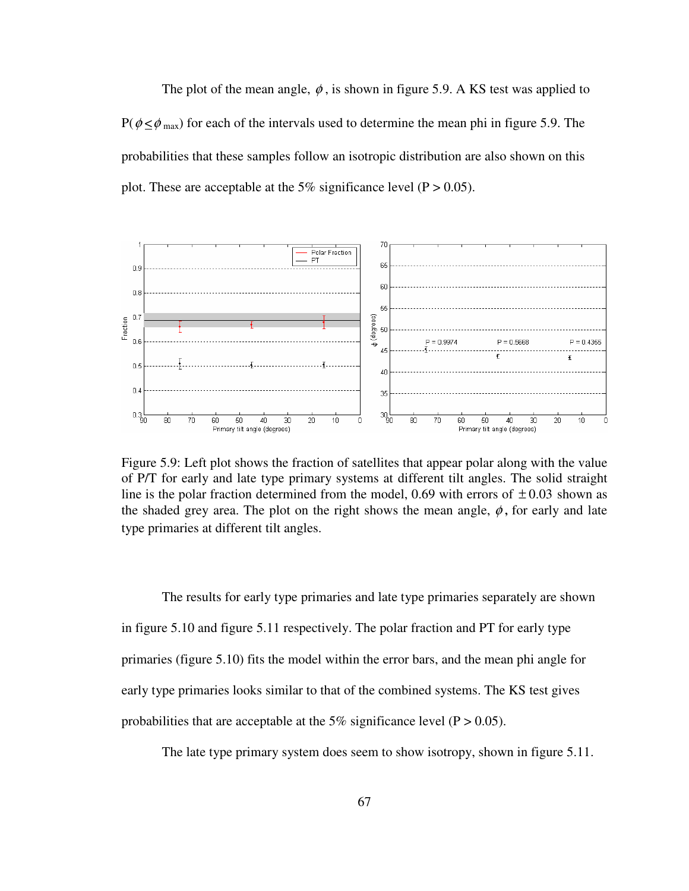The plot of the mean angle,  $\phi$ , is shown in figure 5.9. A KS test was applied to  $P(\phi \leq \phi_{\text{max}})$  for each of the intervals used to determine the mean phi in figure 5.9. The probabilities that these samples follow an isotropic distribution are also shown on this plot. These are acceptable at the 5% significance level ( $P > 0.05$ ).



Figure 5.9: Left plot shows the fraction of satellites that appear polar along with the value of P/T for early and late type primary systems at different tilt angles. The solid straight line is the polar fraction determined from the model, 0.69 with errors of  $\pm 0.03$  shown as the shaded grey area. The plot on the right shows the mean angle,  $\phi$ , for early and late type primaries at different tilt angles.

 The results for early type primaries and late type primaries separately are shown in figure 5.10 and figure 5.11 respectively. The polar fraction and PT for early type primaries (figure 5.10) fits the model within the error bars, and the mean phi angle for early type primaries looks similar to that of the combined systems. The KS test gives probabilities that are acceptable at the 5% significance level ( $P > 0.05$ ).

The late type primary system does seem to show isotropy, shown in figure 5.11.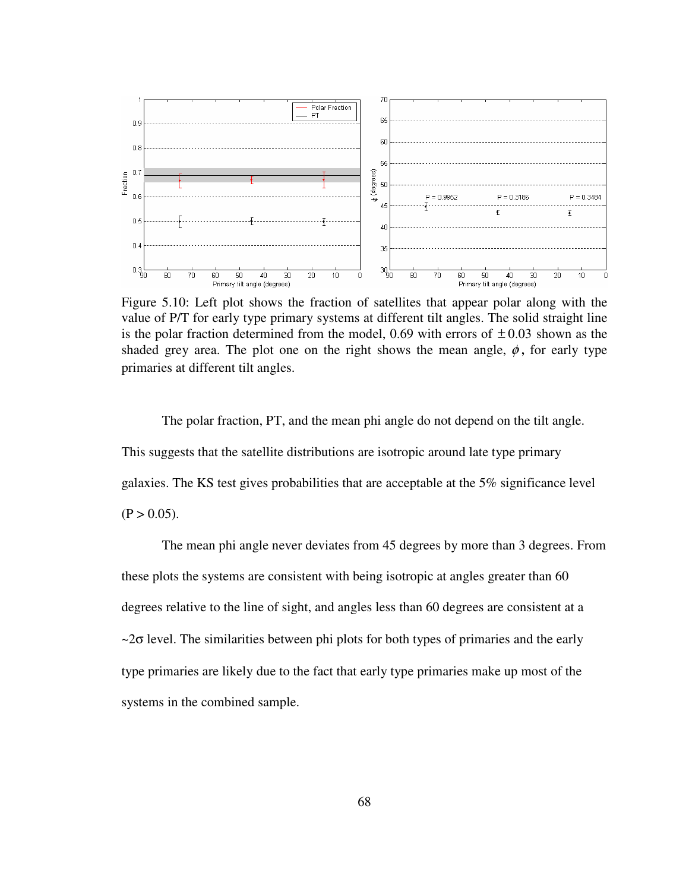

Figure 5.10: Left plot shows the fraction of satellites that appear polar along with the value of P/T for early type primary systems at different tilt angles. The solid straight line is the polar fraction determined from the model, 0.69 with errors of  $\pm$  0.03 shown as the shaded grey area. The plot one on the right shows the mean angle,  $\phi$ , for early type primaries at different tilt angles.

 The polar fraction, PT, and the mean phi angle do not depend on the tilt angle. This suggests that the satellite distributions are isotropic around late type primary galaxies. The KS test gives probabilities that are acceptable at the 5% significance level  $(P > 0.05)$ .

 The mean phi angle never deviates from 45 degrees by more than 3 degrees. From these plots the systems are consistent with being isotropic at angles greater than 60 degrees relative to the line of sight, and angles less than 60 degrees are consistent at a  $\sim$ 2 $\sigma$  level. The similarities between phi plots for both types of primaries and the early type primaries are likely due to the fact that early type primaries make up most of the systems in the combined sample.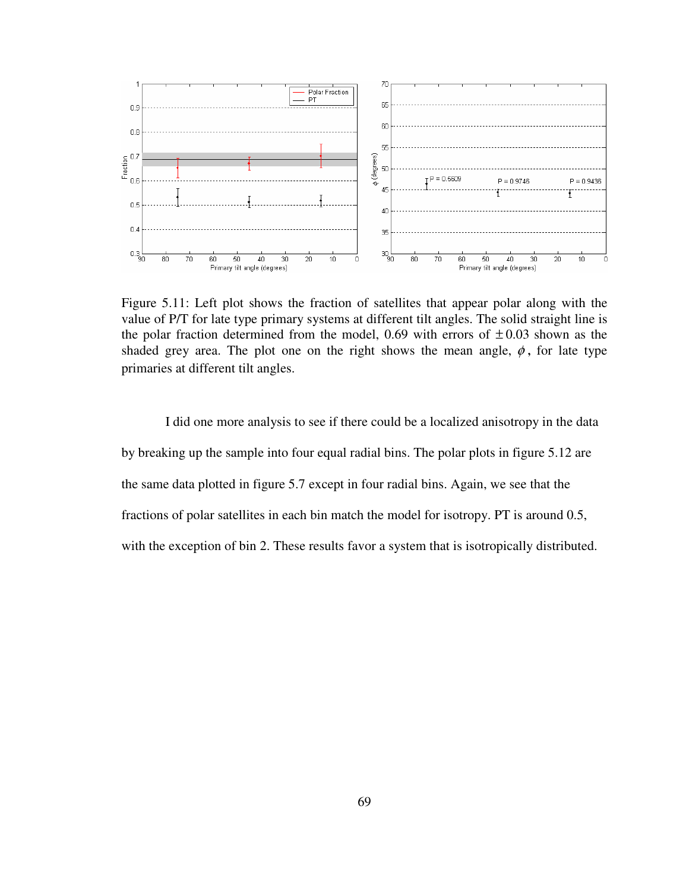

Figure 5.11: Left plot shows the fraction of satellites that appear polar along with the value of P/T for late type primary systems at different tilt angles. The solid straight line is the polar fraction determined from the model, 0.69 with errors of  $\pm 0.03$  shown as the shaded grey area. The plot one on the right shows the mean angle,  $\phi$ , for late type primaries at different tilt angles.

 I did one more analysis to see if there could be a localized anisotropy in the data by breaking up the sample into four equal radial bins. The polar plots in figure 5.12 are the same data plotted in figure 5.7 except in four radial bins. Again, we see that the fractions of polar satellites in each bin match the model for isotropy. PT is around 0.5, with the exception of bin 2. These results favor a system that is isotropically distributed.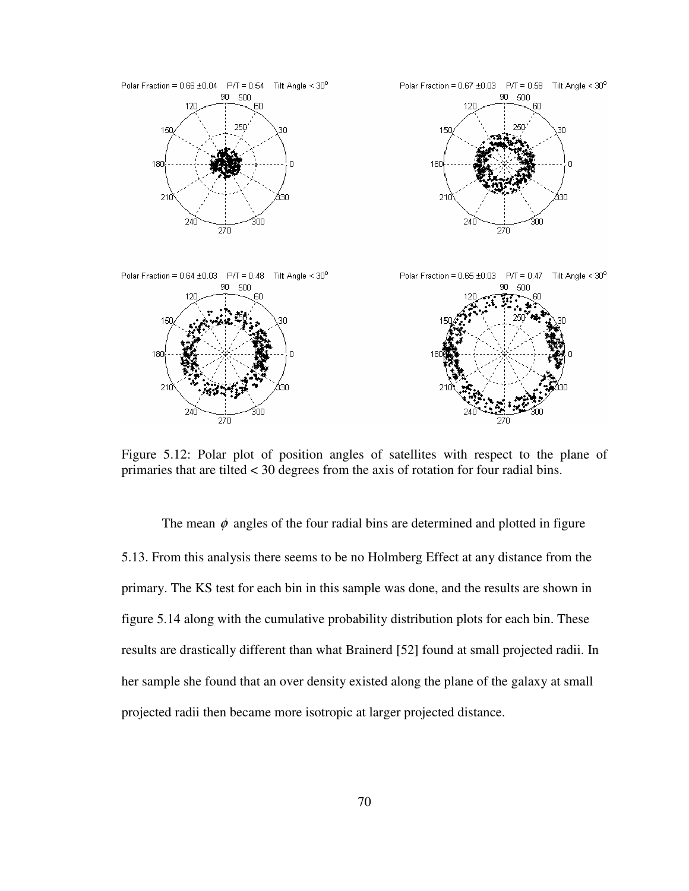

Figure 5.12: Polar plot of position angles of satellites with respect to the plane of primaries that are tilted < 30 degrees from the axis of rotation for four radial bins.

The mean  $\phi$  angles of the four radial bins are determined and plotted in figure 5.13. From this analysis there seems to be no Holmberg Effect at any distance from the primary. The KS test for each bin in this sample was done, and the results are shown in figure 5.14 along with the cumulative probability distribution plots for each bin. These results are drastically different than what Brainerd [52] found at small projected radii. In her sample she found that an over density existed along the plane of the galaxy at small projected radii then became more isotropic at larger projected distance.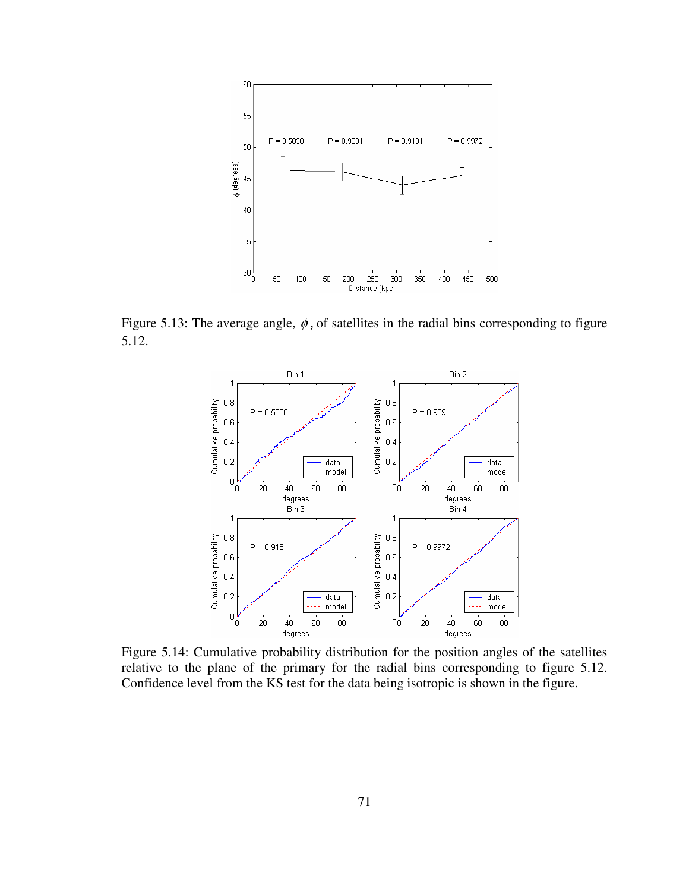

Figure 5.13: The average angle,  $\phi$ , of satellites in the radial bins corresponding to figure 5.12.



Figure 5.14: Cumulative probability distribution for the position angles of the satellites relative to the plane of the primary for the radial bins corresponding to figure 5.12. Confidence level from the KS test for the data being isotropic is shown in the figure.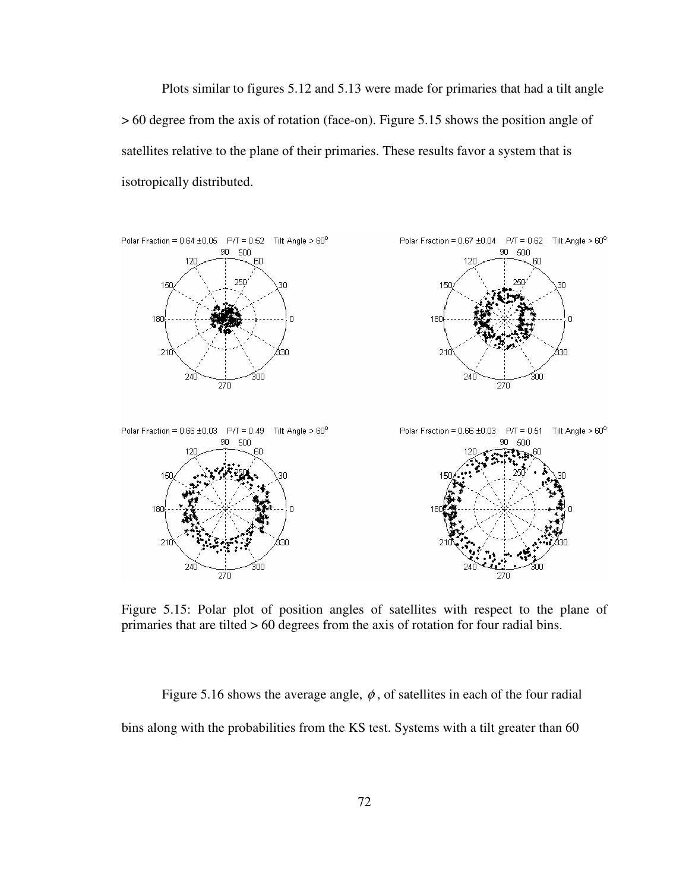Plots similar to figures 5.12 and 5.13 were made for primaries that had a tilt angle > 60 degree from the axis of rotation (face-on). Figure 5.15 shows the position angle of satellites relative to the plane of their primaries. These results favor a system that is isotropically distributed.



Figure 5.15: Polar plot of position angles of satellites with respect to the plane of primaries that are tilted > 60 degrees from the axis of rotation for four radial bins.

Figure 5.16 shows the average angle,  $\phi$ , of satellites in each of the four radial bins along with the probabilities from the KS test. Systems with a tilt greater than 60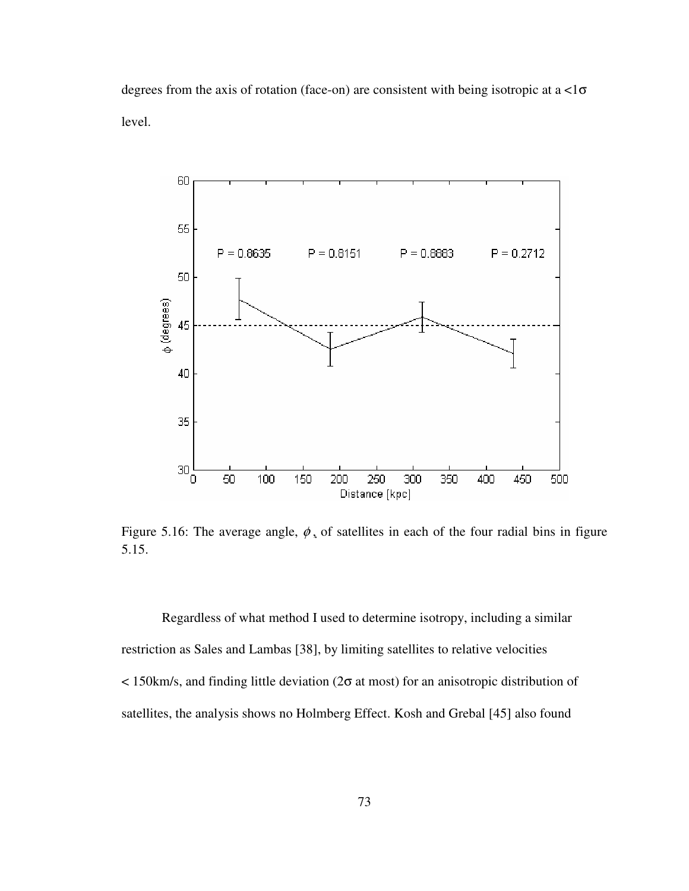degrees from the axis of rotation (face-on) are consistent with being isotropic at a <1σ level.



Figure 5.16: The average angle,  $\phi$ , of satellites in each of the four radial bins in figure 5.15.

 Regardless of what method I used to determine isotropy, including a similar restriction as Sales and Lambas [38], by limiting satellites to relative velocities  $\langle$  150 km/s, and finding little deviation (2 $\sigma$  at most) for an anisotropic distribution of satellites, the analysis shows no Holmberg Effect. Kosh and Grebal [45] also found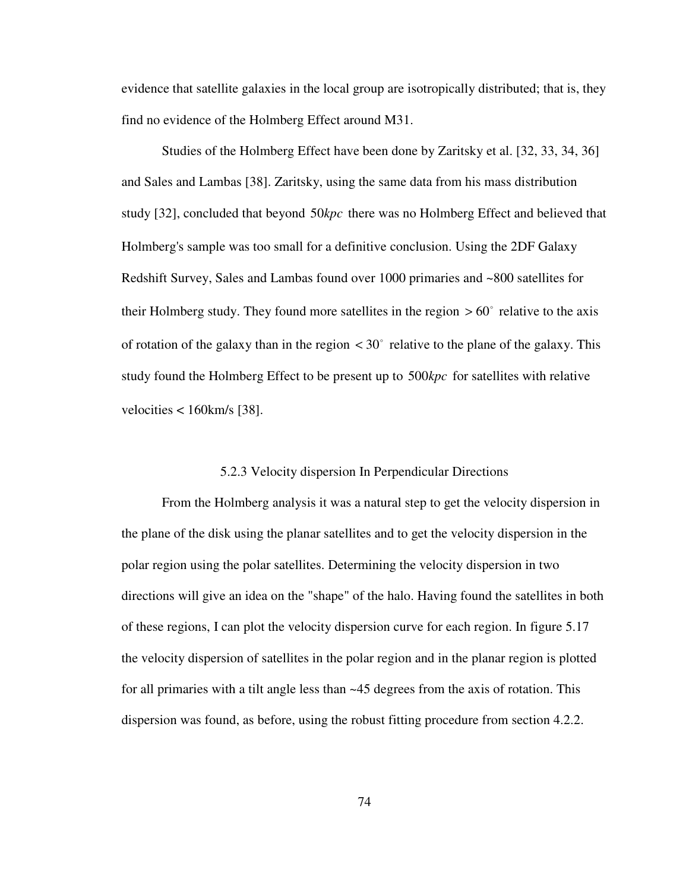evidence that satellite galaxies in the local group are isotropically distributed; that is, they find no evidence of the Holmberg Effect around M31.

 Studies of the Holmberg Effect have been done by Zaritsky et al. [32, 33, 34, 36] and Sales and Lambas [38]. Zaritsky, using the same data from his mass distribution study [32], concluded that beyond 50 kpc there was no Holmberg Effect and believed that Holmberg's sample was too small for a definitive conclusion. Using the 2DF Galaxy Redshift Survey, Sales and Lambas found over 1000 primaries and ~800 satellites for their Holmberg study. They found more satellites in the region  $> 60^\circ$  relative to the axis of rotation of the galaxy than in the region  $\langle 30^\circ \rangle$  relative to the plane of the galaxy. This study found the Holmberg Effect to be present up to 500kpc for satellites with relative velocities  $<$  160 km/s [38].

### 5.2.3 Velocity dispersion In Perpendicular Directions

 From the Holmberg analysis it was a natural step to get the velocity dispersion in the plane of the disk using the planar satellites and to get the velocity dispersion in the polar region using the polar satellites. Determining the velocity dispersion in two directions will give an idea on the "shape" of the halo. Having found the satellites in both of these regions, I can plot the velocity dispersion curve for each region. In figure 5.17 the velocity dispersion of satellites in the polar region and in the planar region is plotted for all primaries with a tilt angle less than ~45 degrees from the axis of rotation. This dispersion was found, as before, using the robust fitting procedure from section 4.2.2.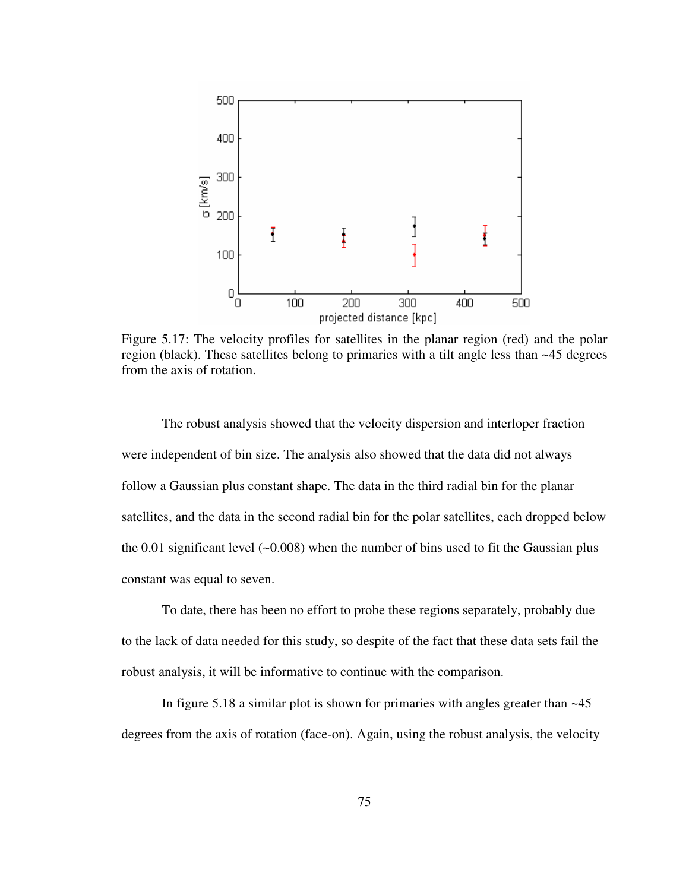

Figure 5.17: The velocity profiles for satellites in the planar region (red) and the polar region (black). These satellites belong to primaries with a tilt angle less than  $\sim$  45 degrees from the axis of rotation.

 The robust analysis showed that the velocity dispersion and interloper fraction were independent of bin size. The analysis also showed that the data did not always follow a Gaussian plus constant shape. The data in the third radial bin for the planar satellites, and the data in the second radial bin for the polar satellites, each dropped below the  $0.01$  significant level ( $\sim 0.008$ ) when the number of bins used to fit the Gaussian plus constant was equal to seven.

 To date, there has been no effort to probe these regions separately, probably due to the lack of data needed for this study, so despite of the fact that these data sets fail the robust analysis, it will be informative to continue with the comparison.

 In figure 5.18 a similar plot is shown for primaries with angles greater than ~45 degrees from the axis of rotation (face-on). Again, using the robust analysis, the velocity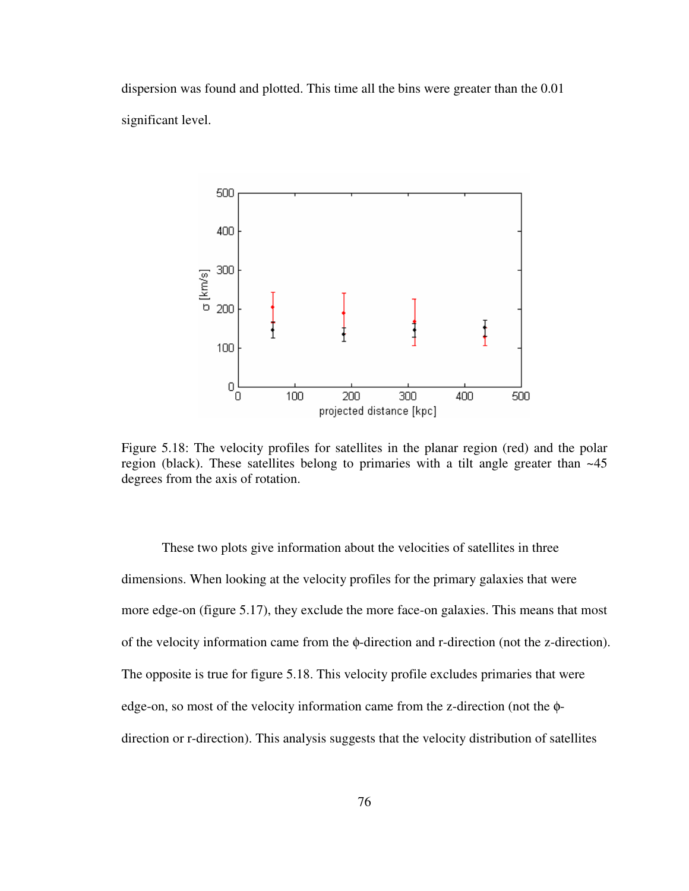dispersion was found and plotted. This time all the bins were greater than the 0.01 significant level.



Figure 5.18: The velocity profiles for satellites in the planar region (red) and the polar region (black). These satellites belong to primaries with a tilt angle greater than ~45 degrees from the axis of rotation.

 These two plots give information about the velocities of satellites in three dimensions. When looking at the velocity profiles for the primary galaxies that were more edge-on (figure 5.17), they exclude the more face-on galaxies. This means that most of the velocity information came from the φ-direction and r-direction (not the z-direction). The opposite is true for figure 5.18. This velocity profile excludes primaries that were edge-on, so most of the velocity information came from the z-direction (not the φdirection or r-direction). This analysis suggests that the velocity distribution of satellites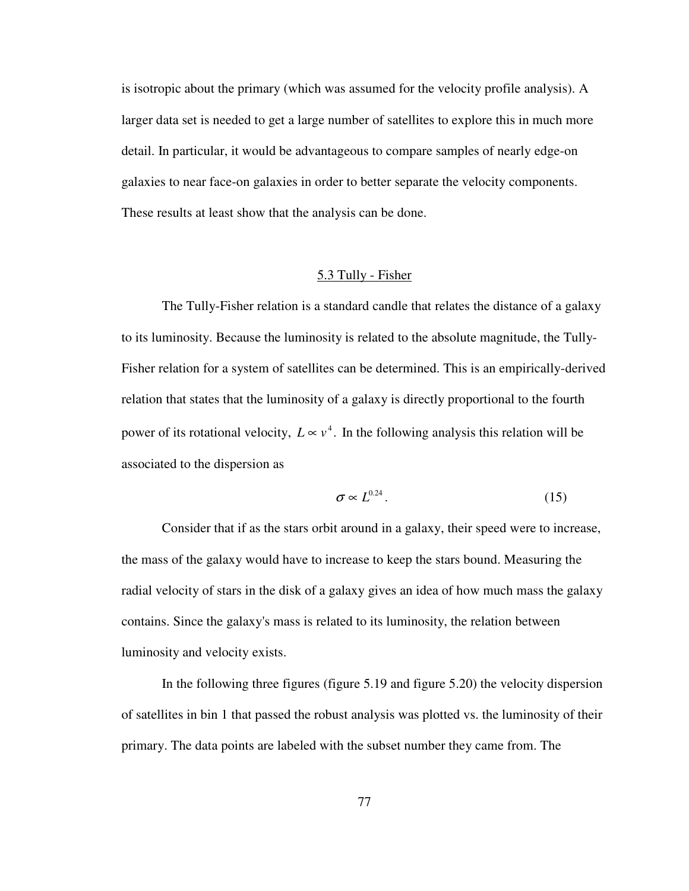is isotropic about the primary (which was assumed for the velocity profile analysis). A larger data set is needed to get a large number of satellites to explore this in much more detail. In particular, it would be advantageous to compare samples of nearly edge-on galaxies to near face-on galaxies in order to better separate the velocity components. These results at least show that the analysis can be done.

### 5.3 Tully - Fisher

 The Tully-Fisher relation is a standard candle that relates the distance of a galaxy to its luminosity. Because the luminosity is related to the absolute magnitude, the Tully-Fisher relation for a system of satellites can be determined. This is an empirically-derived relation that states that the luminosity of a galaxy is directly proportional to the fourth power of its rotational velocity,  $L \propto v^4$ . In the following analysis this relation will be associated to the dispersion as

$$
\sigma \propto L^{0.24}.\tag{15}
$$

 Consider that if as the stars orbit around in a galaxy, their speed were to increase, the mass of the galaxy would have to increase to keep the stars bound. Measuring the radial velocity of stars in the disk of a galaxy gives an idea of how much mass the galaxy contains. Since the galaxy's mass is related to its luminosity, the relation between luminosity and velocity exists.

 In the following three figures (figure 5.19 and figure 5.20) the velocity dispersion of satellites in bin 1 that passed the robust analysis was plotted vs. the luminosity of their primary. The data points are labeled with the subset number they came from. The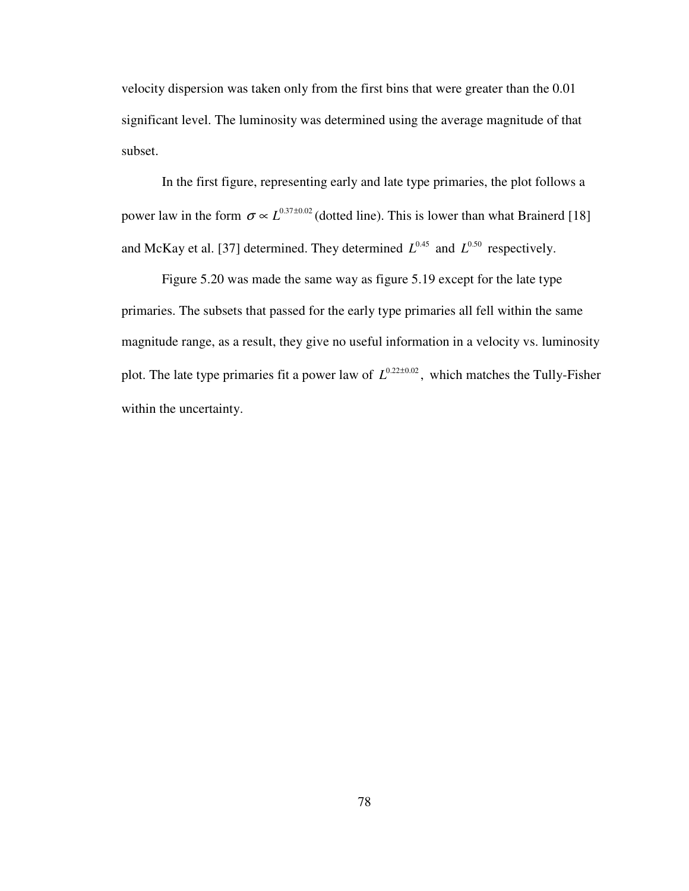velocity dispersion was taken only from the first bins that were greater than the 0.01 significant level. The luminosity was determined using the average magnitude of that subset.

 In the first figure, representing early and late type primaries, the plot follows a power law in the form  $\sigma \propto L^{0.37 \pm 0.02}$  (dotted line). This is lower than what Brainerd [18] and McKay et al. [37] determined. They determined  $L^{0.45}$  and  $L^{0.50}$  respectively.

 Figure 5.20 was made the same way as figure 5.19 except for the late type primaries. The subsets that passed for the early type primaries all fell within the same magnitude range, as a result, they give no useful information in a velocity vs. luminosity plot. The late type primaries fit a power law of  $L^{0.22\pm 0.02}$ , which matches the Tully-Fisher within the uncertainty.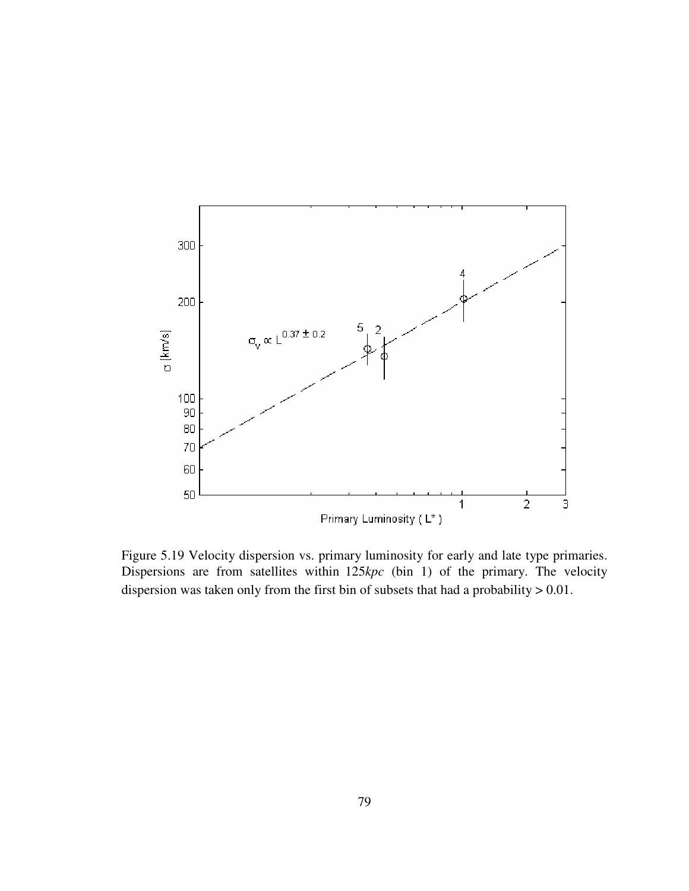

Figure 5.19 Velocity dispersion vs. primary luminosity for early and late type primaries. Dispersions are from satellites within 125kpc (bin 1) of the primary. The velocity dispersion was taken only from the first bin of subsets that had a probability > 0.01.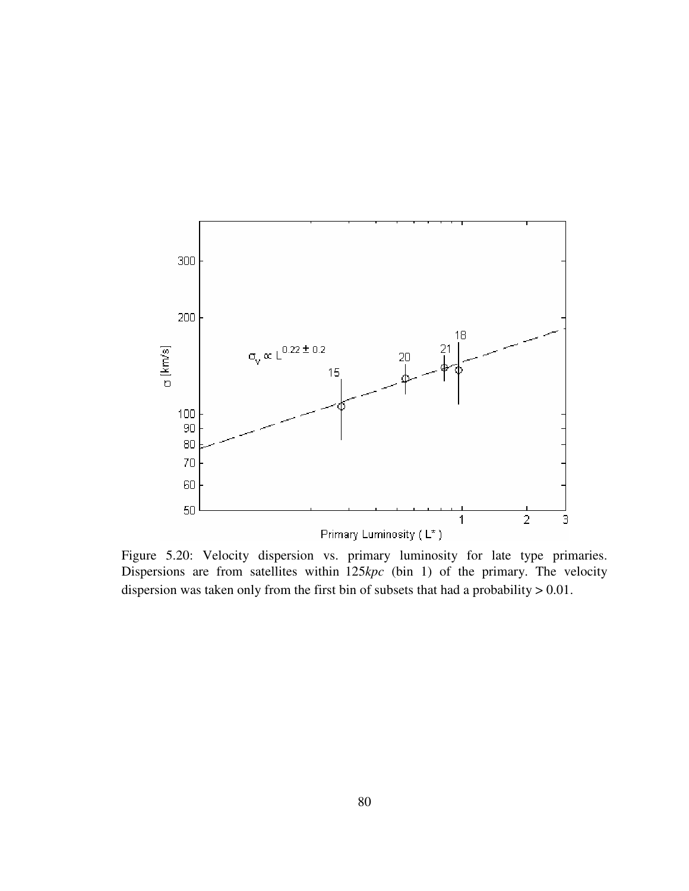

Figure 5.20: Velocity dispersion vs. primary luminosity for late type primaries. Dispersions are from satellites within 125kpc (bin 1) of the primary. The velocity dispersion was taken only from the first bin of subsets that had a probability > 0.01.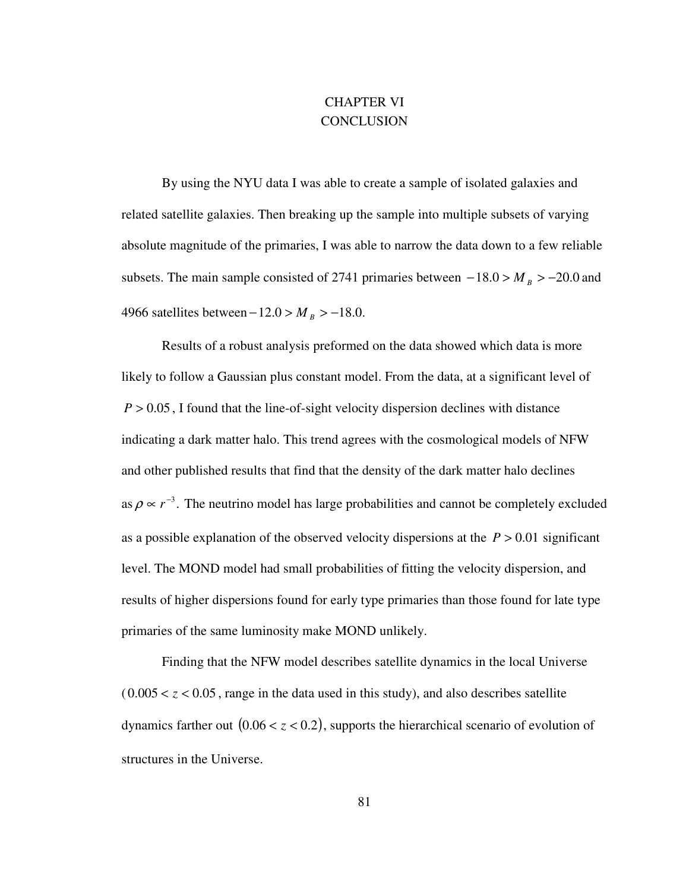# CHAPTER VI **CONCLUSION**

 By using the NYU data I was able to create a sample of isolated galaxies and related satellite galaxies. Then breaking up the sample into multiple subsets of varying absolute magnitude of the primaries, I was able to narrow the data down to a few reliable subsets. The main sample consisted of 2741 primaries between  $-18.0 > M_B > -20.0$  and 4966 satellites between  $-12.0 > M_B > -18.0$ .

 Results of a robust analysis preformed on the data showed which data is more likely to follow a Gaussian plus constant model. From the data, at a significant level of  $P > 0.05$ , I found that the line-of-sight velocity dispersion declines with distance indicating a dark matter halo. This trend agrees with the cosmological models of NFW and other published results that find that the density of the dark matter halo declines as  $\rho \propto r^{-3}$ . The neutrino model has large probabilities and cannot be completely excluded as a possible explanation of the observed velocity dispersions at the  $P > 0.01$  significant level. The MOND model had small probabilities of fitting the velocity dispersion, and results of higher dispersions found for early type primaries than those found for late type primaries of the same luminosity make MOND unlikely.

 Finding that the NFW model describes satellite dynamics in the local Universe  $(0.005 < z < 0.05$ , range in the data used in this study), and also describes satellite dynamics farther out  $(0.06 < z < 0.2)$ , supports the hierarchical scenario of evolution of structures in the Universe.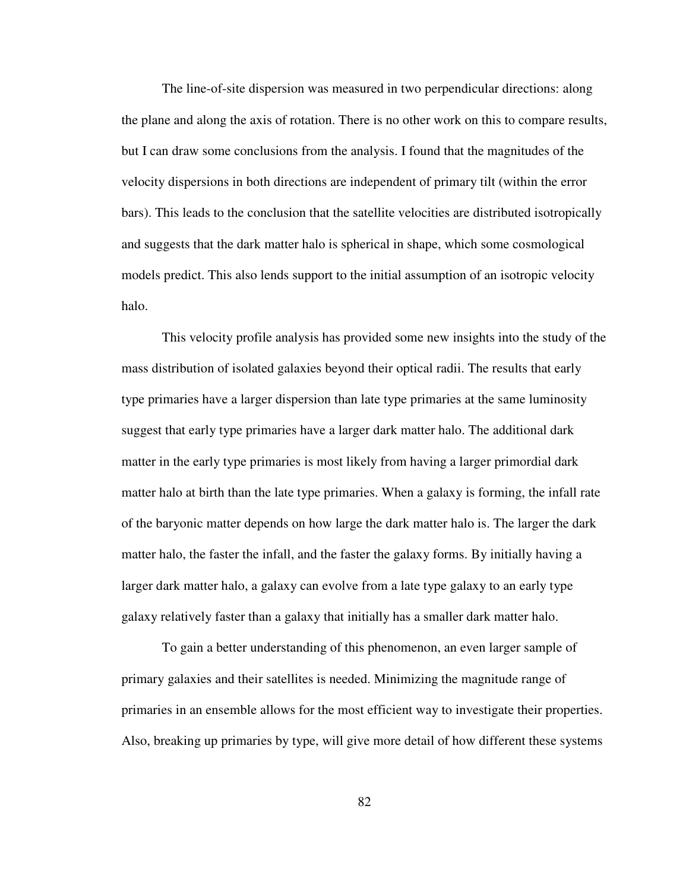The line-of-site dispersion was measured in two perpendicular directions: along the plane and along the axis of rotation. There is no other work on this to compare results, but I can draw some conclusions from the analysis. I found that the magnitudes of the velocity dispersions in both directions are independent of primary tilt (within the error bars). This leads to the conclusion that the satellite velocities are distributed isotropically and suggests that the dark matter halo is spherical in shape, which some cosmological models predict. This also lends support to the initial assumption of an isotropic velocity halo.

 This velocity profile analysis has provided some new insights into the study of the mass distribution of isolated galaxies beyond their optical radii. The results that early type primaries have a larger dispersion than late type primaries at the same luminosity suggest that early type primaries have a larger dark matter halo. The additional dark matter in the early type primaries is most likely from having a larger primordial dark matter halo at birth than the late type primaries. When a galaxy is forming, the infall rate of the baryonic matter depends on how large the dark matter halo is. The larger the dark matter halo, the faster the infall, and the faster the galaxy forms. By initially having a larger dark matter halo, a galaxy can evolve from a late type galaxy to an early type galaxy relatively faster than a galaxy that initially has a smaller dark matter halo.

 To gain a better understanding of this phenomenon, an even larger sample of primary galaxies and their satellites is needed. Minimizing the magnitude range of primaries in an ensemble allows for the most efficient way to investigate their properties. Also, breaking up primaries by type, will give more detail of how different these systems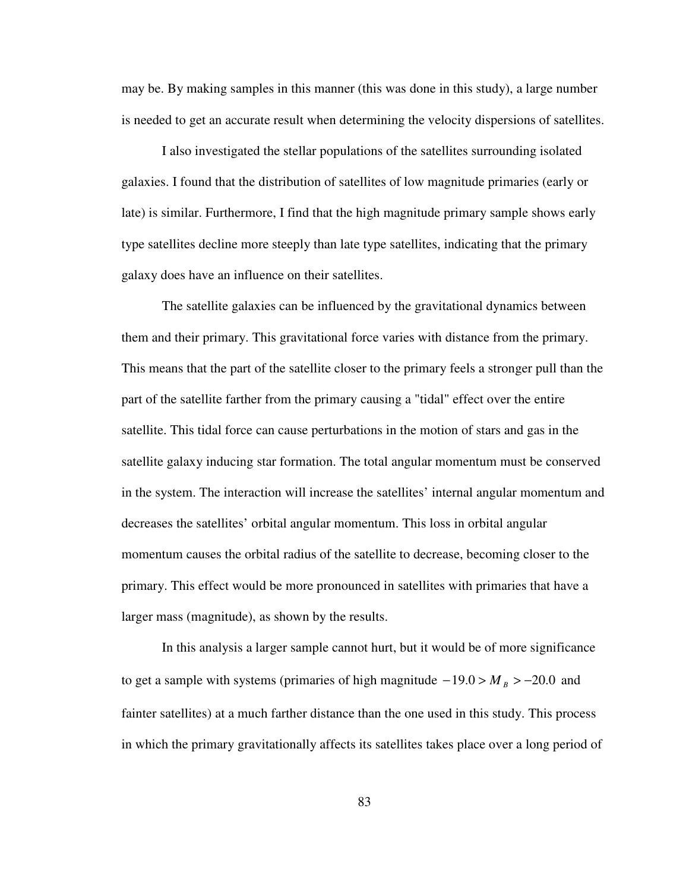may be. By making samples in this manner (this was done in this study), a large number is needed to get an accurate result when determining the velocity dispersions of satellites.

 I also investigated the stellar populations of the satellites surrounding isolated galaxies. I found that the distribution of satellites of low magnitude primaries (early or late) is similar. Furthermore, I find that the high magnitude primary sample shows early type satellites decline more steeply than late type satellites, indicating that the primary galaxy does have an influence on their satellites.

 The satellite galaxies can be influenced by the gravitational dynamics between them and their primary. This gravitational force varies with distance from the primary. This means that the part of the satellite closer to the primary feels a stronger pull than the part of the satellite farther from the primary causing a "tidal" effect over the entire satellite. This tidal force can cause perturbations in the motion of stars and gas in the satellite galaxy inducing star formation. The total angular momentum must be conserved in the system. The interaction will increase the satellites' internal angular momentum and decreases the satellites' orbital angular momentum. This loss in orbital angular momentum causes the orbital radius of the satellite to decrease, becoming closer to the primary. This effect would be more pronounced in satellites with primaries that have a larger mass (magnitude), as shown by the results.

 In this analysis a larger sample cannot hurt, but it would be of more significance to get a sample with systems (primaries of high magnitude  $-19.0 > M_B > -20.0$  and fainter satellites) at a much farther distance than the one used in this study. This process in which the primary gravitationally affects its satellites takes place over a long period of

83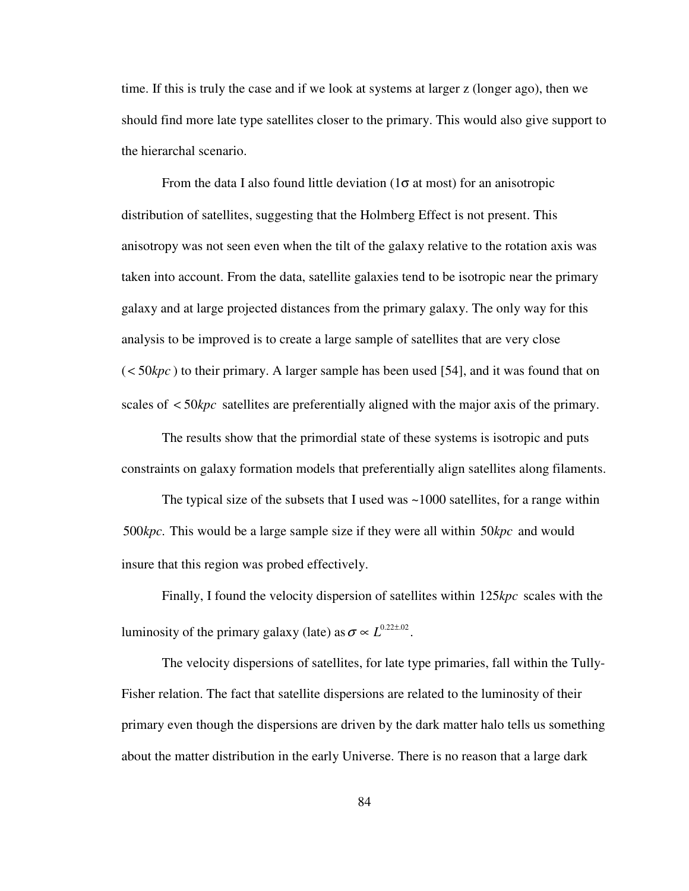time. If this is truly the case and if we look at systems at larger z (longer ago), then we should find more late type satellites closer to the primary. This would also give support to the hierarchal scenario.

From the data I also found little deviation  $(1\sigma \text{ at most})$  for an anisotropic distribution of satellites, suggesting that the Holmberg Effect is not present. This anisotropy was not seen even when the tilt of the galaxy relative to the rotation axis was taken into account. From the data, satellite galaxies tend to be isotropic near the primary galaxy and at large projected distances from the primary galaxy. The only way for this analysis to be improved is to create a large sample of satellites that are very close  $(<50kpc$ ) to their primary. A larger sample has been used [54], and it was found that on scales of < 50*kpc* satellites are preferentially aligned with the major axis of the primary.

 The results show that the primordial state of these systems is isotropic and puts constraints on galaxy formation models that preferentially align satellites along filaments.

The typical size of the subsets that I used was  $\sim$ 1000 satellites, for a range within 500kpc. This would be a large sample size if they were all within 50kpc and would insure that this region was probed effectively.

Finally, I found the velocity dispersion of satellites within 125 kpc scales with the luminosity of the primary galaxy (late) as  $\sigma \propto L^{0.22 \pm .02}$ .

 The velocity dispersions of satellites, for late type primaries, fall within the Tully-Fisher relation. The fact that satellite dispersions are related to the luminosity of their primary even though the dispersions are driven by the dark matter halo tells us something about the matter distribution in the early Universe. There is no reason that a large dark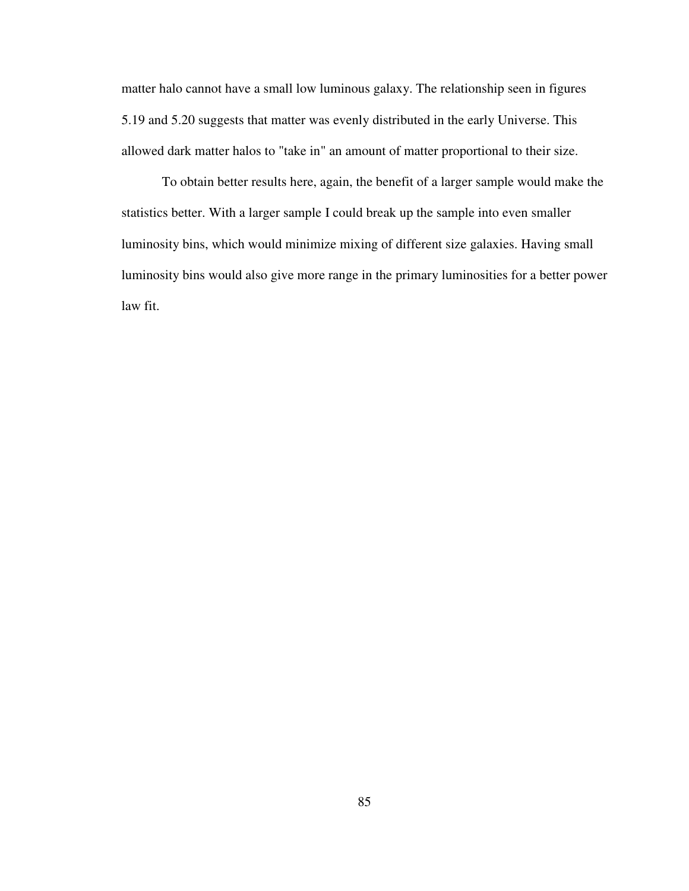matter halo cannot have a small low luminous galaxy. The relationship seen in figures 5.19 and 5.20 suggests that matter was evenly distributed in the early Universe. This allowed dark matter halos to "take in" an amount of matter proportional to their size.

 To obtain better results here, again, the benefit of a larger sample would make the statistics better. With a larger sample I could break up the sample into even smaller luminosity bins, which would minimize mixing of different size galaxies. Having small luminosity bins would also give more range in the primary luminosities for a better power law fit.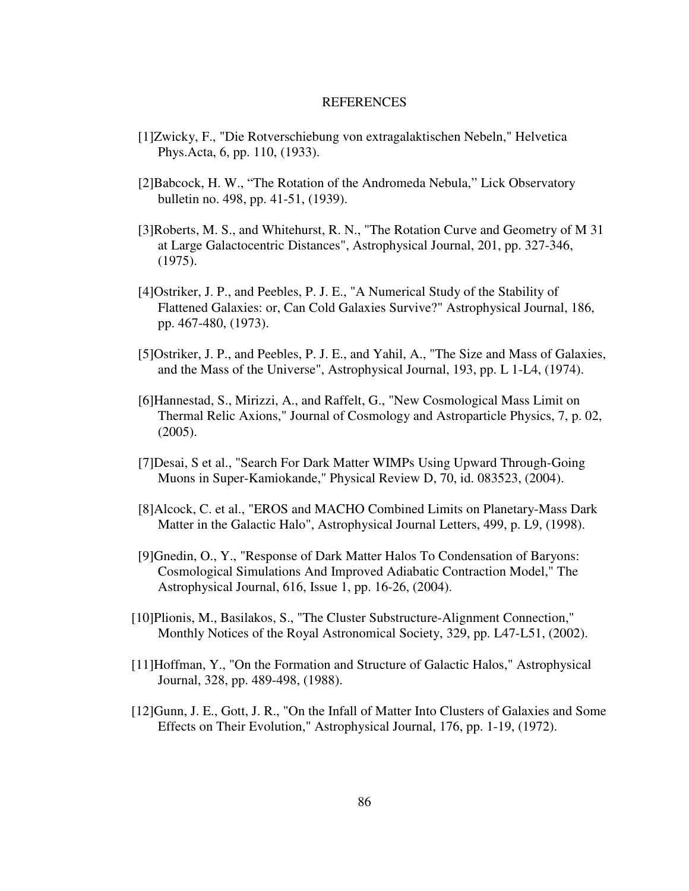### **REFERENCES**

- [1]Zwicky, F., "Die Rotverschiebung von extragalaktischen Nebeln," Helvetica Phys.Acta, 6, pp. 110, (1933).
- [2]Babcock, H. W., "The Rotation of the Andromeda Nebula," Lick Observatory bulletin no. 498, pp. 41-51, (1939).
- [3]Roberts, M. S., and Whitehurst, R. N., "The Rotation Curve and Geometry of M 31 at Large Galactocentric Distances", Astrophysical Journal, 201, pp. 327-346, (1975).
- [4]Ostriker, J. P., and Peebles, P. J. E., "A Numerical Study of the Stability of Flattened Galaxies: or, Can Cold Galaxies Survive?" Astrophysical Journal, 186, pp. 467-480, (1973).
- [5]Ostriker, J. P., and Peebles, P. J. E., and Yahil, A., "The Size and Mass of Galaxies, and the Mass of the Universe", Astrophysical Journal, 193, pp. L 1-L4, (1974).
- [6]Hannestad, S., Mirizzi, A., and Raffelt, G., "New Cosmological Mass Limit on Thermal Relic Axions," Journal of Cosmology and Astroparticle Physics, 7, p. 02, (2005).
- [7]Desai, S et al., "Search For Dark Matter WIMPs Using Upward Through-Going Muons in Super-Kamiokande," Physical Review D, 70, id. 083523, (2004).
- [8]Alcock, C. et al., "EROS and MACHO Combined Limits on Planetary-Mass Dark Matter in the Galactic Halo", Astrophysical Journal Letters, 499, p. L9, (1998).
- [9]Gnedin, O., Y., "Response of Dark Matter Halos To Condensation of Baryons: Cosmological Simulations And Improved Adiabatic Contraction Model," The Astrophysical Journal, 616, Issue 1, pp. 16-26, (2004).
- [10]Plionis, M., Basilakos, S., "The Cluster Substructure-Alignment Connection," Monthly Notices of the Royal Astronomical Society, 329, pp. L47-L51, (2002).
- [11]Hoffman, Y., "On the Formation and Structure of Galactic Halos," Astrophysical Journal, 328, pp. 489-498, (1988).
- [12]Gunn, J. E., Gott, J. R., "On the Infall of Matter Into Clusters of Galaxies and Some Effects on Their Evolution," Astrophysical Journal, 176, pp. 1-19, (1972).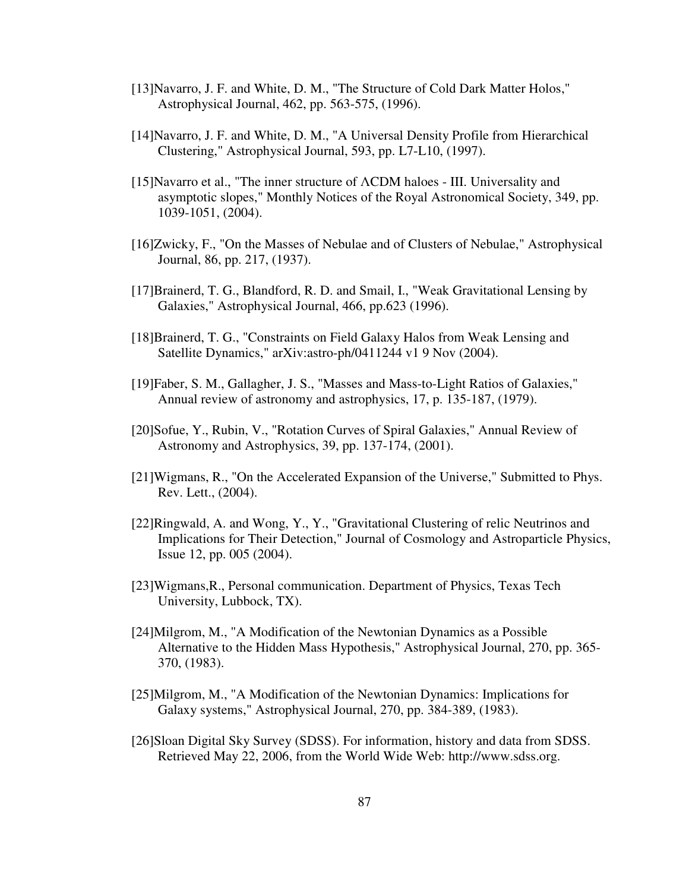- [13]Navarro, J. F. and White, D. M., "The Structure of Cold Dark Matter Holos," Astrophysical Journal, 462, pp. 563-575, (1996).
- [14]Navarro, J. F. and White, D. M., "A Universal Density Profile from Hierarchical Clustering," Astrophysical Journal, 593, pp. L7-L10, (1997).
- [15]Navarro et al., "The inner structure of ΛCDM haloes III. Universality and asymptotic slopes," Monthly Notices of the Royal Astronomical Society, 349, pp. 1039-1051, (2004).
- [16]Zwicky, F., "On the Masses of Nebulae and of Clusters of Nebulae," Astrophysical Journal, 86, pp. 217, (1937).
- [17]Brainerd, T. G., Blandford, R. D. and Smail, I., "Weak Gravitational Lensing by Galaxies," Astrophysical Journal, 466, pp.623 (1996).
- [18]Brainerd, T. G., "Constraints on Field Galaxy Halos from Weak Lensing and Satellite Dynamics," arXiv:astro-ph/0411244 v1 9 Nov (2004).
- [19]Faber, S. M., Gallagher, J. S., "Masses and Mass-to-Light Ratios of Galaxies," Annual review of astronomy and astrophysics, 17, p. 135-187, (1979).
- [20]Sofue, Y., Rubin, V., "Rotation Curves of Spiral Galaxies," Annual Review of Astronomy and Astrophysics, 39, pp. 137-174, (2001).
- [21]Wigmans, R., "On the Accelerated Expansion of the Universe," Submitted to Phys. Rev. Lett., (2004).
- [22]Ringwald, A. and Wong, Y., Y., "Gravitational Clustering of relic Neutrinos and Implications for Their Detection," Journal of Cosmology and Astroparticle Physics, Issue 12, pp. 005 (2004).
- [23]Wigmans,R., Personal communication. Department of Physics, Texas Tech University, Lubbock, TX).
- [24]Milgrom, M., "A Modification of the Newtonian Dynamics as a Possible Alternative to the Hidden Mass Hypothesis," Astrophysical Journal, 270, pp. 365- 370, (1983).
- [25]Milgrom, M., "A Modification of the Newtonian Dynamics: Implications for Galaxy systems," Astrophysical Journal, 270, pp. 384-389, (1983).
- [26]Sloan Digital Sky Survey (SDSS). For information, history and data from SDSS. Retrieved May 22, 2006, from the World Wide Web: http://www.sdss.org.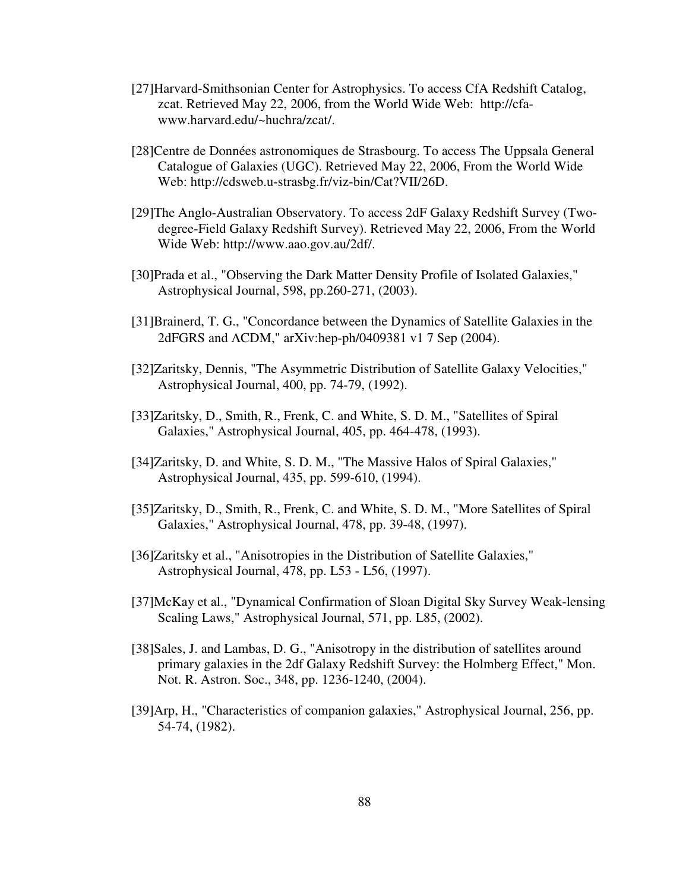- [27]Harvard-Smithsonian Center for Astrophysics. To access CfA Redshift Catalog, zcat. Retrieved May 22, 2006, from the World Wide Web: http://cfawww.harvard.edu/~huchra/zcat/.
- [28]Centre de Données astronomiques de Strasbourg. To access The Uppsala General Catalogue of Galaxies (UGC). Retrieved May 22, 2006, From the World Wide Web: http://cdsweb.u-strasbg.fr/viz-bin/Cat?VII/26D.
- [29]The Anglo-Australian Observatory. To access 2dF Galaxy Redshift Survey (Twodegree-Field Galaxy Redshift Survey). Retrieved May 22, 2006, From the World Wide Web: http://www.aao.gov.au/2df/.
- [30]Prada et al., "Observing the Dark Matter Density Profile of Isolated Galaxies," Astrophysical Journal, 598, pp.260-271, (2003).
- [31]Brainerd, T. G., "Concordance between the Dynamics of Satellite Galaxies in the 2dFGRS and ΛCDM," arXiv:hep-ph/0409381 v1 7 Sep (2004).
- [32]Zaritsky, Dennis, "The Asymmetric Distribution of Satellite Galaxy Velocities," Astrophysical Journal, 400, pp. 74-79, (1992).
- [33]Zaritsky, D., Smith, R., Frenk, C. and White, S. D. M., "Satellites of Spiral Galaxies," Astrophysical Journal, 405, pp. 464-478, (1993).
- [34]Zaritsky, D. and White, S. D. M., "The Massive Halos of Spiral Galaxies," Astrophysical Journal, 435, pp. 599-610, (1994).
- [35]Zaritsky, D., Smith, R., Frenk, C. and White, S. D. M., "More Satellites of Spiral Galaxies," Astrophysical Journal, 478, pp. 39-48, (1997).
- [36]Zaritsky et al., "Anisotropies in the Distribution of Satellite Galaxies," Astrophysical Journal, 478, pp. L53 - L56, (1997).
- [37]McKay et al., "Dynamical Confirmation of Sloan Digital Sky Survey Weak-lensing Scaling Laws," Astrophysical Journal, 571, pp. L85, (2002).
- [38]Sales, J. and Lambas, D. G., "Anisotropy in the distribution of satellites around primary galaxies in the 2df Galaxy Redshift Survey: the Holmberg Effect," Mon. Not. R. Astron. Soc., 348, pp. 1236-1240, (2004).
- [39]Arp, H., "Characteristics of companion galaxies," Astrophysical Journal, 256, pp. 54-74, (1982).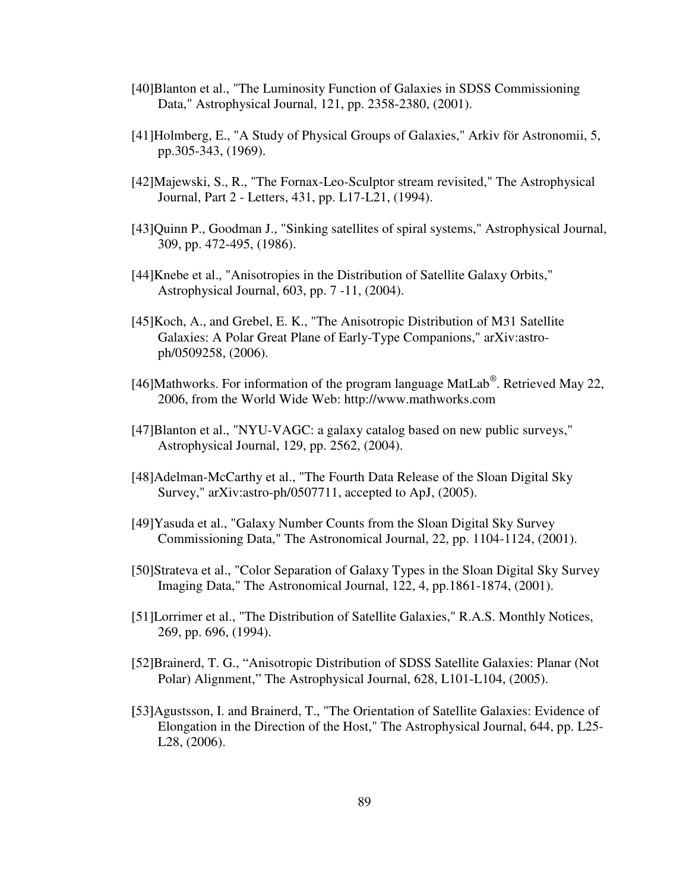- [40]Blanton et al., "The Luminosity Function of Galaxies in SDSS Commissioning Data," Astrophysical Journal, 121, pp. 2358-2380, (2001).
- [41]Holmberg, E., "A Study of Physical Groups of Galaxies," Arkiv för Astronomii, 5, pp.305-343, (1969).
- [42]Majewski, S., R., "The Fornax-Leo-Sculptor stream revisited," The Astrophysical Journal, Part 2 - Letters, 431, pp. L17-L21, (1994).
- [43]Quinn P., Goodman J., "Sinking satellites of spiral systems," Astrophysical Journal, 309, pp. 472-495, (1986).
- [44]Knebe et al., "Anisotropies in the Distribution of Satellite Galaxy Orbits," Astrophysical Journal, 603, pp. 7 -11, (2004).
- [45] Koch, A., and Grebel, E. K., "The Anisotropic Distribution of M31 Satellite Galaxies: A Polar Great Plane of Early-Type Companions," arXiv:astroph/0509258, (2006).
- [46]Mathworks. For information of the program language MatLab®. Retrieved May 22, 2006, from the World Wide Web: http://www.mathworks.com
- [47]Blanton et al., "NYU-VAGC: a galaxy catalog based on new public surveys," Astrophysical Journal, 129, pp. 2562, (2004).
- [48]Adelman-McCarthy et al., "The Fourth Data Release of the Sloan Digital Sky Survey," arXiv:astro-ph/0507711, accepted to ApJ, (2005).
- [49]Yasuda et al., "Galaxy Number Counts from the Sloan Digital Sky Survey Commissioning Data," The Astronomical Journal, 22, pp. 1104-1124, (2001).
- [50]Strateva et al., "Color Separation of Galaxy Types in the Sloan Digital Sky Survey Imaging Data," The Astronomical Journal, 122, 4, pp.1861-1874, (2001).
- [51]Lorrimer et al., "The Distribution of Satellite Galaxies," R.A.S. Monthly Notices, 269, pp. 696, (1994).
- [52]Brainerd, T. G., "Anisotropic Distribution of SDSS Satellite Galaxies: Planar (Not Polar) Alignment," The Astrophysical Journal, 628, L101-L104, (2005).
- [53]Agustsson, I. and Brainerd, T., "The Orientation of Satellite Galaxies: Evidence of Elongation in the Direction of the Host," The Astrophysical Journal, 644, pp. L25- L28, (2006).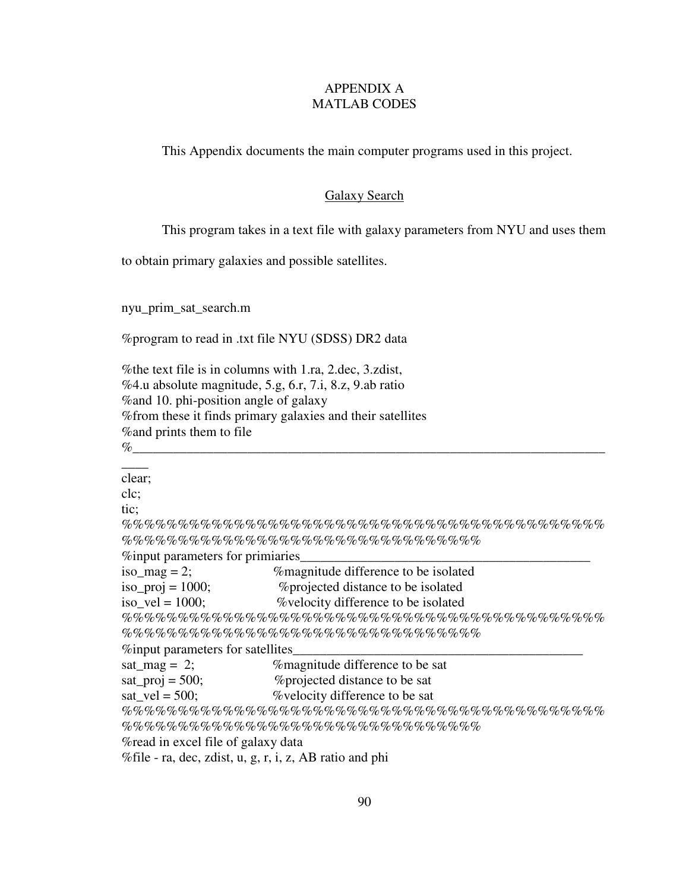# APPENDIX A MATLAB CODES

This Appendix documents the main computer programs used in this project.

## Galaxy Search

This program takes in a text file with galaxy parameters from NYU and uses them

to obtain primary galaxies and possible satellites.

nyu\_prim\_sat\_search.m

%program to read in .txt file NYU (SDSS) DR2 data

%the text file is in columns with 1.ra, 2.dec, 3.zdist, %4.u absolute magnitude, 5.g, 6.r, 7.i, 8.z, 9.ab ratio %and 10. phi-position angle of galaxy %from these it finds primary galaxies and their satellites %and prints them to file %\_\_\_\_\_\_\_\_\_\_\_\_\_\_\_\_\_\_\_\_\_\_\_\_\_\_\_\_\_\_\_\_\_\_\_\_\_\_\_\_\_\_\_\_\_\_\_\_\_\_\_\_\_\_\_\_\_\_\_\_\_\_\_\_\_\_\_\_\_\_

 $\overline{\phantom{a}}$ clear; clc; tic; %%%%%%%%%%%%%%%%%%%%%%%%%%%%%%%%%%%%%%%%%%% %%%%%%%%%%%%%%%%%%%%%%%%%%%%%%%% %input parameters for primiaries\_\_\_\_\_\_\_\_\_\_\_\_\_\_\_\_\_\_\_\_\_\_\_\_\_\_\_\_\_\_\_\_\_\_\_\_\_\_\_\_\_\_\_ iso\_mag = 2;  $\%$  magnitude difference to be isolated iso\_proj = 1000; %projected distance to be isolated iso  $vel = 1000$ ; %velocity difference to be isolated %%%%%%%%%%%%%%%%%%%%%%%%%%%%%%%%%%%%%%%%%%% %%%%%%%%%%%%%%%%%%%%%%%%%%%%%%%% %input parameters for satellites\_\_\_\_\_\_\_\_\_\_\_\_\_\_\_\_\_\_\_\_\_\_\_\_\_\_\_\_\_\_\_\_\_\_\_\_\_\_\_\_\_\_\_ sat  $\text{mag} = 2$ ;  $\%$  magnitude difference to be sat sat\_proj =  $500$ ;  $\%$  projected distance to be sat sat\_vel =  $500$ ;  $\%$  velocity difference to be sat %%%%%%%%%%%%%%%%%%%%%%%%%%%%%%%%%%%%%%%%%%% %%%%%%%%%%%%%%%%%%%%%%%%%%%%%%%% %read in excel file of galaxy data %file - ra, dec, zdist, u, g, r, i, z, AB ratio and phi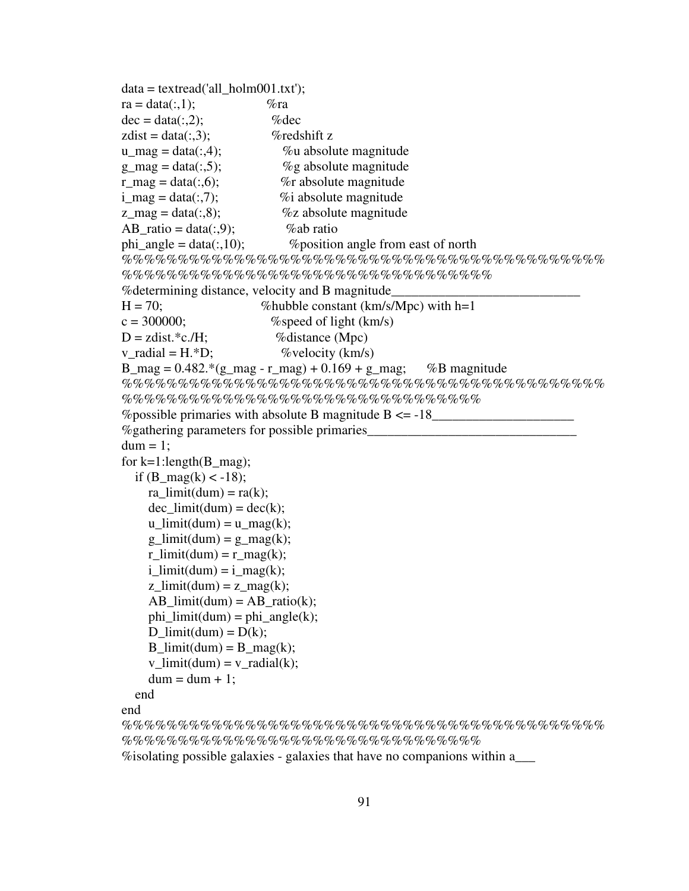```
data = textread('all-holm001.txt');ra = data(:,1); %ra
dec = data(:,2); %dec
zdist = data(:,3); %redshift z
u mag = data(:,4); \%u absolute magnitude
g_{\text{mag}} = \text{data}(:,5); %g absolute magnitude
r mag = data(:,6); \%r absolute magnitude
i_{\text{mag}} = \text{data}(:,7); %i absolute magnitude
z_{\text{mag}} = \text{data}(:,8); % % % % % % % absolute magnitude
AB_ratio = data(:,9); %ab ratio
phi_angle = data(:,10); %position angle from east of north 
%%%%%%%%%%%%%%%%%%%%%%%%%%%%%%%%%%%%%%%%%%%
%%%%%%%%%%%%%%%%%%%%%%%%%%%%%%%%% 
% determining distance, velocity and B magnitude_
H = 70; %hubble constant (km/s/Mpc) with h=1
c = 300000; \% speed of light (km/s)
D = zdist.*c./H; %distance (Mpc)
v_{\text{radial}} = H.*D; % % % % % % % (km/s)
B_{mag} = 0.482 \cdot (g_{mag} - r_{mag}) + 0.169 + g_{mag}; %B magnitude
%%%%%%%%%%%%%%%%%%%%%%%%%%%%%%%%%%%%%%%%%%%
%%%%%%%%%%%%%%%%%%%%%%%%%%%%%%%% 
% possible primaries with absolute B magnitude B \le -18% gathering parameters for possible primaries
dum = 1;
for k=1:length(B_{mag});
  if (B_{mag}(k) < -18);ra limit(dum) = ra(k);dec limit(dum) = dec(k);u_limit(dum) = u_lmag(k);
    g limit(dum) = g mag(k);r_l limit(dum) = r_l mag(k);
    i_limit(dum) = i_mag(k);
    z_limit(dum) = z_l mag(k);
    AB_limit(dum) = AB_ratio(k);phi_limit(dum) = phi_angle(k);
    D limit(dum) = D(k);B_llimit(dum) = B_l mag(k);
    v_limit(dum) = v_radial(k);
    dum = dum + 1; end 
end 
%%%%%%%%%%%%%%%%%%%%%%%%%%%%%%%%%%%%%%%%%%%
```
%%%%%%%%%%%%%%%%%%%%%%%%%%%%%%%%

%isolating possible galaxies - galaxies that have no companions within a\_\_\_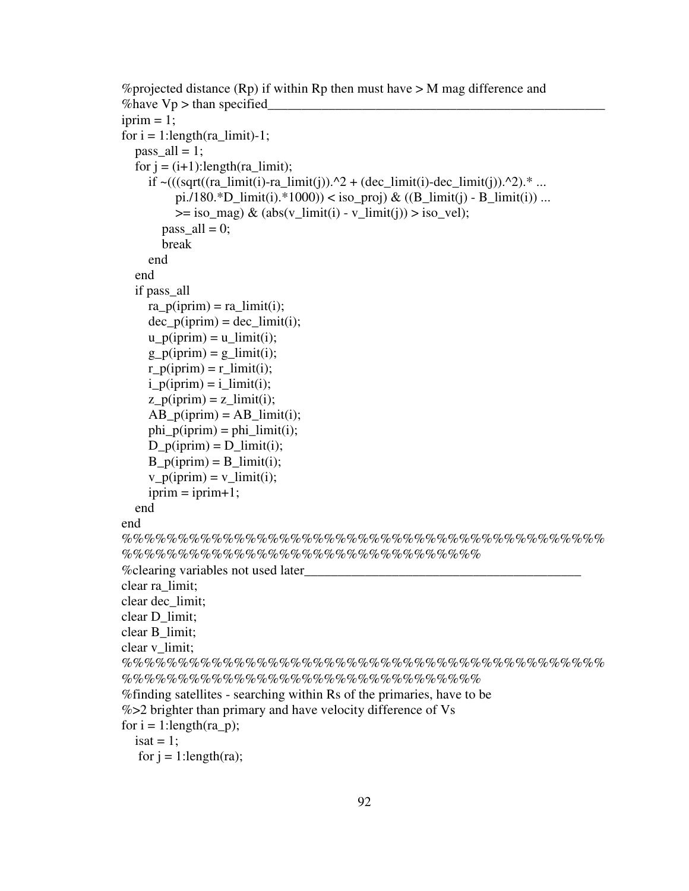```
%projected distance (Rp) if within Rp then must have > M mag difference and
% have Vp > than specified
iprim = 1;
for i = 1:length(ra_limit)-1;
  pass all = 1;
  for j = (i+1)!ength(ra_limit);
    if \sim ((sqrt((ra\_limit(i)-ra\_limit(i)).^2 + (dec\_limit(i)-dec\_limit(i)).^2).* ...
         pi./180.*D_limit(i).*1000)) < iso_proj) & ((B_limit(j) - B_limit(i)) ...
         \ge iso_mag) & (abs(v_limit(i) - v_limit(j)) > iso_vel);
       pass all = 0;
        break 
     end 
   end 
   if pass_all 
    ra\_p(iprim) = ra\_limit(i);dec\_p(iprim) = dec\_limit(i);u p(iprim) = u limit(i);
    g<sub>p</sub>(iprim) = g<sub>limit</sub>(i);
    r_p(iprim) = r_limit(i);i<sub>[p</sub>(iprim) = i<sub>[limit(i);</sub>
    z<sub>[p(iprim) = z<sub>[limit(i);</sub></sub>
    AB p(iprim) = AB limit(i);
    phi_p(iprim) = phi_limit(i);D_p(iprim) = D_limit(i);B_p(iprim) = B_limit(i);v_p(iprim) = v_limit(i);iprim = iprim+1; end 
end 
%%%%%%%%%%%%%%%%%%%%%%%%%%%%%%%%%%%%%%%%%%%
%%%%%%%%%%%%%%%%%%%%%%%%%%%%%%%% 
% clearing variables not used later
clear ra_limit; 
clear dec_limit; 
clear D_limit; 
clear B_limit; 
clear v_limit; 
%%%%%%%%%%%%%%%%%%%%%%%%%%%%%%%%%%%%%%%%%%%
%%%%%%%%%%%%%%%%%%%%%%%%%%%%%%%% 
%finding satellites - searching within Rs of the primaries, have to be 
%>2 brighter than primary and have velocity difference of Vs 
for i = 1: length (ra p);
  isat = 1;
  for j = 1:length(ra);
```

```
92
```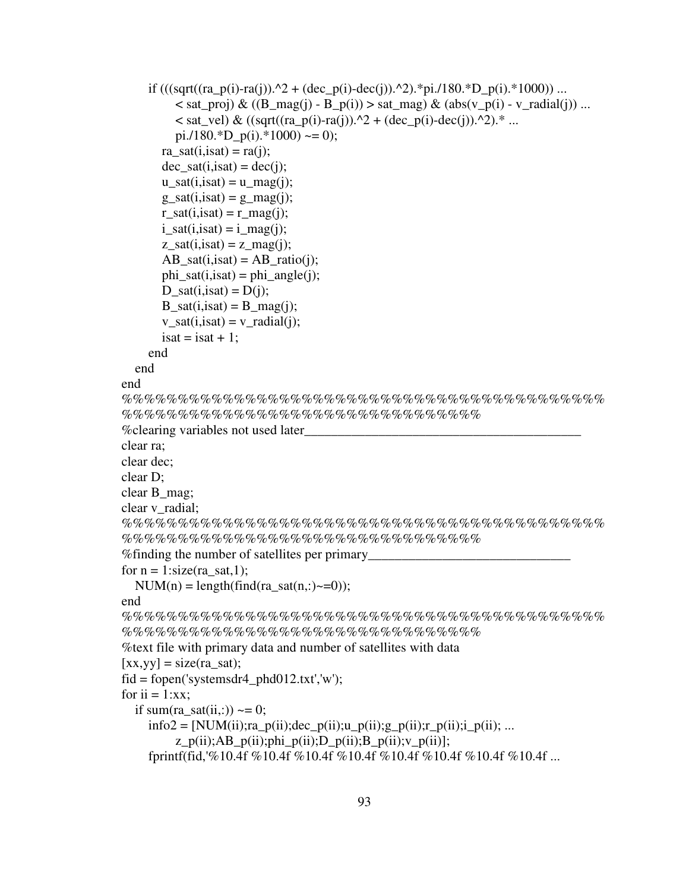```
if (((sqrt((ra_p(i)-ra(j)).^2 + (dec_p(i)-dec(j)).^2).^*pi./180.^*D_p(i).*1000)) ...
        \langle sat_proj) & ((B_mag(j) - B_p(i)) > sat_mag) & (abs(v_p(i) - v_radial(j)) ...
        \le sat_vel) & ((sqrt((ra_p(i)-ra(j)).^2 + (dec_p(i)-dec(j)).^2).* ...
        pi./180.*D_p(i).*1000) \sim= 0);
      ra sat(i,isat) = ra(i);dec\_sat(i,isat) = dec(i);u_sat(i,isat) = u_mag(j);
      g_s = sat(i, isat) = g_s = mag(i);r\_sat(i,isat) = r\_mag(i);i_sat(i, isat) = i_mag(i);z_sat(i,isat) = z_mag(j);
      AB_sat(i,isat) = AB_ratio(i);phi_ssat(i,isat) = phi_angle(j);
      D_sat(i, isat) = D(i);B_sat(i,isat) = B_smag(j);
      v_sat(i,isat) = v_rradial(j);
      isat = isat + 1;
     end 
   end 
end 
%%%%%%%%%%%%%%%%%%%%%%%%%%%%%%%%%%%%%%%%%%%
%%%%%%%%%%%%%%%%%%%%%%%%%%%%%%%% 
% clearing variables not used later
clear ra; 
clear dec; 
clear D; 
clear B_mag; 
clear v_radial; 
%%%%%%%%%%%%%%%%%%%%%%%%%%%%%%%%%%%%%%%%%%%
%%%%%%%%%%%%%%%%%%%%%%%%%%%%%%%% 
% finding the number of satellites per primary
for n = 1:size(ra_sat,1);
  NUM(n) = length(find(ra\_sat(n,:)~=0));end 
%%%%%%%%%%%%%%%%%%%%%%%%%%%%%%%%%%%%%%%%%%%
%%%%%%%%%%%%%%%%%%%%%%%%%%%%%%%% 
%text file with primary data and number of satellites with data 
[xx,yy] = size(ra sat);fid = fopen('systemsdr4\_phd012.txt','w');for i = 1:xx;
  if sum(ra_sat(ii,:)) \sim= 0;
    info2 = [NUM(ii);ra_p(ii);dec_p(ii);u_p(ii);g_p(ii);r_p(ii);i_p(ii);...z_p(ii);AB_p(ii);phi_p(ii);D_p(ii);B_p(ii);v_p(ii); fprintf(fid,'%10.4f %10.4f %10.4f %10.4f %10.4f %10.4f %10.4f %10.4f ...
```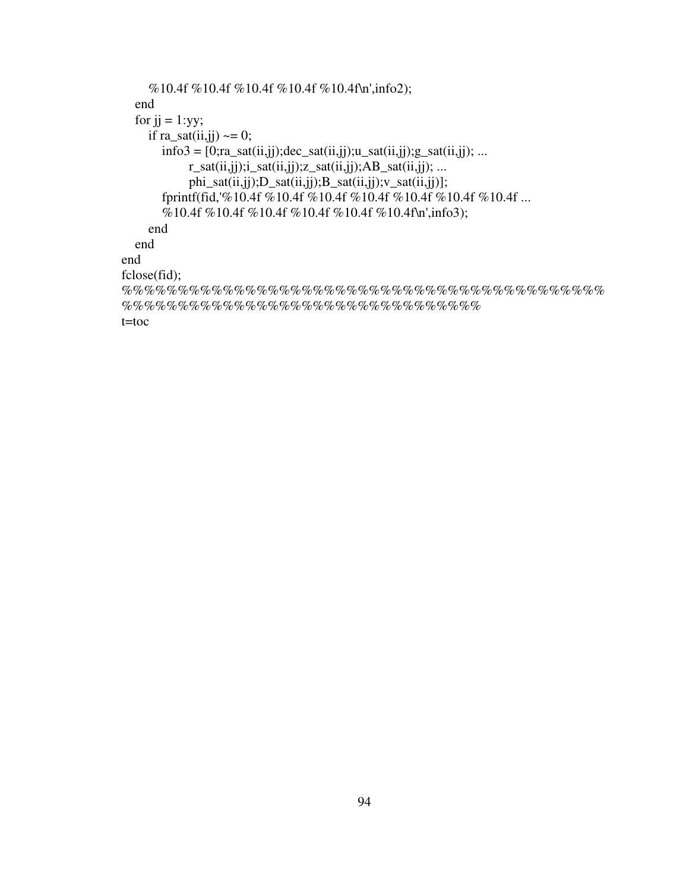```
 %10.4f %10.4f %10.4f %10.4f %10.4f\n',info2); 
   end 
  for ji = 1:yy;if ra_sat(ii, jj) \sim = 0;
       info3 = [0; ra_sat(ii,jj); dec_sat(ii,jj); u_sat(ii,jj); g_sat(ii,jj); ...r_ssat(ii,jj); i_ssat(ii,jj); z_ssat(ii,jj); AB_ssat(ii,jj); ... phi_sat(ii,jj);D_sat(ii,jj);B_sat(ii,jj);v_sat(ii,jj)]; 
        fprintf(fid,'%10.4f %10.4f %10.4f %10.4f %10.4f %10.4f %10.4f ... 
       %10.4f %10.4f %10.4f %10.4f %10.4f %10.4f\n',info3);
     end 
   end 
end 
fclose(fid); 
%%%%%%%%%%%%%%%%%%%%%%%%%%%%%%%%%%%%%%%%%%%
%%%%%%%%%%%%%%%%%%%%%%%%%%%%%%%%
```
t=toc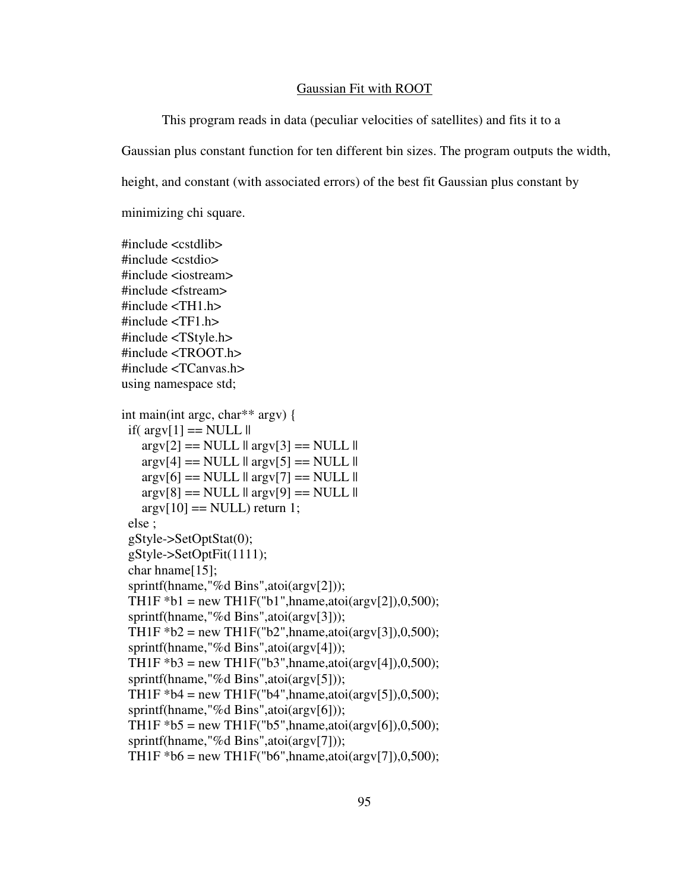## Gaussian Fit with ROOT

 This program reads in data (peculiar velocities of satellites) and fits it to a Gaussian plus constant function for ten different bin sizes. The program outputs the width, height, and constant (with associated errors) of the best fit Gaussian plus constant by

minimizing chi square.

#include <cstdlib> #include <cstdio> #include <iostream> #include <fstream>  $\#$ include  $\lt$ TH1.h  $>$ #include <TF1.h> #include <TStyle.h> #include <TROOT.h> #include <TCanvas.h> using namespace std; int main(int argc, char\*\* argv) { if( $argv[1] == NULL$ ||  $argv[2] == NULL || argv[3] == NULL ||$  $\arg y[4] == NULL \parallel \arg y[5] == NULL \parallel$  $argv[6] == NULL$  ||  $argv[7] == NULL$  ||  $argv[8] == NULL$  ||  $argv[9] == NULL$  ||  $\arg y[10] == \text{NULL}$  return 1; else ; gStyle->SetOptStat(0); gStyle->SetOptFit(1111); char hname[15]; sprintf(hname,"%d Bins",atoi(argv[2])); TH1F  $*b1$  = new TH1F("b1", hname, atoi(argv[2]), 0,500); sprintf(hname,"%d Bins",atoi(argv[3])); TH1F  $b2 = new TH1F("b2", hname, atoi(argv[3]), 0,500);$ sprintf(hname,"%d Bins",atoi(argv[4])); TH1F  $*B3 = new TH1F("b3", hname, atoi(argv[4]), 0,500);$ sprintf(hname,"%d Bins",atoi(argv[5])); TH1F  $*b4 = new TH1F("b4", hname,atoi(argv[5]), 0,500);$ sprintf(hname,"%d Bins",atoi(argv[6])); TH1F  $b5 = new TH1F("b5", hname,atoi(argv[6]), 0,500);$ sprintf(hname,"%d Bins",atoi(argv[7])); TH1F  $*$ b6 = new TH1F("b6", hname, atoi(argv[7]), 0,500);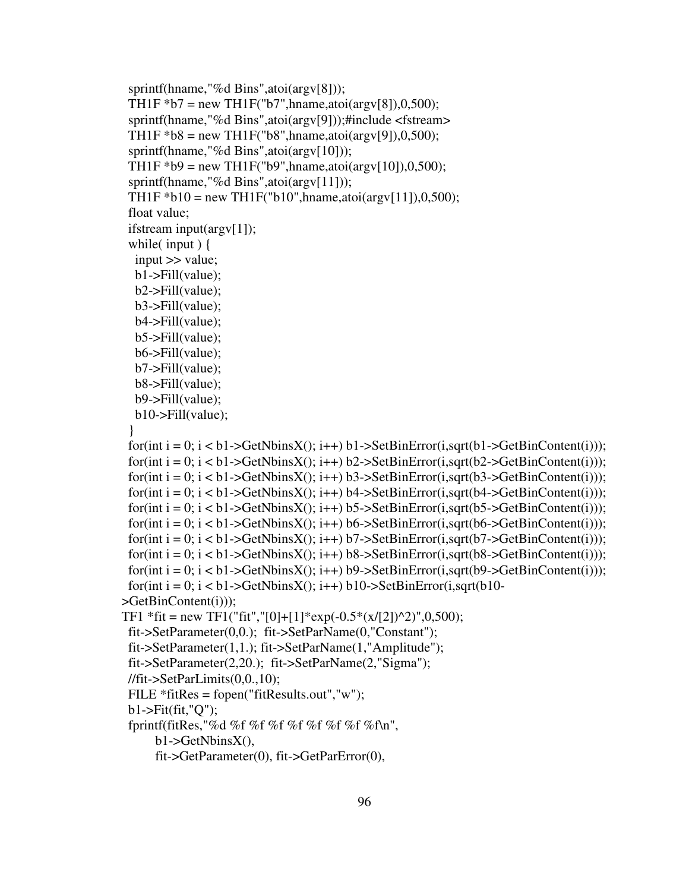```
sprintf(hname,"%d Bins",atoi(argv[8]));
 TH1F b7 = new TH1F("b7", hname, atoi(argv[8]), 0,500);
 sprintf(hname,"%d Bins",atoi(argv[9]));#include <fstream>
 TH1F *b8 = new TH1F("b8", hname, atoi(argv[9]), 0,500);
 sprintf(hname,"%d Bins",atoi(argy[10]));
 TH1F *b9 = new TH1F("b9", hname, atoi(\arg(y[10]), 0,500);
 sprintf(hname,"%d Bins",atoi(argy[11]));
 TH1F *b10 = new TH1F("b10", hname, atoi(argv[11]), 0,500); float value; 
  ifstream input(argv[1]); 
 while(input) {
   input >> value; 
   b1->Fill(value); 
   b2->Fill(value); 
   b3->Fill(value); 
   b4->Fill(value); 
   b5->Fill(value); 
   b6->Fill(value); 
   b7->Fill(value); 
   b8->Fill(value); 
   b9->Fill(value); 
   b10->Fill(value); 
  } 
 for(int i = 0; i < b1->GetNbinsX(); i++) b1->SetBinError(i, sqrt(b1->GetBinContent(i)));
 for(int i = 0; i < b1->GetNbinsX(); i++) b2->SetBinError(i, sqrt(b2->GetBinContent(i)));
 for(int i = 0; i < b1->GetNbinsX(); i++) b3->SetBinError(i, sqrt(b3->GetBinContent(i)));
 for(int i = 0; i < b1->GetNbinsX(); i++) b4->SetBinError(i, sqrt(b4->GetBinContent(i)));
 for(int i = 0; i < b1->GetNbinsX(); i++) b5->SetBinError(i, sqrt(b5->GetBinContent(i)));
 for(int i = 0; i < b1->GetNbinsX(); i++) b6->SetBinError(i, sqrt(b6->GetBinContent(i)));
 for(int i = 0; i < b1->GetNbinsX(); i++) b7->SetBinError(i, sqrt(b7->GetBinContent(i)));
 for(int i = 0; i < b1->GetNbinsX(); i++) b8->SetBinError(i, sqrt(b8->GetBinContent(i)));
 for(int i = 0; i < b1->GetNbinsX(); i++) b9->SetBinError(i, sqrt(b9->GetBinContent(i)));
 for(int i = 0; i < b1->GetNbinsX(); i++) b10->SetBinError(i,sqrt(b10-
>GetBinContent(i))); 
TF1 *fit = new TF1("fit","[0]+[1]*exp(-0.5*(x/[2])^2)",0,500);
  fit->SetParameter(0,0.); fit->SetParName(0,"Constant"); 
  fit->SetParameter(1,1.); fit->SetParName(1,"Amplitude"); 
  fit->SetParameter(2,20.); fit->SetParName(2,"Sigma"); 
  //fit->SetParLimits(0,0.,10); 
  FILE *fitRes = fopen("fitResults.out","w"); 
  b1->Fit(fit,"Q"); 
 fprintf(fitRes,"%d %f %f %f %f %f %f %f %f\n",
       b1->GetNbinsX(), 
       fit->GetParameter(0), fit->GetParError(0),
```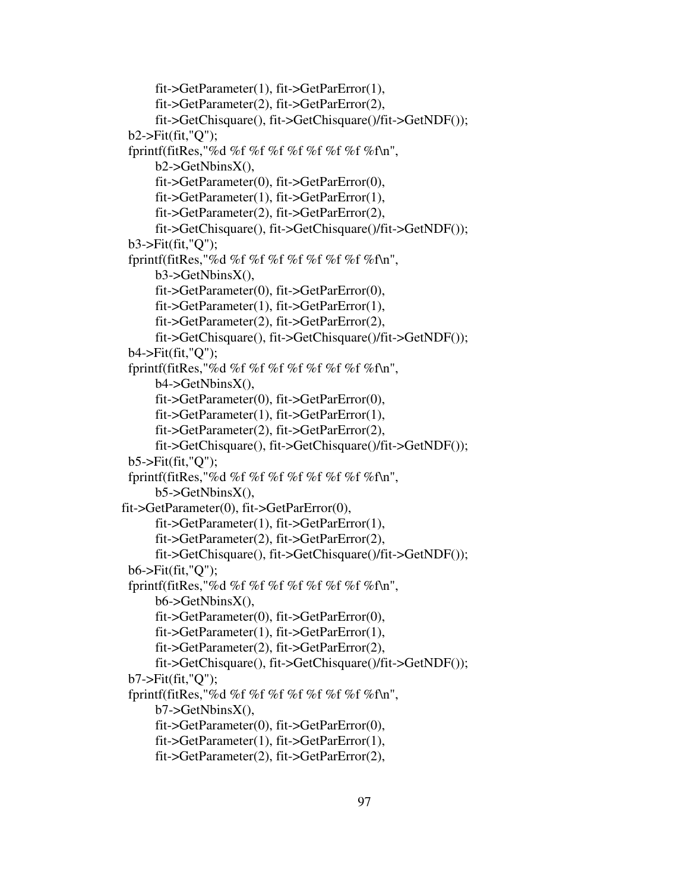```
 fit->GetParameter(1), fit->GetParError(1), 
       fit->GetParameter(2), fit->GetParError(2), 
       fit->GetChisquare(), fit->GetChisquare()/fit->GetNDF()); 
  b2->Fit(fit,"Q"); 
 fprintf(fitRes,"%d %f %f %f %f %f %f %f %fn",
       b2->GetNbinsX(), 
       fit->GetParameter(0), fit->GetParError(0), 
       fit->GetParameter(1), fit->GetParError(1), 
       fit->GetParameter(2), fit->GetParError(2), 
       fit->GetChisquare(), fit->GetChisquare()/fit->GetNDF()); 
  b3->Fit(fit,"Q"); 
 fprintf(fitRes,"%d %f %f %f %f %f %f %f %fn",
       b3->GetNbinsX(), 
       fit->GetParameter(0), fit->GetParError(0), 
       fit->GetParameter(1), fit->GetParError(1), 
       fit->GetParameter(2), fit->GetParError(2), 
       fit->GetChisquare(), fit->GetChisquare()/fit->GetNDF()); 
  b4->Fit(fit,"Q"); 
 fprintf(fitRes,"%d %f %f %f %f %f %f %f %fn",
       b4->GetNbinsX(), 
       fit->GetParameter(0), fit->GetParError(0), 
       fit->GetParameter(1), fit->GetParError(1), 
       fit->GetParameter(2), fit->GetParError(2), 
       fit->GetChisquare(), fit->GetChisquare()/fit->GetNDF()); 
  b5->Fit(fit,"Q"); 
 fprintf(fitRes,"%d %f %f %f %f %f %f %f %fn",
       b5->GetNbinsX(), 
fit->GetParameter(0), fit->GetParError(0), 
       fit->GetParameter(1), fit->GetParError(1), 
       fit->GetParameter(2), fit->GetParError(2), 
       fit->GetChisquare(), fit->GetChisquare()/fit->GetNDF()); 
  b6->Fit(fit,"Q"); 
 fprintf(fitRes,"%d %f %f %f %f %f %f %f %fn",
       b6->GetNbinsX(), 
       fit->GetParameter(0), fit->GetParError(0), 
       fit->GetParameter(1), fit->GetParError(1), 
       fit->GetParameter(2), fit->GetParError(2), 
       fit->GetChisquare(), fit->GetChisquare()/fit->GetNDF()); 
  b7->Fit(fit,"Q"); 
 fprintf(fitRes,"%d %f %f %f %f %f %f %f %f\n",
       b7->GetNbinsX(), 
       fit->GetParameter(0), fit->GetParError(0), 
       fit->GetParameter(1), fit->GetParError(1), 
       fit->GetParameter(2), fit->GetParError(2),
```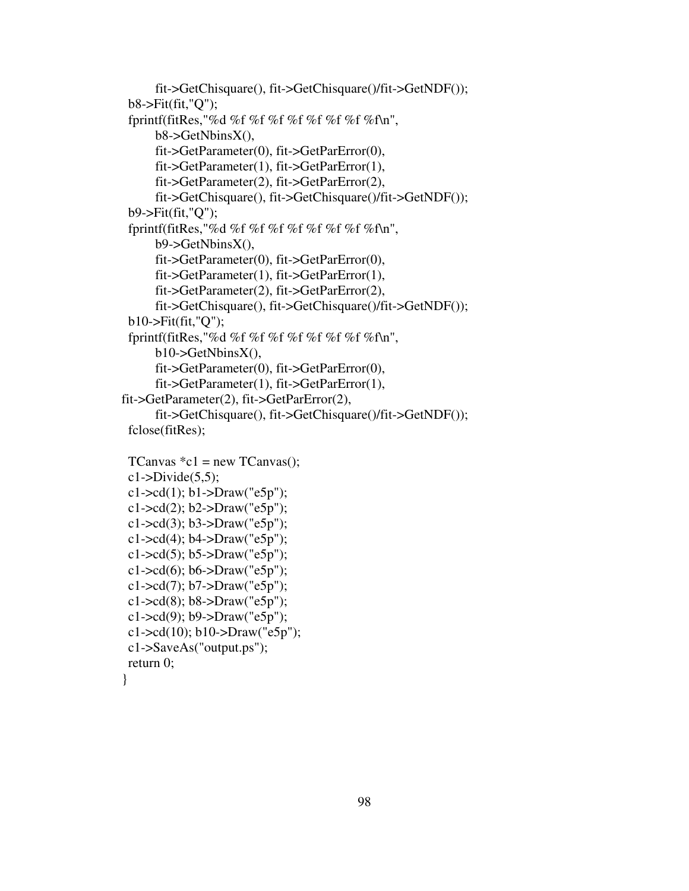```
 fit->GetChisquare(), fit->GetChisquare()/fit->GetNDF()); 
  b8->Fit(fit,"Q"); 
 fprintf(fitRes,"%d %f %f %f %f %f %f %f %fn",
       b8->GetNbinsX(), 
       fit->GetParameter(0), fit->GetParError(0), 
       fit->GetParameter(1), fit->GetParError(1), 
       fit->GetParameter(2), fit->GetParError(2), 
       fit->GetChisquare(), fit->GetChisquare()/fit->GetNDF()); 
  b9->Fit(fit,"Q"); 
  fprintf(fitRes,"%d %f %f %f %f %f %f %f %f\n", 
       b9->GetNbinsX(), 
       fit->GetParameter(0), fit->GetParError(0), 
       fit->GetParameter(1), fit->GetParError(1), 
       fit->GetParameter(2), fit->GetParError(2), 
       fit->GetChisquare(), fit->GetChisquare()/fit->GetNDF()); 
  b10->Fit(fit,"Q"); 
 fprintf(fitRes,"%d %f %f %f %f %f %f %f %fn",
      b10->GetNbinsX(),
       fit->GetParameter(0), fit->GetParError(0), 
       fit->GetParameter(1), fit->GetParError(1), 
fit->GetParameter(2), fit->GetParError(2), 
       fit->GetChisquare(), fit->GetChisquare()/fit->GetNDF()); 
  fclose(fitRes);
```

```
TCanvas *c1 = new TCanvas();c1-Divide(5,5);c1->cd(1); b1->Draw("e5p");
 c1->cd(2); b2->Draw("e5p");
 c1->cd(3); b3->Draw("e5p");
 c1-\geqcd(4); b4-\geqDraw("e5p");
 c1-\geqcd(5); b5-\geqDraw("e5p");
 c1-\geqcd(6); b6-\geqDraw("e5p");
 c1-\geqcd(7); b7-\geqDraw("e5p");
 c1->cd(8); b8->Draw("e5p");
 c1->cd(9); b9->Draw("e5p");
 c1->cd(10); b10->Draw("e5p");
  c1->SaveAs("output.ps"); 
 return 0; 
}
```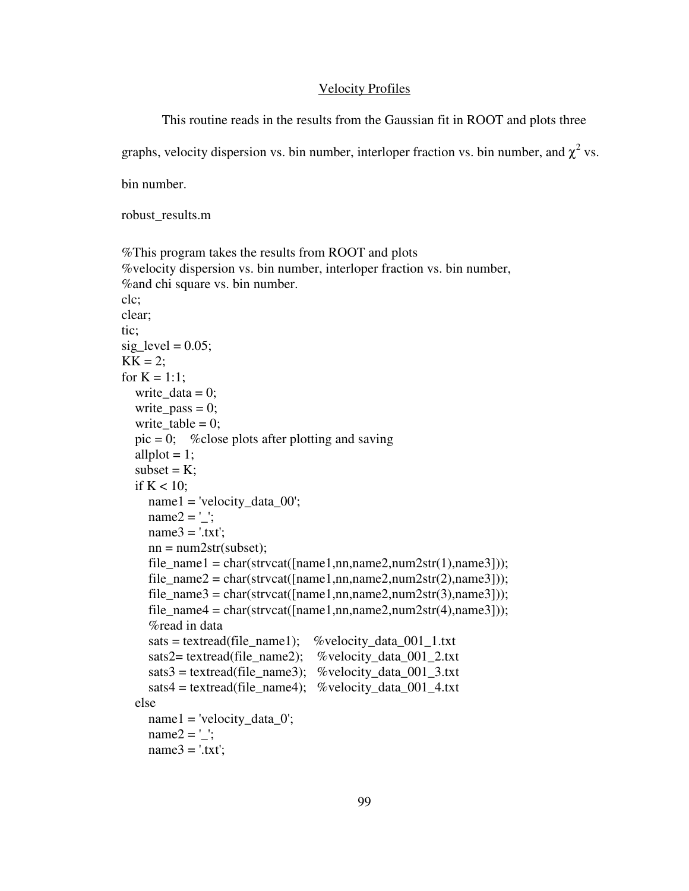## Velocity Profiles

This routine reads in the results from the Gaussian fit in ROOT and plots three

graphs, velocity dispersion vs. bin number, interloper fraction vs. bin number, and  $\chi^2$  vs.

bin number.

robust\_results.m

```
%This program takes the results from ROOT and plots
%velocity dispersion vs. bin number, interloper fraction vs. bin number, 
%and chi square vs. bin number. 
clc; 
clear; 
tic; 
sig\_level = 0.05;
KK = 2;
for K = 1:1:
  write data = 0;
  write_pass = 0;
  write table = 0;
  pic = 0; % close plots after plotting and saving
  allplot = 1;
  subset = K;
  if K < 10;
      name1 = 'velocity_data_00'; 
     name2 = ':
    name3 = '.txt';nn = num2str(subset);file_name1 = char(strvcat([\text{name1},\text{nn},\text{name2},\text{num2str}(1),\text{name3}]));
     file_name2 = char(strvcat([name1,nn,name2,num2str(2),name3])),file_name3 = char(strvcat([name1,nn,name2,num2str(3),name3])),file_name4 = char(strvcat([name1,nn,name2,num2str(4),name3])), %read in data 
     sats = textread(file_name1); %velocity_data_001_1.txt
     sats2= textread(file_name2); %velocity_data_001_2.txt
     sats3 = textread(file_name3); %velocity_data_001_3.txt
     sats4 = textread(file_name4); %velocity_data_001_4.txt
   else 
     name1 = 'velocity_data_0';name2 = \underline{'};
    name3 = '.txt';
```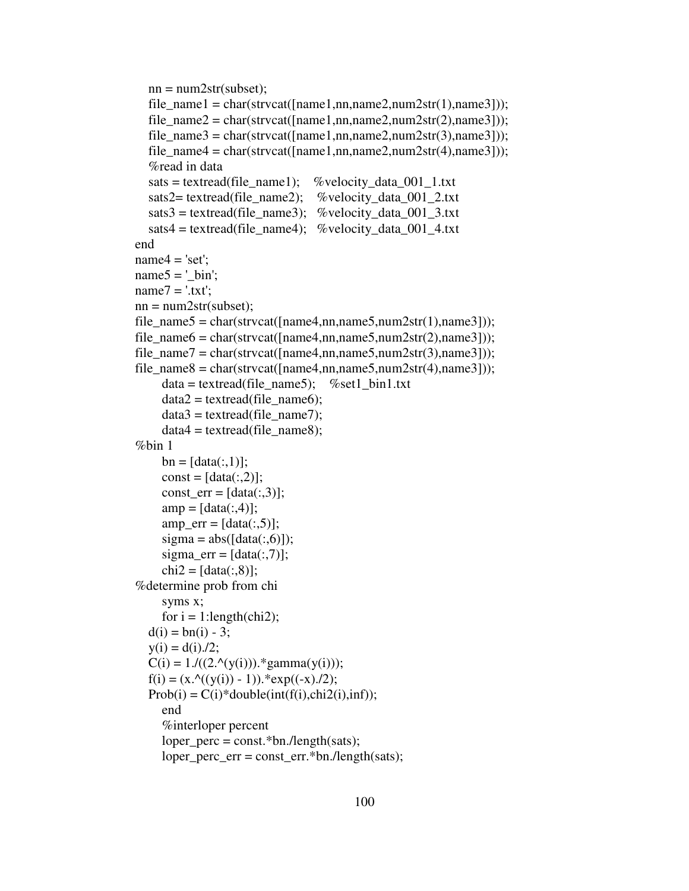```
nn = num2str(subset);file_name1 = char(strvcat([name1,nn,name2,num2str(1),name3])),file_name2 = char(strvcat([name1,nn,name2,num2str(2),name3])),file_name3 = char(strvcat([\text{name1}, \text{nn}, \text{name2}, \text{num2str}(3), \text{name3}]);
  file_name4 = char(strvcat([\text{name1},\text{nn},\text{name2},\text{num2str}(4),\text{name3}]));
   %read in data 
  sats = textread(file_name1); %velocity_data_001_1.txt
  sats2= textread(file_name2); %velocity_data_001_2.txt
  sats3 = textread(file_name3); %velocity_data_001_3.txt
  sats4 = textread(file_name4); %velocity_data_001_4.txt
 end 
name4 = 'set';name5 = ' bin';
name7 = '.txt';nn = num2str(subset);file_name5 = char(strvcat([name4,nn,name5,num2str(1),name3])),file_name6 = char(strvcat([\text{name4},\text{nn},\text{name5},\text{num2str}(2),\text{name3}]));
file_name7 = char(strvcat([name4,nn,name5,num2str(3),name3])),file_name8 = char(strvcat([name4,nn,name5,num2str(4),name3])),data = textread(file_name5); %set1_bin1.txt
     data2 = textread(file_name6);data3 = textread(file name7);data4 = textread(file_name8); %bin 1 
     bn = [data(:,1)];const = [data(:,2)];const err = [data(:,3)];amp = [data(:,4)];amp_error = [data(:,5)];sigma = abs([data(:,6)]);sigma_error = [data(:,7)];chi2 = [data(:,8)];
 %determine prob from chi 
      syms x; 
     for i = 1:length(chi2);
  d(i) = bn(i) - 3;y(i) = d(i)./2;
  C(i) = 1./((2.^(y(i))).*gamma(y(i)));
  f(i) = (x.^{(y(i)) - 1)}.*exp((-x)./2);Prob(i) = C(i)*double(int(f(i),chi2(i),inf)); end 
      %interloper percent 
      loper_perc = const.*bn./length(sats); 
      loper_perc_err = const_err.*bn./length(sats);
```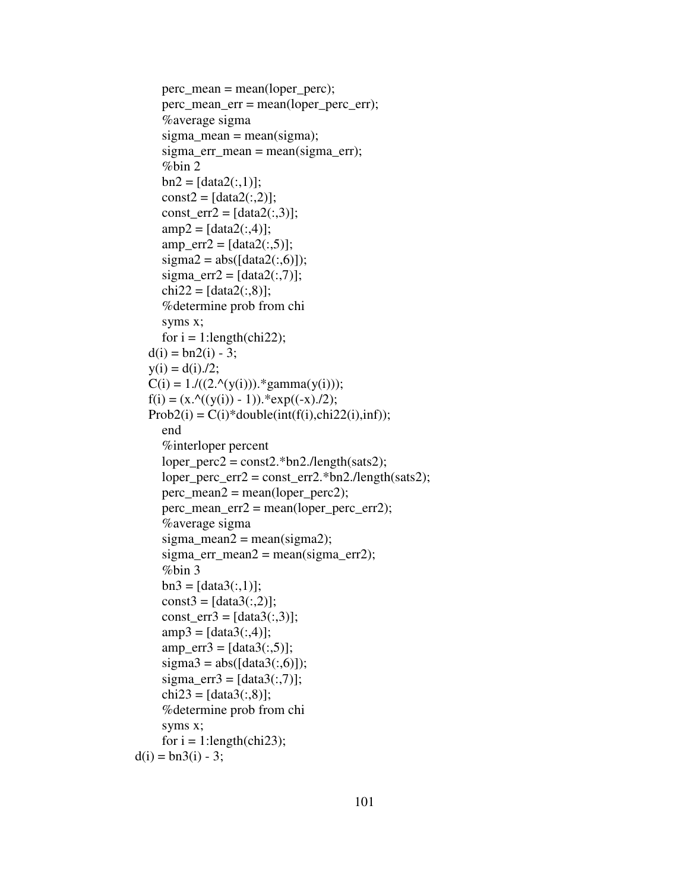```
perc\_mean = mean(logper\_perc); perc_mean_err = mean(loper_perc_err); 
      %average sigma 
     sigma_mean = mean(sigma);
      sigma_err_mean = mean(sigma_err); 
      %bin 2 
     bn2 = [data2(:,1)];const2 = [data2(:,2)];const_err2 = [data2(:,3)];amp2 = [data2(:,4)];amp_error2 = [data2(:,5)];sigma2 = abs([data2(:,6)]);sigma_err2 = [data2(:,7)];chi22 = [data2(:,8)]; %determine prob from chi 
      syms x; 
     for i = 1:length(chi22);
  d(i) = bn2(i) - 3;y(i) = d(i)./2;
  C(i) = 1./((2.^(y(i))).*gamma(y(i)));
  f(i) = (x.^{(y(i)) - 1)}.*exp((-x)./2);Prob2(i) = C(i)*double(int(f(i), chi22(i), inf)); end 
      %interloper percent 
     loper\_perc2 = const2.*bn2./length(sats2);loper\_perc\_err2 = const\_err2.*bn2./length(sats2);perc\_mean2 = mean(logper\_perc2); perc_mean_err2 = mean(loper_perc_err2); 
      %average sigma 
     sigma mean2 = mean(sigma2);
     sigma_err_mean2 = mean(sigma_err2);
      %bin 3 
     bn3 = [data3(:,1)];const3 = [data3(:,2)];const_err3 = [data3(:,3)];amp3 = [data3(:,4)];amp_error = [data3(:,5)];sigma3 = abs([data3(:,6)]);sigma_error = [data3(:,7)];chi23 = [data3(:,8)]; %determine prob from chi 
      syms x; 
     for i = 1:length(chi23);
d(i) = bn3(i) - 3;
```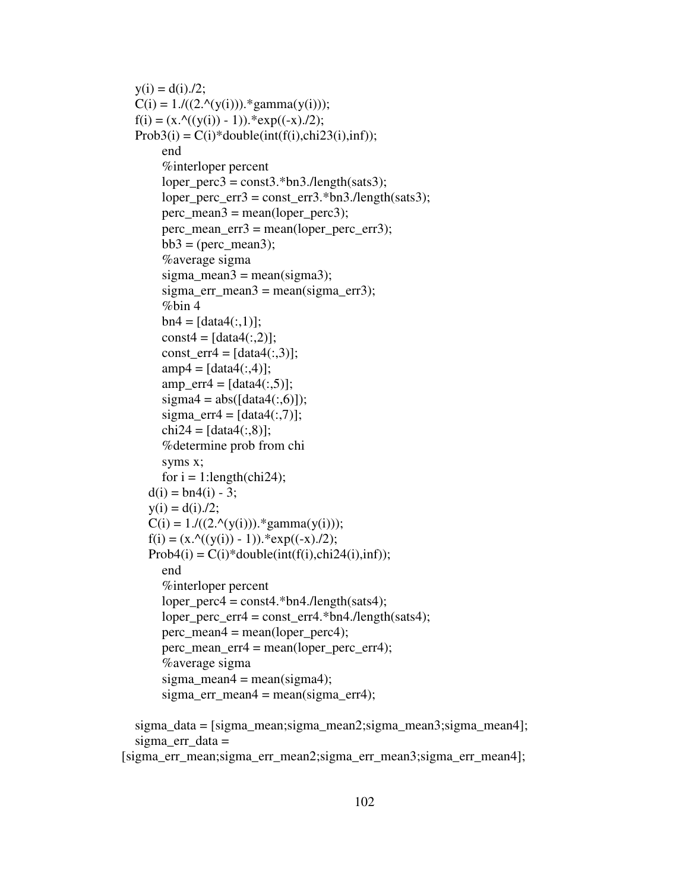```
y(i) = d(i)/2;
C(i) = 1.7((2.9(y(i))).*gamma(y(i)));
f(i) = (x. \land ((y(i)) - 1)).*exp((-x)./2);
Prob3(i) = C(i)*double(int(f(i), chi23(i), inf)); end 
     %interloper percent 
    loper perc3 = const3.*bn3./length(sats3);loper\_perc\_err3 = const\_err3.*bn3./length(sats3);perc\_mean3 = mean(logper\_perc3); perc_mean_err3 = mean(loper_perc_err3); 
    bb3 = (perc_mean3); %average sigma 
    sigma_{mean3} = mean(sigma3);sigma_err_mean3 = mean(sigma_err3);
    %bin 4
    bn4 = [data4(:,1)];const4 = [data4(:,2)];const_err4 = [data4(:,3)];amp4 = [data4(:,4)];amp_error = [data4(:,5)];sigma4 = abs([data4(:,6)]);sigma_err4 = [data4(:,7)];chi24 = [data4(:,8)]; %determine prob from chi 
     syms x; 
    for i = 1:length(chi24);
  d(i) = bn4(i) - 3;y(i) = d(i)/2;C(i) = 1./((2.^(y(i))).*gamma(y(i)));
  f(i) = (x.^{(y(i)) - 1)}.*exp((-x)./2);Prob4(i) = C(i)*double(int(f(i), chi24(i), inf)); end 
     %interloper percent 
    loper\_perc4 = const4.*bn4./length(sats4); loper_perc_err4 = const_err4.*bn4./length(sats4); 
    perc mean4 = mean(logperp);
     perc_mean_err4 = mean(loper_perc_err4); 
     %average sigma 
    sigma_mean4 = mean(sigma4);
    sigma err mean4 = mean(sigma err4);
 sigma_data = [sigma_mean;sigma_mean2;sigma_mean3;sigma_mean4]; 
 sigma_err_data =
```

```
[sigma_err_mean;sigma_err_mean2;sigma_err_mean3;sigma_err_mean4];
```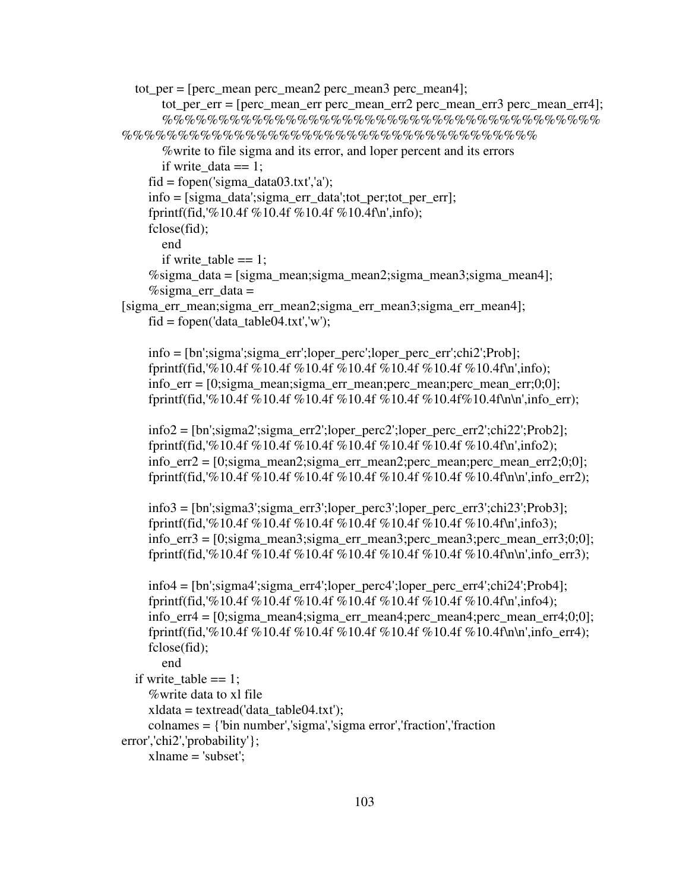```
tot per = [perc mean perc mean2 perc mean3 perc mean4];
       tot per er = [perc \text{ mean } err perc_mean err2 perc_mean err3 perc_mean err4;
        %%%%%%%%%%%%%%%%%%%%%%%%%%%%%%%%%%%%%%%
%%%%%%%%%%%%%%%%%%%%%%%%%%%%%%%%%%%%% 
        %write to file sigma and its error, and loper percent and its errors 
       if write data == 1;
    fid = fopen('sigma' data03.txt', 'a'); info = [sigma_data';sigma_err_data';tot_per;tot_per_err]; 
     fprintf(fid,'%10.4f %10.4f %10.4f %10.4f\n',info); 
     fclose(fid); 
       end 
       if write table == 1;
     %sigma_data = [sigma_mean;sigma_mean2;sigma_mean3;sigma_mean4];
    \%sigma_err_data =
[sigma_err_mean;sigma_err_mean2;sigma_err_mean3;sigma_err_mean4]; 
    fid = fopen('data_table04.txt,'w'); info = [bn';sigma';sigma_err';loper_perc';loper_perc_err';chi2';Prob]; 
     fprintf(fid,'%10.4f %10.4f %10.4f %10.4f %10.4f %10.4f %10.4f\n',info); 
     info_err = [0;sigma_mean;sigma_err_mean;perc_mean;perc_mean_err;0;0]; 
     fprintf(fid,'%10.4f %10.4f %10.4f %10.4f %10.4f %10.4f%10.4f\n\n',info_err); 
     info2 = [bn';sigma2';sigma_err2';loper_perc2';loper_perc_err2';chi22';Prob2]; 
     fprintf(fid,'%10.4f %10.4f %10.4f %10.4f %10.4f %10.4f %10.4f\n',info2); 
    info erz = [0;sigma mean2;sigma err mean2;perc mean;perc mean err2;0;0];
     fprintf(fid,'%10.4f %10.4f %10.4f %10.4f %10.4f %10.4f %10.4f\n\n',info_err2); 
    info3 = [bn';sigma3';sigma2";loper perc3';loper percerc3';chi23';Prob3]; fprintf(fid,'%10.4f %10.4f %10.4f %10.4f %10.4f %10.4f %10.4f\n',info3); 
    info_err3 = [0;sigma mean3;sigma_err_mean3;perc_mean3;perc_mean_err3;0;0];
     fprintf(fid,'%10.4f %10.4f %10.4f %10.4f %10.4f %10.4f %10.4f\n\n',info_err3); 
     info4 = [bn';sigma4';sigma_err4';loper_perc4';loper_perc_err4';chi24';Prob4]; 
     fprintf(fid,'%10.4f %10.4f %10.4f %10.4f %10.4f %10.4f %10.4f\n',info4); 
    info err4 = [0;sigma mean4;sigma err mean4;perc mean4;perc mean err4;0;0];
    fprintf(fid,'%10.4f %10.4f %10.4f %10.4f %10.4f %10.4f %10.4f\n\n',info_err4);
     fclose(fid); 
       end 
  if write table == 1;
      %write data to xl file 
    xldata = textread('data table04.txt'); colnames = {'bin number','sigma','sigma error','fraction','fraction 
error','chi2','probability'}; 
    xlname = 'subset';
```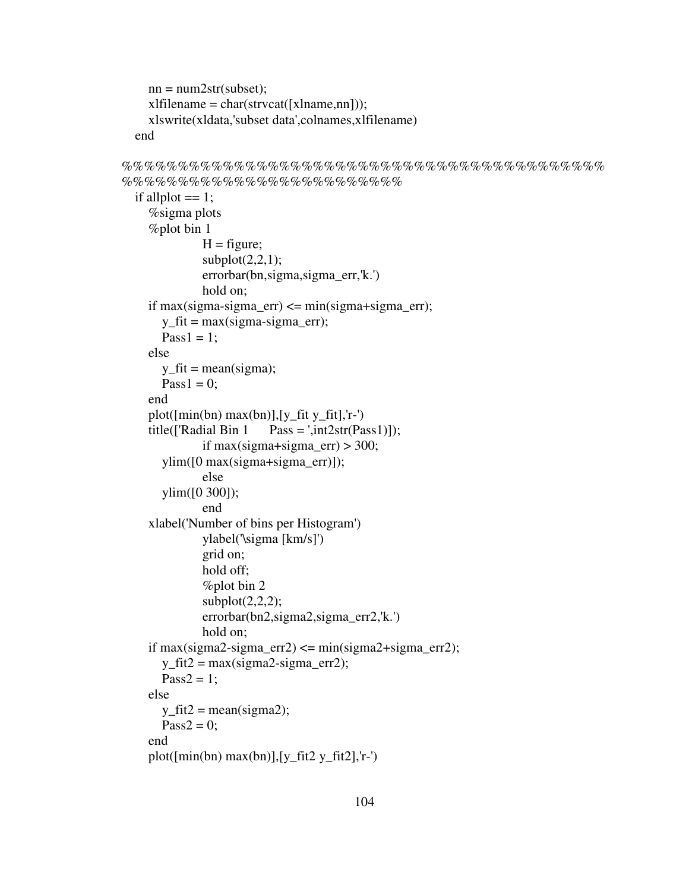```
nn = num2str(subset);xlfilename = char(strvcat([xlname,nn]));
   xlswrite(xldata,'subset data',colnames,xlfilename) 
 end
```

```
%%%%%%%%%%%%%%%%%%%%%%%%%%%%%%%%%%%%%%%%%%%
%%%%%%%%%%%%%%%%%%%%%%%%% 
  if allplot == 1;
      %sigma plots 
      %plot bin 1 
              H = figure;subplot(2,2,1); errorbar(bn,sigma,sigma_err,'k.') 
               hold on; 
    if max(sigma-sigma_err) \leq min(sigma+sigma_err);
       y_fit = max(sigma-sigma_err);
       Pass1 = 1:
     else 
       y_f = mean(sigma);
       Pass1 = 0;
     end 
    plot([min(bn) max(bn)], [y_fit y_fit], 'r-)title(\text{[}'\text{Radial Bin 1} Pass = ',int2str(\text{Pass1}));
              if max(sigma+sigma_err) > 300;
        ylim([0 max(sigma+sigma_err)]); 
               else 
        ylim([0 300]); 
               end 
     xlabel('Number of bins per Histogram') 
               ylabel('\sigma [km/s]') 
               grid on; 
               hold off; 
               %plot bin 2 
              subplot(2,2,2); errorbar(bn2,sigma2,sigma_err2,'k.') 
               hold on; 
    if max(sigma2-sigma_err2) \leq min(sigma2+sigma_err2);
       y_fit2 = max(sigma2-sigma_err2);
       Pass2 = 1; else 
       y_ffit2 = mean(sigma2);
       Pass2 = 0:
     end 
    plot([min(bn) max(bn)], [y_fit2 y_fit2], 'r-)
```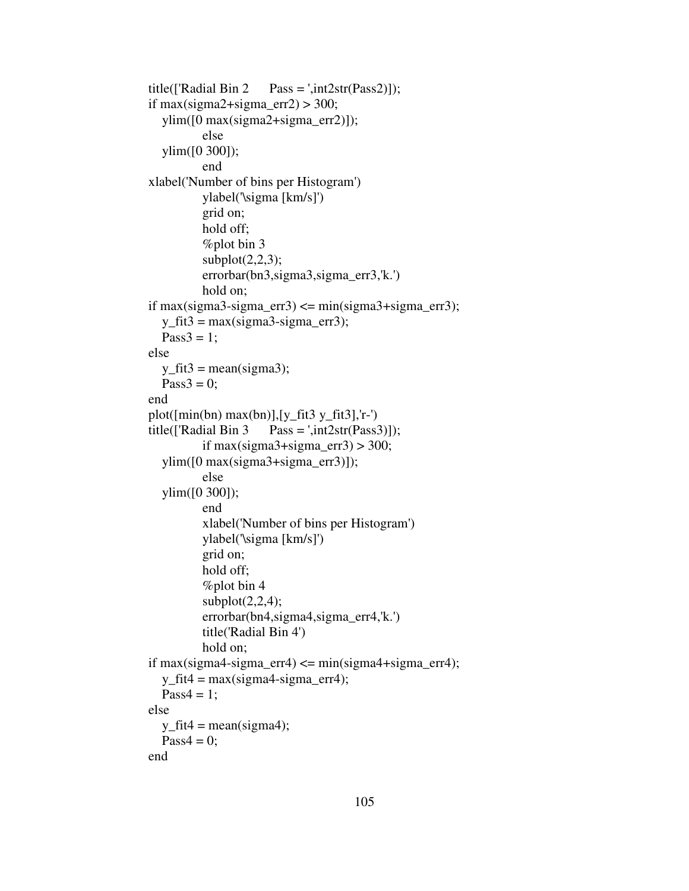```
title(\text{[}'\text{Radial Bin 2} Pass = ',int2str(\text{Pass2})]);
if max(sigma2+sigma_err2) > 300;
   ylim([0 max(sigma2+sigma_err2)]); 
            else 
   ylim([0 300]); 
            end 
 xlabel('Number of bins per Histogram') 
            ylabel('\sigma [km/s]') 
            grid on; 
            hold off; 
            %plot bin 3 
           subplot(2,2,3); errorbar(bn3,sigma3,sigma_err3,'k.') 
            hold on; 
if max(sigma3-sigma_err3) \leq min(sigma3+sigma_err3);
  y_fit3 = max(sigma3-sigma_err3);
  Pass3 = 1;
 else 
  y_f fit 3 = \text{mean}(sigma3);
  Pass3 = 0;
 end 
plot([\min(bn) \max(bn)], [y \text{ fit3 } y \text{ fit3}], 'r-')
title(\text{[}'\text{Radial Bin 3} Pass = ',int2str(Pass3)]);
           if max(sigma3+sigma_err3) > 300;
   ylim([0 max(sigma3+sigma_err3)]); 
            else 
   ylim([0 300]); 
            end 
            xlabel('Number of bins per Histogram') 
            ylabel('\sigma [km/s]') 
            grid on; 
            hold off; 
            %plot bin 4 
           subplot(2,2,4);errorbar(bn4,sigma4,sigma_err4,'k.')
            title('Radial Bin 4') 
            hold on; 
if max(sigma4-sigma_err4) \leq min(sigma4+sigma_err4);
  y_fit4 = max(sigma4-sigma_err4);
  Pass4 = 1:
 else 
  y_f fit4 = mean(sigma4);
  Pass4 = 0;
 end
```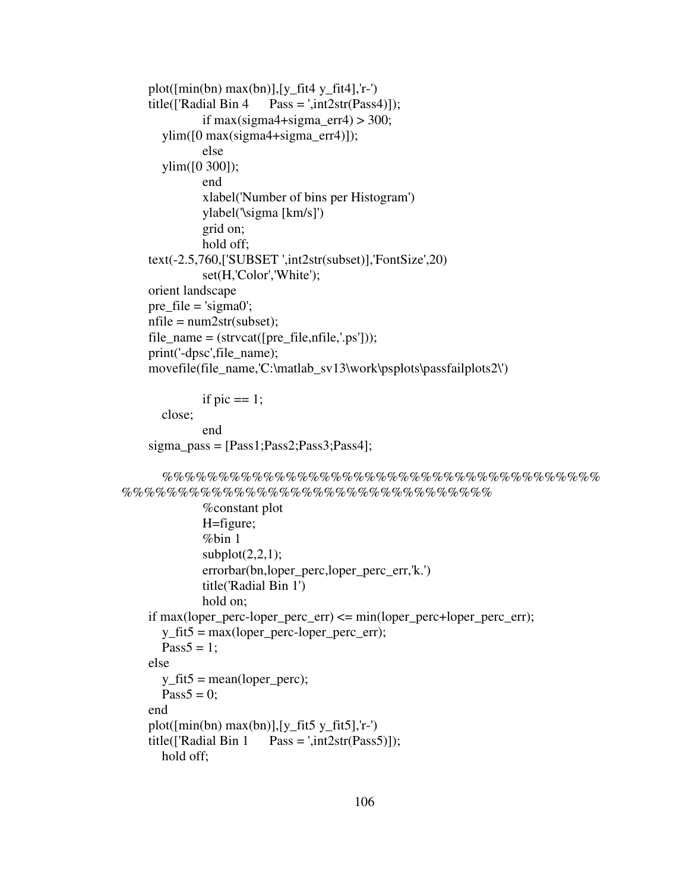```
plot([\min(bn) \max(bn)], [y_f fit4 y<sub>_fit4</sub>], 'r-')
title(\text{[}'\text{Radial Bin 4} \quad \text{Pass} = \text{',} \text{int2str}(\text{Pass4})\text{]};if max(sigma4+sigma_err4) > 300;
   ylim([0 max(sigma4+sigma_err4)]); 
            else 
   ylim([0 300]); 
            end 
            xlabel('Number of bins per Histogram') 
            ylabel('\sigma [km/s]') 
            grid on; 
            hold off; 
 text(-2.5,760,['SUBSET ',int2str(subset)],'FontSize',20) 
            set(H,'Color','White'); 
 orient landscape 
pre_file = \text{isigma0};
nfile = num2str(subset);file_name = (struct([pre_file,nfile,'ps")); print('-dpsc',file_name); 
 movefile(file_name,'C:\matlab_sv13\work\psplots\passfailplots2\')
```

```
if pic == 1;
   close; 
           end 
 sigma_pass = [Pass1;Pass2;Pass3;Pass4];
```

```
 %%%%%%%%%%%%%%%%%%%%%%%%%%%%%%%%%%%%%%%
%%%%%%%%%%%%%%%%%%%%%%%%%%%%%%%%%
```

```
 %constant plot 
            H=figure; 
            %bin 1 
           subplot(2,2,1); errorbar(bn,loper_perc,loper_perc_err,'k.') 
            title('Radial Bin 1') 
            hold on; 
 if max(loper_perc-loper_perc_err) <= min(loper_perc+loper_perc_err); 
  y fit5 = max(logper per-c-loper perc-err);
  Pass5 = 1;
 else 
  y_ffit5 = mean(loper_perc);
  Pass5 = 0:
 end 
plot([min(bn) max(bn)], [y_fit5 y_fit5], 'r-)title(\text{[}'\text{Radial Bin 1} Pass = ',int2str(\text{Pass5})]);
   hold off;
```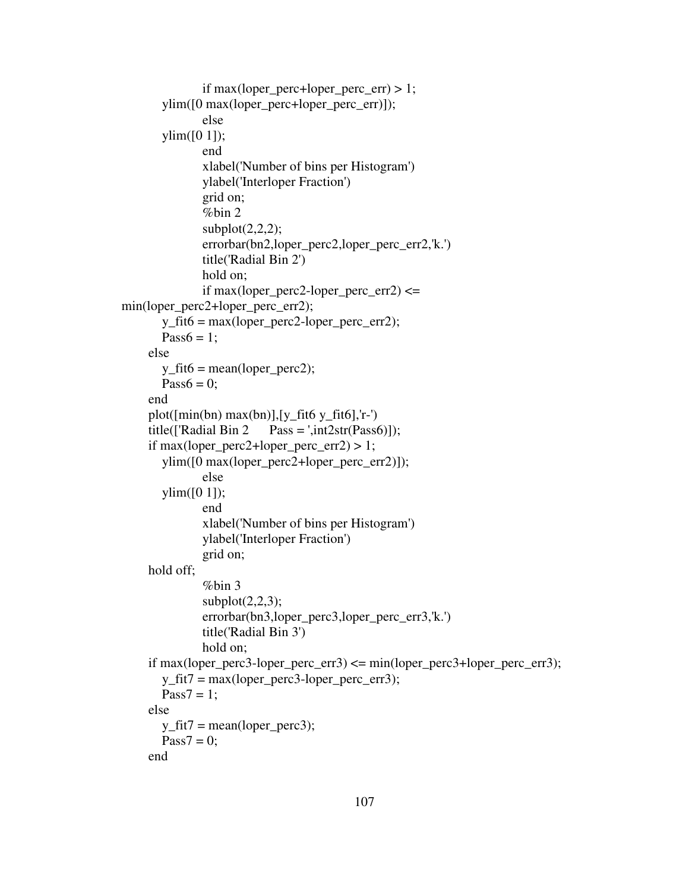```
if max(loper_perc+loper_perc_err) > 1;
         ylim([0 max(loper_perc+loper_perc_err)]); 
                 else 
         ylim([0 1]); 
                 end 
                 xlabel('Number of bins per Histogram') 
                 ylabel('Interloper Fraction') 
                 grid on; 
                 %bin 2 
                subplot(2,2,2); errorbar(bn2,loper_perc2,loper_perc_err2,'k.') 
                 title('Radial Bin 2') 
                 hold on; 
                if max(loper\_perc2-loper\_perc\_err2) \lemin(loper_perc2+loper_perc_err2); 
        y_ffit6 = max(logper_p)erc2-loper_perc_err2);
        Pass6 = 1;
      else 
        y_ffit6 = mean(loper_perc2);
        Pass6 = 0;
      end 
     plot([\min(bn) \max(bn)], [y \text{ fit6 } y \text{ fit6}], 'r-')
     title(\text{[}'\text{Radial Bin 2} Pass = ',int2\text{str}(\text{Pass6})]);
     if max(loper_perc2+loper_perc_err2) > 1;
         ylim([0 max(loper_perc2+loper_perc_err2)]); 
                 else 
         ylim([0 1]); 
                 end 
                 xlabel('Number of bins per Histogram') 
                 ylabel('Interloper Fraction') 
                 grid on; 
      hold off; 
                 %bin 3 
                subplot(2,2,3); errorbar(bn3,loper_perc3,loper_perc_err3,'k.') 
                 title('Radial Bin 3') 
                 hold on; 
     if max(loper_perc3-loper_perc_err3) \leq min(loper_perc3+loper_perc_err3);
        y_fit7 = max(loper_perc3-loper_perc_err3);
        Pass7 = 1:
      else 
        y_f fit7 = mean(loper_perc3);
        Pass7 = 0:
      end
```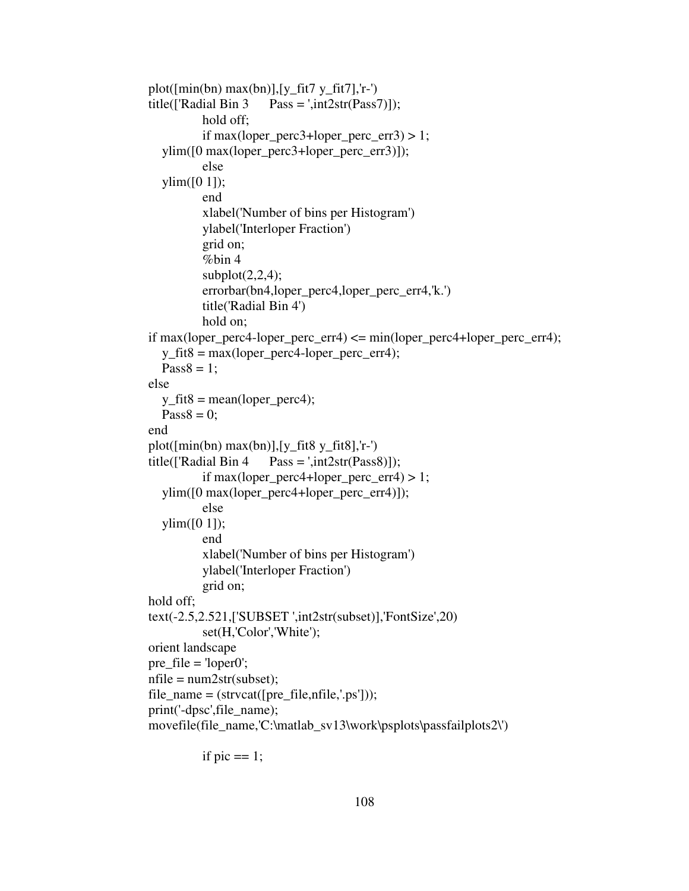```
plot([\min(bn) \max(bn)], [y_f fit7 y_f fit7], 'r-')
title(\text{[}'\text{Radial Bin 3} Pass = ',int2str(\text{Pass7})]);
            hold off; 
            if max(loper_perc3+loper_perc_err3) > 1; 
   ylim([0 max(loper_perc3+loper_perc_err3)]); 
            else 
  ylim([0 1]);
            end 
            xlabel('Number of bins per Histogram') 
            ylabel('Interloper Fraction') 
            grid on; 
            %bin 4 
           subplot(2,2,4); errorbar(bn4,loper_perc4,loper_perc_err4,'k.') 
            title('Radial Bin 4') 
            hold on; 
if max(loper_perc4-loper_perc_err4) \leq min(loper_perc4+loper_perc_err4);
  y_f fit8 = max(loper_perc4-loper_perc_err4);
  Pass8 = 1;
 else 
  y_f fit8 = mean(loper_perc4);
  Pass8 = 0; end 
 plot([min(bn) max(bn)],[y_fit8 y_fit8],'r-') 
title(\text{[}'\text{Radial Bin 4} \quad \text{Pass} = \text{',} \text{int2str}(\text{Pass8})\text{]};if max(loper_perc4+loper_perc_err4) > 1;
   ylim([0 max(loper_perc4+loper_perc_err4)]); 
            else 
  ylim([0 1]); end 
            xlabel('Number of bins per Histogram') 
            ylabel('Interloper Fraction') 
            grid on; 
 hold off; 
 text(-2.5,2.521,['SUBSET ',int2str(subset)],'FontSize',20) 
            set(H,'Color','White'); 
 orient landscape 
 pre_file = 'loper0'; 
nfile = num2str(subset);file_name = (struct([pre_file,nfile,'ps")); print('-dpsc',file_name); 
 movefile(file_name,'C:\matlab_sv13\work\psplots\passfailplots2\')
```
if pic  $== 1$ ;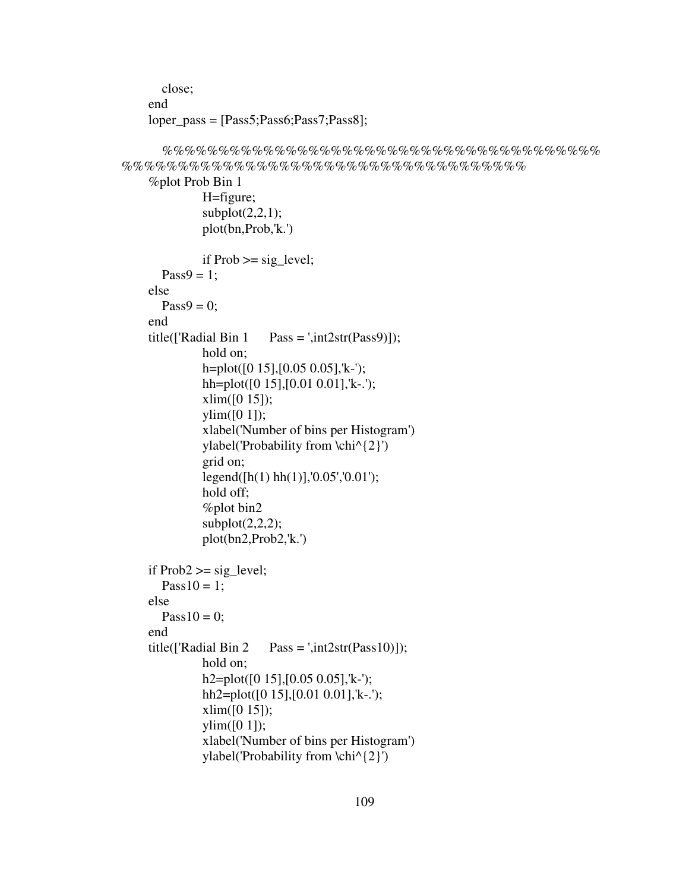```
 close; 
 end 
loper\_pass = [Pass5; Pass6; Pass7; Pass8];
```
 $subplot(2,2,1);$ 

```
 %%%%%%%%%%%%%%%%%%%%%%%%%%%%%%%%%%%%%%%
%%%%%%%%%%%%%%%%%%%%%%%%%%%%%%%%%%%%
```

```
 %plot Prob Bin 1 
           H=figure;
```

```
 plot(bn,Prob,'k.') 
           if Prob \geq sig\_level;Pass9 = 1;
 else 
  Pass9 = 0; end 
title(['Radial Bin 1 Pass = ',int2str(Pass9)]);
            hold on; 
            h=plot([0 15],[0.05 0.05],'k-'); 
           hh=plot([0 15],[0.01 0.01],'k-.');
           xlim([0 15]);
           \text{vlim}([0 1]): xlabel('Number of bins per Histogram') 
            ylabel('Probability from \chi^{2}') 
            grid on; 
            legend([h(1) hh(1)],'0.05','0.01'); 
            hold off; 
            %plot bin2 
           subplot(2,2,2); plot(bn2,Prob2,'k.') 
if Prob2 \geq sig level;
  Pass10 = 1; else 
  Pass10 = 0; end 
title(\text{[}'\text{Radial Bin 2} Pass = ',int\text{2str}(\text{Pass10}));
            hold on; 
            h2=plot([0 15],[0.05 0.05],'k-'); 
            hh2=plot([0 15],[0.01 0.01],'k-.'); 
            xlim([0 15]); 
           \text{vlim}([0 1]);
            xlabel('Number of bins per Histogram') 
            ylabel('Probability from \chi^{2}')
```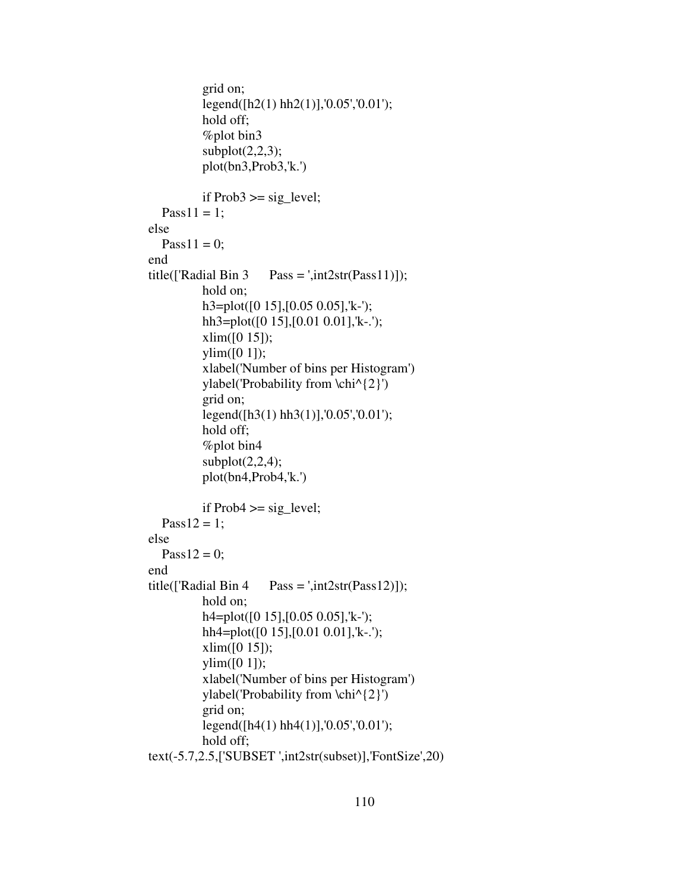```
 grid on; 
            legend([h2(1) hh2(1)],'0.05','0.01'); 
            hold off; 
            %plot bin3 
           subplot(2,2,3); plot(bn3,Prob3,'k.') 
           if Prob3 \geq sig\_level;Pass11 = 1; else 
  Pass11 = 0;
 end 
title(\text{[}'\text{Radial Bin 3} Pass = ',int2\text{str}(\text{Pass11}));
            hold on; 
            h3=plot([0 15],[0.05 0.05],'k-'); 
            hh3=plot([0 15],[0.01 0.01],'k-.'); 
           xlim([0 15]);ylim([0 1]);
            xlabel('Number of bins per Histogram') 
            ylabel('Probability from \chi^{2}') 
            grid on; 
            legend([h3(1) hh3(1)],'0.05','0.01'); 
            hold off; 
            %plot bin4 
           subplot(2,2,4); plot(bn4,Prob4,'k.') 
           if Prob4 \geq sig\_level;Pass12 = 1;
 else 
  Pass12 = 0;
 end 
title(['Radial Bin 4 Pass = ',int2str(Pass12)]);
            hold on; 
            h4=plot([0 15],[0.05 0.05],'k-'); 
           hh4=plot([0 15], [0.01 0.01], 'k-.');
           xlim([0 15]);
           ylim([0 1]);
            xlabel('Number of bins per Histogram') 
            ylabel('Probability from \chi^{2}') 
            grid on; 
            legend([h4(1) hh4(1)],'0.05','0.01'); 
            hold off; 
 text(-5.7,2.5,['SUBSET ',int2str(subset)],'FontSize',20)
```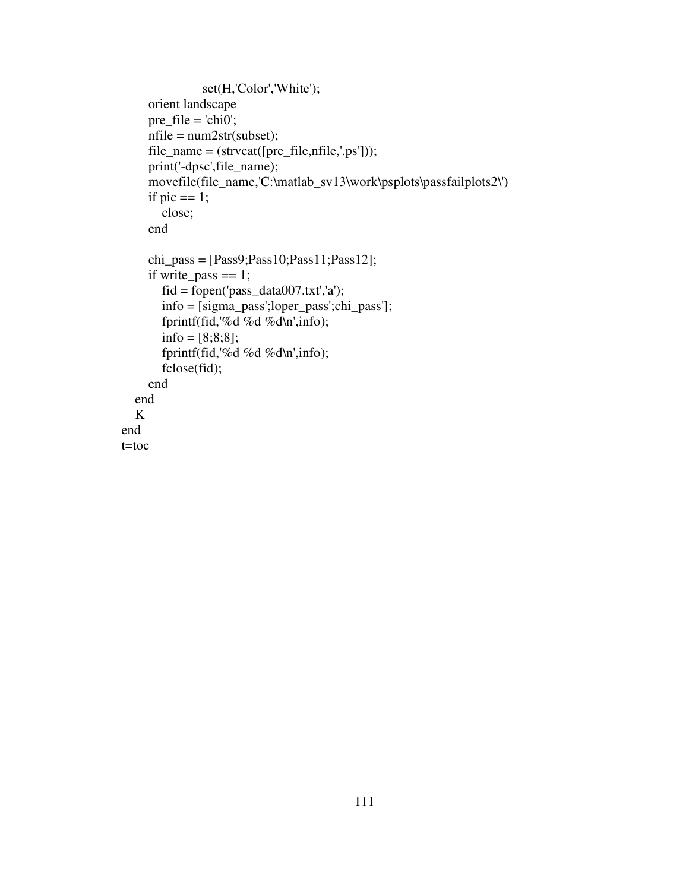```
 set(H,'Color','White'); 
      orient landscape 
     pre\_file = 'chi0';nfile = num2str(subset);file_name = (struct([pre_file,nfile,'ps']));
      print('-dpsc',file_name); 
      movefile(file_name,'C:\matlab_sv13\work\psplots\passfailplots2\') 
     if pic == 1;
         close; 
      end 
     chi_{\text{pass}} = [Pass9;Pass10;Pass11;Pass12];if write_pass == 1;
        fid = fopen('pass_data007.txt', a'); info = [sigma_pass';loper_pass';chi_pass']; 
         fprintf(fid,'%d %d %d\n',info); 
        info = [8;8;8]; fprintf(fid,'%d %d %d\n',info); 
         fclose(fid); 
      end 
   end 
   K 
end 
t=toc
```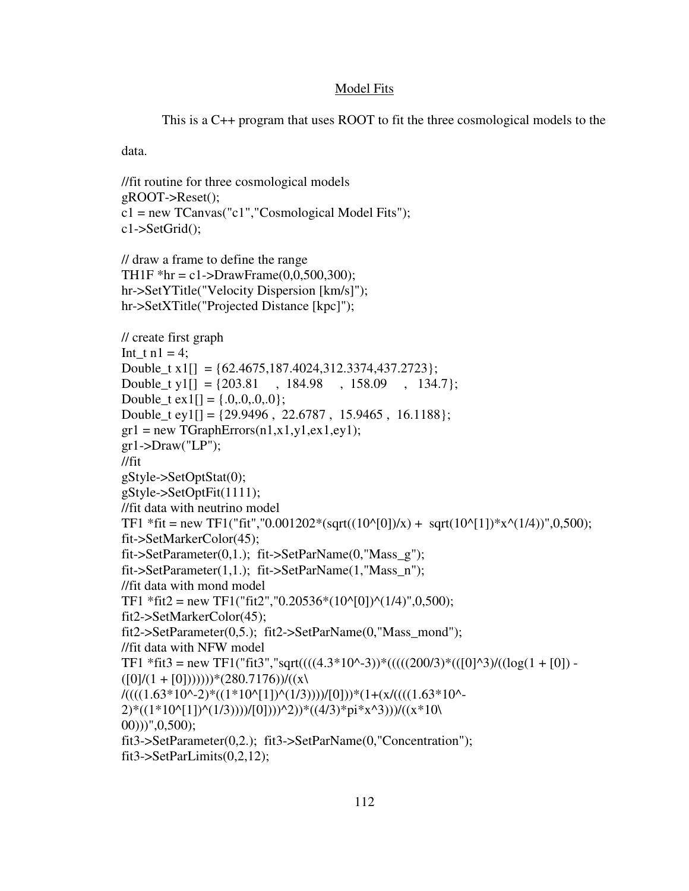# Model Fits

This is a C++ program that uses ROOT to fit the three cosmological models to the

data.

```
//fit routine for three cosmological models 
gROOT->Reset(); 
c1 = new TCanvas("c1", "Cosmological Model Fits");c1->SetGrid(); 
// draw a frame to define the range 
TH1F *hr = c1->DrawFrame(0,0,500,300);
hr->SetYTitle("Velocity Dispersion [km/s]"); 
hr->SetXTitle("Projected Distance [kpc]"); 
// create first graph 
Int t n1 = 4;
Double_t x1[] = {62.4675,187.4024,312.3374,437.2723};Double_t y1[] = \{203.81, 184.98, 158.09, 134.7\};
Double_t ex 1[\] = \{.0, .0, .0, .0\};Double t ey1[] = {29.9496, 22.6787, 15.9465, 16.1188};
gr1 = new TGraphErrors(n1, x1, y1, ex1, ey1);gr1-Draw("LP");//fit 
gStyle->SetOptStat(0); 
gStyle->SetOptFit(1111); 
//fit data with neutrino model 
TF1 *fit = new TF1("fit","0.001202*(sqrt((10^[0])/x) + sqrt(10^[1])*x^(1/4))",0,500);
fit->SetMarkerColor(45); 
fit->SetParameter(0,1.); fit->SetParName(0,'Mass_g'');
fit->SetParameter(1,1.); fit->SetParName(1,"Mass_n"); 
//fit data with mond model 
TF1 *fit2 = new TF1("fit2","0.20536*(10^[0])^(1/4)",0,500);
fit2->SetMarkerColor(45); 
fit2->SetParameter(0,5.); fit2->SetParName(0,"Mass_mond"); 
//fit data with NFW model 
TF1 *fit3 = new TF1("fit3","sqrt(((((4.3*10^-3))*(((((200/3)*(([0]^3)/((log(1 + [0]) -
([0]/(1 + [0]))))<sup>*</sup>(280.7176))/((x)
/(((1.63*10^k-2)*(1*10^k[1])^(1/3))))[0]))*(1+(x/(((1.63*10^k-1))2<sup>*</sup>((1*10^[1])^(1/3))))/[0])))^2))*((4/3)*pi*x^3)))/((x*10\
(00))", (0,500);
fit3->SetParameter(0,2.); fit3->SetParName(0,"Concentration"); 
fit3-SetParLimits(0,2,12);
```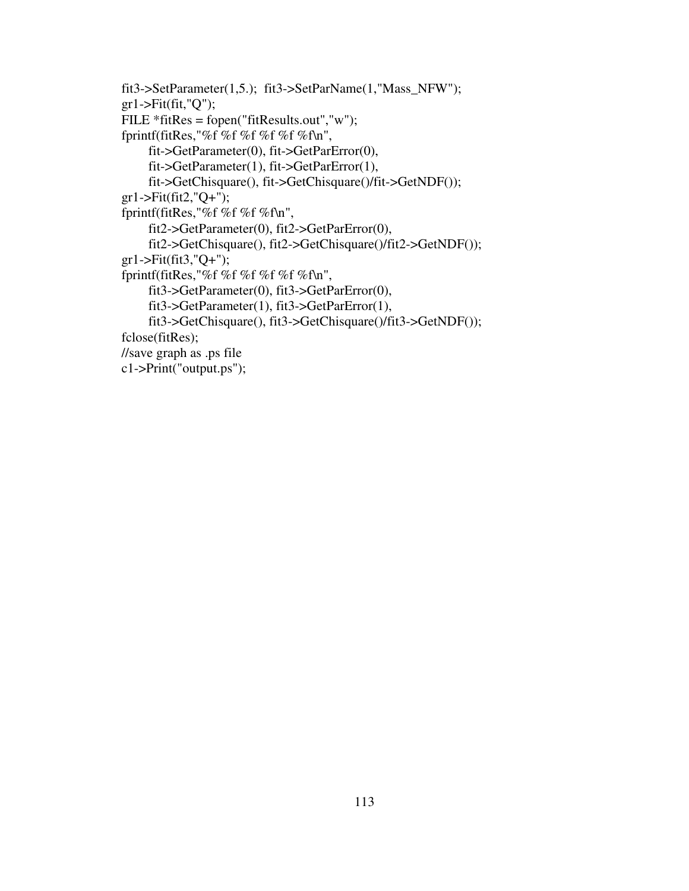```
fit3->SetParameter(1,5.); fit3->SetParName(1,"Mass_NFW"); 
gr1\rightarrowFit(fit,"Q");
FILE *fitRes = fopen("fitResults.out","w"); 
fprintf(fitRes,"%f %f %f %f %f %f\n", 
      fit->GetParameter(0), fit->GetParError(0), 
      fit->GetParameter(1), fit->GetParError(1), 
      fit->GetChisquare(), fit->GetChisquare()/fit->GetNDF()); 
gr1\text{-}Fit(fit2,"Q+");
fprintf(fitRes,"%f %f %f %f\n", 
      fit2->GetParameter(0), fit2->GetParError(0), 
      fit2->GetChisquare(), fit2->GetChisquare()/fit2->GetNDF()); 
gr1\text{-}Fit(fit3,"Q+");
fprintf(fitRes,"%f %f %f %f %f %f\n", 
      fit3->GetParameter(0), fit3->GetParError(0), 
      fit3->GetParameter(1), fit3->GetParError(1), 
      fit3->GetChisquare(), fit3->GetChisquare()/fit3->GetNDF()); 
fclose(fitRes); 
//save graph as .ps file 
c1->Print("output.ps");
```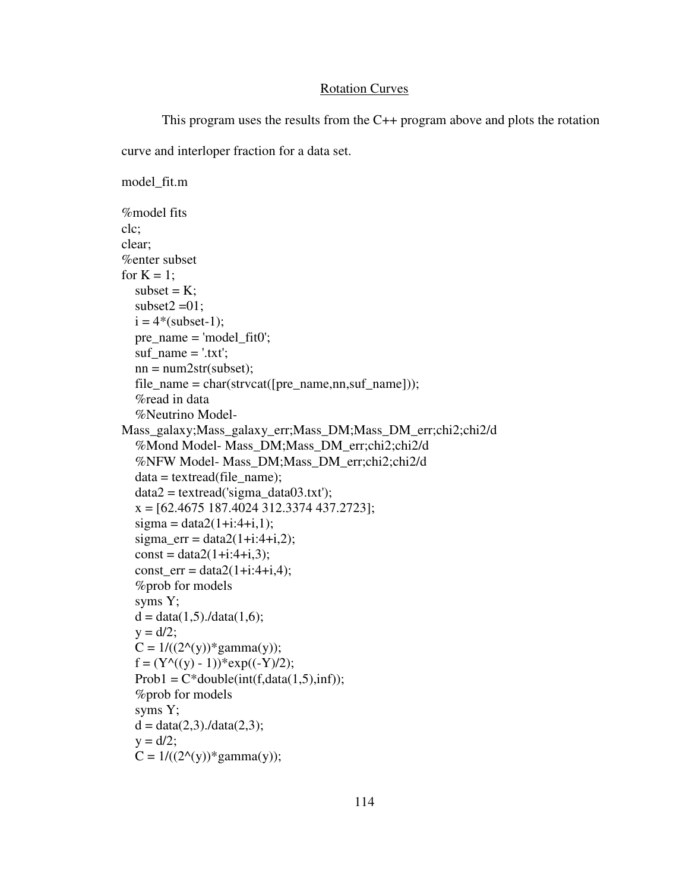## Rotation Curves

```
 This program uses the results from the C++ program above and plots the rotation 
curve and interloper fraction for a data set. 
model_fit.m 
%model fits 
clc; 
clear; 
%enter subset 
for K = 1;
  subset = K;
  subset2 = 01:
  i = 4*(subset-1); pre_name = 'model_fit0'; 
  suf name = '.txt';nn = num2str(subset);file_name = char(strvcat([pre_name,nn,suf_name]));
   %read in data 
   %Neutrino Model-
Mass_galaxy;Mass_galaxy_err;Mass_DM;Mass_DM_err;chi2;chi2/d 
   %Mond Model- Mass_DM;Mass_DM_err;chi2;chi2/d 
   %NFW Model- Mass_DM;Mass_DM_err;chi2;chi2/d 
  data = textread(file_name);data2 = textread('sigma data03.txt');x = [62.4675 \ 187.4024 \ 312.3374 \ 437.2723];sigma = data2(1+i:4+i,1);sigma err = data2(1+i:4+i,2);const = data2(1+i:4+i,3);const err = data2(1+i:4+i,4); %prob for models 
   syms Y; 
  d = data(1,5)./data(1,6);
  y = d/2;
  C = 1/((2<sup>^</sup>(y)) * gamma(y));f = (Y^{\wedge}((y) - 1))^* exp((-Y)/2);Prob1 = C^* double(int(f, data(1,5), inf)); %prob for models 
   syms Y; 
  d = data(2,3)./data(2,3);
  y = d/2;C = 1/((2<sup>^</sup>(y)) * gamma(y));
```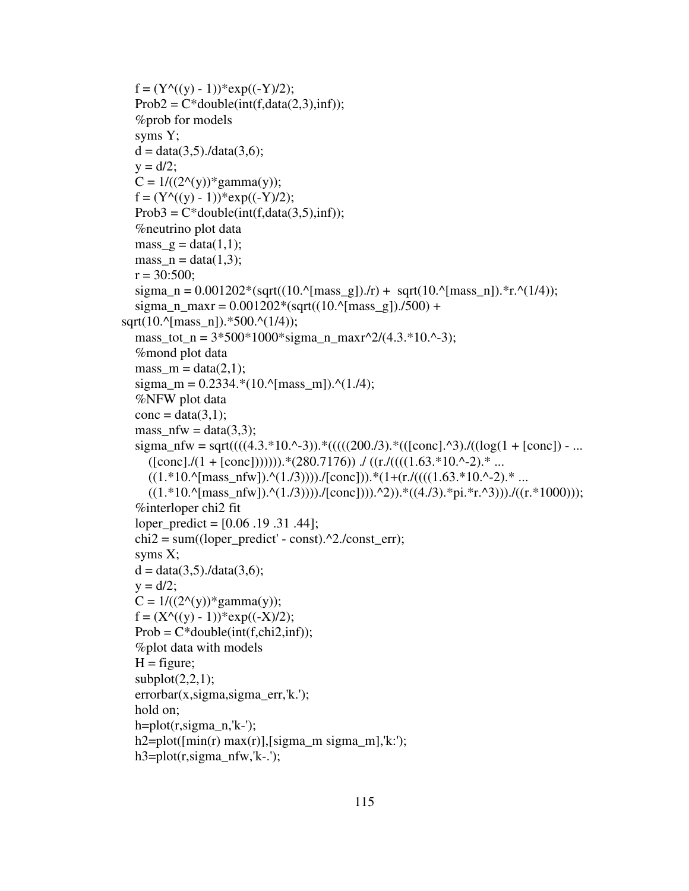```
f = (Y^{\wedge}((y) - 1))^* exp((-Y)/2);Prob2 = C * double(int(f, data(2,3), inf)); %prob for models 
   syms Y; 
  d = data(3,5)./data(3,6);
  y = d/2;
  C = 1/((2<sup>^</sup>(y)) * gamma(y));f = (Y^{\wedge}((y) - 1))^* exp((-Y)/2);Prob3 = C*double(int(f, data(3,5), inf)); %neutrino plot data 
  mass_g = data(1,1);
  mass_n = data(1,3);r = 30:500;
  sigma_n = 0.001202*(sqrt((10.^{n}{{\rm mass\_g}})./r) + sqrt(10.^{n}{{\rm mass\_n}}).*r.^(1/4));sigma_n_max = 0.001202*(sqrt((10.^{8}mass_g)).7500) +sqrt(10.^[mass_n]).*500.^(1/4));
  mass tot n = 3*500*1000*sigma n maxr^2/(4.3.*10.^-3);
   %mond plot data 
  mass_m = data(2,1);sigma_m = 0.2334.*(10.^{n}{}[mass_m]).^(1.74); %NFW plot data 
  cone = data(3,1);mass nfw = data(3,3);sigma_nfw = sqrt((((4.3.*10.^-3)).*(((((200./3).*(([conc].^3)./((log(1 + [conc]) - ...
     ((\text{conc.}]/(1 + [\text{conc.}])))).*(280.7176)) ./((r.}/(((1.63.^*10.^2.^*...((1.*10.^[{\rm mass\_nfw}]).^(1./3))))./[conc])).*(1+(r./((((1.63.*10.^-2).* ...
     ((1.*10.^[{\rm mass\_nfw}]).^(1.73)))./[conc])).^2)).*((4.73).*pi.*r.^3))./((r.*1000)));
   %interloper chi2 fit 
   loper_predict = [0.06 .19 .31 .44]; 
  chi2 = sum((loper\_predict' - const).^2./const\_err); syms X; 
  d = data(3,5)./data(3,6);
  y = d/2;
  C = 1/((2<sup>Λ</sup>(y)) * gamma(y));f = (X<sup></sup>((y) - 1)) * exp((-X)/2);Prob = C^* double(int(f, chi2, inf)); %plot data with models 
  H = figure;subplot(2,2,1); errorbar(x,sigma,sigma_err,'k.'); 
   hold on; 
  h=plot(r, sigman,'k-');
  h2 = plot([min(r) max(r)], [sigma_m max(m)], k:');
  h3 = plot(r, sigma_n f w, 'k-.);
```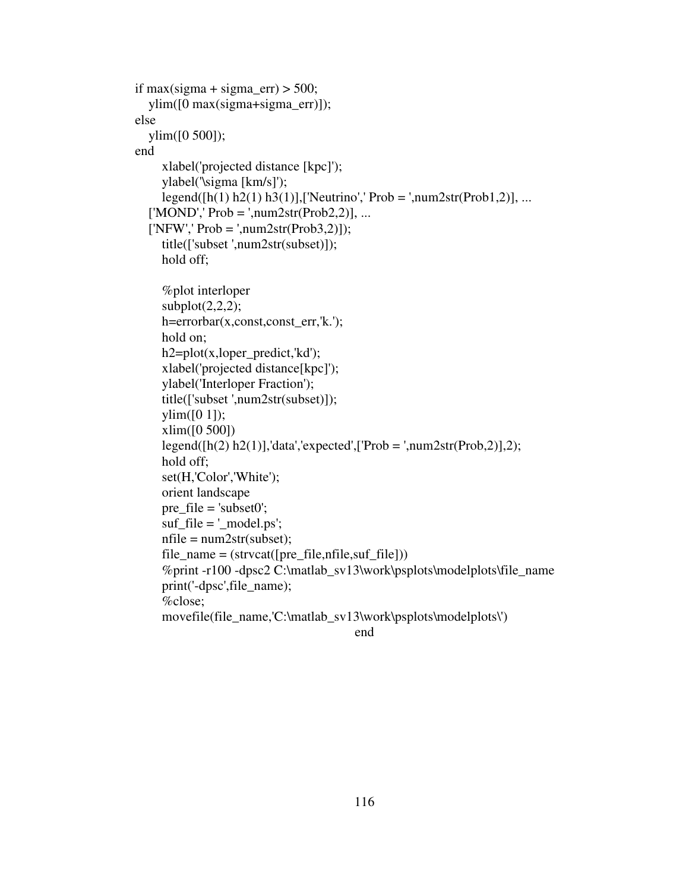```
if max(sigma + sigma_err) > 500;
    ylim([0 max(sigma+sigma_err)]); 
 else 
    ylim([0 500]); 
 end 
      xlabel('projected distance [kpc]'); 
      ylabel('\sigma [km/s]'); 
     \text{legend}([h(1) h2(1) h3(1)],[\text{Neutrino}', \text{Prob} = ', \text{num2str}(\text{Prob1}, 2)], \dots['MOND', Prob = ', num2str(Prob2,2)], ...[NFW', Prob = ', num2str(Prob3,2)];
      title(['subset ',num2str(subset)]); 
      hold off; 
       %plot interloper 
     subplot(2,2,2); h=errorbar(x,const,const_err,'k.'); 
      hold on; 
     h2=plot(x,loper_predict,'kd');
      xlabel('projected distance[kpc]'); 
      ylabel('Interloper Fraction'); 
      title(['subset ',num2str(subset)]); 
     \text{vlim}([0 1]);
      xlim([0 500]) 
     legend([h(2) h2(1)],'data','expected',['Prob = ',num2str(Prob,2)],2);
      hold off; 
      set(H,'Color','White'); 
      orient landscape 
      pre_file = 'subset0'; 
     \text{snf}_\text{in} = \text{'_model}\text{.} \text{ps'};
     nfile = num2str(subset);file_name = (struct([pre_file,nfile,suf_file]))%print -r100 -dpsc2 C:\matlab_sv13\work\psplots\modelplots\file_name
      print('-dpsc',file_name); 
      %close; 
      movefile(file_name,'C:\matlab_sv13\work\psplots\modelplots\')
```

```
end
```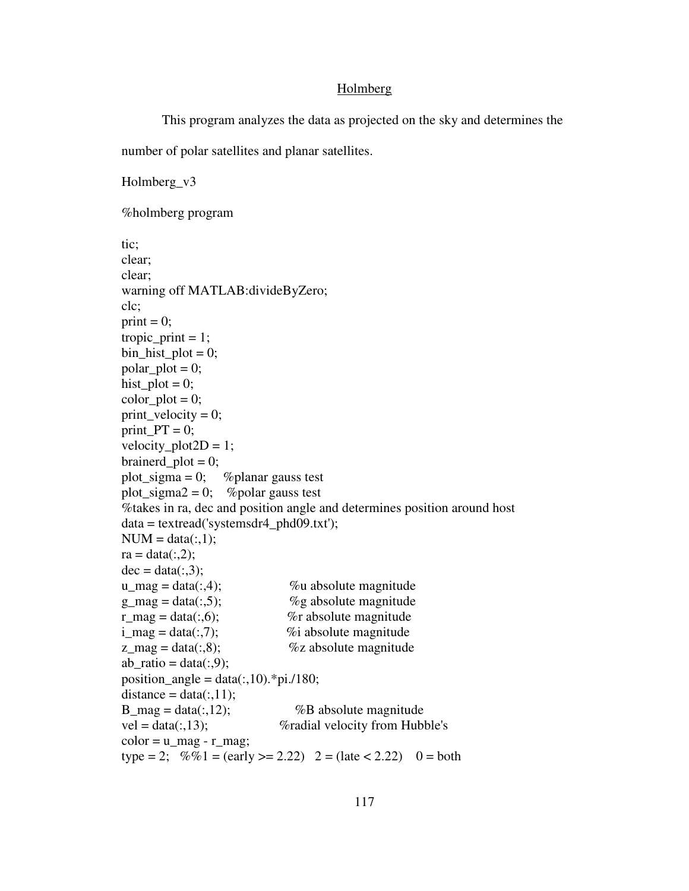### Holmberg

```
 This program analyzes the data as projected on the sky and determines the
```
number of polar satellites and planar satellites.

Holmberg\_v3 %holmberg program tic; clear; clear; warning off MATLAB:divideByZero; clc; print  $= 0$ ; tropic print  $= 1$ ;  $bin\_hist\_plot = 0;$  $polar\_plot = 0;$ hist\_plot =  $0$ ;  $color\_plot = 0;$ print\_velocity = 0;  $print_PT = 0;$ velocity\_plot2 $D = 1$ ;  $brainerd\_plot = 0;$ plot\_sigma = 0; % % % % % % and  $\%$  % planar gauss test plot sigma2 = 0; %polar gauss test %takes in ra, dec and position angle and determines position around host data = textread('systemsdr4\_phd09.txt');  $NUM = data(:,1);$  $ra = data(:,2);$  $dec = data(:,3);$  $u_{\text{mag}} = \text{data}(:,4);$  %w absolute magnitude  $g_{\text{mag}} = \text{data}(:,5);$  %g absolute magnitude  $r_{mag} = data(:,6);$  % % % % absolute magnitude  $i_{\text{mag}} = \text{data}(:,7);$  %i absolute magnitude  $z_{\text{mag}} = \text{data}(:,8);$  % % % % % % % absolute magnitude  $ab\_ratio = data(:,9);$ position\_angle =  $data(:,10).$ \*pi./180;  $distance = data(:,11);$  $B_{mag} = data(:,12);$  %B absolute magnitude  $vel = data(:,13);$  %radial velocity from Hubble's  $color = u_mag - r_mag;$ type = 2;  $\%$ %1 = (early > = 2.22) 2 = (late < 2.22) 0 = both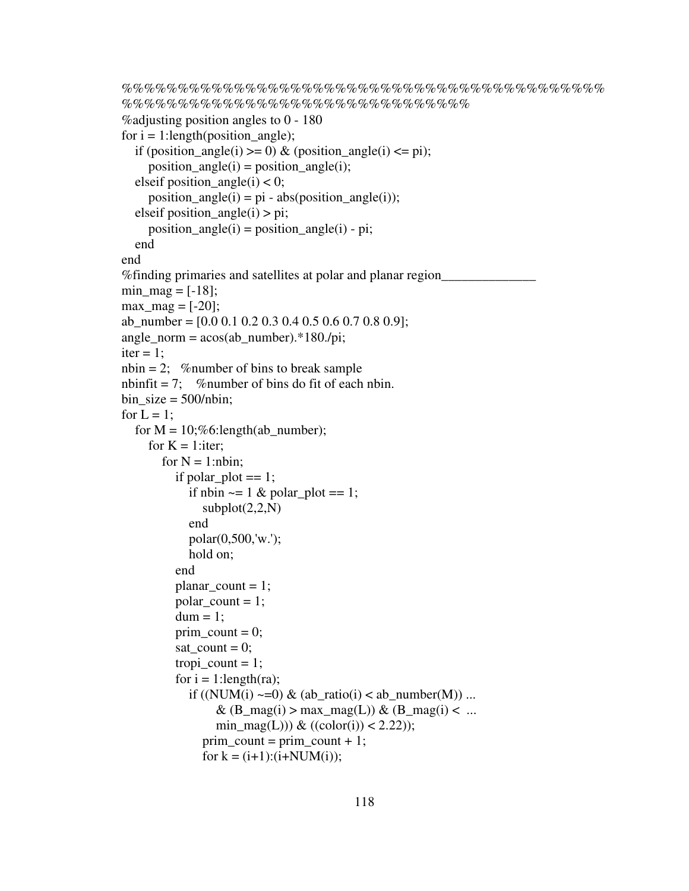```
%%%%%%%%%%%%%%%%%%%%%%%%%%%%%%%%%%%%%%%%%%%
%%%%%%%%%%%%%%%%%%%%%%%%%%%%%%% 
%adjusting position angles to 0 - 180 
for i = 1:length(position_angle);
  if (position_angle(i) >= 0) & (position_angle(i) <= pi);
     position\_angle(i) = position\_angle(i);elseif position_angle(i) < 0;
     position_angle(i) = pi - abs(position\_angle(i));elseif position_angle(i) > pi;
     position_angle(i) = position_angle(i) - pi;
   end 
end 
%finding primaries and satellites at polar and planar region______________ 
min\_mag = [-18];max_{1} = [-20];ab_number = [0.0 \ 0.1 \ 0.2 \ 0.3 \ 0.4 \ 0.5 \ 0.6 \ 0.7 \ 0.8 \ 0.9];
angle\_norm = a\cos(ab\_number).*180./pi;iter = 1:
n \text{ bin } = 2; % number of bins to break sample
nbinfit = 7; % number of bins do fit of each nbin.
bin size = 500/hbin;
for L = 1;
  for M = 10; \%6:length(ab_number);
     for K = 1: iter;
       for N = 1:nbin;
          if polar_plot == 1;
            if nbin \sim = 1 & polar_plot = = 1;
              subplot(2,2,N) end 
             polar(0,500,'w.'); 
             hold on; 
           end 
          planar_count = 1;polar\_count = 1;
          dum = 1;
          prim \text{count} = 0;
          sat count = 0;
          tropi_count = 1;for i = 1: length(ra);
            if ((NUM(i) \sim=0) \& (ab ratio(i) < ab number(M)) ...\& (B_mag(i) > max_mag(L)) \& (B_mag(i) < ...
                 min_mag(L))) & ((color(i)) < 2.22));
               prim\_count = prim\_count + 1;for k = (i+1):(i+NUM(i));
```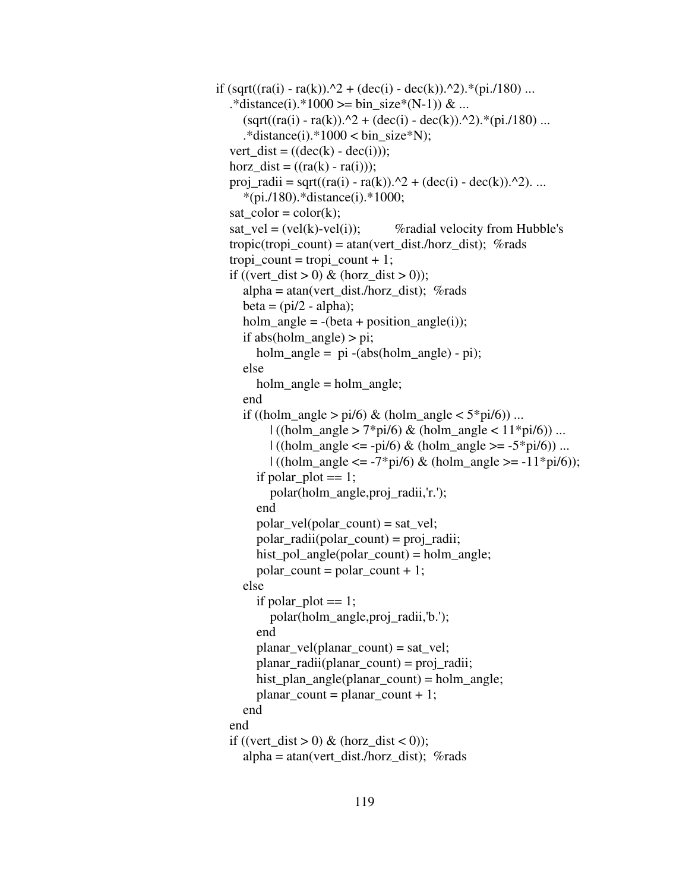```
if \left(\sqrt{\frac{q(t)}{n}} - \frac{r(a)}{n}\right).<sup>2</sup> + \left(\frac{dec(i)}{n} - \frac{dec(k)}{n}\right).<sup>*</sup>(pi./180) ...
  .*distance(i).*1000 >= bin_size*(N-1)) & ...
     (sqrt(ra(i) - ra(k)).^2 + (dec(i) - dec(k)).^2).*(pi.180) ....*distance(i).*1000 < bin_size*N);
  vert dist = ((dec(k) - dec(i)));
  horz_dist = ((ra(k) - ra(i)));proj_radii = sqrt((ra(i) - ra(k)).^2 + (dec(i) - dec(k)).^2). ...
      *(pi./180).*distance(i).*1000; 
  sat\_color = color(k); sat_vel = (vel(k)-vel(i)); %radial velocity from Hubble's 
  tropic(tropi_count) = \text{atan}(vert_dist./horz_dist); %rads
  tropi_count = tropi_count + 1;if ((vert dist > 0) & (horz dist > 0));
     alpha = \text{atan}(\text{vert\_dist.}/\text{horz\_dist}); %rads
     beta = (pi/2 - alpha);holm_angle = -(beta + position\_angle(i));if abs(holm_angle) > pi;
        holm_angle = pi -(abs(holm_angle) - pi);
      else 
         holm_angle = holm_angle; 
      end 
     if ((holm_angle > pi/6) & (holm_angle < 5*pi/6) ...
           \left| \right| ((holm_angle > 7*pi/6) & (holm_angle < 11*pi/6)) ...
           | ( (holm\_angle \leq -pi/6) \& (holm\_angle \geq -5*pi/6)) ...| ((\text{holm\_angle} \le -7 \cdot \text{pi/6}) \& (\text{holm\_angle} >= -11 \cdot \text{pi/6}));if polar_plot == 1;
            polar(holm_angle,proj_radii,'r.'); 
         end 
        polar\_vel(polar\_count) = sat\_vel;polar radii(polar count) = projradii;hist_pol_angle(polar_count) = holm_angle;
        polar count = polar count + 1;
      else 
        if polar_plot == 1;
            polar(holm_angle,proj_radii,'b.'); 
         end 
         planar_vel(planar_count) = sat_vel; 
         planar_radii(planar_count) = proj_radii; 
         hist_plan_angle(planar_count) = holm_angle; 
        planar count = planar count + 1;
      end 
   end 
  if ((vert_dist > 0) & (horz_dist < 0));
     alpha = \tan(\text{vert\_dist./horz\_dist}); %rads
```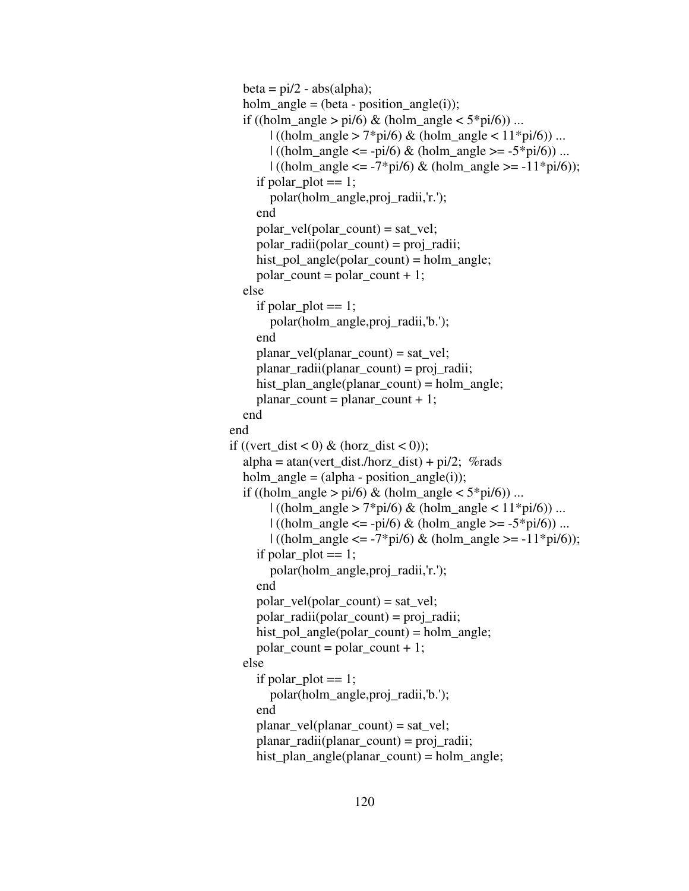```
beta = pi/2 - abs(alpha);holm_angle = (beta - position\_angle(i));if ((holm_angle > pi/6) & (holm_angle < 5*pi/6)) ...
                             \left| \right| ((holm_angle > 7*pi/6) & (holm_angle < 11*pi/6)) ...
                             | ((\text{holm\_angle} \leq -\text{pi/6}) \& (\text{holm\_angle} \geq -5 \cdot \text{pi/6})) ...| ((\text{holm\_angle} \le -7*) \cdot 6) \& (\text{holm\_angle} >= -11 * \text{pi/6}));if polar plot == 1;
                              polar(holm_angle,proj_radii,'r.'); 
 end 
                          polar\_vel(polar\_count) = sat\_vel; polar_radii(polar_count) = proj_radii; 
                           hist_pol_angle(polar_count) = holm_angle; 
                          polar count = polar count + 1;
                        else 
                          if polar_plot == 1;
                              polar(holm_angle,proj_radii,'b.'); 
 end 
                           planar_vel(planar_count) = sat_vel; 
                           planar_radii(planar_count) = proj_radii; 
                           hist_plan_angle(planar_count) = holm_angle; 
                          planar\_count = planar\_count + 1; end 
                      end 
                     if ((vert_dist < 0) & (horz_dist < 0));
                        alpha = \text{atan}(\text{vert\_dist.}/\text{horz\_dist}) + \text{pi/2}; %rads
                        holm_angle = (alpha - position\_angle(i));if ((holm_angle > pi/6) & (holm_angle < 5*pi/6)) ...
                             \left| \right| ((holm_angle > 7*pi/6) & (holm_angle < 11*pi/6)) ...
                             | ( (holm\_angle \leq -pi/6) \& (holm\_angle \geq -5*pi/6) ) ...| ((holm_angle <= -7*pi/6) & (holm_angle >= -11*pi/6));
                          if polar_plot == 1;
                              polar(holm_angle,proj_radii,'r.'); 
                           end 
                          polar\_vel(polar\_count) = sat\_vel; polar_radii(polar_count) = proj_radii; 
                          hist_pol_angle(polar_count) = holm_angle;
                          polar\_count = polar\_count + 1; else 
                          if polar_plot == 1;
                              polar(holm_angle,proj_radii,'b.'); 
                           end 
                          planar vel(planar count) = sat vel;
                           planar_radii(planar_count) = proj_radii; 
                           hist_plan_angle(planar_count) = holm_angle;
```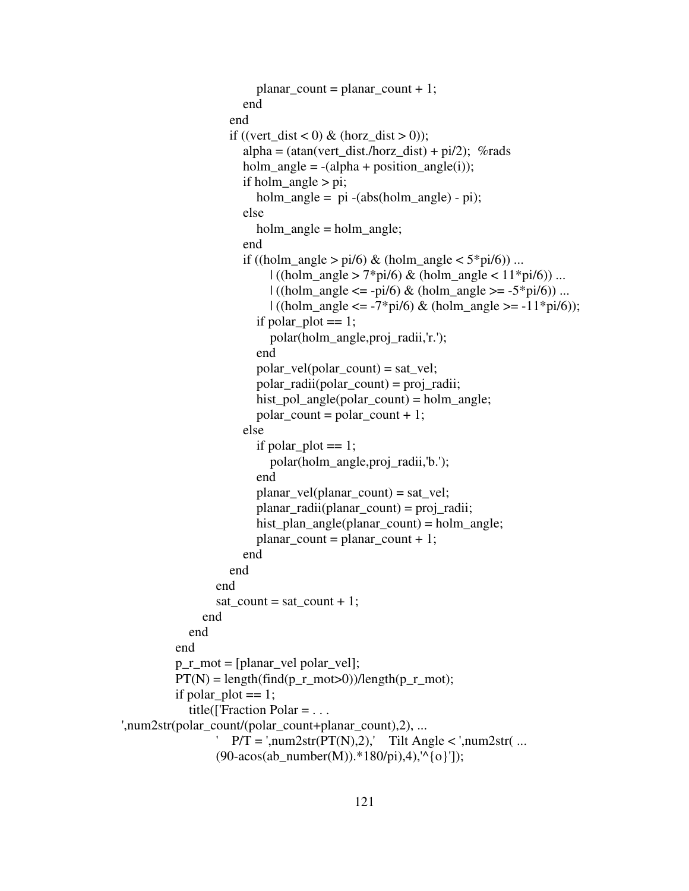```
planar\_count = planar\_count + 1; end 
                       end 
                      if ((vert_dist < 0) & (horz_dist > 0));
                         alpha = (atan(vert_dist./horz_dist) + pi/2); %rads
                         holm\_angle = -(alpha + position\_angle(i));if holm angle > pi;
                             holm_angle = pi -(abs(holm_angle) - pi); 
                          else 
                             holm_angle = holm_angle; 
                          end 
                         if ((holm_angle > pi/6) & (holm_angle < 5*pi/6) ...
                              | ((\text{holm\_angle} > 7 \cdot \text{pi/6}) \& (\text{holm\_angle} < 11 \cdot \text{pi/6})) ...| ((\text{holm\_angle} \leq -\text{pi/6}) \& (\text{holm\_angle} \geq -5 \text{ *pi/6})) ...| ((\text{holm\_angle} <= -7 \cdot \text{pi/6}) \& (\text{holm\_angle} >= -11 \cdot \text{pi/6}));if polar_plot == 1;
                               polar(holm_angle,proj_radii,'r.'); 
                             end 
                            polar\_vel(polar\_count) = sat\_vel; polar_radii(polar_count) = proj_radii; 
                            hist_pol_angle(polar_count) = holm_angle;
                            polar count = polar count + 1;
                          else 
                            if polar_plot == 1;
                               polar(holm_angle,proj_radii,'b.'); 
                             end 
                             planar_vel(planar_count) = sat_vel; 
                             planar_radii(planar_count) = proj_radii; 
                             hist_plan_angle(planar_count) = holm_angle; 
                            planar count = planar count + 1;
                          end 
                       end 
                    end 
                   sat_count = sat_count + 1;
                 end 
               end 
            end 
            p_r_mot = [planar_vel polar_vel]; 
           PT(N) = length(find(p_r_mnot>0))/length(p_r_mnot);if polar plot == 1;
             title(['Fraction Polar = \dots',num2str(polar_count/(polar_count+planar_count),2), ... 
                   ' P/T = '_{,}num2str(PT(N), 2),' Tilt Angle < ',num2str( ...
                   (90\text{-}acos(ab_number(M)).*180/pi),4),'^{o}']);
```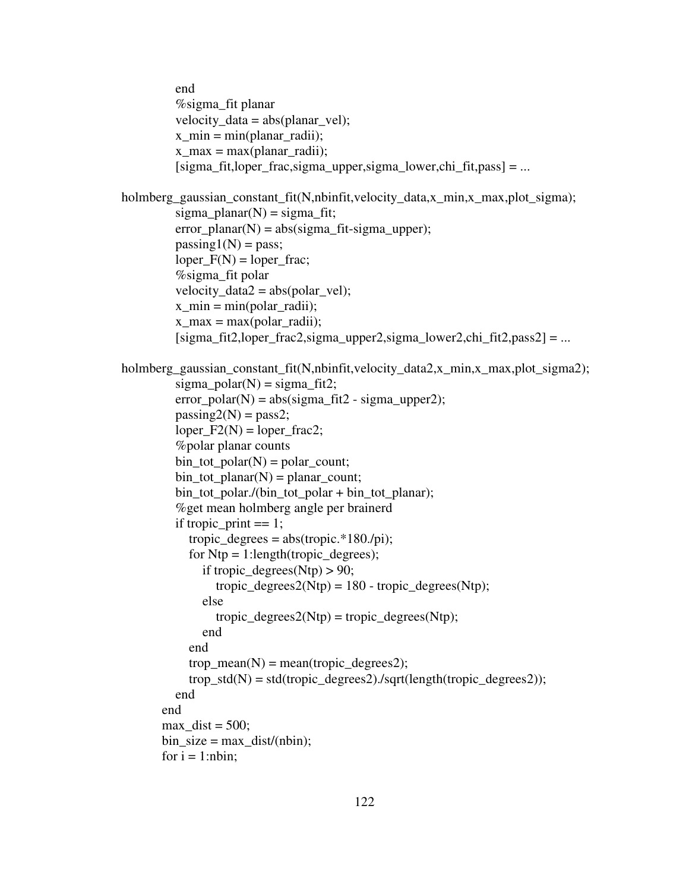```
 end 
           %sigma_fit planar 
          velocity\_data = abs(planar\_vel);x\_min = min(planar\_radii);x max = max(planar radii);
          [sigma_f, fit, looper_f, sigma_u, upper, sigma_l, lower, chi_f, stars] = ...holmberg_gaussian_constant_fit(N,nbinfit,velocity_data,x_min,x_max,plot_sigma); 
          sigma\_planar(N) = sigma\_fit;error\_planar(N) = abs(signa\_fit-sigma\_upper);passing1(N) = pass;loper_F(N) = loper_frac; %sigma_fit polar 
          velocity\_data2 = abs(polar\_vel);x min = min(polar radii);x_max = max(polar_radii);[sigma_fit2, loper_frac2, sigma_upper2, sigma_lower2,chi_fit2,pass2] = ...
holmberg_gaussian_constant_fit(N,nbinfit,velocity_data2,x_min,x_max,plot_sigma2); 
          sigma\_polar(N) = sigma\_fit2;error\_polar(N) = abs(signa\_fit2 - sigma\_upper2);passing2(N) = pass2;loper_F2(N) = loper_Frac2; %polar planar counts 
          bin\_tot\_polar(N) = polar\_count;bin_tot_planar(N) = planar_count;
          bin tot polar./(bin tot polar + bin tot planar);
           %get mean holmberg angle per brainerd 
          if tropic_print == 1;
            tropic degrees = abs(tropic.*180./pi);for Ntp = 1: length(tropic_degrees);
               if tropic degrees(Ntp) > 90;
                 tropic_degrees2(Ntp) = 180 - \text{tropic\_degrees(Ntp)};
                else 
                 tropic\_degrees2(Ntp) = tropic\_degrees(Ntp); end 
             end 
            trop mean(N) = mean(tropic \ degrees 2);trop\_std(N) = std(tropic\_degrees2)./sqrt(length(tropic\_degrees2)); end 
        end 
       max dist = 500;
       bin\_size = max\_dist/(nbin);for i = 1:nbin;
```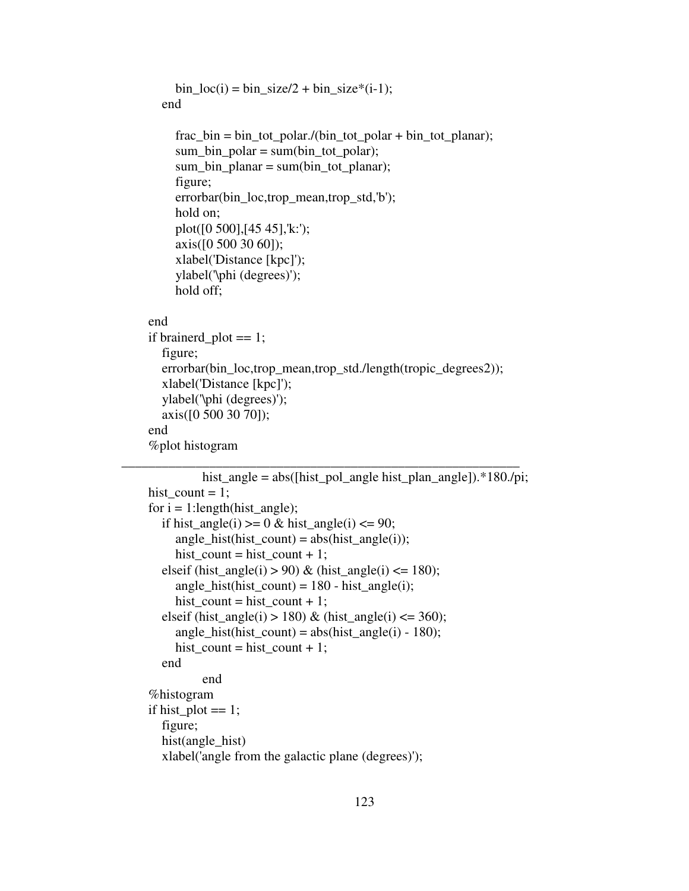```
bin loc(i) = bin size/2 + bin size*(i-1);
        end 
           frac_bin = bin_tot_polar./(bin_tot_polar + bin_tot_planar); 
          sum\_bin\_polar = sum(bin\_tot\_polar);sum_bin_planar = sum(bin_tot_planar);
           figure; 
           errorbar(bin_loc,trop_mean,trop_std,'b'); 
           hold on; 
           plot([0 500],[45 45],'k:'); 
           axis([0 500 30 60]); 
           xlabel('Distance [kpc]'); 
           ylabel('\phi (degrees)'); 
           hold off; 
     end 
     if brainerd_plot == 1; 
        figure; 
        errorbar(bin_loc,trop_mean,trop_std./length(tropic_degrees2)); 
        xlabel('Distance [kpc]'); 
        ylabel('\phi (degrees)'); 
        axis([0 500 30 70]); 
     end 
      %plot histogram 
___________________________________________________________
```

```
hist_angle = abs([hist_pol_angle hist_plan_angle]).*180./pi;
hist count = 1;
for i = 1: length (hist angle);
  if hist_angle(i) >= 0 \& \text{hist\_angle}(i) \le 90;angle hist(hist count) = abs(hist angle(i));
     hist_count = hist_count + 1;
  elseif (hist angle(i) > 90) & (hist angle(i) \leq 180);
     angle_hist(hist_count) = 180 - \text{hist\_angle}(i);
     hist_count = hist_count + 1;
  elseif (hist_angle(i) > 180) & (hist_angle(i) <= 360);
     angle_hist(hist_count) = abs(hist\_angle(i) - 180);
     hist_count = hist_count + 1;
   end 
           end 
 %histogram 
if hist_plot == 1;
   figure; 
   hist(angle_hist) 
   xlabel('angle from the galactic plane (degrees)');
```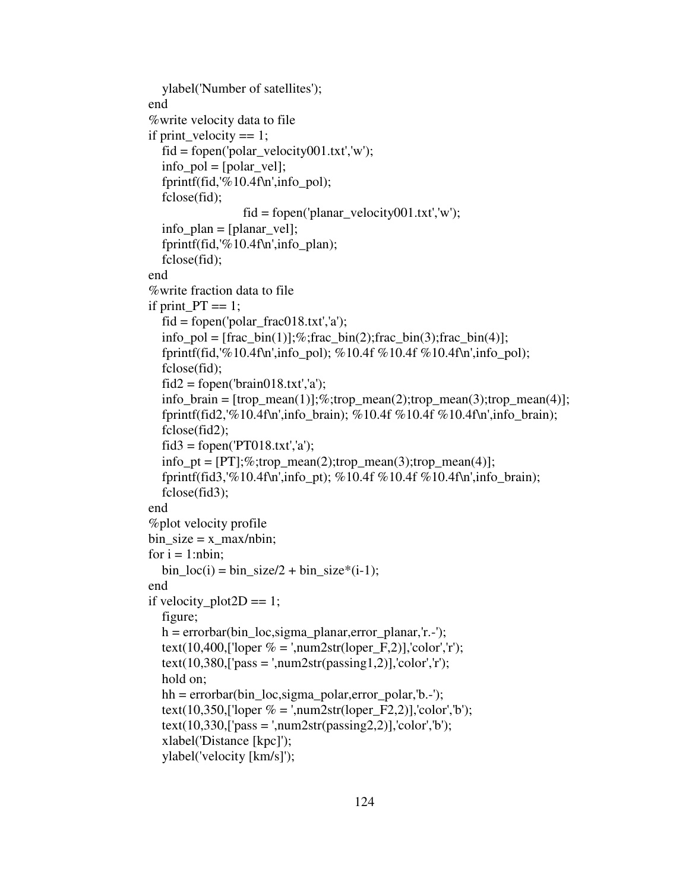```
 ylabel('Number of satellites'); 
 end 
 %write velocity data to file 
if print_velocity == 1;
  fid = fopen('polar' velocity001.txt','w');info\_pol = [polar\_vel]; fprintf(fid,'%10.4f\n',info_pol); 
   fclose(fid); 
                   fid = fopen('planar\_velocity001.txt,'w'); info_plan = [planar_vel]; 
   fprintf(fid,'%10.4f\n',info_plan); 
   fclose(fid); 
 end 
 %write fraction data to file 
if print PT == 1;
  fid = fopen('polar_frac018.txt,'a');info_pol = [frac bin(1)];%;frac_bin(2);frac_bin(3);frac_bin(4)];
  fprintf(fid,'%10.4f\n',info_pol); %10.4f %10.4f %10.4f\n',info_pol);
   fclose(fid); 
  \text{fid2} = \text{fopen}(\text{brain018.txt}\text{'},\text{'a}\text{'});
  info_brain = [{\rm trop\_mean}(1)];\%;{\rm trop\_mean}(2);{\rm trop\_mean}(3);{\rm trop\_mean}(4)];fprintf(fid2,'%10.4f\n',info_brain); %10.4f %10.4f %10.4f\n',info_brain);
   fclose(fid2); 
  \text{fid}3 = \text{fopen}(\text{PT}018.txt\text{'},\text{'a'});info_p t = [PT]; %; trop_mean(2); trop_mean(3); trop_mean(4); fprintf(fid3,'%10.4f\n',info_pt); %10.4f %10.4f %10.4f\n',info_brain); 
   fclose(fid3); 
 end 
 %plot velocity profile 
bin size = x max/nbin;
for i = 1:nbin;
  bin loc(i) = bin size/2 + bin size*(i-1);
 end 
if velocity_plot2D == 1;
   figure; 
  h = errorbar(bin loc, sigma planar, error planar,'r.-');text(10,400,['loper % = ',num2str(loper_F,2)],'color','r');
  text(10,380,['pass = ',num2str(passing1,2)],'color',r'); hold on; 
  hh = errorbar(bin_loc,sigma_polar,error_polar,'b.-');
  text(10,350,['loper % = ',num2str(loper_F2,2)],'color','b');
  text(10,330,['pass = ',num2str(passing2,2)],'color','b'); xlabel('Distance [kpc]'); 
   ylabel('velocity [km/s]');
```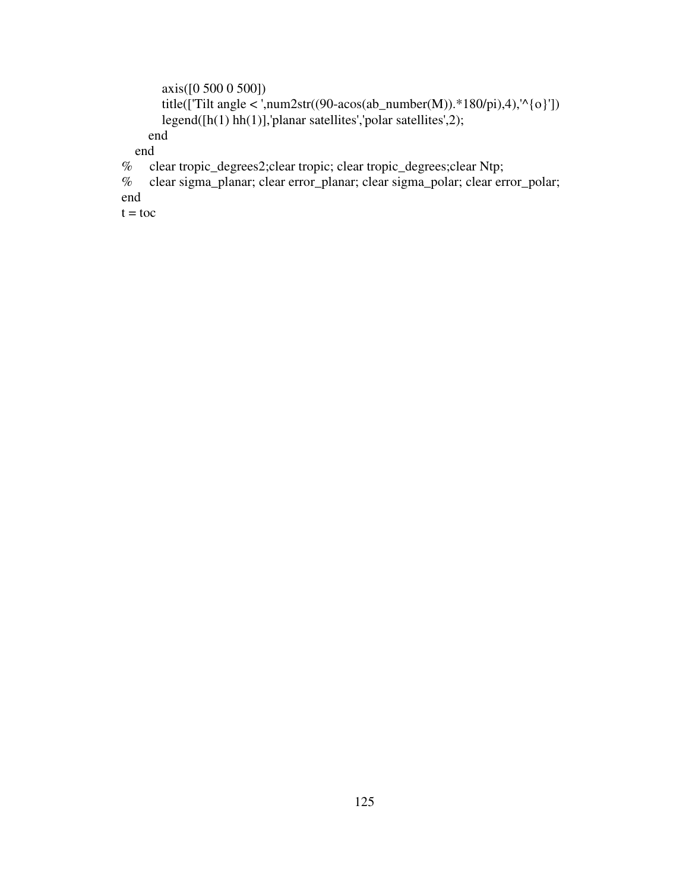```
 axis([0 500 0 500]) 
       title(['Tilt angle < ',num2str((90-acos(ab_number(M)).*180/pi),4),'^{\o}'])
        legend([h(1) hh(1)],'planar satellites','polar satellites',2); 
      end 
   end 
% clear tropic_degrees2;clear tropic; clear tropic_degrees;clear Ntp; 
% clear sigma_planar; clear error_planar; clear sigma_polar; clear error_polar; 
end
```
 $t =$  toc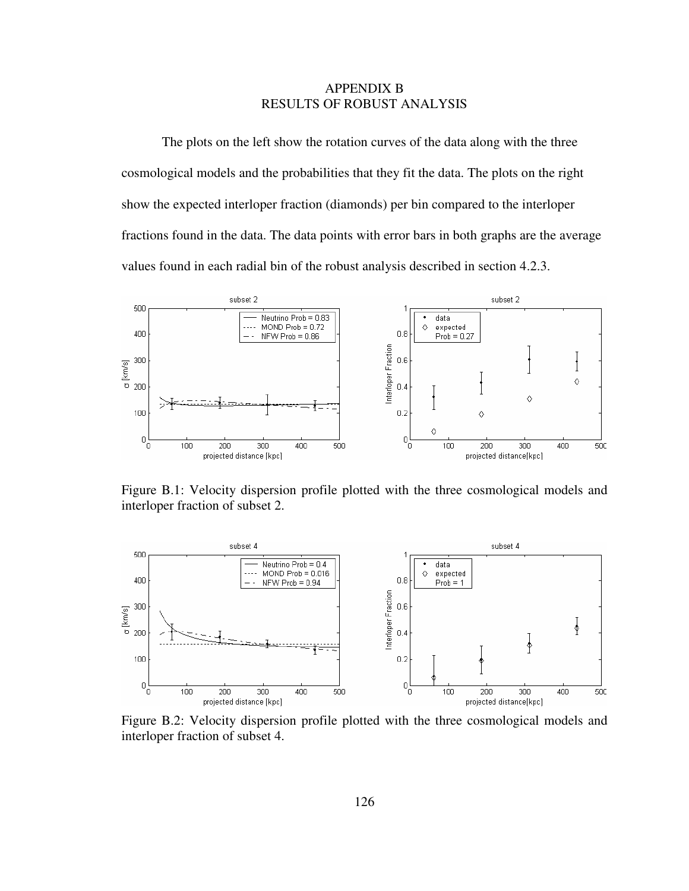# APPENDIX B RESULTS OF ROBUST ANALYSIS

The plots on the left show the rotation curves of the data along with the three cosmological models and the probabilities that they fit the data. The plots on the right show the expected interloper fraction (diamonds) per bin compared to the interloper fractions found in the data. The data points with error bars in both graphs are the average values found in each radial bin of the robust analysis described in section 4.2.3.



Figure B.1: Velocity dispersion profile plotted with the three cosmological models and interloper fraction of subset 2.



Figure B.2: Velocity dispersion profile plotted with the three cosmological models and interloper fraction of subset 4.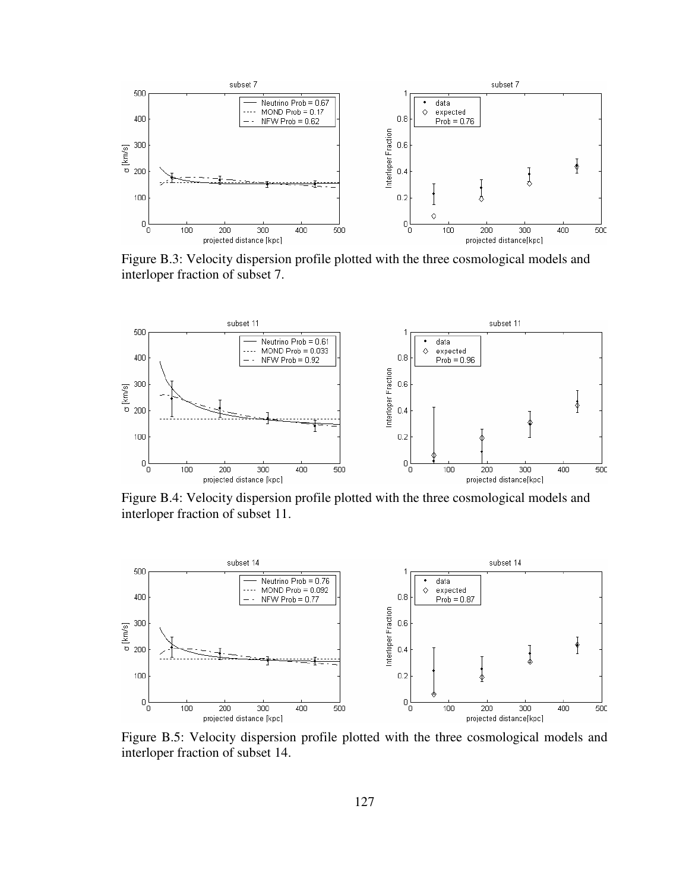

Figure B.3: Velocity dispersion profile plotted with the three cosmological models and interloper fraction of subset 7.



Figure B.4: Velocity dispersion profile plotted with the three cosmological models and interloper fraction of subset 11.



Figure B.5: Velocity dispersion profile plotted with the three cosmological models and interloper fraction of subset 14.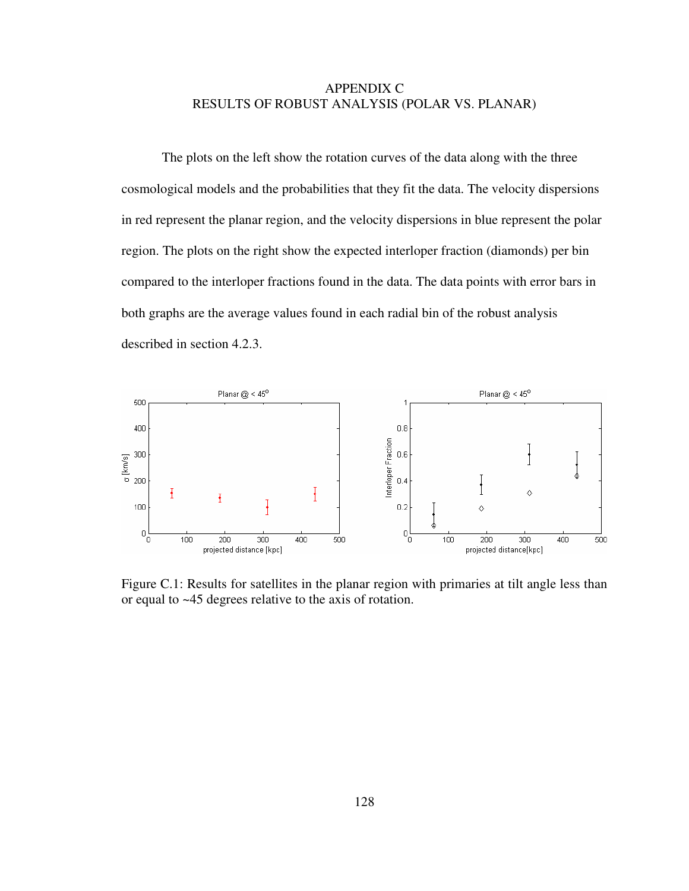# APPENDIX C RESULTS OF ROBUST ANALYSIS (POLAR VS. PLANAR)

 The plots on the left show the rotation curves of the data along with the three cosmological models and the probabilities that they fit the data. The velocity dispersions in red represent the planar region, and the velocity dispersions in blue represent the polar region. The plots on the right show the expected interloper fraction (diamonds) per bin compared to the interloper fractions found in the data. The data points with error bars in both graphs are the average values found in each radial bin of the robust analysis described in section 4.2.3.



Figure C.1: Results for satellites in the planar region with primaries at tilt angle less than or equal to ~45 degrees relative to the axis of rotation.